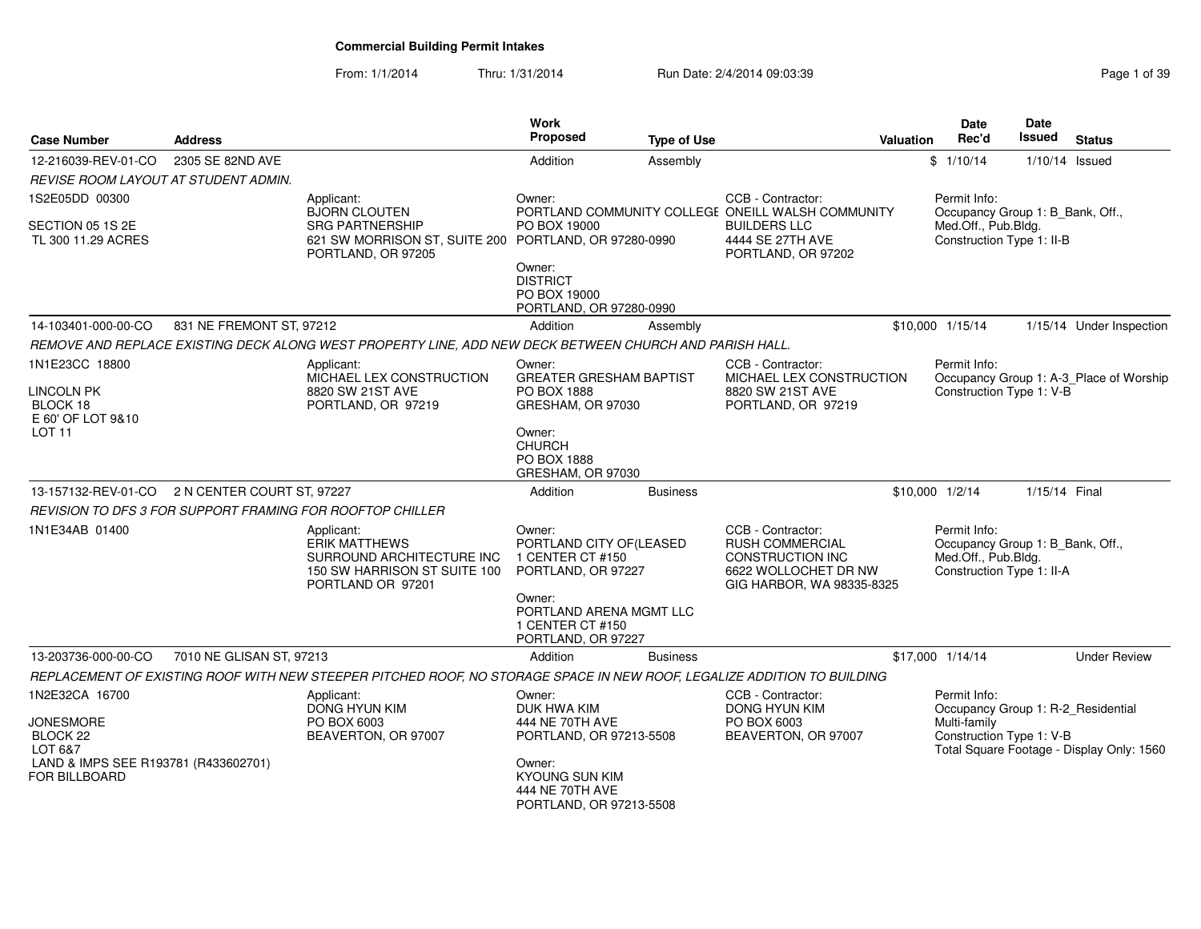#### From: 1/1/2014Thru: 1/31/2014 **Run Date: 2/4/2014 09:03:39** Rage 1 of 39

| Page 1 of 39 |  |  |
|--------------|--|--|
|              |  |  |

| <b>Case Number</b>                                                                                                                   | <b>Address</b>           |                                                                                                                         | Work<br><b>Proposed</b>                                                                                                                                    | <b>Type of Use</b> |                                                                                                                             | Valuation | <b>Date</b><br>Rec'd                                                                                 | Date<br><b>Issued</b> | <b>Status</b>                             |
|--------------------------------------------------------------------------------------------------------------------------------------|--------------------------|-------------------------------------------------------------------------------------------------------------------------|------------------------------------------------------------------------------------------------------------------------------------------------------------|--------------------|-----------------------------------------------------------------------------------------------------------------------------|-----------|------------------------------------------------------------------------------------------------------|-----------------------|-------------------------------------------|
| 12-216039-REV-01-CO                                                                                                                  | 2305 SE 82ND AVE         |                                                                                                                         | Addition                                                                                                                                                   | Assembly           |                                                                                                                             |           | \$1/10/14                                                                                            |                       | $1/10/14$ Issued                          |
| REVISE ROOM LAYOUT AT STUDENT ADMIN.                                                                                                 |                          |                                                                                                                         |                                                                                                                                                            |                    |                                                                                                                             |           |                                                                                                      |                       |                                           |
| 1S2E05DD 00300                                                                                                                       |                          | Applicant:<br><b>BJORN CLOUTEN</b>                                                                                      | Owner:                                                                                                                                                     |                    | CCB - Contractor:<br>PORTLAND COMMUNITY COLLEGE ONEILL WALSH COMMUNITY                                                      |           | Permit Info:<br>Occupancy Group 1: B_Bank, Off.,                                                     |                       |                                           |
| SECTION 05 1S 2E<br>TL 300 11.29 ACRES                                                                                               |                          | <b>SRG PARTNERSHIP</b><br>621 SW MORRISON ST, SUITE 200 PORTLAND, OR 97280-0990<br>PORTLAND, OR 97205                   | PO BOX 19000                                                                                                                                               |                    | <b>BUILDERS LLC</b><br>4444 SE 27TH AVE<br>PORTLAND, OR 97202                                                               |           | Med.Off., Pub.Bldg.<br>Construction Type 1: II-B                                                     |                       |                                           |
|                                                                                                                                      |                          |                                                                                                                         | Owner:<br><b>DISTRICT</b><br>PO BOX 19000<br>PORTLAND, OR 97280-0990                                                                                       |                    |                                                                                                                             |           |                                                                                                      |                       |                                           |
| 14-103401-000-00-CO                                                                                                                  | 831 NE FREMONT ST, 97212 |                                                                                                                         | Addition                                                                                                                                                   | Assembly           |                                                                                                                             |           | \$10,000 1/15/14                                                                                     |                       | 1/15/14 Under Inspection                  |
|                                                                                                                                      |                          | REMOVE AND REPLACE EXISTING DECK ALONG WEST PROPERTY LINE, ADD NEW DECK BETWEEN CHURCH AND PARISH HALL.                 |                                                                                                                                                            |                    |                                                                                                                             |           |                                                                                                      |                       |                                           |
| 1N1E23CC 18800<br><b>LINCOLN PK</b>                                                                                                  |                          | Applicant:<br>MICHAEL LEX CONSTRUCTION<br>8820 SW 21ST AVE                                                              | Owner:<br><b>GREATER GRESHAM BAPTIST</b><br><b>PO BOX 1888</b>                                                                                             |                    | CCB - Contractor:<br>MICHAEL LEX CONSTRUCTION<br>8820 SW 21ST AVE                                                           |           | Permit Info:<br>Construction Type 1: V-B                                                             |                       | Occupancy Group 1: A-3_Place of Worship   |
| BLOCK 18<br>E 60' OF LOT 9&10<br>LOT <sub>11</sub>                                                                                   |                          | PORTLAND, OR 97219                                                                                                      | GRESHAM, OR 97030<br>Owner:<br><b>CHURCH</b><br>PO BOX 1888<br>GRESHAM, OR 97030                                                                           |                    | PORTLAND, OR 97219                                                                                                          |           |                                                                                                      |                       |                                           |
| 13-157132-REV-01-CO 2 N CENTER COURT ST, 97227                                                                                       |                          |                                                                                                                         | Addition                                                                                                                                                   | <b>Business</b>    |                                                                                                                             |           | \$10,000 1/2/14                                                                                      | 1/15/14 Final         |                                           |
|                                                                                                                                      |                          | REVISION TO DFS 3 FOR SUPPORT FRAMING FOR ROOFTOP CHILLER                                                               |                                                                                                                                                            |                    |                                                                                                                             |           |                                                                                                      |                       |                                           |
| 1N1E34AB 01400                                                                                                                       |                          | Applicant:<br><b>ERIK MATTHEWS</b><br>SURROUND ARCHITECTURE INC<br>150 SW HARRISON ST SUITE 100<br>PORTLAND OR 97201    | Owner:<br>PORTLAND CITY OF(LEASED<br>1 CENTER CT #150<br>PORTLAND, OR 97227<br>Owner:<br>PORTLAND ARENA MGMT LLC<br>1 CENTER CT #150<br>PORTLAND, OR 97227 |                    | CCB - Contractor:<br><b>RUSH COMMERCIAL</b><br><b>CONSTRUCTION INC</b><br>6622 WOLLOCHET DR NW<br>GIG HARBOR, WA 98335-8325 |           | Permit Info:<br>Occupancy Group 1: B_Bank, Off.,<br>Med.Off., Pub.Bldg.<br>Construction Type 1: II-A |                       |                                           |
| 13-203736-000-00-CO                                                                                                                  | 7010 NE GLISAN ST, 97213 |                                                                                                                         | Addition                                                                                                                                                   | <b>Business</b>    |                                                                                                                             |           | \$17,000 1/14/14                                                                                     |                       | <b>Under Review</b>                       |
|                                                                                                                                      |                          | REPLACEMENT OF EXISTING ROOF WITH NEW STEEPER PITCHED ROOF, NO STORAGE SPACE IN NEW ROOF, LEGALIZE ADDITION TO BUILDING |                                                                                                                                                            |                    |                                                                                                                             |           |                                                                                                      |                       |                                           |
| 1N2E32CA 16700<br><b>JONESMORE</b><br>BLOCK <sub>22</sub><br>LOT 6&7<br>LAND & IMPS SEE R193781 (R433602701)<br><b>FOR BILLBOARD</b> |                          | Applicant:<br>DONG HYUN KIM<br>PO BOX 6003<br>BEAVERTON, OR 97007                                                       | Owner:<br>DUK HWA KIM<br>444 NE 70TH AVE<br>PORTLAND, OR 97213-5508<br>Owner:<br><b>KYOUNG SUN KIM</b>                                                     |                    | CCB - Contractor:<br>DONG HYUN KIM<br>PO BOX 6003<br>BEAVERTON, OR 97007                                                    |           | Permit Info:<br>Occupancy Group 1: R-2_Residential<br>Multi-family<br>Construction Type 1: V-B       |                       | Total Square Footage - Display Only: 1560 |
|                                                                                                                                      |                          |                                                                                                                         | 444 NE 70TH AVE<br>PORTLAND, OR 97213-5508                                                                                                                 |                    |                                                                                                                             |           |                                                                                                      |                       |                                           |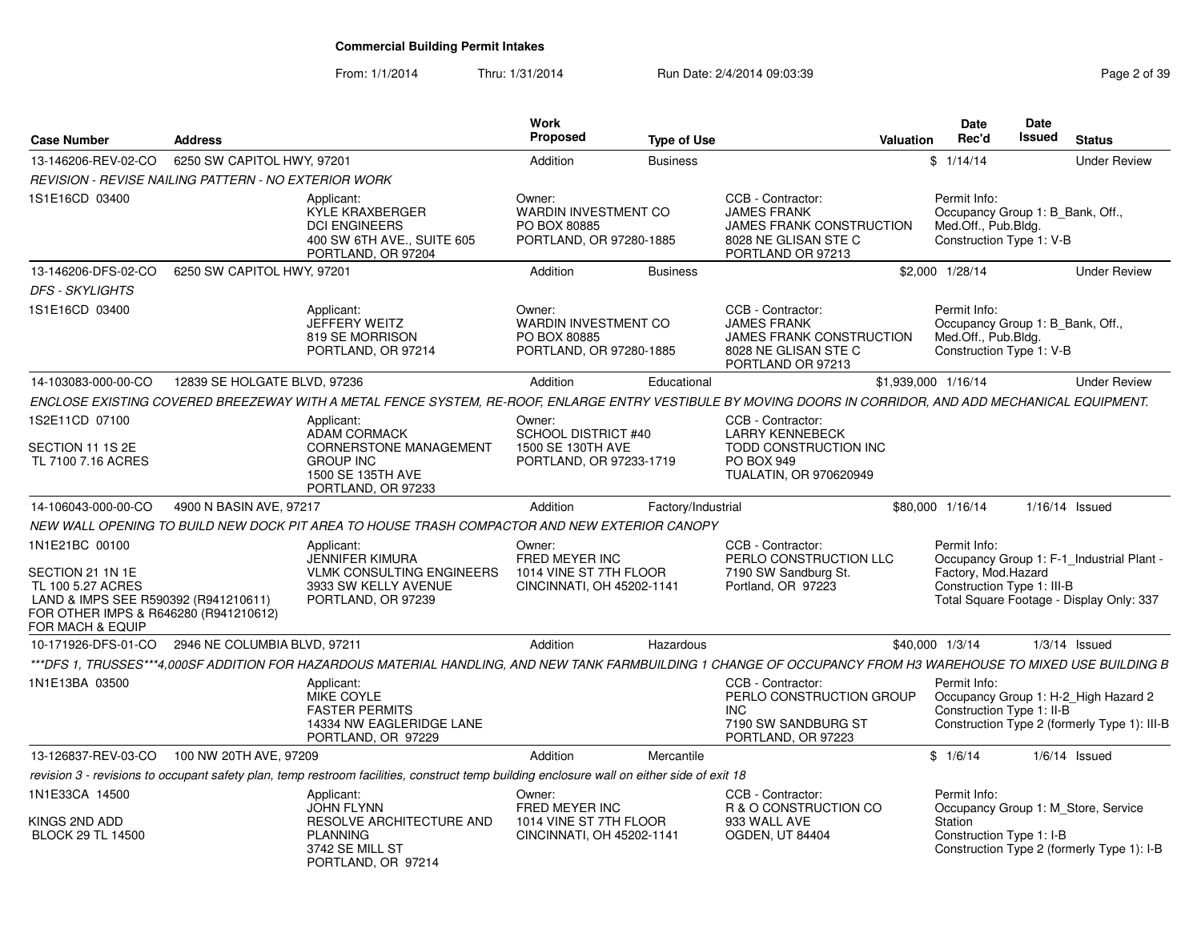| <b>Case Number</b>                                                                                                                                           | <b>Address</b>                                       |                                                                                                                                                                 | Work<br>Proposed                                                                 | <b>Type of Use</b> | Valuation                                                                                                        | <b>Date</b><br>Rec'd                                                                                | Date<br><b>Issued</b> | <b>Status</b>                                                                         |
|--------------------------------------------------------------------------------------------------------------------------------------------------------------|------------------------------------------------------|-----------------------------------------------------------------------------------------------------------------------------------------------------------------|----------------------------------------------------------------------------------|--------------------|------------------------------------------------------------------------------------------------------------------|-----------------------------------------------------------------------------------------------------|-----------------------|---------------------------------------------------------------------------------------|
| 13-146206-REV-02-CO                                                                                                                                          | 6250 SW CAPITOL HWY, 97201                           |                                                                                                                                                                 | Addition                                                                         | <b>Business</b>    |                                                                                                                  | \$1/14/14                                                                                           |                       | <b>Under Review</b>                                                                   |
|                                                                                                                                                              | REVISION - REVISE NAILING PATTERN - NO EXTERIOR WORK |                                                                                                                                                                 |                                                                                  |                    |                                                                                                                  |                                                                                                     |                       |                                                                                       |
| 1S1E16CD 03400                                                                                                                                               |                                                      | Applicant:<br>KYLE KRAXBERGER<br><b>DCI ENGINEERS</b><br>400 SW 6TH AVE., SUITE 605<br>PORTLAND, OR 97204                                                       | Owner:<br><b>WARDIN INVESTMENT CO</b><br>PO BOX 80885<br>PORTLAND, OR 97280-1885 |                    | CCB - Contractor:<br><b>JAMES FRANK</b><br>JAMES FRANK CONSTRUCTION<br>8028 NE GLISAN STE C<br>PORTLAND OR 97213 | Permit Info:<br>Occupancy Group 1: B_Bank, Off.,<br>Med.Off., Pub.Bldg.<br>Construction Type 1: V-B |                       |                                                                                       |
| 13-146206-DFS-02-CO                                                                                                                                          | 6250 SW CAPITOL HWY, 97201                           |                                                                                                                                                                 | Addition                                                                         | <b>Business</b>    |                                                                                                                  | \$2,000 1/28/14                                                                                     |                       | <b>Under Review</b>                                                                   |
| <b>DFS - SKYLIGHTS</b>                                                                                                                                       |                                                      |                                                                                                                                                                 |                                                                                  |                    |                                                                                                                  |                                                                                                     |                       |                                                                                       |
| 1S1E16CD 03400                                                                                                                                               |                                                      | Applicant:<br>JEFFERY WEITZ<br>819 SE MORRISON<br>PORTLAND, OR 97214                                                                                            | Owner:<br><b>WARDIN INVESTMENT CO</b><br>PO BOX 80885<br>PORTLAND, OR 97280-1885 |                    | CCB - Contractor:<br><b>JAMES FRANK</b><br>JAMES FRANK CONSTRUCTION<br>8028 NE GLISAN STE C<br>PORTLAND OR 97213 | Permit Info:<br>Occupancy Group 1: B_Bank, Off.,<br>Med.Off., Pub.Bldg.<br>Construction Type 1: V-B |                       |                                                                                       |
| 14-103083-000-00-CO                                                                                                                                          | 12839 SE HOLGATE BLVD, 97236                         |                                                                                                                                                                 | Addition                                                                         | Educational        |                                                                                                                  | \$1,939,000 1/16/14                                                                                 |                       | <b>Under Review</b>                                                                   |
|                                                                                                                                                              |                                                      | ENCLOSE EXISTING COVERED BREEZEWAY WITH A METAL FENCE SYSTEM, RE-ROOF, ENLARGE ENTRY VESTIBULE BY MOVING DOORS IN CORRIDOR, AND ADD MECHANICAL EQUIPMENT.       |                                                                                  |                    |                                                                                                                  |                                                                                                     |                       |                                                                                       |
| 1S2E11CD 07100                                                                                                                                               |                                                      | Applicant:                                                                                                                                                      | Owner:                                                                           |                    | CCB - Contractor:                                                                                                |                                                                                                     |                       |                                                                                       |
| SECTION 11 1S 2E<br>TL 7100 7.16 ACRES                                                                                                                       |                                                      | ADAM CORMACK<br><b>CORNERSTONE MANAGEMENT</b><br><b>GROUP INC</b><br>1500 SE 135TH AVE<br>PORTLAND, OR 97233                                                    | <b>SCHOOL DISTRICT #40</b><br>1500 SE 130TH AVE<br>PORTLAND, OR 97233-1719       |                    | <b>LARRY KENNEBECK</b><br>TODD CONSTRUCTION INC<br><b>PO BOX 949</b><br>TUALATIN, OR 970620949                   |                                                                                                     |                       |                                                                                       |
| 14-106043-000-00-CO                                                                                                                                          | 4900 N BASIN AVE, 97217                              |                                                                                                                                                                 | Addition                                                                         | Factory/Industrial |                                                                                                                  | \$80,000 1/16/14                                                                                    |                       | $1/16/14$ Issued                                                                      |
|                                                                                                                                                              |                                                      | NEW WALL OPENING TO BUILD NEW DOCK PIT AREA TO HOUSE TRASH COMPACTOR AND NEW EXTERIOR CANOPY                                                                    |                                                                                  |                    |                                                                                                                  |                                                                                                     |                       |                                                                                       |
| 1N1E21BC 00100<br>SECTION 21 1N 1E<br>TL 100 5.27 ACRES<br>LAND & IMPS SEE R590392 (R941210611)<br>FOR OTHER IMPS & R646280 (R941210612)<br>FOR MACH & EQUIP |                                                      | Applicant:<br><b>JENNIFER KIMURA</b><br><b>VLMK CONSULTING ENGINEERS</b><br>3933 SW KELLY AVENUE<br>PORTLAND, OR 97239                                          | Owner:<br>FRED MEYER INC<br>1014 VINE ST 7TH FLOOR<br>CINCINNATI, OH 45202-1141  |                    | CCB - Contractor:<br>PERLO CONSTRUCTION LLC<br>7190 SW Sandburg St.<br>Portland, OR 97223                        | Permit Info:<br>Factory, Mod.Hazard<br>Construction Type 1: III-B                                   |                       | Occupancy Group 1: F-1_Industrial Plant -<br>Total Square Footage - Display Only: 337 |
| 10-171926-DFS-01-CO                                                                                                                                          | 2946 NE COLUMBIA BLVD, 97211                         |                                                                                                                                                                 | Addition                                                                         | Hazardous          |                                                                                                                  | \$40,000 1/3/14                                                                                     |                       | $1/3/14$ Issued                                                                       |
|                                                                                                                                                              |                                                      | ***DFS 1. TRUSSES***4.000SF ADDITION FOR HAZARDOUS MATERIAL HANDLING. AND NEW TANK FARMBUILDING 1 CHANGE OF OCCUPANCY FROM H3 WAREHOUSE TO MIXED USE BUILDING B |                                                                                  |                    |                                                                                                                  |                                                                                                     |                       |                                                                                       |
| 1N1E13BA 03500                                                                                                                                               |                                                      | Applicant:<br><b>MIKE COYLE</b><br><b>FASTER PERMITS</b><br>14334 NW EAGLERIDGE LANE<br>PORTLAND, OR 97229                                                      |                                                                                  |                    | CCB - Contractor:<br>PERLO CONSTRUCTION GROUP<br><b>INC</b><br>7190 SW SANDBURG ST<br>PORTLAND, OR 97223         | Permit Info:<br>Construction Type 1: II-B                                                           |                       | Occupancy Group 1: H-2_High Hazard 2<br>Construction Type 2 (formerly Type 1): III-B  |
| 13-126837-REV-03-CO                                                                                                                                          | 100 NW 20TH AVE, 97209                               |                                                                                                                                                                 | Addition                                                                         | Mercantile         |                                                                                                                  | \$1/6/14                                                                                            |                       | $1/6/14$ Issued                                                                       |
|                                                                                                                                                              |                                                      | revision 3 - revisions to occupant safety plan, temp restroom facilities, construct temp building enclosure wall on either side of exit 18                      |                                                                                  |                    |                                                                                                                  |                                                                                                     |                       |                                                                                       |
| 1N1E33CA 14500<br>KINGS 2ND ADD<br><b>BLOCK 29 TL 14500</b>                                                                                                  |                                                      | Applicant:<br><b>JOHN FLYNN</b><br>RESOLVE ARCHITECTURE AND<br><b>PLANNING</b>                                                                                  | Owner:<br>FRED MEYER INC<br>1014 VINE ST 7TH FLOOR<br>CINCINNATI, OH 45202-1141  |                    | CCB - Contractor:<br>R & O CONSTRUCTION CO<br>933 WALL AVE<br><b>OGDEN, UT 84404</b>                             | Permit Info:<br>Station<br>Construction Type 1: I-B                                                 |                       | Occupancy Group 1: M_Store, Service                                                   |
|                                                                                                                                                              |                                                      | 3742 SE MILL ST<br>PORTLAND, OR 97214                                                                                                                           |                                                                                  |                    |                                                                                                                  |                                                                                                     |                       | Construction Type 2 (formerly Type 1): I-B                                            |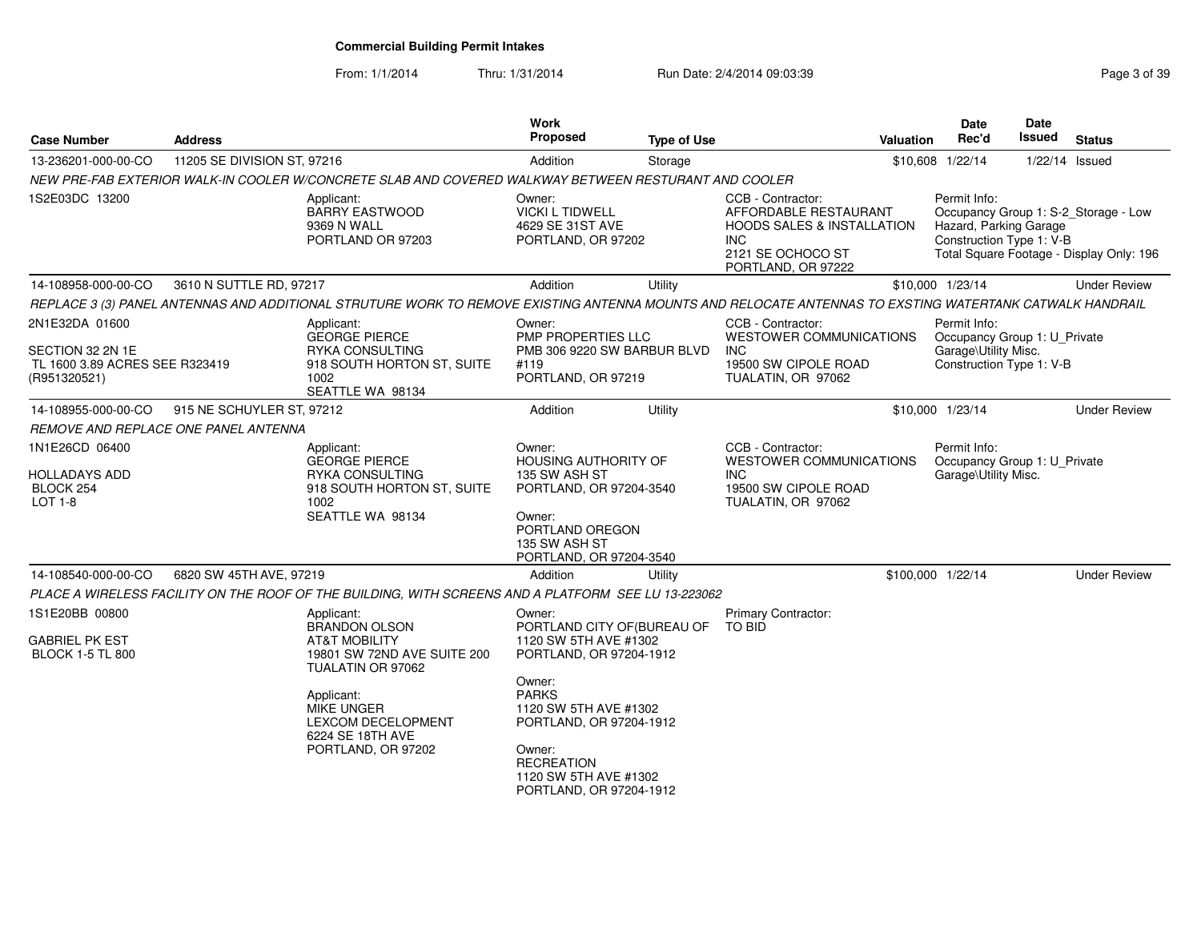From: 1/1/2014Thru: 1/31/2014 Run Date: 2/4/2014 09:03:39 Rege 3 of 39

| <b>Case Number</b>                                                                   | <b>Address</b>              |                                                                                                                                                                                                                              | Work<br><b>Proposed</b>                                                                                                                                                                                                                                    | <b>Type of Use</b> | Valuation                                                                                                                                               | <b>Date</b><br>Rec'd                                                                             | Date<br><b>Issued</b> | <b>Status</b>                                                                    |
|--------------------------------------------------------------------------------------|-----------------------------|------------------------------------------------------------------------------------------------------------------------------------------------------------------------------------------------------------------------------|------------------------------------------------------------------------------------------------------------------------------------------------------------------------------------------------------------------------------------------------------------|--------------------|---------------------------------------------------------------------------------------------------------------------------------------------------------|--------------------------------------------------------------------------------------------------|-----------------------|----------------------------------------------------------------------------------|
| 13-236201-000-00-CO                                                                  | 11205 SE DIVISION ST, 97216 |                                                                                                                                                                                                                              | Addition                                                                                                                                                                                                                                                   | Storage            |                                                                                                                                                         | \$10,608 1/22/14                                                                                 |                       | 1/22/14 Issued                                                                   |
|                                                                                      |                             | NEW PRE-FAB EXTERIOR WALK-IN COOLER W/CONCRETE SLAB AND COVERED WALKWAY BETWEEN RESTURANT AND COOLER                                                                                                                         |                                                                                                                                                                                                                                                            |                    |                                                                                                                                                         |                                                                                                  |                       |                                                                                  |
| 1S2E03DC 13200                                                                       |                             | Applicant:<br><b>BARRY EASTWOOD</b><br>9369 N WALL<br>PORTLAND OR 97203                                                                                                                                                      | Owner:<br><b>VICKI L TIDWELL</b><br>4629 SE 31ST AVE<br>PORTLAND, OR 97202                                                                                                                                                                                 |                    | CCB - Contractor:<br>AFFORDABLE RESTAURANT<br><b>HOODS SALES &amp; INSTALLATION</b><br>INC<br>2121 SE OCHOCO ST<br>PORTLAND, OR 97222                   | Permit Info:<br>Hazard, Parking Garage<br>Construction Type 1: V-B                               |                       | Occupancy Group 1: S-2_Storage - Low<br>Total Square Footage - Display Only: 196 |
| 14-108958-000-00-CO                                                                  | 3610 N SUTTLE RD, 97217     |                                                                                                                                                                                                                              | Addition                                                                                                                                                                                                                                                   | Utility            |                                                                                                                                                         | \$10,000 1/23/14                                                                                 |                       | <b>Under Review</b>                                                              |
|                                                                                      |                             |                                                                                                                                                                                                                              |                                                                                                                                                                                                                                                            |                    | REPLACE 3 (3) PANEL ANTENNAS AND ADDITIONAL STRUTURE WORK TO REMOVE EXISTING ANTENNA MOUNTS AND RELOCATE ANTENNAS TO EXSTING WATERTANK CATWALK HANDRAIL |                                                                                                  |                       |                                                                                  |
| 2N1E32DA 01600<br>SECTION 32 2N 1E<br>TL 1600 3.89 ACRES SEE R323419<br>(R951320521) |                             | Applicant:<br><b>GEORGE PIERCE</b><br>RYKA CONSULTING<br>918 SOUTH HORTON ST, SUITE<br>1002<br>SEATTLE WA 98134                                                                                                              | Owner:<br><b>PMP PROPERTIES LLC</b><br>PMB 306 9220 SW BARBUR BLVD<br>#119<br>PORTLAND, OR 97219                                                                                                                                                           |                    | CCB - Contractor:<br>WESTOWER COMMUNICATIONS<br><b>INC</b><br>19500 SW CIPOLE ROAD<br>TUALATIN, OR 97062                                                | Permit Info:<br>Occupancy Group 1: U_Private<br>Garage\Utility Misc.<br>Construction Type 1: V-B |                       |                                                                                  |
| 14-108955-000-00-CO                                                                  | 915 NE SCHUYLER ST, 97212   |                                                                                                                                                                                                                              | Addition                                                                                                                                                                                                                                                   | Utility            |                                                                                                                                                         | \$10,000 1/23/14                                                                                 |                       | <b>Under Review</b>                                                              |
| REMOVE AND REPLACE ONE PANEL ANTENNA                                                 |                             |                                                                                                                                                                                                                              |                                                                                                                                                                                                                                                            |                    |                                                                                                                                                         |                                                                                                  |                       |                                                                                  |
| 1N1E26CD 06400<br>HOLLADAYS ADD<br>BLOCK 254<br><b>LOT 1-8</b>                       |                             | Applicant:<br><b>GEORGE PIERCE</b><br><b>RYKA CONSULTING</b><br>918 SOUTH HORTON ST, SUITE<br>1002<br>SEATTLE WA 98134                                                                                                       | Owner:<br><b>HOUSING AUTHORITY OF</b><br>135 SW ASH ST<br>PORTLAND, OR 97204-3540<br>Owner:<br>PORTLAND OREGON<br>135 SW ASH ST<br>PORTLAND, OR 97204-3540                                                                                                 |                    | CCB - Contractor:<br><b>WESTOWER COMMUNICATIONS</b><br><b>INC</b><br>19500 SW CIPOLE ROAD<br>TUALATIN, OR 97062                                         | Permit Info:<br>Occupancy Group 1: U_Private<br>Garage\Utility Misc.                             |                       |                                                                                  |
| 14-108540-000-00-CO                                                                  | 6820 SW 45TH AVE, 97219     |                                                                                                                                                                                                                              | Addition                                                                                                                                                                                                                                                   | Utility            |                                                                                                                                                         | \$100,000 1/22/14                                                                                |                       | <b>Under Review</b>                                                              |
|                                                                                      |                             | PLACE A WIRELESS FACILITY ON THE ROOF OF THE BUILDING, WITH SCREENS AND A PLATFORM SEE LU 13-223062                                                                                                                          |                                                                                                                                                                                                                                                            |                    |                                                                                                                                                         |                                                                                                  |                       |                                                                                  |
| 1S1E20BB 00800<br>GABRIEL PK EST<br><b>BLOCK 1-5 TL 800</b>                          |                             | Applicant:<br><b>BRANDON OLSON</b><br><b>AT&amp;T MOBILITY</b><br>19801 SW 72ND AVE SUITE 200<br>TUALATIN OR 97062<br>Applicant:<br><b>MIKE UNGER</b><br><b>LEXCOM DECELOPMENT</b><br>6224 SE 18TH AVE<br>PORTLAND, OR 97202 | Owner:<br>PORTLAND CITY OF (BUREAU OF<br>1120 SW 5TH AVE #1302<br>PORTLAND, OR 97204-1912<br>Owner:<br><b>PARKS</b><br>1120 SW 5TH AVE #1302<br>PORTLAND, OR 97204-1912<br>Owner:<br><b>RECREATION</b><br>1120 SW 5TH AVE #1302<br>PORTLAND, OR 97204-1912 |                    | Primary Contractor:<br><b>TO BID</b>                                                                                                                    |                                                                                                  |                       |                                                                                  |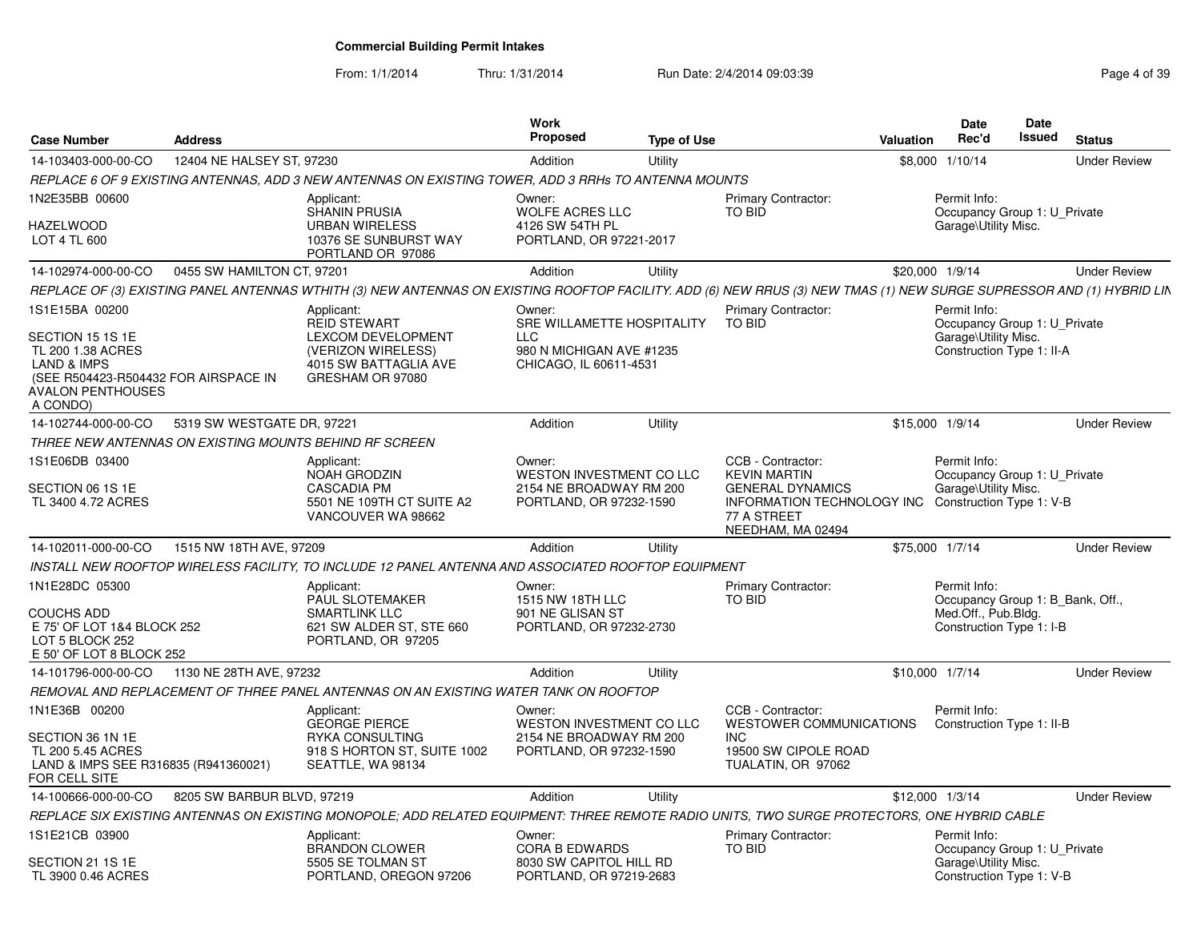From: 1/1/2014

Thru: 1/31/2014 Run Date: 2/4/2014 09:03:39 Rage 4 of 39

| <b>Case Number</b>                                                                                                                                         | <b>Address</b>             |                                                                                                                                                                       | Work<br><b>Proposed</b>                                                                            | <b>Type of Use</b> |                                                                                                                                       | <b>Valuation</b> | Date<br>Rec'd                                                                                       | Date<br>Issued | <b>Status</b>       |
|------------------------------------------------------------------------------------------------------------------------------------------------------------|----------------------------|-----------------------------------------------------------------------------------------------------------------------------------------------------------------------|----------------------------------------------------------------------------------------------------|--------------------|---------------------------------------------------------------------------------------------------------------------------------------|------------------|-----------------------------------------------------------------------------------------------------|----------------|---------------------|
| 14-103403-000-00-CO                                                                                                                                        | 12404 NE HALSEY ST. 97230  |                                                                                                                                                                       | Addition                                                                                           | Utility            |                                                                                                                                       | \$8,000          | 1/10/14                                                                                             |                | <b>Under Review</b> |
|                                                                                                                                                            |                            | REPLACE 6 OF 9 EXISTING ANTENNAS, ADD 3 NEW ANTENNAS ON EXISTING TOWER, ADD 3 RRHs TO ANTENNA MOUNTS                                                                  |                                                                                                    |                    |                                                                                                                                       |                  |                                                                                                     |                |                     |
| 1N2E35BB 00600<br>HAZELWOOD<br>LOT 4 TL 600                                                                                                                |                            | Applicant:<br>SHANIN PRUSIA<br><b>URBAN WIRELESS</b><br>10376 SE SUNBURST WAY<br>PORTLAND OR 97086                                                                    | Owner:<br><b>WOLFE ACRES LLC</b><br>4126 SW 54TH PL<br>PORTLAND, OR 97221-2017                     |                    | Primary Contractor:<br>TO BID                                                                                                         |                  | Permit Info:<br>Occupancy Group 1: U Private<br>Garage\Utility Misc.                                |                |                     |
| 14-102974-000-00-CO                                                                                                                                        | 0455 SW HAMILTON CT, 97201 |                                                                                                                                                                       | Addition                                                                                           | Utility            |                                                                                                                                       | \$20,000 1/9/14  |                                                                                                     |                | <b>Under Review</b> |
|                                                                                                                                                            |                            | REPLACE OF (3) EXISTING PANEL ANTENNAS WTHITH (3) NEW ANTENNAS ON EXISTING ROOFTOP FACILITY. ADD (6) NEW RRUS (3) NEW TMAS (1) NEW SURGE SUPRESSOR AND (1) HYBRID LIN |                                                                                                    |                    |                                                                                                                                       |                  |                                                                                                     |                |                     |
| 1S1E15BA 00200<br>SECTION 15 1S 1E<br>TL 200 1.38 ACRES<br><b>LAND &amp; IMPS</b><br>(SEE R504423-R504432 FOR AIRSPACE IN<br>AVALON PENTHOUSES<br>A CONDO) |                            | Applicant:<br><b>REID STEWART</b><br>LEXCOM DEVELOPMENT<br>(VERIZON WIRELESS)<br>4015 SW BATTAGLIA AVE<br>GRESHAM OR 97080                                            | Owner:<br>SRE WILLAMETTE HOSPITALITY<br>LLC.<br>980 N MICHIGAN AVE #1235<br>CHICAGO, IL 60611-4531 |                    | <b>Primary Contractor:</b><br><b>TO BID</b>                                                                                           |                  | Permit Info:<br>Occupancy Group 1: U Private<br>Garage\Utility Misc.<br>Construction Type 1: II-A   |                |                     |
| 14-102744-000-00-CO                                                                                                                                        | 5319 SW WESTGATE DR, 97221 |                                                                                                                                                                       | Addition                                                                                           | Utility            |                                                                                                                                       | \$15,000 1/9/14  |                                                                                                     |                | <b>Under Review</b> |
| THREE NEW ANTENNAS ON EXISTING MOUNTS BEHIND RF SCREEN                                                                                                     |                            |                                                                                                                                                                       |                                                                                                    |                    |                                                                                                                                       |                  |                                                                                                     |                |                     |
| IS1E06DB 03400<br>SECTION 06 1S 1E<br>TL 3400 4.72 ACRES                                                                                                   |                            | Applicant:<br>NOAH GRODZIN<br><b>CASCADIA PM</b><br>5501 NE 109TH CT SUITE A2<br>VANCOUVER WA 98662                                                                   | Owner:<br>WESTON INVESTMENT CO LLC<br>2154 NE BROADWAY RM 200<br>PORTLAND, OR 97232-1590           |                    | CCB - Contractor:<br><b>KEVIN MARTIN</b><br><b>GENERAL DYNAMICS</b><br>INFORMATION TECHNOLOGY INC<br>77 A STREET<br>NEEDHAM, MA 02494 |                  | Permit Info:<br>Occupancy Group 1: U Private<br>Garage\Utility Misc.<br>Construction Type 1: V-B    |                |                     |
| 14-102011-000-00-CO                                                                                                                                        | 1515 NW 18TH AVE, 97209    |                                                                                                                                                                       | Addition                                                                                           | Utility            |                                                                                                                                       | \$75,000 1/7/14  |                                                                                                     |                | <b>Under Review</b> |
|                                                                                                                                                            |                            | INSTALL NEW ROOFTOP WIRELESS FACILITY, TO INCLUDE 12 PANEL ANTENNA AND ASSOCIATED ROOFTOP EQUIPMENT                                                                   |                                                                                                    |                    |                                                                                                                                       |                  |                                                                                                     |                |                     |
| 1N1E28DC 05300<br>COUCHS ADD<br>E 75' OF LOT 1&4 BLOCK 252<br>LOT 5 BLOCK 252<br>E 50' OF LOT 8 BLOCK 252                                                  |                            | Applicant:<br>PAUL SLOTEMAKER<br><b>SMARTLINK LLC</b><br>621 SW ALDER ST, STE 660<br>PORTLAND, OR 97205                                                               | Owner:<br>1515 NW 18TH LLC<br>901 NE GLISAN ST<br>PORTLAND, OR 97232-2730                          |                    | Primary Contractor:<br>TO BID                                                                                                         |                  | Permit Info:<br>Occupancy Group 1: B Bank, Off.,<br>Med.Off., Pub.Bldg.<br>Construction Type 1: I-B |                |                     |
| 14-101796-000-00-CO                                                                                                                                        | 1130 NE 28TH AVE, 97232    |                                                                                                                                                                       | Addition                                                                                           | Utility            |                                                                                                                                       | \$10,000 1/7/14  |                                                                                                     |                | <b>Under Review</b> |
|                                                                                                                                                            |                            | REMOVAL AND REPLACEMENT OF THREE PANEL ANTENNAS ON AN EXISTING WATER TANK ON ROOFTOP                                                                                  |                                                                                                    |                    |                                                                                                                                       |                  |                                                                                                     |                |                     |
| 1N1E36B 00200<br>SECTION 36 1N 1E<br>TL 200 5.45 ACRES<br>LAND & IMPS SEE R316835 (R941360021)<br>FOR CELL SITE                                            |                            | Applicant:<br><b>GEORGE PIERCE</b><br>RYKA CONSULTING<br>918 S HORTON ST, SUITE 1002<br>SEATTLE, WA 98134                                                             | Owner:<br>WESTON INVESTMENT CO LLC<br>2154 NE BROADWAY RM 200<br>PORTLAND, OR 97232-1590           |                    | CCB - Contractor:<br><b>WESTOWER COMMUNICATIONS</b><br><b>INC</b><br>19500 SW CIPOLE ROAD<br>TUALATIN, OR 97062                       |                  | Permit Info:<br>Construction Type 1: II-B                                                           |                |                     |
| 14-100666-000-00-CO                                                                                                                                        | 8205 SW BARBUR BLVD, 97219 |                                                                                                                                                                       | Addition                                                                                           | Utility            |                                                                                                                                       | \$12,000 1/3/14  |                                                                                                     |                | <b>Under Review</b> |
|                                                                                                                                                            |                            | REPLACE SIX EXISTING ANTENNAS ON EXISTING MONOPOLE; ADD RELATED EQUIPMENT: THREE REMOTE RADIO UNITS, TWO SURGE PROTECTORS, ONE HYBRID CABLE                           |                                                                                                    |                    |                                                                                                                                       |                  |                                                                                                     |                |                     |
| 1S1E21CB 03900<br>SECTION 21 1S 1E<br>TL 3900 0.46 ACRES                                                                                                   |                            | Applicant:<br><b>BRANDON CLOWER</b><br>5505 SE TOLMAN ST<br>PORTLAND, OREGON 97206                                                                                    | Owner:<br><b>CORA B EDWARDS</b><br>8030 SW CAPITOL HILL RD<br>PORTLAND, OR 97219-2683              |                    | Primary Contractor:<br>TO BID                                                                                                         |                  | Permit Info:<br>Occupancy Group 1: U Private<br>Garage\Utility Misc.<br>Construction Type 1: V-B    |                |                     |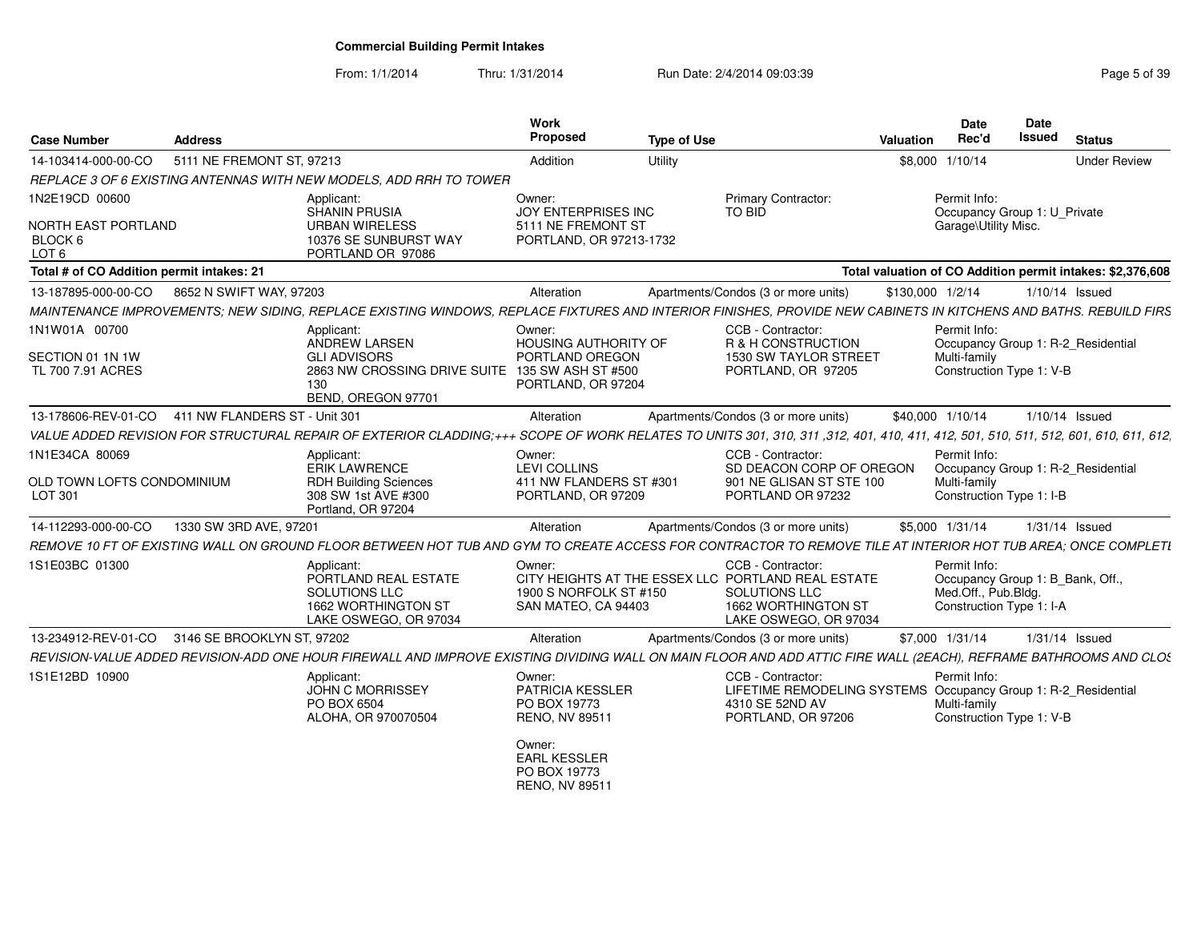From: 1/1/2014Thru: 1/31/2014 Run Date: 2/4/2014 09:03:39 Rege 5 of 39

| <b>Case Number</b>                                        | Address                       |                                                                                                                                                                                    | <b>Work</b><br><b>Proposed</b>                                                 | <b>Type of Use</b> |                                                                                                                                          | Valuation        | <b>Date</b><br>Rec'd                                                                                | <b>Date</b><br>Issued | <b>Status</b>                                              |
|-----------------------------------------------------------|-------------------------------|------------------------------------------------------------------------------------------------------------------------------------------------------------------------------------|--------------------------------------------------------------------------------|--------------------|------------------------------------------------------------------------------------------------------------------------------------------|------------------|-----------------------------------------------------------------------------------------------------|-----------------------|------------------------------------------------------------|
| 14-103414-000-00-CO                                       | 5111 NE FREMONT ST, 97213     |                                                                                                                                                                                    | Addition                                                                       | Utility            |                                                                                                                                          |                  | \$8,000 1/10/14                                                                                     |                       | <b>Under Review</b>                                        |
|                                                           |                               | REPLACE 3 OF 6 EXISTING ANTENNAS WITH NEW MODELS, ADD RRH TO TOWER                                                                                                                 |                                                                                |                    |                                                                                                                                          |                  |                                                                                                     |                       |                                                            |
| 1N2E19CD 00600                                            |                               | Applicant:<br>SHANIN PRUSIA                                                                                                                                                        | Owner:<br><b>JOY ENTERPRISES INC</b>                                           |                    | Primary Contractor:<br>TO BID                                                                                                            |                  | Permit Info:<br>Occupancy Group 1: U_Private                                                        |                       |                                                            |
| <b>NORTH EAST PORTLAND</b><br>BLOCK 6<br>LOT <sub>6</sub> |                               | <b>URBAN WIRELESS</b><br>10376 SE SUNBURST WAY<br>PORTLAND OR 97086                                                                                                                | 5111 NE FREMONT ST<br>PORTLAND, OR 97213-1732                                  |                    |                                                                                                                                          |                  | Garage\Utility Misc.                                                                                |                       |                                                            |
| Total # of CO Addition permit intakes: 21                 |                               |                                                                                                                                                                                    |                                                                                |                    |                                                                                                                                          |                  |                                                                                                     |                       | Total valuation of CO Addition permit intakes: \$2,376,608 |
| 13-187895-000-00-CO                                       | 8652 N SWIFT WAY, 97203       |                                                                                                                                                                                    | Alteration                                                                     |                    | Apartments/Condos (3 or more units)                                                                                                      | \$130,000 1/2/14 |                                                                                                     | 1/10/14 Issued        |                                                            |
|                                                           |                               | MAINTENANCE IMPROVEMENTS; NEW SIDING, REPLACE EXISTING WINDOWS, REPLACE FIXTURES AND INTERIOR FINISHES, PROVIDE NEW CABINETS IN KITCHENS AND BATHS. REBUILD FIRS                   |                                                                                |                    |                                                                                                                                          |                  |                                                                                                     |                       |                                                            |
| 1N1W01A 00700<br>SECTION 01 1N 1W<br>TL 700 7.91 ACRES    |                               | Applicant:<br>ANDREW LARSEN<br><b>GLI ADVISORS</b><br>2863 NW CROSSING DRIVE SUITE 135 SW ASH ST #500<br>130<br>BEND, OREGON 97701                                                 | Owner:<br>HOUSING AUTHORITY OF<br>PORTLAND OREGON<br>PORTLAND, OR 97204        |                    | CCB - Contractor:<br>R & H CONSTRUCTION<br>1530 SW TAYLOR STREET<br>PORTLAND, OR 97205                                                   |                  | Permit Info:<br>Occupancy Group 1: R-2 Residential<br>Multi-family<br>Construction Type 1: V-B      |                       |                                                            |
| 13-178606-REV-01-CO                                       | 411 NW FLANDERS ST - Unit 301 |                                                                                                                                                                                    | Alteration                                                                     |                    | Apartments/Condos (3 or more units)                                                                                                      |                  | \$40,000 1/10/14                                                                                    | 1/10/14 Issued        |                                                            |
|                                                           |                               | VALUE ADDED REVISION FOR STRUCTURAL REPAIR OF EXTERIOR CLADDING;+++ SCOPE OF WORK RELATES TO UNITS 301, 310, 311, 312, 401, 410, 411, 412, 501, 510, 511, 512, 601, 610, 611, 612, |                                                                                |                    |                                                                                                                                          |                  |                                                                                                     |                       |                                                            |
| 1N1E34CA 80069<br>OLD TOWN LOFTS CONDOMINIUM<br>LOT 301   |                               | Applicant:<br><b>ERIK LAWRENCE</b><br><b>RDH Building Sciences</b><br>308 SW 1st AVE #300                                                                                          | Owner:<br><b>LEVI COLLINS</b><br>411 NW FLANDERS ST #301<br>PORTLAND, OR 97209 |                    | CCB - Contractor:<br>SD DEACON CORP OF OREGON<br>901 NE GLISAN ST STE 100<br>PORTLAND OR 97232                                           |                  | Permit Info:<br>Occupancy Group 1: R-2 Residential<br>Multi-family<br>Construction Type 1: I-B      |                       |                                                            |
|                                                           |                               | Portland, OR 97204                                                                                                                                                                 |                                                                                |                    |                                                                                                                                          |                  |                                                                                                     |                       |                                                            |
| 14-112293-000-00-CO                                       | 1330 SW 3RD AVE, 97201        |                                                                                                                                                                                    | Alteration                                                                     |                    | Apartments/Condos (3 or more units)                                                                                                      |                  | \$5,000 1/31/14                                                                                     | $1/31/14$ Issued      |                                                            |
|                                                           |                               | REMOVE 10 FT OF EXISTING WALL ON GROUND FLOOR BETWEEN HOT TUB AND GYM TO CREATE ACCESS FOR CONTRACTOR TO REMOVE TILE AT INTERIOR HOT TUB AREA: ONCE COMPLETI                       |                                                                                |                    |                                                                                                                                          |                  |                                                                                                     |                       |                                                            |
| 1S1E03BC 01300                                            |                               | Applicant:<br>PORTLAND REAL ESTATE<br>SOLUTIONS LLC<br>1662 WORTHINGTON ST<br>LAKE OSWEGO, OR 97034                                                                                | Owner:<br>1900 S NORFOLK ST #150<br>SAN MATEO, CA 94403                        |                    | CCB - Contractor:<br>CITY HEIGHTS AT THE ESSEX LLC PORTLAND REAL ESTATE<br>SOLUTIONS LLC<br>1662 WORTHINGTON ST<br>LAKE OSWEGO, OR 97034 |                  | Permit Info:<br>Occupancy Group 1: B_Bank, Off.,<br>Med.Off., Pub.Bldg.<br>Construction Type 1: I-A |                       |                                                            |
| 13-234912-REV-01-CO                                       | 3146 SE BROOKLYN ST, 97202    |                                                                                                                                                                                    | Alteration                                                                     |                    | Apartments/Condos (3 or more units)                                                                                                      |                  | \$7,000 1/31/14                                                                                     | $1/31/14$ Issued      |                                                            |
|                                                           |                               | REVISION-VALUE ADDED REVISION-ADD ONE HOUR FIREWALL AND IMPROVE EXISTING DIVIDING WALL ON MAIN FLOOR AND ADD ATTIC FIRE WALL (2EACH), REFRAME BATHROOMS AND CLOS                   |                                                                                |                    |                                                                                                                                          |                  |                                                                                                     |                       |                                                            |
| 1S1E12BD 10900                                            |                               | Applicant:<br><b>JOHN C MORRISSEY</b><br>PO BOX 6504<br>ALOHA, OR 970070504                                                                                                        | Owner:<br>PATRICIA KESSLER<br>PO BOX 19773<br>RENO, NV 89511                   |                    | CCB - Contractor:<br>LIFETIME REMODELING SYSTEMS Occupancy Group 1: R-2_Residential<br>4310 SE 52ND AV<br>PORTLAND, OR 97206             |                  | Permit Info:<br>Multi-family<br>Construction Type 1: V-B                                            |                       |                                                            |
|                                                           |                               |                                                                                                                                                                                    | Owner:<br><b>EARL KESSLER</b><br>PO BOX 19773<br>RENO, NV 89511                |                    |                                                                                                                                          |                  |                                                                                                     |                       |                                                            |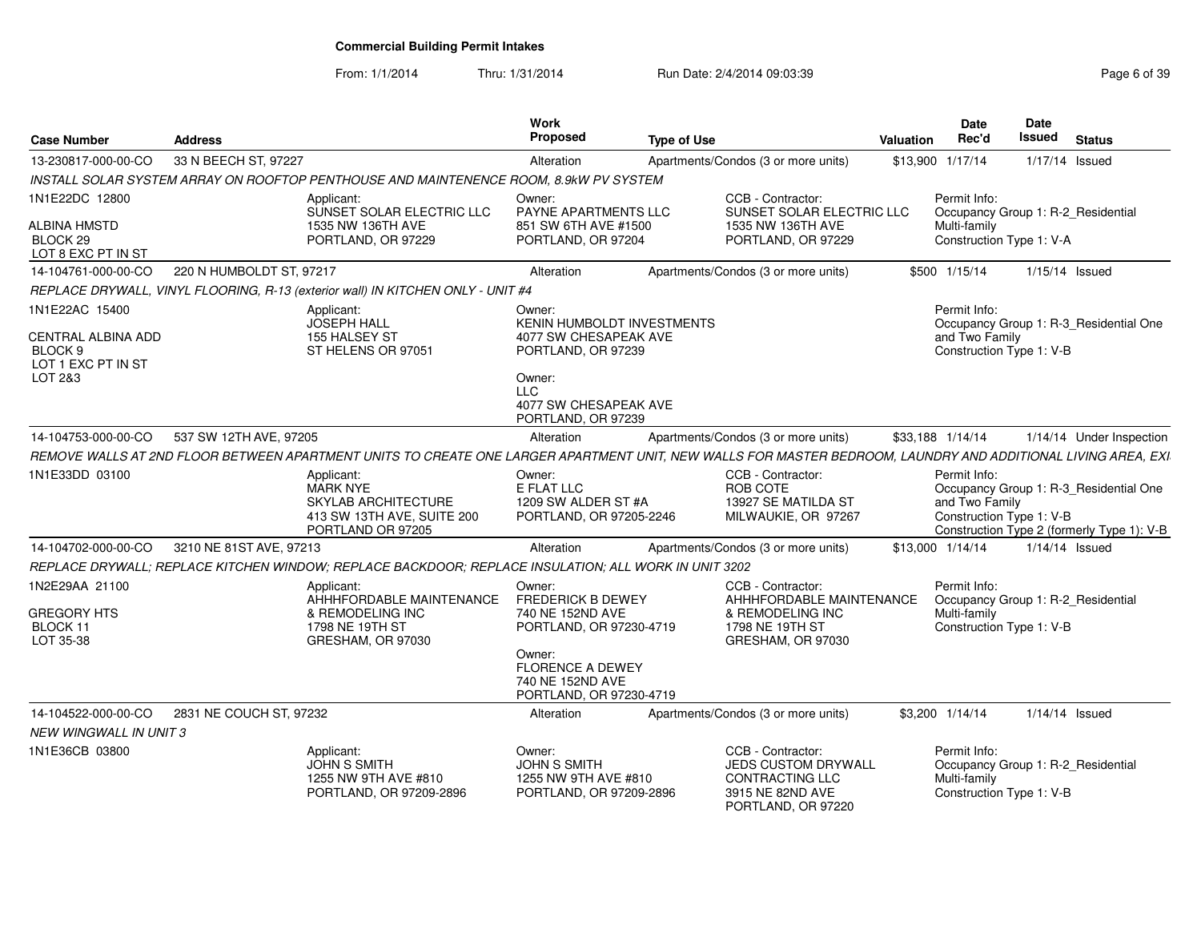From: 1/1/2014Thru: 1/31/2014 Run Date: 2/4/2014 09:03:39 Rege 6 of 39

| <b>Case Number</b>                                         | <b>Address</b>                                                                                                                                               | Work<br>Proposed                                                                    | <b>Type of Use</b>                                                                                           | Valuation        | Date<br>Rec'd                                              | <b>Date</b><br><b>Issued</b> | <b>Status</b>                                                                        |
|------------------------------------------------------------|--------------------------------------------------------------------------------------------------------------------------------------------------------------|-------------------------------------------------------------------------------------|--------------------------------------------------------------------------------------------------------------|------------------|------------------------------------------------------------|------------------------------|--------------------------------------------------------------------------------------|
| 13-230817-000-00-CO                                        | 33 N BEECH ST, 97227                                                                                                                                         | Alteration                                                                          | Apartments/Condos (3 or more units)                                                                          | \$13,900 1/17/14 |                                                            |                              | 1/17/14 Issued                                                                       |
|                                                            | INSTALL SOLAR SYSTEM ARRAY ON ROOFTOP PENTHOUSE AND MAINTENENCE ROOM, 8.9kW PV SYSTEM                                                                        |                                                                                     |                                                                                                              |                  |                                                            |                              |                                                                                      |
| 1N1E22DC 12800                                             | Applicant:<br>SUNSET SOLAR ELECTRIC LLC                                                                                                                      | Owner:<br>PAYNE APARTMENTS LLC                                                      | CCB - Contractor:<br>SUNSET SOLAR ELECTRIC LLC                                                               |                  | Permit Info:                                               |                              | Occupancy Group 1: R-2_Residential                                                   |
| <b>ALBINA HMSTD</b><br>BLOCK 29<br>LOT 8 EXC PT IN ST      | 1535 NW 136TH AVE<br>PORTLAND, OR 97229                                                                                                                      | 851 SW 6TH AVE #1500<br>PORTLAND, OR 97204                                          | 1535 NW 136TH AVE<br>PORTLAND, OR 97229                                                                      |                  | Multi-family<br>Construction Type 1: V-A                   |                              |                                                                                      |
| 14-104761-000-00-CO                                        | 220 N HUMBOLDT ST, 97217                                                                                                                                     | Alteration                                                                          | Apartments/Condos (3 or more units)                                                                          |                  | \$500 1/15/14                                              |                              | $1/15/14$ Issued                                                                     |
|                                                            | REPLACE DRYWALL, VINYL FLOORING, R-13 (exterior wall) IN KITCHEN ONLY - UNIT #4                                                                              |                                                                                     |                                                                                                              |                  |                                                            |                              |                                                                                      |
| 1N1E22AC 15400<br>CENTRAL ALBINA ADD<br>BLOCK <sub>9</sub> | Applicant:<br>JOSEPH HALL<br>155 HALSEY ST<br>ST HELENS OR 97051                                                                                             | Owner:<br>KENIN HUMBOLDT INVESTMENTS<br>4077 SW CHESAPEAK AVE<br>PORTLAND, OR 97239 |                                                                                                              |                  | Permit Info:<br>and Two Family<br>Construction Type 1: V-B |                              | Occupancy Group 1: R-3_Residential One                                               |
| LOT 1 EXC PT IN ST<br>LOT 2&3                              |                                                                                                                                                              | Owner:<br><b>LLC</b><br>4077 SW CHESAPEAK AVE<br>PORTLAND, OR 97239                 |                                                                                                              |                  |                                                            |                              |                                                                                      |
| 14-104753-000-00-CO                                        | 537 SW 12TH AVE, 97205                                                                                                                                       | Alteration                                                                          | Apartments/Condos (3 or more units)                                                                          | \$33,188 1/14/14 |                                                            |                              | 1/14/14 Under Inspection                                                             |
|                                                            | REMOVE WALLS AT 2ND FLOOR BETWEEN APARTMENT UNITS TO CREATE ONE LARGER APARTMENT UNIT, NEW WALLS FOR MASTER BEDROOM, LAUNDRY AND ADDITIONAL LIVING AREA, EXI |                                                                                     |                                                                                                              |                  |                                                            |                              |                                                                                      |
| 1N1E33DD 03100                                             | Applicant:<br><b>MARK NYE</b><br>SKYLAB ARCHITECTURE<br>413 SW 13TH AVE, SUITE 200<br>PORTLAND OR 97205                                                      | Owner:<br>E FLAT LLC<br>1209 SW ALDER ST #A<br>PORTLAND, OR 97205-2246              | CCB - Contractor:<br>ROB COTE<br>13927 SE MATILDA ST<br>MILWAUKIE, OR 97267                                  |                  | Permit Info:<br>and Two Family<br>Construction Type 1: V-B |                              | Occupancy Group 1: R-3_Residential One<br>Construction Type 2 (formerly Type 1): V-B |
| 14-104702-000-00-CO                                        | 3210 NE 81ST AVE, 97213                                                                                                                                      | Alteration                                                                          | Apartments/Condos (3 or more units)                                                                          | \$13,000 1/14/14 |                                                            |                              | $1/14/14$ Issued                                                                     |
|                                                            | REPLACE DRYWALL: REPLACE KITCHEN WINDOW: REPLACE BACKDOOR: REPLACE INSULATION: ALL WORK IN UNIT 3202                                                         |                                                                                     |                                                                                                              |                  |                                                            |                              |                                                                                      |
| 1N2E29AA 21100<br><b>GREGORY HTS</b><br>BLOCK 11           | Applicant:<br>AHHHFORDABLE MAINTENANCE<br>& REMODELING INC<br>1798 NE 19TH ST                                                                                | Owner:<br><b>FREDERICK B DEWEY</b><br>740 NE 152ND AVE<br>PORTLAND, OR 97230-4719   | CCB - Contractor:<br>AHHHFORDABLE MAINTENANCE<br>& REMODELING INC<br>1798 NE 19TH ST                         |                  | Permit Info:<br>Multi-family<br>Construction Type 1: V-B   |                              | Occupancy Group 1: R-2_Residential                                                   |
| LOT 35-38                                                  | GRESHAM, OR 97030                                                                                                                                            | Owner:<br><b>FLORENCE A DEWEY</b><br>740 NE 152ND AVE<br>PORTLAND, OR 97230-4719    | GRESHAM, OR 97030                                                                                            |                  |                                                            |                              |                                                                                      |
| 14-104522-000-00-CO                                        | 2831 NE COUCH ST, 97232                                                                                                                                      | Alteration                                                                          | Apartments/Condos (3 or more units)                                                                          |                  | \$3,200 1/14/14                                            |                              | $1/14/14$ Issued                                                                     |
| <b>NEW WINGWALL IN UNIT 3</b>                              |                                                                                                                                                              |                                                                                     |                                                                                                              |                  |                                                            |                              |                                                                                      |
| 1N1E36CB 03800                                             | Applicant:<br><b>JOHN S SMITH</b><br>1255 NW 9TH AVE #810<br>PORTLAND, OR 97209-2896                                                                         | Owner:<br>JOHN S SMITH<br>1255 NW 9TH AVE #810<br>PORTLAND, OR 97209-2896           | CCB - Contractor:<br>JEDS CUSTOM DRYWALL<br><b>CONTRACTING LLC</b><br>3915 NE 82ND AVE<br>PORTLAND, OR 97220 |                  | Permit Info:<br>Multi-family<br>Construction Type 1: V-B   |                              | Occupancy Group 1: R-2_Residential                                                   |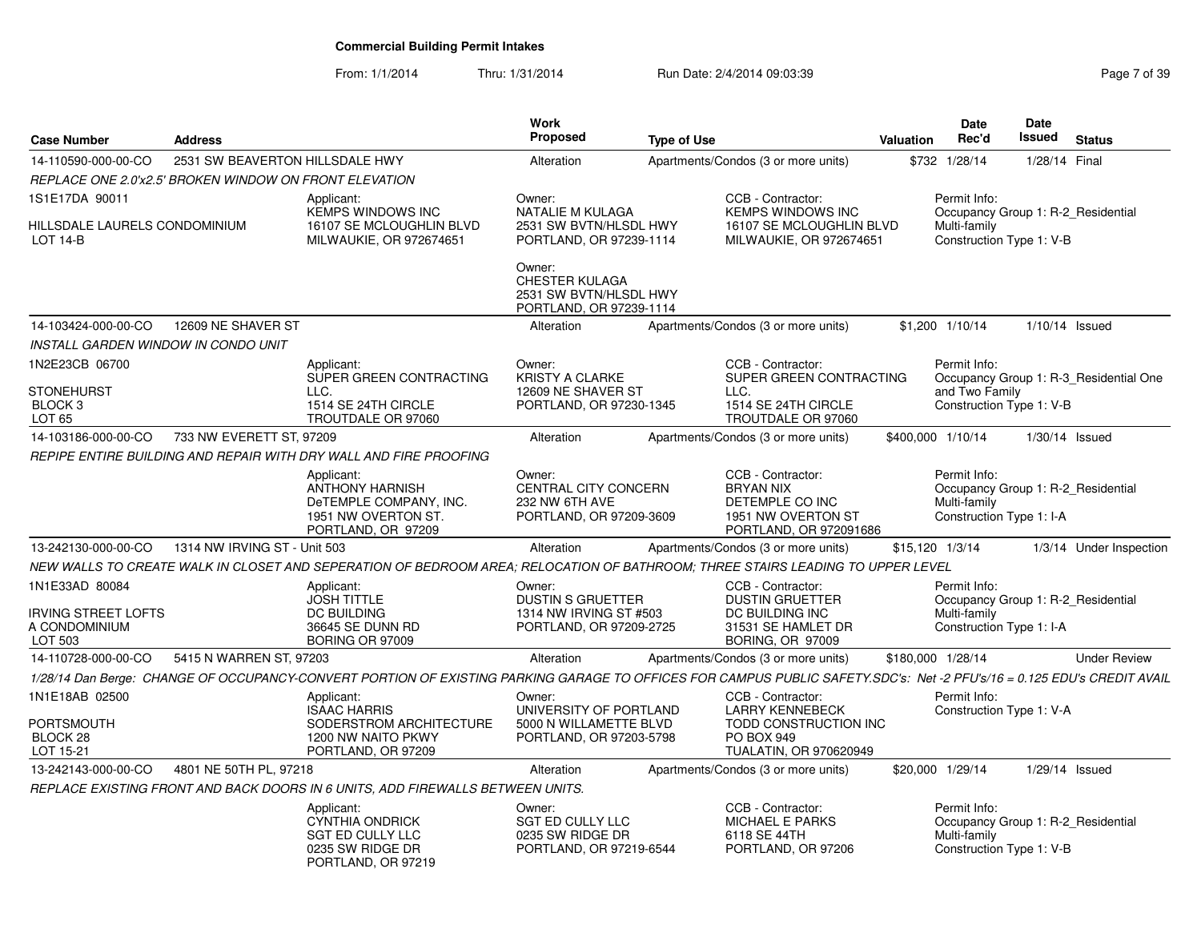From: 1/1/2014Thru: 1/31/2014 Run Date: 2/4/2014 09:03:39 Rege 7 of 39

| <b>Case Number</b>                                     | <b>Address</b>                  |                                                                                                                                                                         | <b>Work</b><br><b>Proposed</b>                                                     | <b>Type of Use</b> |                                                                                                          | Valuation |                 | Date<br>Rec'd                                            | Date<br><b>Issued</b> | <b>Status</b>                          |
|--------------------------------------------------------|---------------------------------|-------------------------------------------------------------------------------------------------------------------------------------------------------------------------|------------------------------------------------------------------------------------|--------------------|----------------------------------------------------------------------------------------------------------|-----------|-----------------|----------------------------------------------------------|-----------------------|----------------------------------------|
| 14-110590-000-00-CO                                    | 2531 SW BEAVERTON HILLSDALE HWY |                                                                                                                                                                         | Alteration                                                                         |                    | Apartments/Condos (3 or more units)                                                                      |           |                 | \$732 1/28/14                                            | 1/28/14 Final         |                                        |
| REPLACE ONE 2.0'x2.5' BROKEN WINDOW ON FRONT ELEVATION |                                 |                                                                                                                                                                         |                                                                                    |                    |                                                                                                          |           |                 |                                                          |                       |                                        |
| 1S1E17DA 90011                                         |                                 | Applicant:<br><b>KEMPS WINDOWS INC</b>                                                                                                                                  | Owner:<br>NATALIE M KULAGA                                                         |                    | CCB - Contractor:<br><b>KEMPS WINDOWS INC</b>                                                            |           |                 | Permit Info:                                             |                       | Occupancy Group 1: R-2_Residential     |
| HILLSDALE LAURELS CONDOMINIUM<br><b>LOT 14-B</b>       |                                 | 16107 SE MCLOUGHLIN BLVD<br>MILWAUKIE, OR 972674651                                                                                                                     | 2531 SW BVTN/HLSDL HWY<br>PORTLAND, OR 97239-1114                                  |                    | 16107 SE MCLOUGHLIN BLVD<br>MILWAUKIE, OR 972674651                                                      |           |                 | Multi-family<br>Construction Type 1: V-B                 |                       |                                        |
|                                                        |                                 |                                                                                                                                                                         | Owner:<br>CHESTER KULAGA<br>2531 SW BVTN/HLSDL HWY<br>PORTLAND, OR 97239-1114      |                    |                                                                                                          |           |                 |                                                          |                       |                                        |
| 14-103424-000-00-CO                                    | 12609 NE SHAVER ST              |                                                                                                                                                                         | Alteration                                                                         |                    | Apartments/Condos (3 or more units)                                                                      |           |                 | \$1,200 1/10/14                                          | $1/10/14$ Issued      |                                        |
| <b>INSTALL GARDEN WINDOW IN CONDO UNIT</b>             |                                 |                                                                                                                                                                         |                                                                                    |                    |                                                                                                          |           |                 |                                                          |                       |                                        |
| 1N2E23CB 06700                                         |                                 | Applicant:                                                                                                                                                              | Owner:                                                                             |                    | CCB - Contractor:                                                                                        |           |                 | Permit Info:                                             |                       |                                        |
|                                                        |                                 | SUPER GREEN CONTRACTING                                                                                                                                                 | <b>KRISTY A CLARKE</b>                                                             |                    | SUPER GREEN CONTRACTING                                                                                  |           |                 |                                                          |                       | Occupancy Group 1: R-3 Residential One |
| STONEHURST<br>BLOCK <sub>3</sub>                       |                                 | LLC.<br>1514 SE 24TH CIRCLE                                                                                                                                             | 12609 NE SHAVER ST<br>PORTLAND, OR 97230-1345                                      |                    | LLC.<br>1514 SE 24TH CIRCLE                                                                              |           |                 | and Two Family<br>Construction Type 1: V-B               |                       |                                        |
| LOT <sub>65</sub>                                      |                                 | TROUTDALE OR 97060                                                                                                                                                      |                                                                                    |                    | TROUTDALE OR 97060                                                                                       |           |                 |                                                          |                       |                                        |
| 14-103186-000-00-CO                                    | 733 NW EVERETT ST, 97209        |                                                                                                                                                                         | Alteration                                                                         |                    | Apartments/Condos (3 or more units)                                                                      |           |                 | \$400,000 1/10/14                                        | $1/30/14$ Issued      |                                        |
|                                                        |                                 | REPIPE ENTIRE BUILDING AND REPAIR WITH DRY WALL AND FIRE PROOFING                                                                                                       |                                                                                    |                    |                                                                                                          |           |                 |                                                          |                       |                                        |
|                                                        |                                 | Applicant:<br>ANTHONY HARNISH<br>DeTEMPLE COMPANY, INC.<br>1951 NW OVERTON ST.<br>PORTLAND, OR 97209                                                                    | Owner:<br><b>CENTRAL CITY CONCERN</b><br>232 NW 6TH AVE<br>PORTLAND, OR 97209-3609 |                    | CCB - Contractor:<br><b>BRYAN NIX</b><br>DETEMPLE CO INC<br>1951 NW OVERTON ST<br>PORTLAND, OR 972091686 |           |                 | Permit Info:<br>Multi-family<br>Construction Type 1: I-A |                       | Occupancy Group 1: R-2 Residential     |
| 13-242130-000-00-CO                                    | 1314 NW IRVING ST - Unit 503    |                                                                                                                                                                         | Alteration                                                                         |                    | Apartments/Condos (3 or more units)                                                                      |           | \$15,120 1/3/14 |                                                          |                       | 1/3/14 Under Inspection                |
|                                                        |                                 | NEW WALLS TO CREATE WALK IN CLOSET AND SEPERATION OF BEDROOM AREA; RELOCATION OF BATHROOM; THREE STAIRS LEADING TO UPPER LEVEL                                          |                                                                                    |                    |                                                                                                          |           |                 |                                                          |                       |                                        |
| 1N1E33AD 80084                                         |                                 | Applicant:                                                                                                                                                              | Owner:                                                                             |                    | CCB - Contractor:                                                                                        |           |                 | Permit Info:                                             |                       |                                        |
| <b>IRVING STREET LOFTS</b>                             |                                 | <b>JOSH TITTLE</b><br><b>DC BUILDING</b>                                                                                                                                | <b>DUSTIN S GRUETTER</b><br>1314 NW IRVING ST #503                                 |                    | <b>DUSTIN GRUETTER</b><br>DC BUILDING INC                                                                |           |                 | Multi-family                                             |                       | Occupancy Group 1: R-2 Residential     |
| A CONDOMINIUM                                          |                                 | 36645 SE DUNN RD                                                                                                                                                        | PORTLAND, OR 97209-2725                                                            |                    | 31531 SE HAMLET DR                                                                                       |           |                 | Construction Type 1: I-A                                 |                       |                                        |
| LOT 503                                                |                                 | BORING OR 97009                                                                                                                                                         |                                                                                    |                    | BORING, OR 97009                                                                                         |           |                 |                                                          |                       |                                        |
| 14-110728-000-00-CO                                    | 5415 N WARREN ST. 97203         |                                                                                                                                                                         | Alteration                                                                         |                    | Apartments/Condos (3 or more units)                                                                      |           |                 | \$180.000 1/28/14                                        |                       | <b>Under Review</b>                    |
|                                                        |                                 | 1/28/14 Dan Berge: CHANGE OF OCCUPANCY-CONVERT PORTION OF EXISTING PARKING GARAGE TO OFFICES FOR CAMPUS PUBLIC SAFETY.SDC's: Net -2 PFU's/16 = 0.125 EDU's CREDIT AVAIL |                                                                                    |                    |                                                                                                          |           |                 |                                                          |                       |                                        |
| 1N1E18AB 02500                                         |                                 | Applicant:<br><b>ISAAC HARRIS</b>                                                                                                                                       | Owner:<br>UNIVERSITY OF PORTLAND                                                   |                    | CCB - Contractor:<br><b>LARRY KENNEBECK</b>                                                              |           |                 | Permit Info:<br>Construction Type 1: V-A                 |                       |                                        |
| PORTSMOUTH                                             |                                 | SODERSTROM ARCHITECTURE                                                                                                                                                 | 5000 N WILLAMETTE BLVD                                                             |                    | TODD CONSTRUCTION INC                                                                                    |           |                 |                                                          |                       |                                        |
| BLOCK 28                                               |                                 | 1200 NW NAITO PKWY                                                                                                                                                      | PORTLAND, OR 97203-5798                                                            |                    | <b>PO BOX 949</b>                                                                                        |           |                 |                                                          |                       |                                        |
| LOT 15-21                                              |                                 | PORTLAND, OR 97209                                                                                                                                                      |                                                                                    |                    | <b>TUALATIN, OR 970620949</b>                                                                            |           |                 |                                                          |                       |                                        |
| 13-242143-000-00-CO                                    | 4801 NE 50TH PL, 97218          |                                                                                                                                                                         | Alteration                                                                         |                    | Apartments/Condos (3 or more units)                                                                      |           |                 | \$20,000 1/29/14                                         | 1/29/14 Issued        |                                        |
|                                                        |                                 | REPLACE EXISTING FRONT AND BACK DOORS IN 6 UNITS, ADD FIREWALLS BETWEEN UNITS.                                                                                          |                                                                                    |                    |                                                                                                          |           |                 |                                                          |                       |                                        |
|                                                        |                                 | Applicant:<br>CYNTHIA ONDRICK<br>SGT ED CULLY LLC<br>0235 SW RIDGE DR<br>PORTLAND, OR 97219                                                                             | Owner:<br>SGT ED CULLY LLC<br>0235 SW RIDGE DR<br>PORTLAND, OR 97219-6544          |                    | CCB - Contractor:<br><b>MICHAEL E PARKS</b><br>6118 SE 44TH<br>PORTLAND, OR 97206                        |           |                 | Permit Info:<br>Multi-family<br>Construction Type 1: V-B |                       | Occupancy Group 1: R-2_Residential     |
|                                                        |                                 |                                                                                                                                                                         |                                                                                    |                    |                                                                                                          |           |                 |                                                          |                       |                                        |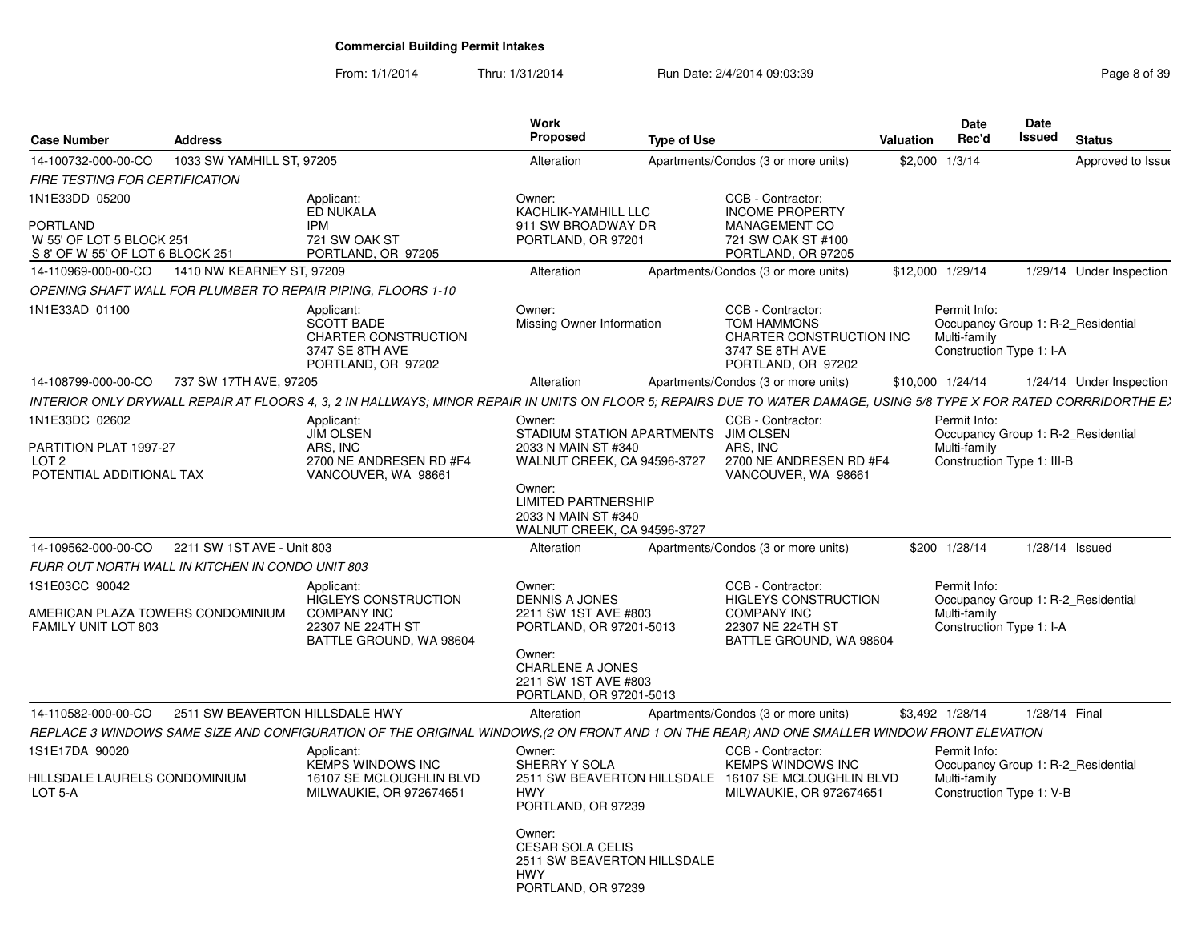From: 1/1/2014Thru: 1/31/2014 Run Date: 2/4/2014 09:03:39 Rege 8 of 39

| <b>Case Number</b><br><b>Address</b>                                                                                                                                  |                                                                                           | Work<br>Proposed                                                                           | <b>Type of Use</b>                                                               | Valuation | Date<br>Rec'd                            | Date<br>Issued<br>Status           |
|-----------------------------------------------------------------------------------------------------------------------------------------------------------------------|-------------------------------------------------------------------------------------------|--------------------------------------------------------------------------------------------|----------------------------------------------------------------------------------|-----------|------------------------------------------|------------------------------------|
| 14-100732-000-00-CO<br>1033 SW YAMHILL ST, 97205                                                                                                                      |                                                                                           | Alteration                                                                                 |                                                                                  |           | \$2,000 1/3/14                           |                                    |
| FIRE TESTING FOR CERTIFICATION                                                                                                                                        |                                                                                           |                                                                                            | Apartments/Condos (3 or more units)                                              |           |                                          | Approved to Issue                  |
| 1N1E33DD 05200                                                                                                                                                        | Applicant:                                                                                | Owner:                                                                                     | CCB - Contractor:                                                                |           |                                          |                                    |
|                                                                                                                                                                       | <b>ED NUKALA</b>                                                                          | KACHLIK-YAMHILL LLC                                                                        | <b>INCOME PROPERTY</b>                                                           |           |                                          |                                    |
| PORTLAND                                                                                                                                                              | IPM                                                                                       | 911 SW BROADWAY DR                                                                         | <b>MANAGEMENT CO</b>                                                             |           |                                          |                                    |
| W 55' OF LOT 5 BLOCK 251<br>S 8' OF W 55' OF LOT 6 BLOCK 251                                                                                                          | 721 SW OAK ST<br>PORTLAND, OR 97205                                                       | PORTLAND, OR 97201                                                                         | 721 SW OAK ST #100<br>PORTLAND, OR 97205                                         |           |                                          |                                    |
|                                                                                                                                                                       |                                                                                           | Alteration                                                                                 | Apartments/Condos (3 or more units)                                              |           | \$12,000 1/29/14                         | 1/29/14 Under Inspection           |
| OPENING SHAFT WALL FOR PLUMBER TO REPAIR PIPING, FLOORS 1-10                                                                                                          |                                                                                           |                                                                                            |                                                                                  |           |                                          |                                    |
| 1N1E33AD 01100                                                                                                                                                        | Applicant:                                                                                | Owner:                                                                                     | CCB - Contractor:                                                                |           | Permit Info:                             |                                    |
|                                                                                                                                                                       | <b>SCOTT BADE</b><br><b>CHARTER CONSTRUCTION</b><br>3747 SE 8TH AVE<br>PORTLAND, OR 97202 | Missing Owner Information                                                                  | TOM HAMMONS<br>CHARTER CONSTRUCTION INC<br>3747 SE 8TH AVE<br>PORTLAND, OR 97202 |           | Multi-family<br>Construction Type 1: I-A | Occupancy Group 1: R-2_Residential |
| 14-108799-000-00-CO 737 SW 17TH AVE, 97205                                                                                                                            |                                                                                           | Alteration                                                                                 | Apartments/Condos (3 or more units)                                              |           | \$10,000 1/24/14                         | 1/24/14 Under Inspection           |
| INTERIOR ONLY DRYWALL REPAIR AT FLOORS 4, 3, 2 IN HALLWAYS: MINOR REPAIR IN UNITS ON FLOOR 5: REPAIRS DUE TO WATER DAMAGE, USING 5/8 TYPE X FOR RATED CORRRIDORTHE E) |                                                                                           |                                                                                            |                                                                                  |           |                                          |                                    |
| 1N1E33DC 02602                                                                                                                                                        | Applicant:                                                                                | Owner:                                                                                     | CCB - Contractor:                                                                |           | Permit Info:                             |                                    |
| PARTITION PLAT 1997-27                                                                                                                                                | <b>JIM OLSEN</b><br>ARS, INC                                                              | 2033 N MAIN ST #340                                                                        | STADIUM STATION APARTMENTS JIM OLSEN<br>ARS. INC                                 |           | Multi-family                             | Occupancy Group 1: R-2_Residential |
| LOT <sub>2</sub>                                                                                                                                                      | 2700 NE ANDRESEN RD #F4                                                                   | WALNUT CREEK, CA 94596-3727                                                                | 2700 NE ANDRESEN RD #F4                                                          |           | Construction Type 1: III-B               |                                    |
| POTENTIAL ADDITIONAL TAX                                                                                                                                              | VANCOUVER, WA 98661                                                                       |                                                                                            | VANCOUVER, WA 98661                                                              |           |                                          |                                    |
|                                                                                                                                                                       |                                                                                           | Owner:<br><b>LIMITED PARTNERSHIP</b><br>2033 N MAIN ST #340<br>WALNUT CREEK, CA 94596-3727 |                                                                                  |           |                                          |                                    |
| 14-109562-000-00-CO  2211 SW 1ST AVE - Unit 803                                                                                                                       |                                                                                           | Alteration                                                                                 | Apartments/Condos (3 or more units)                                              |           | \$200 1/28/14                            | 1/28/14 Issued                     |
| FURR OUT NORTH WALL IN KITCHEN IN CONDO UNIT 803                                                                                                                      |                                                                                           |                                                                                            |                                                                                  |           |                                          |                                    |
| IS1E03CC 90042                                                                                                                                                        | Applicant:                                                                                | Owner:                                                                                     | CCB - Contractor:                                                                |           | Permit Info:                             |                                    |
|                                                                                                                                                                       | HIGLEYS CONSTRUCTION                                                                      | <b>DENNIS A JONES</b>                                                                      | HIGLEYS CONSTRUCTION                                                             |           |                                          | Occupancy Group 1: R-2_Residential |
| AMERICAN PLAZA TOWERS CONDOMINIUM<br>FAMILY UNIT LOT 803                                                                                                              | <b>COMPANY INC</b><br>22307 NE 224TH ST                                                   | 2211 SW 1ST AVE #803<br>PORTLAND, OR 97201-5013                                            | <b>COMPANY INC</b><br>22307 NE 224TH ST                                          |           | Multi-family<br>Construction Type 1: I-A |                                    |
|                                                                                                                                                                       | BATTLE GROUND, WA 98604                                                                   |                                                                                            | BATTLE GROUND, WA 98604                                                          |           |                                          |                                    |
|                                                                                                                                                                       |                                                                                           | Owner:                                                                                     |                                                                                  |           |                                          |                                    |
|                                                                                                                                                                       |                                                                                           | <b>CHARLENE A JONES</b><br>2211 SW 1ST AVE #803                                            |                                                                                  |           |                                          |                                    |
|                                                                                                                                                                       |                                                                                           | PORTLAND, OR 97201-5013                                                                    |                                                                                  |           |                                          |                                    |
| 14-110582-000-00-CO  2511 SW BEAVERTON HILLSDALE HWY                                                                                                                  |                                                                                           | Alteration                                                                                 | Apartments/Condos (3 or more units)                                              |           | \$3,492 1/28/14                          | 1/28/14 Final                      |
| REPLACE 3 WINDOWS SAME SIZE AND CONFIGURATION OF THE ORIGINAL WINDOWS,(2 ON FRONT AND 1 ON THE REAR) AND ONE SMALLER WINDOW FRONT ELEVATION                           |                                                                                           |                                                                                            |                                                                                  |           |                                          |                                    |
| 1S1E17DA 90020                                                                                                                                                        | Applicant:                                                                                | Owner:                                                                                     | CCB - Contractor:                                                                |           | Permit Info:                             |                                    |
| HILLSDALE LAURELS CONDOMINIUM                                                                                                                                         | KEMPS WINDOWS INC<br>16107 SE MCLOUGHLIN BLVD                                             | SHERRY Y SOLA                                                                              | KEMPS WINDOWS INC<br>2511 SW BEAVERTON HILLSDALE 16107 SE MCLOUGHLIN BLVD        |           | Multi-family                             | Occupancy Group 1: R-2_Residential |
| LOT 5-A                                                                                                                                                               | MILWAUKIE, OR 972674651                                                                   | HWY                                                                                        | MILWAUKIE, OR 972674651                                                          |           | Construction Type 1: V-B                 |                                    |
|                                                                                                                                                                       |                                                                                           | PORTLAND, OR 97239                                                                         |                                                                                  |           |                                          |                                    |
|                                                                                                                                                                       |                                                                                           | Owner:                                                                                     |                                                                                  |           |                                          |                                    |
|                                                                                                                                                                       |                                                                                           | <b>CESAR SOLA CELIS</b>                                                                    |                                                                                  |           |                                          |                                    |
|                                                                                                                                                                       |                                                                                           | 2511 SW BEAVERTON HILLSDALE<br>HWY                                                         |                                                                                  |           |                                          |                                    |
|                                                                                                                                                                       |                                                                                           | PORTLAND, OR 97239                                                                         |                                                                                  |           |                                          |                                    |
|                                                                                                                                                                       |                                                                                           |                                                                                            |                                                                                  |           |                                          |                                    |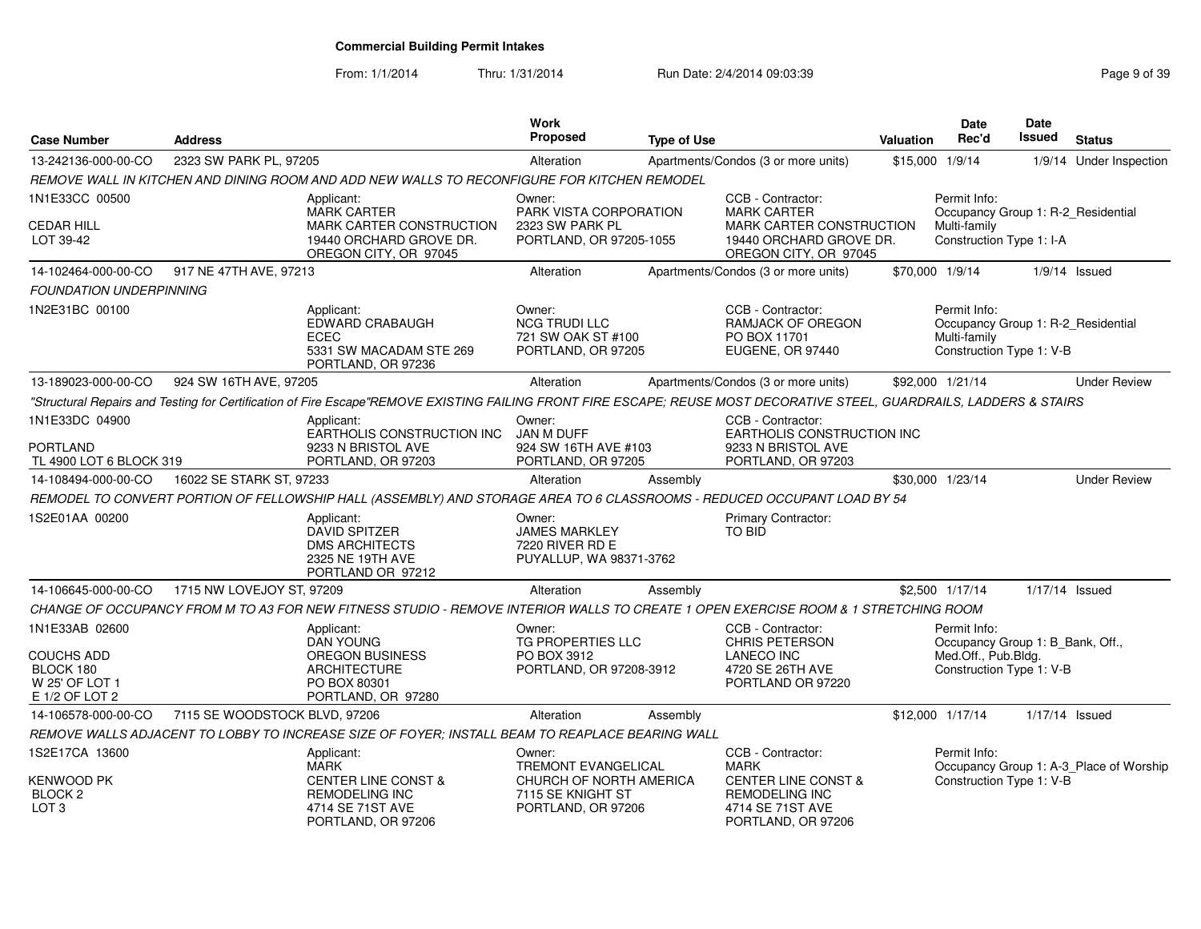#### From: 1/1/2014Thru: 1/31/2014 Run Date: 2/4/2014 09:03:39 Rege 9 of 39

| <b>Case Number</b>                                                            | <b>Address</b>                |                                                                                                                                                                       | <b>Work</b><br><b>Proposed</b>                                                                      | <b>Type of Use</b> |                                                                                                                                       | <b>Valuation</b> | Date<br>Rec'd                                                                                       | <b>Date</b><br>Issued | <b>Status</b>                           |
|-------------------------------------------------------------------------------|-------------------------------|-----------------------------------------------------------------------------------------------------------------------------------------------------------------------|-----------------------------------------------------------------------------------------------------|--------------------|---------------------------------------------------------------------------------------------------------------------------------------|------------------|-----------------------------------------------------------------------------------------------------|-----------------------|-----------------------------------------|
| 13-242136-000-00-CO                                                           | 2323 SW PARK PL, 97205        |                                                                                                                                                                       | Alteration                                                                                          |                    | Apartments/Condos (3 or more units)                                                                                                   | \$15,000         | 1/9/14                                                                                              |                       | 1/9/14 Under Inspection                 |
|                                                                               |                               | REMOVE WALL IN KITCHEN AND DINING ROOM AND ADD NEW WALLS TO RECONFIGURE FOR KITCHEN REMODEL                                                                           |                                                                                                     |                    |                                                                                                                                       |                  |                                                                                                     |                       |                                         |
| 1N1E33CC 00500                                                                |                               | Applicant:<br><b>MARK CARTER</b>                                                                                                                                      | Owner:<br>PARK VISTA CORPORATION                                                                    |                    | CCB - Contractor:<br><b>MARK CARTER</b>                                                                                               |                  | Permit Info:<br>Occupancy Group 1: R-2 Residential                                                  |                       |                                         |
| CEDAR HILL<br>LOT 39-42                                                       |                               | MARK CARTER CONSTRUCTION<br>19440 ORCHARD GROVE DR.<br>OREGON CITY, OR 97045                                                                                          | 2323 SW PARK PL<br>PORTLAND, OR 97205-1055                                                          |                    | MARK CARTER CONSTRUCTION<br>19440 ORCHARD GROVE DR.<br>OREGON CITY, OR 97045                                                          |                  | Multi-family<br>Construction Type 1: I-A                                                            |                       |                                         |
| 14-102464-000-00-CO                                                           | 917 NE 47TH AVE, 97213        |                                                                                                                                                                       | Alteration                                                                                          |                    | Apartments/Condos (3 or more units)                                                                                                   |                  | \$70,000 1/9/14                                                                                     |                       | $1/9/14$ Issued                         |
| <b>FOUNDATION UNDERPINNING</b>                                                |                               |                                                                                                                                                                       |                                                                                                     |                    |                                                                                                                                       |                  |                                                                                                     |                       |                                         |
| 1N2E31BC 00100                                                                |                               | Applicant:<br>EDWARD CRABAUGH<br>ECEC<br>5331 SW MACADAM STE 269<br>PORTLAND, OR 97236                                                                                | Owner:<br><b>NCG TRUDI LLC</b><br>721 SW OAK ST #100<br>PORTLAND, OR 97205                          |                    | CCB - Contractor:<br>RAMJACK OF OREGON<br>PO BOX 11701<br>EUGENE, OR 97440                                                            |                  | Permit Info:<br>Occupancy Group 1: R-2_Residential<br>Multi-family<br>Construction Type 1: V-B      |                       |                                         |
| 13-189023-000-00-CO                                                           | 924 SW 16TH AVE, 97205        |                                                                                                                                                                       | Alteration                                                                                          |                    | Apartments/Condos (3 or more units)                                                                                                   |                  | \$92,000 1/21/14                                                                                    |                       | <b>Under Review</b>                     |
|                                                                               |                               | "Structural Repairs and Testing for Certification of Fire Escape"REMOVE EXISTING FAILING FRONT FIRE ESCAPE; REUSE MOST DECORATIVE STEEL, GUARDRAILS, LADDERS & STAIRS |                                                                                                     |                    |                                                                                                                                       |                  |                                                                                                     |                       |                                         |
| 1N1E33DC 04900                                                                |                               | Applicant:<br>EARTHOLIS CONSTRUCTION INC                                                                                                                              | Owner:<br>JAN M DUFF                                                                                |                    | CCB - Contractor:<br>EARTHOLIS CONSTRUCTION INC                                                                                       |                  |                                                                                                     |                       |                                         |
| PORTLAND<br>TL 4900 LOT 6 BLOCK 319                                           |                               | 9233 N BRISTOL AVE<br>PORTLAND, OR 97203                                                                                                                              | 924 SW 16TH AVE #103<br>PORTLAND, OR 97205                                                          |                    | 9233 N BRISTOL AVE<br>PORTLAND, OR 97203                                                                                              |                  |                                                                                                     |                       |                                         |
| 14-108494-000-00-CO                                                           | 16022 SE STARK ST, 97233      |                                                                                                                                                                       | Alteration                                                                                          | Assembly           |                                                                                                                                       |                  | \$30,000 1/23/14                                                                                    |                       | <b>Under Review</b>                     |
|                                                                               |                               | REMODEL TO CONVERT PORTION OF FELLOWSHIP HALL (ASSEMBLY) AND STORAGE AREA TO 6 CLASSROOMS - REDUCED OCCUPANT LOAD BY 54                                               |                                                                                                     |                    |                                                                                                                                       |                  |                                                                                                     |                       |                                         |
| 1S2E01AA 00200                                                                |                               | Applicant:<br><b>DAVID SPITZER</b><br><b>DMS ARCHITECTS</b><br>2325 NE 19TH AVE<br>PORTLAND OR 97212                                                                  | Owner:<br><b>JAMES MARKLEY</b><br>7220 RIVER RD E<br>PUYALLUP, WA 98371-3762                        |                    | Primary Contractor:<br>TO BID                                                                                                         |                  |                                                                                                     |                       |                                         |
| 14-106645-000-00-CO                                                           | 1715 NW LOVEJOY ST, 97209     |                                                                                                                                                                       | Alteration                                                                                          | Assembly           |                                                                                                                                       |                  | \$2,500 1/17/14                                                                                     | 1/17/14 Issued        |                                         |
|                                                                               |                               | CHANGE OF OCCUPANCY FROM M TO A3 FOR NEW FITNESS STUDIO - REMOVE INTERIOR WALLS TO CREATE 1 OPEN EXERCISE ROOM & 1 STRETCHING ROOM                                    |                                                                                                     |                    |                                                                                                                                       |                  |                                                                                                     |                       |                                         |
| 1N1E33AB 02600<br>COUCHS ADD<br>BLOCK 180<br>W 25' OF LOT 1<br>E 1/2 OF LOT 2 |                               | Applicant:<br><b>DAN YOUNG</b><br><b>OREGON BUSINESS</b><br><b>ARCHITECTURE</b><br>PO BOX 80301<br>PORTLAND, OR 97280                                                 | Owner:<br>TG PROPERTIES LLC<br>PO BOX 3912<br>PORTLAND, OR 97208-3912                               |                    | CCB - Contractor:<br><b>CHRIS PETERSON</b><br><b>LANECO INC</b><br>4720 SE 26TH AVE<br>PORTLAND OR 97220                              |                  | Permit Info:<br>Occupancy Group 1: B_Bank, Off.,<br>Med.Off., Pub.Bldg.<br>Construction Type 1: V-B |                       |                                         |
| 14-106578-000-00-CO                                                           | 7115 SE WOODSTOCK BLVD, 97206 |                                                                                                                                                                       | Alteration                                                                                          | Assembly           |                                                                                                                                       |                  | \$12,000 1/17/14                                                                                    | 1/17/14 Issued        |                                         |
|                                                                               |                               | REMOVE WALLS ADJACENT TO LOBBY TO INCREASE SIZE OF FOYER: INSTALL BEAM TO REAPLACE BEARING WALL                                                                       |                                                                                                     |                    |                                                                                                                                       |                  |                                                                                                     |                       |                                         |
| 1S2E17CA 13600<br>KENWOOD PK<br>BLOCK 2<br>LOT <sub>3</sub>                   |                               | Applicant:<br><b>MARK</b><br><b>CENTER LINE CONST &amp;</b><br><b>REMODELING INC</b><br>4714 SE 71ST AVE<br>PORTLAND, OR 97206                                        | Owner:<br>TREMONT EVANGELICAL<br>CHURCH OF NORTH AMERICA<br>7115 SE KNIGHT ST<br>PORTLAND, OR 97206 |                    | CCB - Contractor:<br><b>MARK</b><br><b>CENTER LINE CONST &amp;</b><br><b>REMODELING INC</b><br>4714 SE 71ST AVE<br>PORTLAND, OR 97206 |                  | Permit Info:<br>Construction Type 1: V-B                                                            |                       | Occupancy Group 1: A-3_Place of Worship |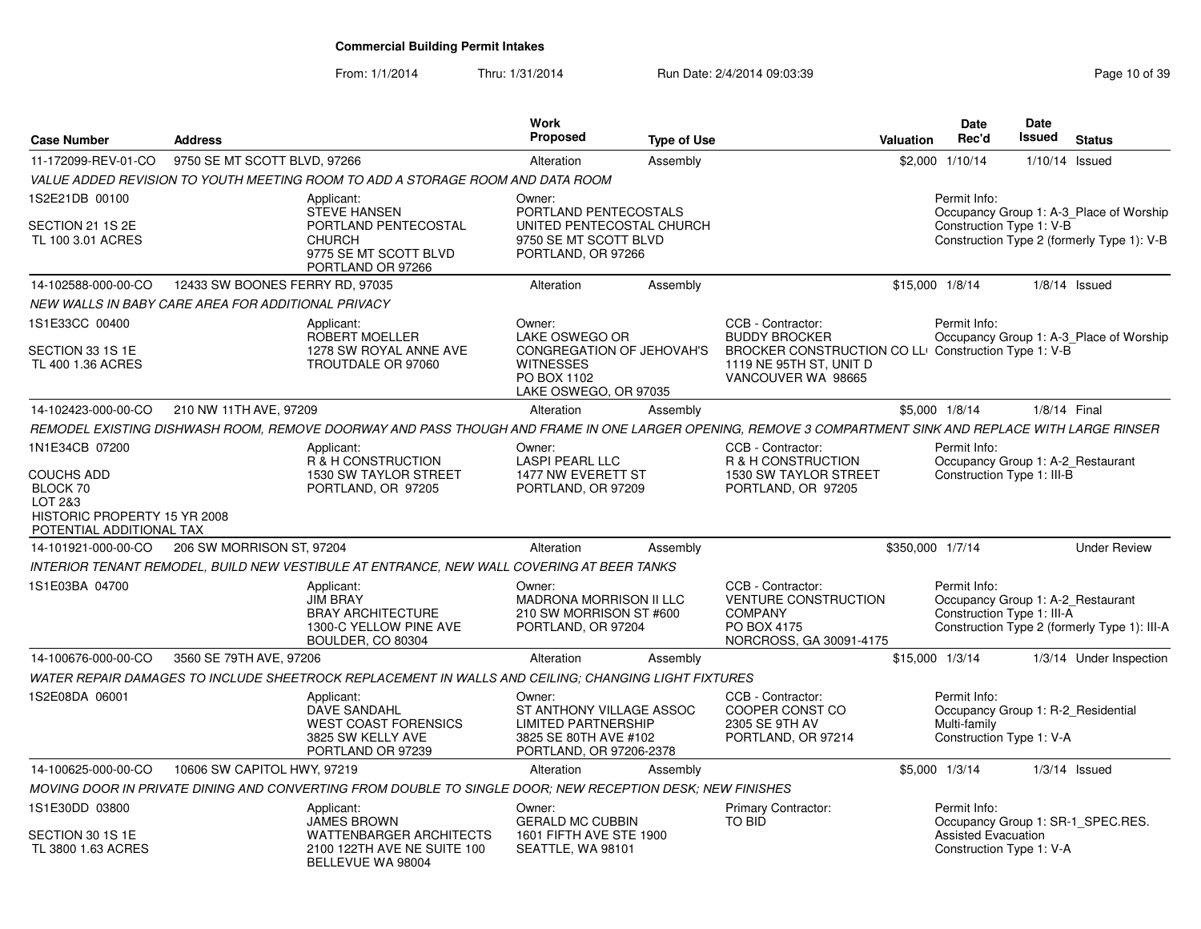From: 1/1/2014

Thru: 1/31/2014 Run Date: 2/4/2014 09:03:39 Research 2010 139

| <b>Case Number</b>                                                                                                     | <b>Address</b>                                     |                                                                                                                                                         | <b>Work</b><br>Proposed                                                                                              | <b>Type of Use</b> |                                                                                                                                                    | <b>Valuation</b> | <b>Date</b><br>Rec'd                                                                           | <b>Date</b><br><b>Issued</b> | <b>Status</b>                                                                         |
|------------------------------------------------------------------------------------------------------------------------|----------------------------------------------------|---------------------------------------------------------------------------------------------------------------------------------------------------------|----------------------------------------------------------------------------------------------------------------------|--------------------|----------------------------------------------------------------------------------------------------------------------------------------------------|------------------|------------------------------------------------------------------------------------------------|------------------------------|---------------------------------------------------------------------------------------|
| 11-172099-REV-01-CO                                                                                                    | 9750 SE MT SCOTT BLVD, 97266                       |                                                                                                                                                         | Alteration                                                                                                           | Assembly           |                                                                                                                                                    |                  | \$2,000 1/10/14                                                                                |                              | 1/10/14 Issued                                                                        |
|                                                                                                                        |                                                    | VALUE ADDED REVISION TO YOUTH MEETING ROOM TO ADD A STORAGE ROOM AND DATA ROOM                                                                          |                                                                                                                      |                    |                                                                                                                                                    |                  |                                                                                                |                              |                                                                                       |
| 1S2E21DB 00100<br>SECTION 21 1S 2E<br>TL 100 3.01 ACRES                                                                |                                                    | Applicant:<br><b>STEVE HANSEN</b><br>PORTLAND PENTECOSTAL<br><b>CHURCH</b><br>9775 SE MT SCOTT BLVD<br>PORTLAND OR 97266                                | Owner:<br>PORTLAND PENTECOSTALS<br>UNITED PENTECOSTAL CHURCH<br>9750 SE MT SCOTT BLVD<br>PORTLAND, OR 97266          |                    |                                                                                                                                                    |                  | Permit Info:<br>Construction Type 1: V-B                                                       |                              | Occupancy Group 1: A-3_Place of Worship<br>Construction Type 2 (formerly Type 1): V-B |
| 14-102588-000-00-CO                                                                                                    | 12433 SW BOONES FERRY RD, 97035                    |                                                                                                                                                         | Alteration                                                                                                           | Assembly           |                                                                                                                                                    |                  | \$15,000 1/8/14                                                                                |                              | $1/8/14$ Issued                                                                       |
|                                                                                                                        | NEW WALLS IN BABY CARE AREA FOR ADDITIONAL PRIVACY |                                                                                                                                                         |                                                                                                                      |                    |                                                                                                                                                    |                  |                                                                                                |                              |                                                                                       |
| 1S1E33CC 00400<br>SECTION 33 1S 1E<br>TL 400 1.36 ACRES                                                                |                                                    | Applicant:<br>ROBERT MOELLER<br>1278 SW ROYAL ANNE AVE<br>TROUTDALE OR 97060                                                                            | Owner:<br>LAKE OSWEGO OR<br>CONGREGATION OF JEHOVAH'S<br><b>WITNESSES</b><br>PO BOX 1102<br>LAKE OSWEGO, OR 97035    |                    | CCB - Contractor:<br><b>BUDDY BROCKER</b><br>BROCKER CONSTRUCTION CO LLI Construction Type 1: V-B<br>1119 NE 95TH ST. UNIT D<br>VANCOUVER WA 98665 |                  | Permit Info:                                                                                   |                              | Occupancy Group 1: A-3_Place of Worship                                               |
| 14-102423-000-00-CO                                                                                                    | 210 NW 11TH AVE, 97209                             |                                                                                                                                                         | Alteration                                                                                                           | Assembly           |                                                                                                                                                    |                  | \$5,000 1/8/14                                                                                 | 1/8/14 Final                 |                                                                                       |
|                                                                                                                        |                                                    | REMODEL EXISTING DISHWASH ROOM, REMOVE DOORWAY AND PASS THOUGH AND FRAME IN ONE LARGER OPENING, REMOVE 3 COMPARTMENT SINK AND REPLACE WITH LARGE RINSER |                                                                                                                      |                    |                                                                                                                                                    |                  |                                                                                                |                              |                                                                                       |
| 1N1E34CB 07200<br><b>COUCHS ADD</b><br>BLOCK 70<br>LOT 2&3<br>HISTORIC PROPERTY 15 YR 2008<br>POTENTIAL ADDITIONAL TAX |                                                    | Applicant:<br>R & H CONSTRUCTION<br>1530 SW TAYLOR STREET<br>PORTLAND, OR 97205                                                                         | Owner:<br><b>LASPI PEARL LLC</b><br>1477 NW EVERETT ST<br>PORTLAND, OR 97209                                         |                    | CCB - Contractor:<br>R & H CONSTRUCTION<br>1530 SW TAYLOR STREET<br>PORTLAND, OR 97205                                                             |                  | Permit Info:<br>Occupancy Group 1: A-2_Restaurant<br>Construction Type 1: III-B                |                              |                                                                                       |
| 14-101921-000-00-CO                                                                                                    | 206 SW MORRISON ST, 97204                          |                                                                                                                                                         | Alteration                                                                                                           | Assembly           |                                                                                                                                                    | \$350,000 1/7/14 |                                                                                                |                              | <b>Under Review</b>                                                                   |
|                                                                                                                        |                                                    | INTERIOR TENANT REMODEL, BUILD NEW VESTIBULE AT ENTRANCE, NEW WALL COVERING AT BEER TANKS                                                               |                                                                                                                      |                    |                                                                                                                                                    |                  |                                                                                                |                              |                                                                                       |
| 1S1E03BA 04700                                                                                                         |                                                    | Applicant:<br><b>JIM BRAY</b><br><b>BRAY ARCHITECTURE</b><br>1300-C YELLOW PINE AVE<br>BOULDER, CO 80304                                                | Owner:<br><b>MADRONA MORRISON II LLC</b><br>210 SW MORRISON ST #600<br>PORTLAND, OR 97204                            |                    | CCB - Contractor:<br><b>VENTURE CONSTRUCTION</b><br><b>COMPANY</b><br>PO BOX 4175<br>NORCROSS, GA 30091-4175                                       |                  | Permit Info:<br>Occupancy Group 1: A-2_Restaurant<br>Construction Type 1: III-A                |                              | Construction Type 2 (formerly Type 1): III-A                                          |
| 14-100676-000-00-CO                                                                                                    | 3560 SE 79TH AVE, 97206                            |                                                                                                                                                         | Alteration                                                                                                           | Assembly           |                                                                                                                                                    |                  | \$15,000 1/3/14                                                                                |                              | 1/3/14 Under Inspection                                                               |
|                                                                                                                        |                                                    | WATER REPAIR DAMAGES TO INCLUDE SHEETROCK REPLACEMENT IN WALLS AND CEILING; CHANGING LIGHT FIXTURES                                                     |                                                                                                                      |                    |                                                                                                                                                    |                  |                                                                                                |                              |                                                                                       |
| 1S2E08DA 06001                                                                                                         |                                                    | Applicant:<br>DAVE SANDAHL<br><b>WEST COAST FORENSICS</b><br>3825 SW KELLY AVE<br>PORTLAND OR 97239                                                     | Owner:<br>ST ANTHONY VILLAGE ASSOC<br><b>LIMITED PARTNERSHIP</b><br>3825 SE 80TH AVE #102<br>PORTLAND, OR 97206-2378 |                    | CCB - Contractor:<br>COOPER CONST CO<br>2305 SE 9TH AV<br>PORTLAND, OR 97214                                                                       |                  | Permit Info:<br>Occupancy Group 1: R-2_Residential<br>Multi-family<br>Construction Type 1: V-A |                              |                                                                                       |
| 14-100625-000-00-CO                                                                                                    | 10606 SW CAPITOL HWY, 97219                        |                                                                                                                                                         | Alteration                                                                                                           | Assembly           |                                                                                                                                                    |                  | \$5,000 1/3/14                                                                                 |                              | $1/3/14$ Issued                                                                       |
|                                                                                                                        |                                                    | MOVING DOOR IN PRIVATE DINING AND CONVERTING FROM DOUBLE TO SINGLE DOOR; NEW RECEPTION DESK; NEW FINISHES                                               |                                                                                                                      |                    |                                                                                                                                                    |                  |                                                                                                |                              |                                                                                       |
| 1S1E30DD 03800<br>SECTION 30 1S 1E<br>TL 3800 1.63 ACRES                                                               |                                                    | Applicant:<br><b>JAMES BROWN</b><br><b>WATTENBARGER ARCHITECTS</b><br>2100 122TH AVE NE SUITE 100                                                       | Owner:<br><b>GERALD MC CUBBIN</b><br>1601 FIFTH AVE STE 1900<br>SEATTLE, WA 98101                                    |                    | Primary Contractor:<br>TO BID                                                                                                                      |                  | Permit Info:<br><b>Assisted Evacuation</b><br>Construction Type 1: V-A                         |                              | Occupancy Group 1: SR-1 SPEC.RES.                                                     |
|                                                                                                                        |                                                    | BELLEVUE WA 98004                                                                                                                                       |                                                                                                                      |                    |                                                                                                                                                    |                  |                                                                                                |                              |                                                                                       |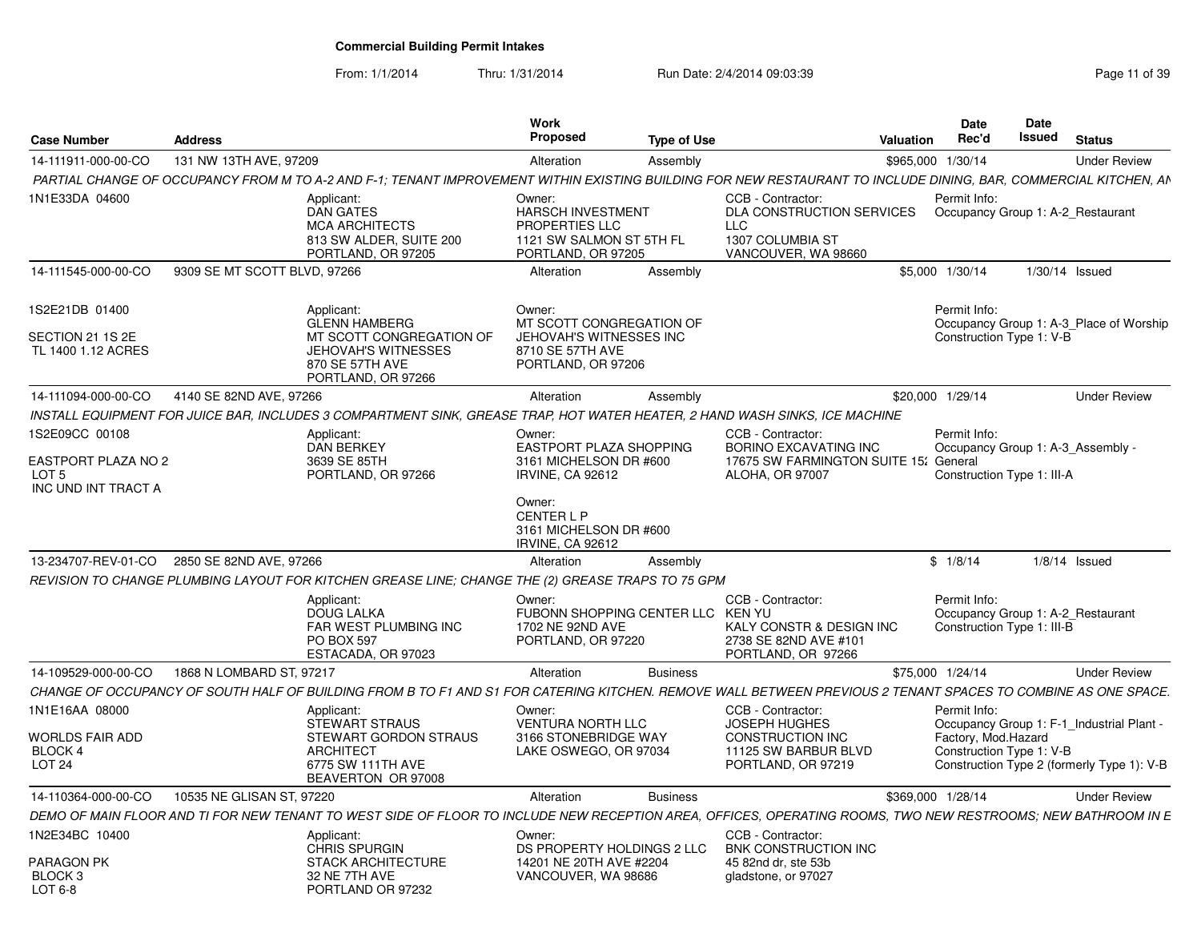| <b>Case Number</b>                                  | <b>Address</b>               |                                                                                                                                                                  | Work<br><b>Proposed</b>                                                                                | <b>Type of Use</b> |                                                                                                  | Valuation         | Date<br>Rec'd                                                                   | <b>Date</b><br>Issued | <b>Status</b>                              |
|-----------------------------------------------------|------------------------------|------------------------------------------------------------------------------------------------------------------------------------------------------------------|--------------------------------------------------------------------------------------------------------|--------------------|--------------------------------------------------------------------------------------------------|-------------------|---------------------------------------------------------------------------------|-----------------------|--------------------------------------------|
| 14-111911-000-00-CO                                 | 131 NW 13TH AVE, 97209       |                                                                                                                                                                  | Alteration                                                                                             | Assembly           |                                                                                                  | \$965.000 1/30/14 |                                                                                 |                       | <b>Under Review</b>                        |
|                                                     |                              | PARTIAL CHANGE OF OCCUPANCY FROM M TO A-2 AND F-1; TENANT IMPROVEMENT WITHIN EXISTING BUILDING FOR NEW RESTAURANT TO INCLUDE DINING, BAR, COMMERCIAL KITCHEN, AN |                                                                                                        |                    |                                                                                                  |                   |                                                                                 |                       |                                            |
| 1N1E33DA 04600                                      |                              | Applicant:<br><b>DAN GATES</b><br><b>MCA ARCHITECTS</b><br>813 SW ALDER, SUITE 200<br>PORTLAND, OR 97205                                                         | Owner:<br><b>HARSCH INVESTMENT</b><br>PROPERTIES LLC<br>1121 SW SALMON ST 5TH FL<br>PORTLAND, OR 97205 |                    | CCB - Contractor:<br>DLA CONSTRUCTION SERVICES<br>LLC<br>1307 COLUMBIA ST<br>VANCOUVER, WA 98660 |                   | Permit Info:<br>Occupancy Group 1: A-2 Restaurant                               |                       |                                            |
| 14-111545-000-00-CO                                 | 9309 SE MT SCOTT BLVD, 97266 |                                                                                                                                                                  | Alteration                                                                                             | Assembly           |                                                                                                  |                   | \$5,000 1/30/14                                                                 | $1/30/14$ Issued      |                                            |
| IS2E21DB 01400                                      |                              | Applicant:<br><b>GLENN HAMBERG</b>                                                                                                                               | Owner:<br>MT SCOTT CONGREGATION OF                                                                     |                    |                                                                                                  |                   | Permit Info:                                                                    |                       | Occupancy Group 1: A-3 Place of Worship    |
| SECTION 21 1S 2E<br>TL 1400 1.12 ACRES              |                              | MT SCOTT CONGREGATION OF<br><b>JEHOVAH'S WITNESSES</b><br>870 SE 57TH AVE<br>PORTLAND, OR 97266                                                                  | JEHOVAH'S WITNESSES INC<br>8710 SE 57TH AVE<br>PORTLAND, OR 97206                                      |                    |                                                                                                  |                   | Construction Type 1: V-B                                                        |                       |                                            |
| 14-111094-000-00-CO                                 | 4140 SE 82ND AVE, 97266      |                                                                                                                                                                  | Alteration                                                                                             | Assembly           |                                                                                                  | \$20,000 1/29/14  |                                                                                 |                       | <b>Under Review</b>                        |
|                                                     |                              | INSTALL EQUIPMENT FOR JUICE BAR, INCLUDES 3 COMPARTMENT SINK, GREASE TRAP, HOT WATER HEATER, 2 HAND WASH SINKS, ICE MACHINE                                      |                                                                                                        |                    |                                                                                                  |                   |                                                                                 |                       |                                            |
| 1S2E09CC 00108                                      |                              | Applicant:<br><b>DAN BERKEY</b>                                                                                                                                  | Owner:<br>EASTPORT PLAZA SHOPPING                                                                      |                    | CCB - Contractor:<br><b>BORINO EXCAVATING INC</b>                                                |                   | Permit Info:<br>Occupancy Group 1: A-3 Assembly -                               |                       |                                            |
| EASTPORT PLAZA NO 2<br>LOT 5<br>INC UND INT TRACT A |                              | 3639 SE 85TH<br>PORTLAND, OR 97266                                                                                                                               | 3161 MICHELSON DR #600<br>IRVINE, CA 92612                                                             |                    | 17675 SW FARMINGTON SUITE 15:<br><b>ALOHA, OR 97007</b>                                          |                   | General<br>Construction Type 1: III-A                                           |                       |                                            |
|                                                     |                              |                                                                                                                                                                  | Owner:<br><b>CENTERLP</b><br>3161 MICHELSON DR #600<br>IRVINE, CA 92612                                |                    |                                                                                                  |                   |                                                                                 |                       |                                            |
| 13-234707-REV-01-CO                                 | 2850 SE 82ND AVE, 97266      |                                                                                                                                                                  | Alteration                                                                                             | Assembly           |                                                                                                  |                   | \$1/8/14                                                                        |                       | $1/8/14$ Issued                            |
|                                                     |                              | REVISION TO CHANGE PLUMBING LAYOUT FOR KITCHEN GREASE LINE; CHANGE THE (2) GREASE TRAPS TO 75 GPM                                                                |                                                                                                        |                    |                                                                                                  |                   |                                                                                 |                       |                                            |
|                                                     |                              | Applicant:<br><b>DOUG LALKA</b><br><b>FAR WEST PLUMBING INC</b><br><b>PO BOX 597</b><br>ESTACADA, OR 97023                                                       | Owner:<br>FUBONN SHOPPING CENTER LLC KEN YU<br>1702 NE 92ND AVE<br>PORTLAND, OR 97220                  |                    | CCB - Contractor:<br>KALY CONSTR & DESIGN INC<br>2738 SE 82ND AVE #101<br>PORTLAND, OR 97266     |                   | Permit Info:<br>Occupancy Group 1: A-2 Restaurant<br>Construction Type 1: III-B |                       |                                            |
| 14-109529-000-00-CO                                 | 1868 N LOMBARD ST, 97217     |                                                                                                                                                                  | Alteration                                                                                             | <b>Business</b>    |                                                                                                  | \$75,000 1/24/14  |                                                                                 |                       | <b>Under Review</b>                        |
|                                                     |                              | CHANGE OF OCCUPANCY OF SOUTH HALF OF BUILDING FROM B TO F1 AND S1 FOR CATERING KITCHEN. REMOVE WALL BETWEEN PREVIOUS 2 TENANT SPACES TO COMBINE AS ONE SPACE.    |                                                                                                        |                    |                                                                                                  |                   |                                                                                 |                       |                                            |
| 1N1E16AA 08000                                      |                              | Applicant:<br><b>STEWART STRAUS</b>                                                                                                                              | Owner:<br>VENTURA NORTH LLC                                                                            |                    | CCB - Contractor<br><b>JOSEPH HUGHES</b>                                                         |                   | Permit Info:                                                                    |                       | Occupancy Group 1: F-1_Industrial Plant    |
| <b>WORLDS FAIR ADD</b><br>BLOCK 4                   |                              | STEWART GORDON STRAUS<br>ARCHITECT                                                                                                                               | 3166 STONEBRIDGE WAY<br>LAKE OSWEGO, OR 97034                                                          |                    | CONSTRUCTION INC<br>11125 SW BARBUR BLVD                                                         |                   | Factory, Mod.Hazard<br>Construction Type 1: V-B                                 |                       |                                            |
| LOT <sub>24</sub>                                   |                              | 6775 SW 111TH AVE<br>BEAVERTON OR 97008                                                                                                                          |                                                                                                        |                    | PORTLAND, OR 97219                                                                               |                   |                                                                                 |                       | Construction Type 2 (formerly Type 1): V-B |
| 14-110364-000-00-CO                                 | 10535 NE GLISAN ST, 97220    |                                                                                                                                                                  | Alteration                                                                                             | <b>Business</b>    |                                                                                                  | \$369,000 1/28/14 |                                                                                 |                       | <b>Under Review</b>                        |
|                                                     |                              | DEMO OF MAIN FLOOR AND TI FOR NEW TENANT TO WEST SIDE OF FLOOR TO INCLUDE NEW RECEPTION AREA, OFFICES, OPERATING ROOMS, TWO NEW RESTROOMS; NEW BATHROOM IN E     |                                                                                                        |                    |                                                                                                  |                   |                                                                                 |                       |                                            |
| 1N2E34BC 10400                                      |                              | Applicant:                                                                                                                                                       | Owner:                                                                                                 |                    | CCB - Contractor:                                                                                |                   |                                                                                 |                       |                                            |
| PARAGON PK<br>BLOCK <sub>3</sub><br>LOT 6-8         |                              | <b>CHRIS SPURGIN</b><br><b>STACK ARCHITECTURE</b><br>32 NE 7TH AVE<br>PORTLAND OR 97232                                                                          | DS PROPERTY HOLDINGS 2 LLC<br>14201 NE 20TH AVE #2204<br>VANCOUVER, WA 98686                           |                    | BNK CONSTRUCTION INC<br>45 82nd dr. ste 53b<br>gladstone, or 97027                               |                   |                                                                                 |                       |                                            |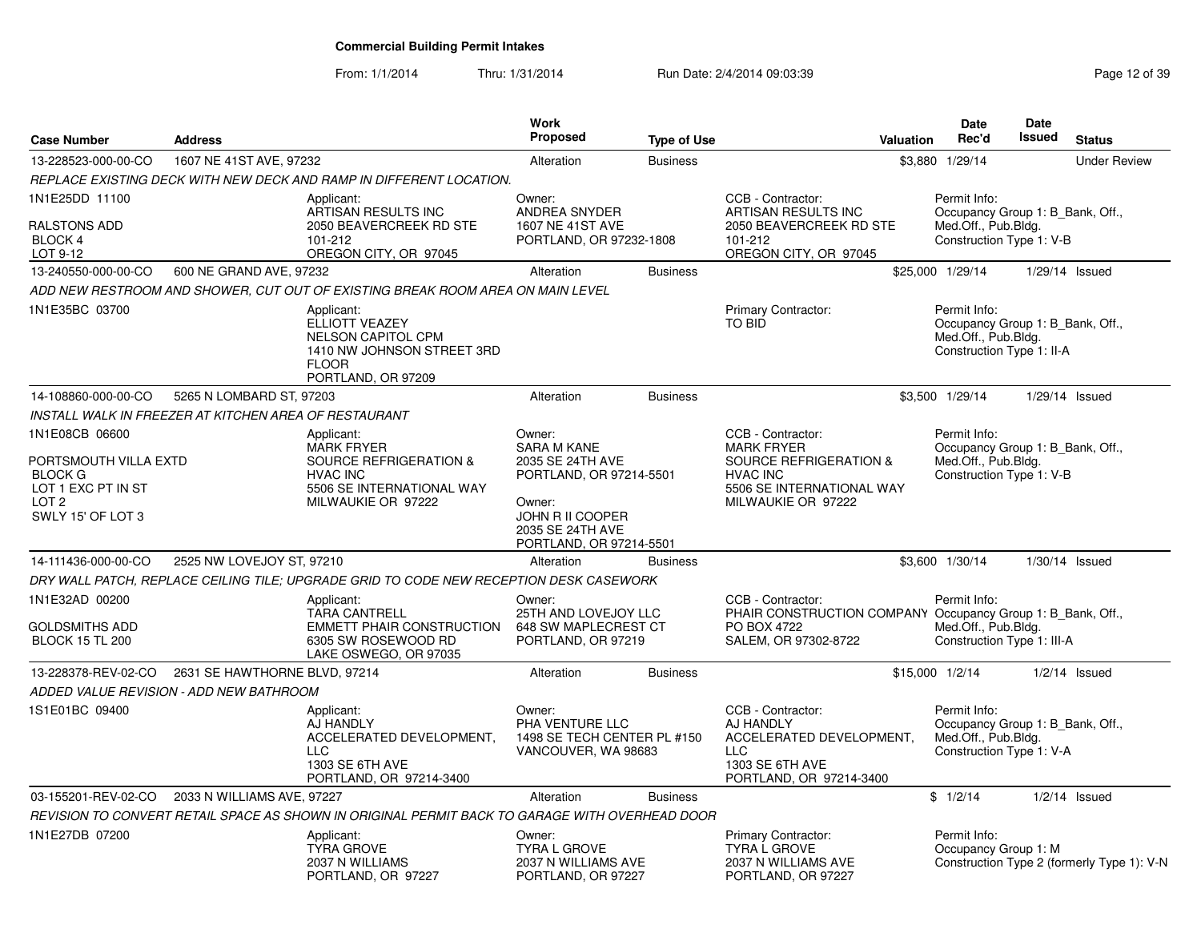| <b>Case Number</b>                                                                                     | <b>Address</b>                |                                                                                                                               | Work<br><b>Proposed</b>                                                                                                  | <b>Type of Use</b> | <b>Valuation</b>                                                                                                               | <b>Date</b><br>Rec'd                                                                                 | Date<br><b>Issued</b> | <b>Status</b>                              |
|--------------------------------------------------------------------------------------------------------|-------------------------------|-------------------------------------------------------------------------------------------------------------------------------|--------------------------------------------------------------------------------------------------------------------------|--------------------|--------------------------------------------------------------------------------------------------------------------------------|------------------------------------------------------------------------------------------------------|-----------------------|--------------------------------------------|
| 13-228523-000-00-CO                                                                                    | 1607 NE 41ST AVE, 97232       |                                                                                                                               | Alteration                                                                                                               | <b>Business</b>    |                                                                                                                                | \$3,880 1/29/14                                                                                      |                       | <b>Under Review</b>                        |
|                                                                                                        |                               | REPLACE EXISTING DECK WITH NEW DECK AND RAMP IN DIFFERENT LOCATION.                                                           |                                                                                                                          |                    |                                                                                                                                |                                                                                                      |                       |                                            |
| 1N1E25DD 11100<br>RALSTONS ADD<br>BLOCK 4<br>LOT 9-12                                                  |                               | Applicant:<br>ARTISAN RESULTS INC<br>2050 BEAVERCREEK RD STE<br>101-212<br>OREGON CITY, OR 97045                              | Owner:<br>ANDREA SNYDER<br>1607 NE 41ST AVE<br>PORTLAND, OR 97232-1808                                                   |                    | CCB - Contractor:<br>ARTISAN RESULTS INC<br>2050 BEAVERCREEK RD STE<br>101-212<br>OREGON CITY, OR 97045                        | Permit Info:<br>Occupancy Group 1: B Bank, Off.,<br>Med.Off., Pub.Bldg.<br>Construction Type 1: V-B  |                       |                                            |
| 13-240550-000-00-CO                                                                                    | 600 NE GRAND AVE, 97232       |                                                                                                                               | Alteration                                                                                                               | <b>Business</b>    |                                                                                                                                | \$25,000 1/29/14                                                                                     |                       | 1/29/14 Issued                             |
|                                                                                                        |                               | ADD NEW RESTROOM AND SHOWER, CUT OUT OF EXISTING BREAK ROOM AREA ON MAIN LEVEL                                                |                                                                                                                          |                    |                                                                                                                                |                                                                                                      |                       |                                            |
| 1N1E35BC 03700                                                                                         |                               | Applicant:<br>ELLIOTT VEAZEY<br><b>NELSON CAPITOL CPM</b><br>1410 NW JOHNSON STREET 3RD<br><b>FLOOR</b><br>PORTLAND, OR 97209 |                                                                                                                          |                    | Primary Contractor:<br>TO BID                                                                                                  | Permit Info:<br>Occupancy Group 1: B Bank, Off.,<br>Med.Off., Pub.Bldg.<br>Construction Type 1: II-A |                       |                                            |
| 14-108860-000-00-CO                                                                                    | 5265 N LOMBARD ST, 97203      |                                                                                                                               | Alteration                                                                                                               | <b>Business</b>    |                                                                                                                                | \$3,500 1/29/14                                                                                      |                       | 1/29/14 Issued                             |
| INSTALL WALK IN FREEZER AT KITCHEN AREA OF RESTAURANT                                                  |                               |                                                                                                                               |                                                                                                                          |                    |                                                                                                                                |                                                                                                      |                       |                                            |
| 1N1E08CB 06600                                                                                         |                               | Applicant:<br><b>MARK FRYER</b>                                                                                               | Owner:<br><b>SARA M KANE</b>                                                                                             |                    | CCB - Contractor:<br><b>MARK FRYER</b>                                                                                         | Permit Info:<br>Occupancy Group 1: B Bank, Off.,                                                     |                       |                                            |
| PORTSMOUTH VILLA EXTD<br><b>BLOCK G</b><br>LOT 1 EXC PT IN ST<br>LOT <sub>2</sub><br>SWLY 15' OF LOT 3 |                               | <b>SOURCE REFRIGERATION &amp;</b><br><b>HVAC INC</b><br>5506 SE INTERNATIONAL WAY<br>MILWAUKIE OR 97222                       | 2035 SE 24TH AVE<br>PORTLAND, OR 97214-5501<br>Owner:<br>JOHN R II COOPER<br>2035 SE 24TH AVE<br>PORTLAND, OR 97214-5501 |                    | <b>SOURCE REFRIGERATION &amp;</b><br><b>HVAC INC</b><br>5506 SE INTERNATIONAL WAY<br>MILWAUKIE OR 97222                        | Med.Off., Pub.Bldg.<br>Construction Type 1: V-B                                                      |                       |                                            |
| 14-111436-000-00-CO                                                                                    | 2525 NW LOVEJOY ST, 97210     |                                                                                                                               | Alteration                                                                                                               | <b>Business</b>    |                                                                                                                                | \$3,600 1/30/14                                                                                      |                       | $1/30/14$ Issued                           |
|                                                                                                        |                               | DRY WALL PATCH, REPLACE CEILING TILE; UPGRADE GRID TO CODE NEW RECEPTION DESK CASEWORK                                        |                                                                                                                          |                    |                                                                                                                                |                                                                                                      |                       |                                            |
| 1N1E32AD 00200<br><b>GOLDSMITHS ADD</b><br><b>BLOCK 15 TL 200</b>                                      |                               | Applicant:<br><b>TARA CANTRELL</b><br><b>EMMETT PHAIR CONSTRUCTION</b><br>6305 SW ROSEWOOD RD<br>LAKE OSWEGO, OR 97035        | Owner:<br>25TH AND LOVEJOY LLC<br>648 SW MAPLECREST CT<br>PORTLAND, OR 97219                                             |                    | CCB - Contractor:<br>PHAIR CONSTRUCTION COMPANY Occupancy Group 1: B_Bank, Off.,<br><b>PO BOX 4722</b><br>SALEM, OR 97302-8722 | Permit Info:<br>Med.Off., Pub.Bldg.<br>Construction Type 1: III-A                                    |                       |                                            |
| 13-228378-REV-02-CO                                                                                    | 2631 SE HAWTHORNE BLVD, 97214 |                                                                                                                               | Alteration                                                                                                               | <b>Business</b>    |                                                                                                                                | \$15,000 1/2/14                                                                                      |                       | $1/2/14$ Issued                            |
| ADDED VALUE REVISION - ADD NEW BATHROOM                                                                |                               |                                                                                                                               |                                                                                                                          |                    |                                                                                                                                |                                                                                                      |                       |                                            |
| 1S1E01BC 09400                                                                                         |                               | Applicant:<br>AJ HANDLY<br>ACCELERATED DEVELOPMENT,<br><b>LLC</b><br>1303 SE 6TH AVE<br>PORTLAND, OR 97214-3400               | Owner:<br>PHA VENTURE LLC<br>1498 SE TECH CENTER PL #150<br>VANCOUVER, WA 98683                                          |                    | CCB - Contractor:<br>AJ HANDLY<br>ACCELERATED DEVELOPMENT,<br><b>LLC</b><br>1303 SE 6TH AVE<br>PORTLAND, OR 97214-3400         | Permit Info:<br>Occupancy Group 1: B_Bank, Off.,<br>Med.Off., Pub.Bldg.<br>Construction Type 1: V-A  |                       |                                            |
| 03-155201-REV-02-CO                                                                                    | 2033 N WILLIAMS AVE, 97227    |                                                                                                                               | Alteration                                                                                                               | <b>Business</b>    |                                                                                                                                | \$1/2/14                                                                                             |                       | $1/2/14$ Issued                            |
|                                                                                                        |                               | REVISION TO CONVERT RETAIL SPACE AS SHOWN IN ORIGINAL PERMIT BACK TO GARAGE WITH OVERHEAD DOOR                                |                                                                                                                          |                    |                                                                                                                                |                                                                                                      |                       |                                            |
| 1N1E27DB 07200                                                                                         |                               | Applicant:<br><b>TYRA GROVE</b><br>2037 N WILLIAMS<br>PORTLAND, OR 97227                                                      | Owner:<br><b>TYRA L GROVE</b><br>2037 N WILLIAMS AVE<br>PORTLAND, OR 97227                                               |                    | Primary Contractor:<br><b>TYRA L GROVE</b><br>2037 N WILLIAMS AVE<br>PORTLAND, OR 97227                                        | Permit Info:<br>Occupancy Group 1: M                                                                 |                       | Construction Type 2 (formerly Type 1): V-N |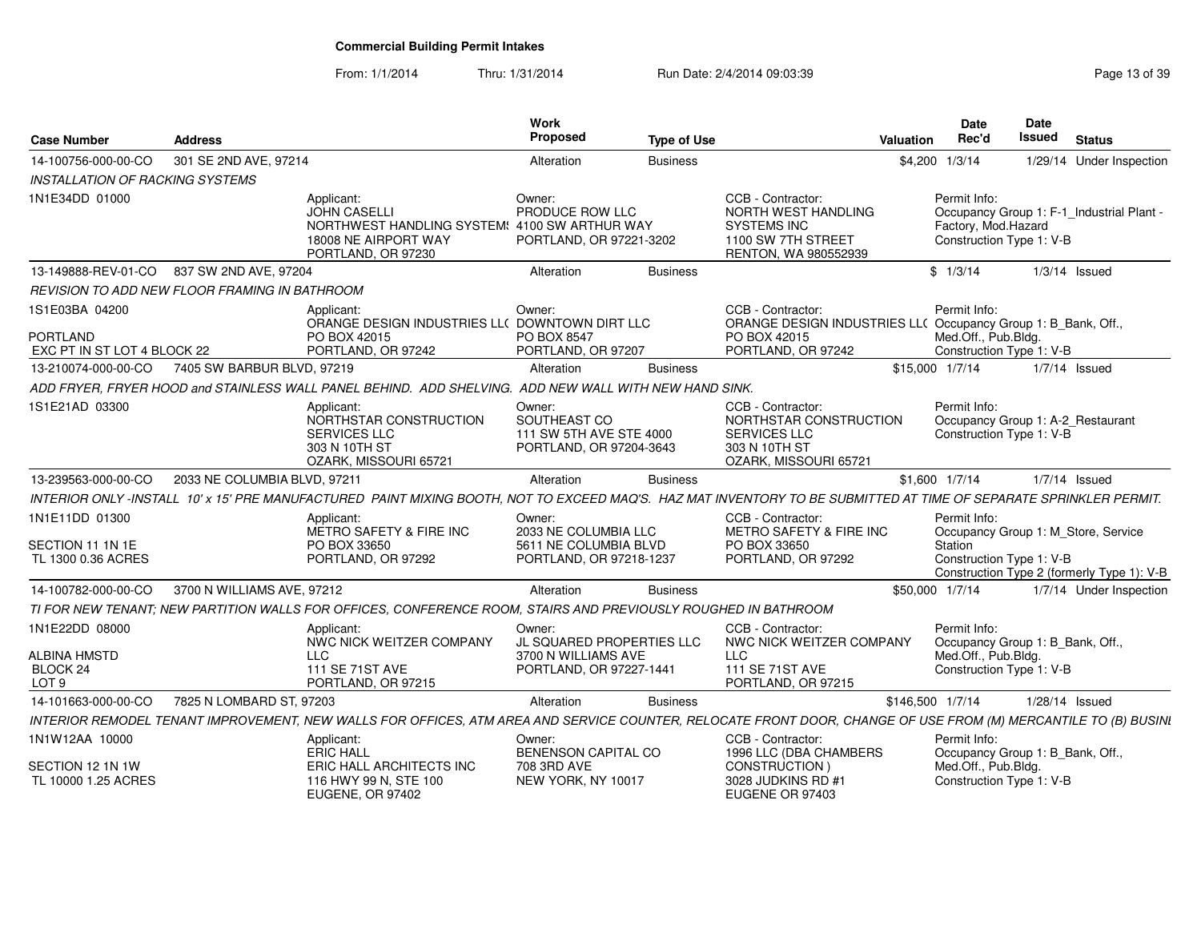| <b>Case Number</b>                                                    | <b>Address</b>                                |                                                                                                                                                                    | Work<br>Proposed                                                                      | <b>Type of Use</b> |                                                                                                                          | <b>Valuation</b> | <b>Date</b><br>Rec'd                                                                                | Date<br><b>Issued</b> | <b>Status</b>                                                                     |
|-----------------------------------------------------------------------|-----------------------------------------------|--------------------------------------------------------------------------------------------------------------------------------------------------------------------|---------------------------------------------------------------------------------------|--------------------|--------------------------------------------------------------------------------------------------------------------------|------------------|-----------------------------------------------------------------------------------------------------|-----------------------|-----------------------------------------------------------------------------------|
| 14-100756-000-00-CO                                                   | 301 SE 2ND AVE, 97214                         |                                                                                                                                                                    | Alteration                                                                            | <b>Business</b>    |                                                                                                                          |                  | \$4,200 1/3/14                                                                                      |                       | 1/29/14 Under Inspection                                                          |
| <b>INSTALLATION OF RACKING SYSTEMS</b>                                |                                               |                                                                                                                                                                    |                                                                                       |                    |                                                                                                                          |                  |                                                                                                     |                       |                                                                                   |
| 1N1E34DD 01000                                                        |                                               | Applicant:<br><b>JOHN CASELLI</b><br>NORTHWEST HANDLING SYSTEM: 4100 SW ARTHUR WAY<br>18008 NE AIRPORT WAY<br>PORTLAND, OR 97230                                   | Owner:<br>PRODUCE ROW LLC<br>PORTLAND, OR 97221-3202                                  |                    | CCB - Contractor:<br>NORTH WEST HANDLING<br><b>SYSTEMS INC</b><br>1100 SW 7TH STREET<br>RENTON, WA 980552939             |                  | Permit Info:<br>Factory, Mod.Hazard<br>Construction Type 1: V-B                                     |                       | Occupancy Group 1: F-1 Industrial Plant -                                         |
|                                                                       | 13-149888-REV-01-CO 837 SW 2ND AVE, 97204     |                                                                                                                                                                    | Alteration                                                                            | <b>Business</b>    |                                                                                                                          |                  | \$1/3/14                                                                                            |                       | $1/3/14$ Issued                                                                   |
|                                                                       | REVISION TO ADD NEW FLOOR FRAMING IN BATHROOM |                                                                                                                                                                    |                                                                                       |                    |                                                                                                                          |                  |                                                                                                     |                       |                                                                                   |
| 1S1E03BA 04200<br><b>PORTLAND</b><br>EXC PT IN ST LOT 4 BLOCK 22      |                                               | Applicant:<br>ORANGE DESIGN INDUSTRIES LL( DOWNTOWN DIRT LLC<br>PO BOX 42015<br>PORTLAND, OR 97242                                                                 | Owner:<br>PO BOX 8547<br>PORTLAND, OR 97207                                           |                    | CCB - Contractor:<br>ORANGE DESIGN INDUSTRIES LL( Occupancy Group 1: B_Bank, Off.,<br>PO BOX 42015<br>PORTLAND, OR 97242 |                  | Permit Info:<br>Med.Off., Pub.Bldg.<br>Construction Type 1: V-B                                     |                       |                                                                                   |
| 13-210074-000-00-CO                                                   | 7405 SW BARBUR BLVD, 97219                    |                                                                                                                                                                    | Alteration                                                                            | <b>Business</b>    |                                                                                                                          | \$15,000 1/7/14  |                                                                                                     |                       | $1/7/14$ Issued                                                                   |
|                                                                       |                                               | ADD FRYER, FRYER HOOD and STAINLESS WALL PANEL BEHIND. ADD SHELVING. ADD NEW WALL WITH NEW HAND SINK.                                                              |                                                                                       |                    |                                                                                                                          |                  |                                                                                                     |                       |                                                                                   |
| 1S1E21AD 03300                                                        |                                               | Applicant:<br>NORTHSTAR CONSTRUCTION<br><b>SERVICES LLC</b><br>303 N 10TH ST<br>OZARK, MISSOURI 65721                                                              | Owner:<br>SOUTHEAST CO<br>111 SW 5TH AVE STE 4000<br>PORTLAND, OR 97204-3643          |                    | CCB - Contractor:<br>NORTHSTAR CONSTRUCTION<br><b>SERVICES LLC</b><br>303 N 10TH ST<br>OZARK, MISSOURI 65721             |                  | Permit Info:<br>Occupancy Group 1: A-2_Restaurant<br>Construction Type 1: V-B                       |                       |                                                                                   |
| 13-239563-000-00-CO                                                   | 2033 NE COLUMBIA BLVD, 97211                  |                                                                                                                                                                    | Alteration                                                                            | <b>Business</b>    |                                                                                                                          |                  | \$1,600 1/7/14                                                                                      |                       | $1/7/14$ Issued                                                                   |
|                                                                       |                                               | INTERIOR ONLY -INSTALL 10' x 15' PRE MANUFACTURED PAINT MIXING BOOTH. NOT TO EXCEED MAQ'S. HAZ MAT INVENTORY TO BE SUBMITTED AT TIME OF SEPARATE SPRINKLER PERMIT. |                                                                                       |                    |                                                                                                                          |                  |                                                                                                     |                       |                                                                                   |
| 1N1E11DD 01300<br>SECTION 11 1N 1E<br>TL 1300 0.36 ACRES              |                                               | Applicant:<br>METRO SAFETY & FIRE INC<br>PO BOX 33650<br>PORTLAND, OR 97292                                                                                        | Owner:<br>2033 NE COLUMBIA LLC<br>5611 NE COLUMBIA BLVD<br>PORTLAND, OR 97218-1237    |                    | CCB - Contractor:<br>METRO SAFETY & FIRE INC<br>PO BOX 33650<br>PORTLAND, OR 97292                                       |                  | Permit Info:<br>Station<br>Construction Type 1: V-B                                                 |                       | Occupancy Group 1: M_Store, Service<br>Construction Type 2 (formerly Type 1): V-B |
| 14-100782-000-00-CO                                                   | 3700 N WILLIAMS AVE, 97212                    |                                                                                                                                                                    | Alteration                                                                            | <b>Business</b>    |                                                                                                                          | \$50,000 1/7/14  |                                                                                                     |                       | 1/7/14 Under Inspection                                                           |
|                                                                       |                                               | TI FOR NEW TENANT: NEW PARTITION WALLS FOR OFFICES, CONFERENCE ROOM, STAIRS AND PREVIOUSLY ROUGHED IN BATHROOM                                                     |                                                                                       |                    |                                                                                                                          |                  |                                                                                                     |                       |                                                                                   |
| 1N1E22DD 08000<br><b>ALBINA HMSTD</b><br>BLOCK 24<br>LOT <sub>9</sub> |                                               | Applicant:<br>NWC NICK WEITZER COMPANY<br><b>LLC</b><br>111 SE 71ST AVE<br>PORTLAND, OR 97215                                                                      | Owner:<br>JL SQUARED PROPERTIES LLC<br>3700 N WILLIAMS AVE<br>PORTLAND, OR 97227-1441 |                    | CCB - Contractor:<br>NWC NICK WEITZER COMPANY<br><b>LLC</b><br>111 SE 71ST AVE<br>PORTLAND, OR 97215                     |                  | Permit Info:<br>Occupancy Group 1: B Bank, Off.,<br>Med.Off., Pub.Bldg.<br>Construction Type 1: V-B |                       |                                                                                   |
| 14-101663-000-00-CO                                                   | 7825 N LOMBARD ST, 97203                      |                                                                                                                                                                    | Alteration                                                                            | <b>Business</b>    |                                                                                                                          | \$146,500 1/7/14 |                                                                                                     | 1/28/14 Issued        |                                                                                   |
|                                                                       |                                               | INTERIOR REMODEL TENANT IMPROVEMENT, NEW WALLS FOR OFFICES, ATM AREA AND SERVICE COUNTER, RELOCATE FRONT DOOR, CHANGE OF USE FROM (M) MERCANTILE TO (B) BUSINI     |                                                                                       |                    |                                                                                                                          |                  |                                                                                                     |                       |                                                                                   |
| 1N1W12AA 10000                                                        |                                               | Applicant:<br><b>ERIC HALL</b>                                                                                                                                     | Owner:<br><b>BENENSON CAPITAL CO</b>                                                  |                    | CCB - Contractor:<br>1996 LLC (DBA CHAMBERS                                                                              |                  | Permit Info:<br>Occupancy Group 1: B_Bank, Off.,                                                    |                       |                                                                                   |
| SECTION 12 1N 1W<br>TL 10000 1.25 ACRES                               |                                               | ERIC HALL ARCHITECTS INC<br>116 HWY 99 N. STE 100<br><b>EUGENE, OR 97402</b>                                                                                       | 708 3RD AVE<br>NEW YORK, NY 10017                                                     |                    | CONSTRUCTION)<br>3028 JUDKINS RD #1<br>EUGENE OR 97403                                                                   |                  | Med.Off., Pub.Bldg.<br>Construction Type 1: V-B                                                     |                       |                                                                                   |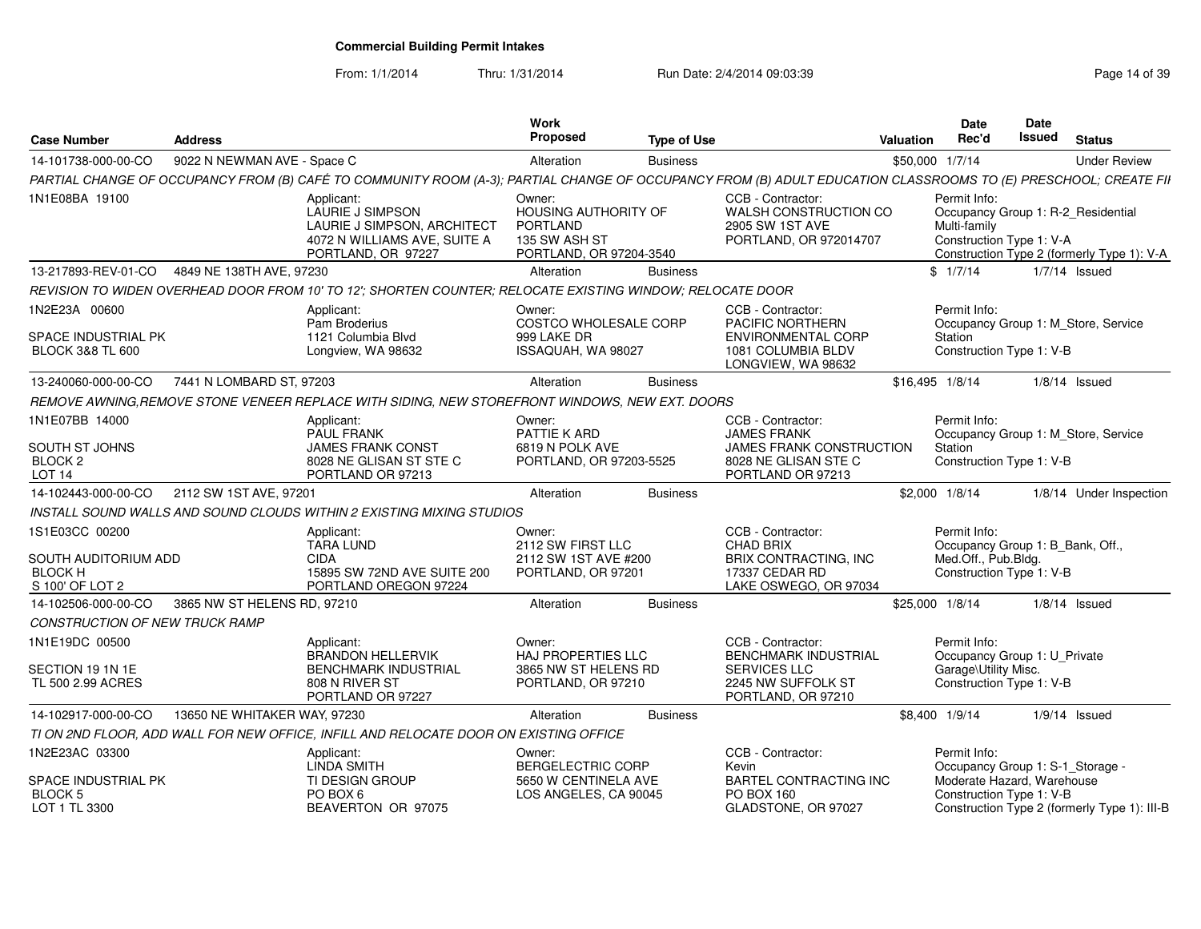| <b>Case Number</b>                                                          | <b>Address</b>               |                                                                                                                                                                 | Work<br>Proposed                                                                              | <b>Type of Use</b> |                                                                                                                         | Valuation       | <b>Date</b><br>Rec'd                | Date<br>Issued                                               | <b>Status</b>                                                                    |
|-----------------------------------------------------------------------------|------------------------------|-----------------------------------------------------------------------------------------------------------------------------------------------------------------|-----------------------------------------------------------------------------------------------|--------------------|-------------------------------------------------------------------------------------------------------------------------|-----------------|-------------------------------------|--------------------------------------------------------------|----------------------------------------------------------------------------------|
| 14-101738-000-00-CO                                                         | 9022 N NEWMAN AVE - Space C  |                                                                                                                                                                 | Alteration                                                                                    | <b>Business</b>    |                                                                                                                         | \$50,000 1/7/14 |                                     |                                                              | <b>Under Review</b>                                                              |
|                                                                             |                              | PARTIAL CHANGE OF OCCUPANCY FROM (B) CAFÉ TO COMMUNITY ROOM (A-3); PARTIAL CHANGE OF OCCUPANCY FROM (B) ADULT EDUCATION CLASSROOMS TO (E) PRESCHOOL; CREATE FII |                                                                                               |                    |                                                                                                                         |                 |                                     |                                                              |                                                                                  |
| 1N1E08BA 19100                                                              |                              | Applicant:<br>LAURIE J SIMPSON<br>LAURIE J SIMPSON, ARCHITECT<br>4072 N WILLIAMS AVE, SUITE A<br>PORTLAND, OR 97227                                             | Owner:<br>HOUSING AUTHORITY OF<br><b>PORTLAND</b><br>135 SW ASH ST<br>PORTLAND, OR 97204-3540 |                    | CCB - Contractor:<br>WALSH CONSTRUCTION CO<br>2905 SW 1ST AVE<br>PORTLAND, OR 972014707                                 |                 | Permit Info:<br>Multi-family        | Construction Type 1: V-A                                     | Occupancy Group 1: R-2_Residential<br>Construction Type 2 (formerly Type 1): V-A |
| 13-217893-REV-01-CO                                                         | 4849 NE 138TH AVE, 97230     |                                                                                                                                                                 | Alteration                                                                                    | <b>Business</b>    |                                                                                                                         |                 | \$1/7/14                            |                                                              | $1/7/14$ Issued                                                                  |
|                                                                             |                              | REVISION TO WIDEN OVERHEAD DOOR FROM 10' TO 12'; SHORTEN COUNTER; RELOCATE EXISTING WINDOW; RELOCATE DOOR                                                       |                                                                                               |                    |                                                                                                                         |                 |                                     |                                                              |                                                                                  |
| 1N2E23A 00600<br>SPACE INDUSTRIAL PK<br><b>BLOCK 3&amp;8 TL 600</b>         |                              | Applicant:<br>Pam Broderius<br>1121 Columbia Blvd<br>Longview, WA 98632                                                                                         | Owner:<br>COSTCO WHOLESALE CORP<br>999 LAKE DR<br>ISSAQUAH, WA 98027                          |                    | CCB - Contractor:<br>PACIFIC NORTHERN<br><b>ENVIRONMENTAL CORP</b><br>1081 COLUMBIA BLDV<br>LONGVIEW, WA 98632          |                 | Permit Info:<br>Station             | Construction Type 1: V-B                                     | Occupancy Group 1: M Store, Service                                              |
| 13-240060-000-00-CO                                                         | 7441 N LOMBARD ST, 97203     |                                                                                                                                                                 | Alteration                                                                                    | <b>Business</b>    |                                                                                                                         | \$16.495 1/8/14 |                                     |                                                              | $1/8/14$ Issued                                                                  |
|                                                                             |                              | REMOVE AWNING.REMOVE STONE VENEER REPLACE WITH SIDING, NEW STOREFRONT WINDOWS, NEW EXT. DOORS                                                                   |                                                                                               |                    |                                                                                                                         |                 |                                     |                                                              |                                                                                  |
| 1N1E07BB 14000<br>SOUTH ST JOHNS<br>BLOCK 2<br><b>LOT 14</b>                |                              | Applicant:<br><b>PAUL FRANK</b><br>JAMES FRANK CONST<br>8028 NE GLISAN ST STE C<br>PORTLAND OR 97213                                                            | Owner:<br>PATTIE K ARD<br>6819 N POLK AVE<br>PORTLAND, OR 97203-5525                          |                    | CCB - Contractor:<br><b>JAMES FRANK</b><br><b>JAMES FRANK CONSTRUCTION</b><br>8028 NE GLISAN STE C<br>PORTLAND OR 97213 |                 | Permit Info:<br>Station             | Construction Type 1: V-B                                     | Occupancy Group 1: M_Store, Service                                              |
| 14-102443-000-00-CO                                                         | 2112 SW 1ST AVE, 97201       |                                                                                                                                                                 | Alteration                                                                                    | <b>Business</b>    |                                                                                                                         | \$2,000 1/8/14  |                                     |                                                              | 1/8/14 Under Inspection                                                          |
|                                                                             |                              | INSTALL SOUND WALLS AND SOUND CLOUDS WITHIN 2 EXISTING MIXING STUDIOS                                                                                           |                                                                                               |                    |                                                                                                                         |                 |                                     |                                                              |                                                                                  |
| 1S1E03CC 00200<br>SOUTH AUDITORIUM ADD<br><b>BLOCK H</b><br>S 100' OF LOT 2 |                              | Applicant:<br><b>TARA LUND</b><br><b>CIDA</b><br>15895 SW 72ND AVE SUITE 200<br>PORTLAND OREGON 97224                                                           | Owner:<br>2112 SW FIRST LLC<br>2112 SW 1ST AVE #200<br>PORTLAND, OR 97201                     |                    | CCB - Contractor:<br><b>CHAD BRIX</b><br><b>BRIX CONTRACTING. INC</b><br>17337 CEDAR RD<br>LAKE OSWEGO, OR 97034        |                 | Permit Info:<br>Med.Off., Pub.Bldg. | Occupancy Group 1: B_Bank, Off.,<br>Construction Type 1: V-B |                                                                                  |
| 14-102506-000-00-CO                                                         | 3865 NW ST HELENS RD, 97210  |                                                                                                                                                                 | Alteration                                                                                    | <b>Business</b>    |                                                                                                                         | \$25,000 1/8/14 |                                     |                                                              | $1/8/14$ Issued                                                                  |
| CONSTRUCTION OF NEW TRUCK RAMP                                              |                              |                                                                                                                                                                 |                                                                                               |                    |                                                                                                                         |                 |                                     |                                                              |                                                                                  |
| 1N1E19DC 00500                                                              |                              | Applicant:<br><b>BRANDON HELLERVIK</b>                                                                                                                          | Owner:<br>HAJ PROPERTIES LLC                                                                  |                    | CCB - Contractor:<br><b>BENCHMARK INDUSTRIAL</b>                                                                        |                 | Permit Info:                        | Occupancy Group 1: U Private                                 |                                                                                  |
| SECTION 19 1N 1E<br>TL 500 2.99 ACRES                                       |                              | <b>BENCHMARK INDUSTRIAL</b><br>808 N RIVER ST<br>PORTLAND OR 97227                                                                                              | 3865 NW ST HELENS RD<br>PORTLAND, OR 97210                                                    |                    | <b>SERVICES LLC</b><br>2245 NW SUFFOLK ST<br>PORTLAND, OR 97210                                                         |                 | Garage\Utility Misc.                | Construction Type 1: V-B                                     |                                                                                  |
| 14-102917-000-00-CO                                                         | 13650 NE WHITAKER WAY, 97230 |                                                                                                                                                                 | Alteration                                                                                    | <b>Business</b>    |                                                                                                                         | \$8.400 1/9/14  |                                     |                                                              | $1/9/14$ Issued                                                                  |
|                                                                             |                              | TI ON 2ND FLOOR, ADD WALL FOR NEW OFFICE, INFILL AND RELOCATE DOOR ON EXISTING OFFICE                                                                           |                                                                                               |                    |                                                                                                                         |                 |                                     |                                                              |                                                                                  |
| 1N2E23AC 03300                                                              |                              | Applicant:<br><b>LINDA SMITH</b>                                                                                                                                | Owner:<br>BERGELECTRIC CORP                                                                   |                    | CCB - Contractor:<br>Kevin                                                                                              |                 | Permit Info:                        | Occupancy Group 1: S-1_Storage -                             |                                                                                  |
| SPACE INDUSTRIAL PK<br>BLOCK 5<br>LOT 1 TL 3300                             |                              | <b>TI DESIGN GROUP</b><br>PO BOX 6<br>BEAVERTON OR 97075                                                                                                        | 5650 W CENTINELA AVE<br>LOS ANGELES, CA 90045                                                 |                    | <b>BARTEL CONTRACTING INC</b><br>PO BOX 160<br>GLADSTONE, OR 97027                                                      |                 |                                     | Moderate Hazard, Warehouse<br>Construction Type 1: V-B       | Construction Type 2 (formerly Type 1): III-B                                     |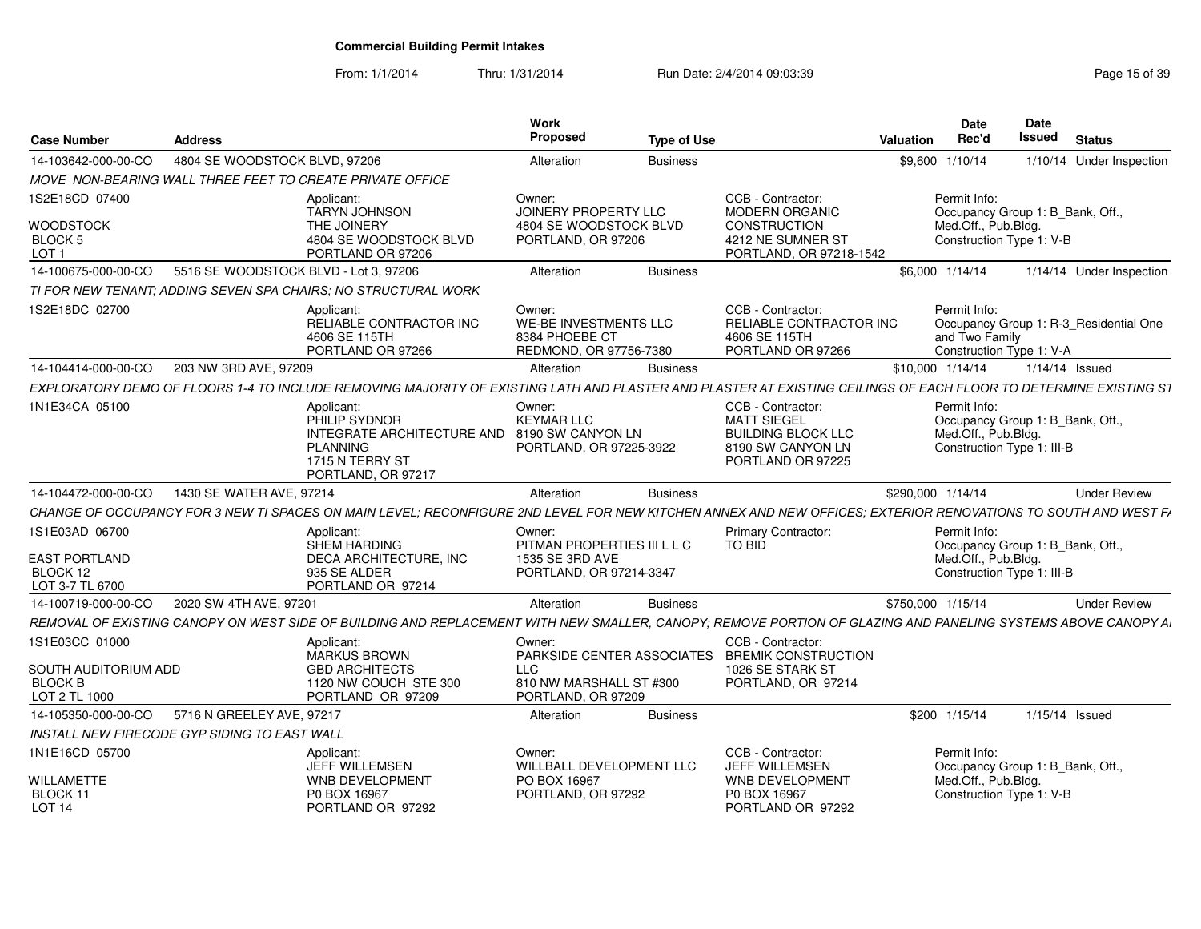| <b>Case Number</b>                                                        | <b>Address</b>                               |                                                                                                                                                                  | Work<br><b>Proposed</b>                                                             | <b>Type of Use</b> |                                                                                                                | Valuation         | <b>Date</b><br>Rec'd                | Date<br><b>Issued</b><br><b>Status</b>                             |
|---------------------------------------------------------------------------|----------------------------------------------|------------------------------------------------------------------------------------------------------------------------------------------------------------------|-------------------------------------------------------------------------------------|--------------------|----------------------------------------------------------------------------------------------------------------|-------------------|-------------------------------------|--------------------------------------------------------------------|
| 14-103642-000-00-CO                                                       | 4804 SE WOODSTOCK BLVD, 97206                |                                                                                                                                                                  | Alteration                                                                          | <b>Business</b>    |                                                                                                                | \$9,600 1/10/14   |                                     | 1/10/14 Under Inspection                                           |
|                                                                           |                                              | MOVE NON-BEARING WALL THREE FEET TO CREATE PRIVATE OFFICE                                                                                                        |                                                                                     |                    |                                                                                                                |                   |                                     |                                                                    |
| 1S2E18CD 07400<br><b>WOODSTOCK</b><br><b>BLOCK 5</b><br>LOT <sub>1</sub>  |                                              | Applicant:<br><b>TARYN JOHNSON</b><br>THE JOINERY<br>4804 SE WOODSTOCK BLVD<br>PORTLAND OR 97206                                                                 | Owner:<br>JOINERY PROPERTY LLC<br>4804 SE WOODSTOCK BLVD<br>PORTLAND, OR 97206      |                    | CCB - Contractor:<br><b>MODERN ORGANIC</b><br>CONSTRUCTION<br>4212 NE SUMNER ST<br>PORTLAND, OR 97218-1542     |                   | Permit Info:<br>Med.Off., Pub.Bldg. | Occupancy Group 1: B_Bank, Off.<br>Construction Type 1: V-B        |
| 14-100675-000-00-CO                                                       | 5516 SE WOODSTOCK BLVD - Lot 3, 97206        |                                                                                                                                                                  | Alteration                                                                          | <b>Business</b>    |                                                                                                                | \$6,000 1/14/14   |                                     | 1/14/14 Under Inspection                                           |
|                                                                           |                                              | TI FOR NEW TENANT: ADDING SEVEN SPA CHAIRS: NO STRUCTURAL WORK                                                                                                   |                                                                                     |                    |                                                                                                                |                   |                                     |                                                                    |
| 1S2E18DC 02700                                                            |                                              | Applicant<br>RELIABLE CONTRACTOR INC<br>4606 SE 115TH<br>PORTLAND OR 97266                                                                                       | Owner<br><b>WE-BE INVESTMENTS LLC</b><br>8384 PHOEBE CT<br>REDMOND, OR 97756-7380   |                    | CCB - Contractor:<br><b>RELIABLE CONTRACTOR INC</b><br>4606 SE 115TH<br>PORTLAND OR 97266                      |                   | Permit Info:<br>and Two Family      | Occupancy Group 1: R-3 Residential One<br>Construction Type 1: V-A |
| 14-104414-000-00-CO                                                       | 203 NW 3RD AVE, 97209                        |                                                                                                                                                                  | Alteration                                                                          | <b>Business</b>    |                                                                                                                | \$10,000 1/14/14  |                                     | $1/14/14$ Issued                                                   |
|                                                                           |                                              | EXPLORATORY DEMO OF FLOORS 1-4 TO INCLUDE REMOVING MAJORITY OF EXISTING LATH AND PLASTER AND PLASTER AT EXISTING CEILINGS OF EACH FLOOR TO DETERMINE EXISTING S1 |                                                                                     |                    |                                                                                                                |                   |                                     |                                                                    |
| 1N1E34CA 05100                                                            |                                              | Applicant:<br>PHILIP SYDNOR<br>INTEGRATE ARCHITECTURE AND 8190 SW CANYON LN<br><b>PLANNING</b><br>1715 N TERRY ST<br>PORTLAND, OR 97217                          | Owner:<br><b>KEYMAR LLC</b><br>PORTLAND, OR 97225-3922                              |                    | CCB - Contractor:<br><b>MATT SIEGEL</b><br><b>BUILDING BLOCK LLC</b><br>8190 SW CANYON LN<br>PORTLAND OR 97225 |                   | Permit Info:<br>Med.Off., Pub.Bldg. | Occupancy Group 1: B Bank, Off<br>Construction Type 1: III-B       |
| 14-104472-000-00-CO                                                       | 1430 SE WATER AVE, 97214                     |                                                                                                                                                                  | Alteration                                                                          | <b>Business</b>    |                                                                                                                | \$290,000 1/14/14 |                                     | <b>Under Review</b>                                                |
|                                                                           |                                              | CHANGE OF OCCUPANCY FOR 3 NEW TI SPACES ON MAIN LEVEL: RECONFIGURE 2ND LEVEL FOR NEW KITCHEN ANNEX AND NEW OFFICES: EXTERIOR RENOVATIONS TO SOUTH AND WEST F/    |                                                                                     |                    |                                                                                                                |                   |                                     |                                                                    |
| 1S1E03AD 06700<br><b>EAST PORTLAND</b><br>BLOCK 12<br>LOT 3-7 TL 6700     |                                              | Applicant:<br><b>SHEM HARDING</b><br><b>DECA ARCHITECTURE. INC</b><br>935 SE ALDER<br>PORTLAND OR 97214                                                          | Owner:<br>PITMAN PROPERTIES III L L C<br>1535 SE 3RD AVE<br>PORTLAND, OR 97214-3347 |                    | Primary Contractor:<br>TO BID                                                                                  |                   | Permit Info:<br>Med.Off., Pub.Bldg. | Occupancy Group 1: B_Bank, Off.,<br>Construction Type 1: III-B     |
| 14-100719-000-00-CO                                                       | 2020 SW 4TH AVE, 97201                       |                                                                                                                                                                  | Alteration                                                                          | <b>Business</b>    |                                                                                                                | \$750,000 1/15/14 |                                     | <b>Under Review</b>                                                |
|                                                                           |                                              | REMOVAL OF EXISTING CANOPY ON WEST SIDE OF BUILDING AND REPLACEMENT WITH NEW SMALLER. CANOPY: REMOVE PORTION OF GLAZING AND PANELING SYSTEMS ABOVE CANOPY A      |                                                                                     |                    |                                                                                                                |                   |                                     |                                                                    |
| 1S1E03CC 01000<br>SOUTH AUDITORIUM ADD<br><b>BLOCK B</b><br>LOT 2 TL 1000 |                                              | Applicant:<br><b>MARKUS BROWN</b><br><b>GBD ARCHITECTS</b><br>1120 NW COUCH STE 300<br>PORTLAND OR 97209                                                         | Owner<br><b>LLC</b><br>810 NW MARSHALL ST #300<br>PORTLAND, OR 97209                |                    | CCB - Contractor:<br>PARKSIDE CENTER ASSOCIATES BREMIK CONSTRUCTION<br>1026 SE STARK ST<br>PORTLAND, OR 97214  |                   |                                     |                                                                    |
| 14-105350-000-00-CO                                                       | 5716 N GREELEY AVE, 97217                    |                                                                                                                                                                  | Alteration                                                                          | <b>Business</b>    |                                                                                                                |                   | \$200 1/15/14                       | 1/15/14 Issued                                                     |
|                                                                           | INSTALL NEW FIRECODE GYP SIDING TO EAST WALL |                                                                                                                                                                  |                                                                                     |                    |                                                                                                                |                   |                                     |                                                                    |
| 1N1E16CD 05700<br><b>WILLAMETTE</b>                                       |                                              | Applicant:<br><b>JEFF WILLEMSEN</b><br><b>WNB DEVELOPMENT</b>                                                                                                    | Owner:<br><b>WILLBALL DEVELOPMENT LLC</b><br>PO BOX 16967                           |                    | CCB - Contractor:<br><b>JEFF WILLEMSEN</b><br><b>WNB DEVELOPMENT</b>                                           |                   | Permit Info:<br>Med.Off., Pub.Bldg. | Occupancy Group 1: B_Bank, Off.                                    |
| BLOCK 11<br><b>LOT 14</b>                                                 |                                              | P0 BOX 16967<br>PORTLAND OR 97292                                                                                                                                | PORTLAND, OR 97292                                                                  |                    | P0 BOX 16967<br>PORTLAND OR 97292                                                                              |                   |                                     | Construction Type 1: V-B                                           |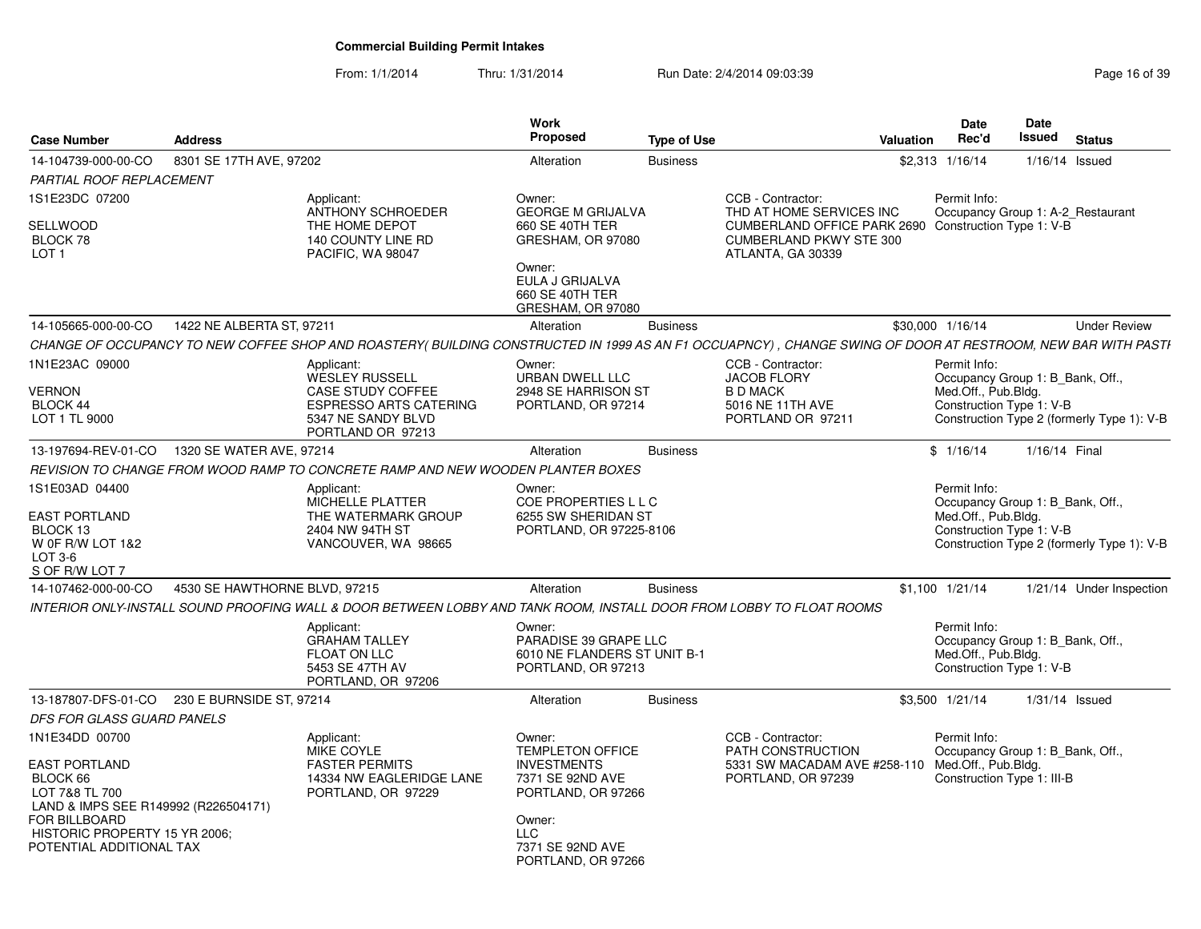| <b>Case Number</b>                                                                                           | <b>Address</b>                |                                                                                                                                                              | Work<br><b>Proposed</b>                                                                           | <b>Type of Use</b> |                                                                                                             | <b>Valuation</b> | <b>Date</b><br>Rec'd                | Date<br>Issued                                                 | <b>Status</b>                              |
|--------------------------------------------------------------------------------------------------------------|-------------------------------|--------------------------------------------------------------------------------------------------------------------------------------------------------------|---------------------------------------------------------------------------------------------------|--------------------|-------------------------------------------------------------------------------------------------------------|------------------|-------------------------------------|----------------------------------------------------------------|--------------------------------------------|
| 14-104739-000-00-CO                                                                                          | 8301 SE 17TH AVE, 97202       |                                                                                                                                                              | Alteration                                                                                        | <b>Business</b>    |                                                                                                             |                  | \$2,313 1/16/14                     |                                                                | 1/16/14 Issued                             |
| PARTIAL ROOF REPLACEMENT                                                                                     |                               |                                                                                                                                                              |                                                                                                   |                    |                                                                                                             |                  |                                     |                                                                |                                            |
| 1S1E23DC 07200                                                                                               |                               | Applicant:<br>ANTHONY SCHROEDER                                                                                                                              | Owner:<br><b>GEORGE M GRIJALVA</b>                                                                |                    | CCB - Contractor:<br>THD AT HOME SERVICES INC                                                               |                  | Permit Info:                        |                                                                | Occupancy Group 1: A-2_Restaurant          |
| SELLWOOD<br>BLOCK 78<br>LOT <sub>1</sub>                                                                     |                               | THE HOME DEPOT<br>140 COUNTY LINE RD<br>PACIFIC, WA 98047                                                                                                    | 660 SE 40TH TER<br>GRESHAM, OR 97080<br>Owner:<br>EULA J GRIJALVA<br>660 SE 40TH TER              |                    | CUMBERLAND OFFICE PARK 2690 Construction Type 1: V-B<br><b>CUMBERLAND PKWY STE 300</b><br>ATLANTA, GA 30339 |                  |                                     |                                                                |                                            |
| 14-105665-000-00-CO                                                                                          | 1422 NE ALBERTA ST, 97211     |                                                                                                                                                              | GRESHAM, OR 97080<br>Alteration                                                                   | <b>Business</b>    |                                                                                                             |                  | \$30,000 1/16/14                    |                                                                | <b>Under Review</b>                        |
|                                                                                                              |                               |                                                                                                                                                              |                                                                                                   |                    |                                                                                                             |                  |                                     |                                                                |                                            |
|                                                                                                              |                               | CHANGE OF OCCUPANCY TO NEW COFFEE SHOP AND ROASTERY( BUILDING CONSTRUCTED IN 1999 AS AN F1 OCCUAPNCY) , CHANGE SWING OF DOOR AT RESTROOM, NEW BAR WITH PASTI |                                                                                                   |                    |                                                                                                             |                  |                                     |                                                                |                                            |
| 1N1E23AC 09000<br>VERNON<br>BLOCK 44<br>LOT 1 TL 9000                                                        |                               | Applicant:<br><b>WESLEY RUSSELL</b><br><b>CASE STUDY COFFEE</b><br><b>ESPRESSO ARTS CATERING</b><br>5347 NE SANDY BLVD<br>PORTLAND OR 97213                  | Owner:<br><b>URBAN DWELL LLC</b><br>2948 SE HARRISON ST<br>PORTLAND, OR 97214                     |                    | CCB - Contractor:<br><b>JACOB FLORY</b><br><b>B D MACK</b><br>5016 NE 11TH AVE<br>PORTLAND OR 97211         |                  | Permit Info:<br>Med.Off., Pub.Bldg. | Occupancy Group 1: B_Bank, Off.,<br>Construction Type 1: V-B   | Construction Type 2 (formerly Type 1): V-B |
| 13-197694-REV-01-CO                                                                                          | 1320 SE WATER AVE, 97214      |                                                                                                                                                              | Alteration                                                                                        | <b>Business</b>    |                                                                                                             |                  | \$1/16/14                           | 1/16/14 Final                                                  |                                            |
|                                                                                                              |                               | REVISION TO CHANGE FROM WOOD RAMP TO CONCRETE RAMP AND NEW WOODEN PLANTER BOXES                                                                              |                                                                                                   |                    |                                                                                                             |                  |                                     |                                                                |                                            |
| 1S1E03AD 04400<br><b>EAST PORTLAND</b><br>BLOCK 13<br>W OF R/W LOT 1&2<br>LOT $3-6$<br>S OF R/W LOT 7        |                               | Applicant:<br>MICHELLE PLATTER<br>THE WATERMARK GROUP<br>2404 NW 94TH ST<br>VANCOUVER, WA 98665                                                              | Owner:<br>COE PROPERTIES L L C<br>6255 SW SHERIDAN ST<br>PORTLAND, OR 97225-8106                  |                    |                                                                                                             |                  | Permit Info:<br>Med.Off., Pub.Bldg. | Occupancy Group 1: B_Bank, Off.,<br>Construction Type 1: V-B   | Construction Type 2 (formerly Type 1): V-B |
| 14-107462-000-00-CO                                                                                          | 4530 SE HAWTHORNE BLVD, 97215 |                                                                                                                                                              | Alteration                                                                                        | <b>Business</b>    |                                                                                                             |                  | $$1,100$ $1/21/14$                  |                                                                | 1/21/14 Under Inspection                   |
|                                                                                                              |                               | INTERIOR ONLY-INSTALL SOUND PROOFING WALL & DOOR BETWEEN LOBBY AND TANK ROOM. INSTALL DOOR FROM LOBBY TO FLOAT ROOMS                                         |                                                                                                   |                    |                                                                                                             |                  |                                     |                                                                |                                            |
|                                                                                                              |                               | Applicant:<br><b>GRAHAM TALLEY</b><br><b>FLOAT ON LLC</b><br>5453 SE 47TH AV<br>PORTLAND, OR 97206                                                           | Owner:<br>PARADISE 39 GRAPE LLC<br>6010 NE FLANDERS ST UNIT B-1<br>PORTLAND, OR 97213             |                    |                                                                                                             |                  | Permit Info:<br>Med.Off., Pub.Bldg. | Occupancy Group 1: B Bank, Off.,<br>Construction Type 1: V-B   |                                            |
| 13-187807-DFS-01-CO 230 E BURNSIDE ST, 97214                                                                 |                               |                                                                                                                                                              | Alteration                                                                                        | <b>Business</b>    |                                                                                                             |                  | \$3,500 1/21/14                     |                                                                | $1/31/14$ Issued                           |
| DFS FOR GLASS GUARD PANELS                                                                                   |                               |                                                                                                                                                              |                                                                                                   |                    |                                                                                                             |                  |                                     |                                                                |                                            |
| 1N1E34DD 00700<br><b>EAST PORTLAND</b><br>BLOCK 66<br>LOT 7&8 TL 700<br>LAND & IMPS SEE R149992 (R226504171) |                               | Applicant:<br>MIKE COYLE<br><b>FASTER PERMITS</b><br>14334 NW EAGLERIDGE LANE<br>PORTLAND, OR 97229                                                          | Owner:<br><b>TEMPLETON OFFICE</b><br><b>INVESTMENTS</b><br>7371 SE 92ND AVE<br>PORTLAND, OR 97266 |                    | CCB - Contractor:<br>PATH CONSTRUCTION<br>5331 SW MACADAM AVE #258-110<br>PORTLAND, OR 97239                |                  | Permit Info:<br>Med.Off., Pub.Bldg. | Occupancy Group 1: B Bank, Off.,<br>Construction Type 1: III-B |                                            |
| FOR BILLBOARD<br>HISTORIC PROPERTY 15 YR 2006;<br>POTENTIAL ADDITIONAL TAX                                   |                               |                                                                                                                                                              | Owner:<br><b>LLC</b><br>7371 SE 92ND AVE<br>PORTLAND, OR 97266                                    |                    |                                                                                                             |                  |                                     |                                                                |                                            |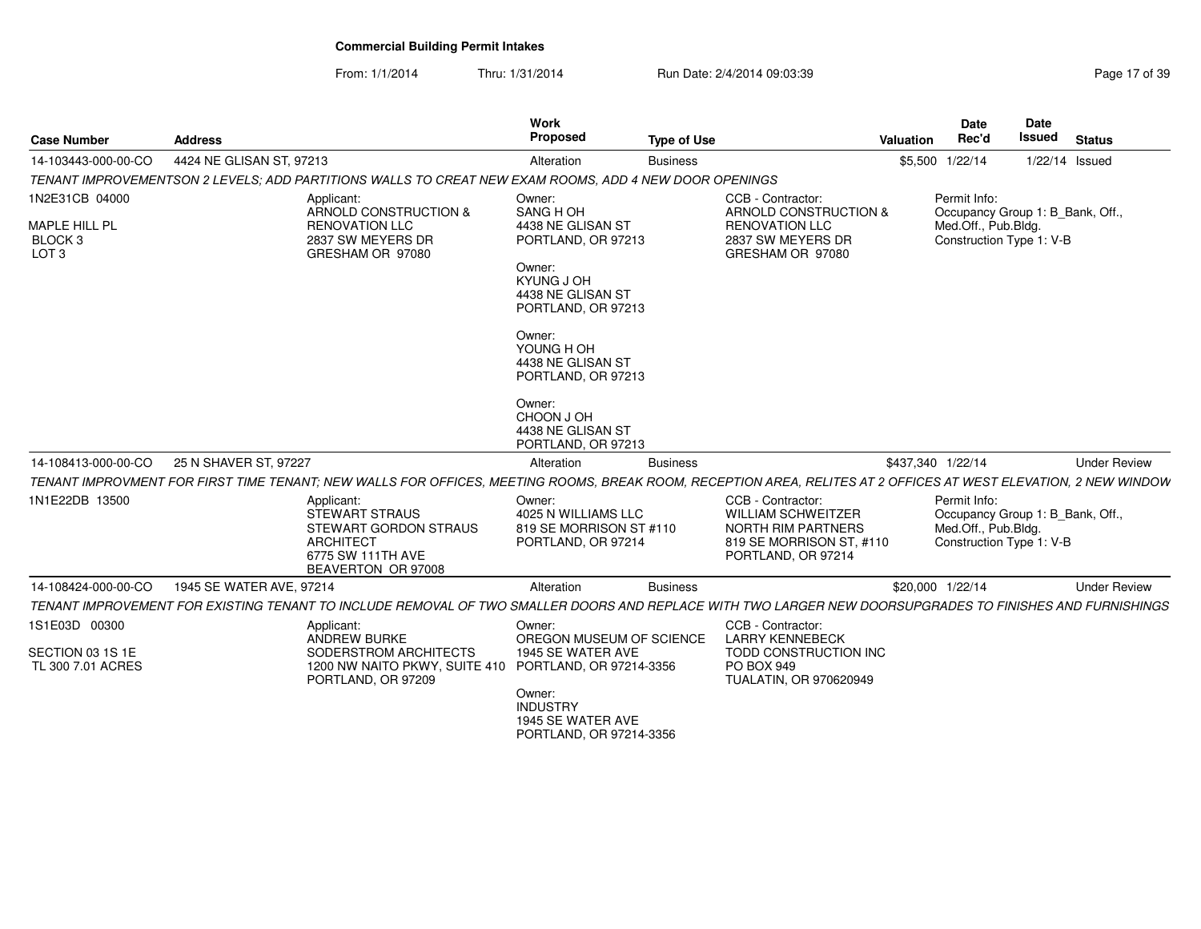| <b>Case Number</b>                                                        | <b>Address</b>           |                                                                                                                                                                 | Work<br>Proposed                                                                                                                                                                                     | <b>Type of Use</b> |                                                                                                                               | Valuation         | Date<br>Rec'd                                                                                       | <b>Date</b><br><b>Issued</b> | <b>Status</b>       |
|---------------------------------------------------------------------------|--------------------------|-----------------------------------------------------------------------------------------------------------------------------------------------------------------|------------------------------------------------------------------------------------------------------------------------------------------------------------------------------------------------------|--------------------|-------------------------------------------------------------------------------------------------------------------------------|-------------------|-----------------------------------------------------------------------------------------------------|------------------------------|---------------------|
| 14-103443-000-00-CO                                                       | 4424 NE GLISAN ST, 97213 |                                                                                                                                                                 | Alteration                                                                                                                                                                                           | <b>Business</b>    |                                                                                                                               |                   | \$5,500 1/22/14                                                                                     |                              | 1/22/14 Issued      |
|                                                                           |                          | TENANT IMPROVEMENTSON 2 LEVELS: ADD PARTITIONS WALLS TO CREAT NEW EXAM ROOMS, ADD 4 NEW DOOR OPENINGS                                                           |                                                                                                                                                                                                      |                    |                                                                                                                               |                   |                                                                                                     |                              |                     |
| 1N2E31CB 04000<br>MAPLE HILL PL<br>BLOCK <sub>3</sub><br>LOT <sub>3</sub> |                          | Applicant:<br>ARNOLD CONSTRUCTION &<br><b>RENOVATION LLC</b><br>2837 SW MEYERS DR<br>GRESHAM OR 97080                                                           | Owner:<br>SANG H OH<br>4438 NE GLISAN ST<br>PORTLAND, OR 97213<br>Owner:<br>KYUNG J OH<br>4438 NE GLISAN ST<br>PORTLAND, OR 97213<br>Owner:<br>YOUNG H OH<br>4438 NE GLISAN ST<br>PORTLAND, OR 97213 |                    | CCB - Contractor:<br>ARNOLD CONSTRUCTION &<br><b>RENOVATION LLC</b><br>2837 SW MEYERS DR<br>GRESHAM OR 97080                  |                   | Permit Info:<br>Occupancy Group 1: B Bank, Off.,<br>Med.Off., Pub.Bldg.<br>Construction Type 1: V-B |                              |                     |
| 14-108413-000-00-CO                                                       | 25 N SHAVER ST, 97227    |                                                                                                                                                                 | Owner:<br>CHOON J OH<br>4438 NE GLISAN ST<br>PORTLAND, OR 97213<br>Alteration                                                                                                                        | <b>Business</b>    |                                                                                                                               | \$437,340 1/22/14 |                                                                                                     |                              | <b>Under Review</b> |
|                                                                           |                          | TENANT IMPROVMENT FOR FIRST TIME TENANT; NEW WALLS FOR OFFICES, MEETING ROOMS, BREAK ROOM, RECEPTION AREA, RELITES AT 2 OFFICES AT WEST ELEVATION, 2 NEW WINDOW |                                                                                                                                                                                                      |                    |                                                                                                                               |                   |                                                                                                     |                              |                     |
| 1N1E22DB 13500                                                            |                          | Applicant:<br><b>STEWART STRAUS</b><br><b>STEWART GORDON STRAUS</b><br>ARCHITECT<br>6775 SW 111TH AVE<br>BEAVERTON OR 97008                                     | Owner:<br>4025 N WILLIAMS LLC<br>819 SE MORRISON ST #110<br>PORTLAND, OR 97214                                                                                                                       |                    | CCB - Contractor:<br><b>WILLIAM SCHWEITZER</b><br><b>NORTH RIM PARTNERS</b><br>819 SE MORRISON ST, #110<br>PORTLAND, OR 97214 |                   | Permit Info:<br>Occupancy Group 1: B Bank, Off.,<br>Med.Off., Pub.Bldg.<br>Construction Type 1: V-B |                              |                     |
| 14-108424-000-00-CO                                                       | 1945 SE WATER AVE, 97214 |                                                                                                                                                                 | Alteration                                                                                                                                                                                           | <b>Business</b>    |                                                                                                                               |                   | \$20,000 1/22/14                                                                                    |                              | <b>Under Review</b> |
|                                                                           |                          | TENANT IMPROVEMENT FOR EXISTING TENANT TO INCLUDE REMOVAL OF TWO SMALLER DOORS AND REPLACE WITH TWO LARGER NEW DOORSUPGRADES TO FINISHES AND FURNISHINGS        |                                                                                                                                                                                                      |                    |                                                                                                                               |                   |                                                                                                     |                              |                     |
| 1S1E03D 00300                                                             |                          | Applicant:                                                                                                                                                      | Owner:                                                                                                                                                                                               |                    | CCB - Contractor:                                                                                                             |                   |                                                                                                     |                              |                     |
| SECTION 03 1S 1E<br>TL 300 7.01 ACRES                                     |                          | ANDREW BURKE<br>SODERSTROM ARCHITECTS<br>1200 NW NAITO PKWY, SUITE 410<br>PORTLAND, OR 97209                                                                    | OREGON MUSEUM OF SCIENCE<br>1945 SE WATER AVE<br>PORTLAND, OR 97214-3356<br>Owner:<br><b>INDUSTRY</b><br>1945 SE WATER AVE<br>PORTLAND, OR 97214-3356                                                |                    | <b>LARRY KENNEBECK</b><br>TODD CONSTRUCTION INC<br>PO BOX 949<br>TUALATIN, OR 970620949                                       |                   |                                                                                                     |                              |                     |
|                                                                           |                          |                                                                                                                                                                 |                                                                                                                                                                                                      |                    |                                                                                                                               |                   |                                                                                                     |                              |                     |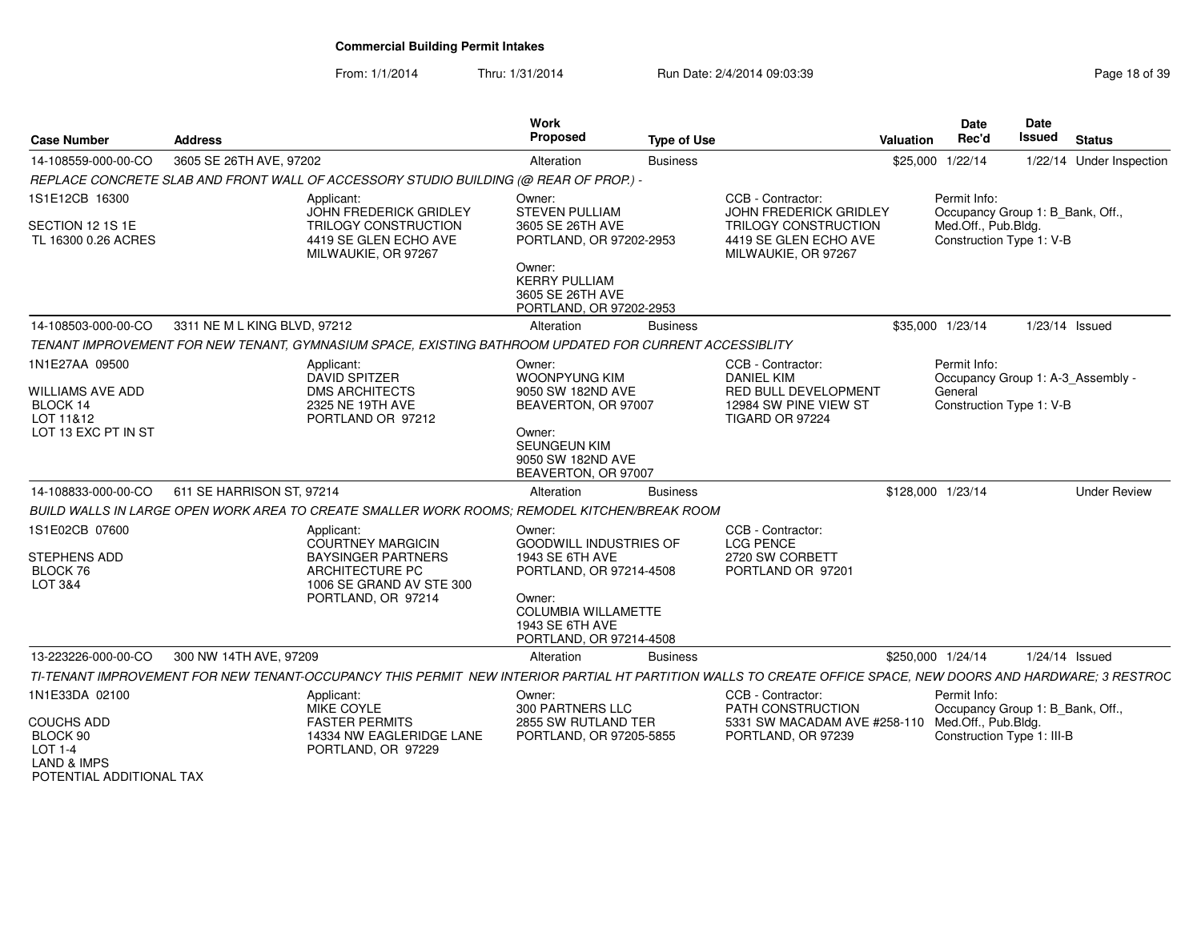From: 1/1/2014

Thru: 1/31/2014 Run Date: 2/4/2014 09:03:39 Research 2010 18:04 Page 18 of 39

| <b>Case Number</b>                                                                        | <b>Address</b>                                                                                                                                               | <b>Work</b><br><b>Proposed</b>                                                                                 | <b>Type of Use</b> |                                                                                                                     | Valuation | Date<br>Rec'd                                                                                       | <b>Date</b><br><b>Issued</b> | <b>Status</b>            |
|-------------------------------------------------------------------------------------------|--------------------------------------------------------------------------------------------------------------------------------------------------------------|----------------------------------------------------------------------------------------------------------------|--------------------|---------------------------------------------------------------------------------------------------------------------|-----------|-----------------------------------------------------------------------------------------------------|------------------------------|--------------------------|
| 14-108559-000-00-CO                                                                       | 3605 SE 26TH AVE, 97202                                                                                                                                      | Alteration                                                                                                     | <b>Business</b>    |                                                                                                                     |           | \$25,000 1/22/14                                                                                    |                              | 1/22/14 Under Inspection |
|                                                                                           | REPLACE CONCRETE SLAB AND FRONT WALL OF ACCESSORY STUDIO BUILDING (@ REAR OF PROP.) -                                                                        |                                                                                                                |                    |                                                                                                                     |           |                                                                                                     |                              |                          |
| 1S1E12CB 16300<br>SECTION 12 1S 1E<br>TL 16300 0.26 ACRES                                 | Applicant:<br><b>JOHN FREDERICK GRIDLEY</b><br><b>TRILOGY CONSTRUCTION</b><br>4419 SE GLEN ECHO AVE<br>MILWAUKIE, OR 97267                                   | Owner:<br><b>STEVEN PULLIAM</b><br>3605 SE 26TH AVE<br>PORTLAND, OR 97202-2953                                 |                    | CCB - Contractor:<br>JOHN FREDERICK GRIDLEY<br>TRILOGY CONSTRUCTION<br>4419 SE GLEN ECHO AVE<br>MILWAUKIE, OR 97267 |           | Permit Info:<br>Occupancy Group 1: B_Bank, Off.,<br>Med.Off., Pub.Bldg.<br>Construction Type 1: V-B |                              |                          |
|                                                                                           |                                                                                                                                                              | Owner:<br><b>KERRY PULLIAM</b><br>3605 SE 26TH AVE<br>PORTLAND, OR 97202-2953                                  |                    |                                                                                                                     |           |                                                                                                     |                              |                          |
| 14-108503-000-00-CO                                                                       | 3311 NE M L KING BLVD, 97212                                                                                                                                 | Alteration                                                                                                     | <b>Business</b>    |                                                                                                                     |           | \$35,000 1/23/14                                                                                    |                              | $1/23/14$ Issued         |
|                                                                                           | TENANT IMPROVEMENT FOR NEW TENANT, GYMNASIUM SPACE, EXISTING BATHROOM UPDATED FOR CURRENT ACCESSIBLITY                                                       |                                                                                                                |                    |                                                                                                                     |           |                                                                                                     |                              |                          |
| 1N1E27AA 09500                                                                            | Applicant:<br><b>DAVID SPITZER</b>                                                                                                                           | Owner:<br><b>WOONPYUNG KIM</b>                                                                                 |                    | CCB - Contractor:<br><b>DANIEL KIM</b>                                                                              |           | Permit Info:<br>Occupancy Group 1: A-3_Assembly -                                                   |                              |                          |
| WILLIAMS AVE ADD<br>BLOCK 14<br>LOT 11&12<br>LOT 13 EXC PT IN ST                          | <b>DMS ARCHITECTS</b><br>2325 NE 19TH AVE<br>PORTLAND OR 97212                                                                                               | 9050 SW 182ND AVE<br>BEAVERTON, OR 97007<br>Owner:<br>SEUNGEUN KIM<br>9050 SW 182ND AVE<br>BEAVERTON, OR 97007 |                    | RED BULL DEVELOPMENT<br>12984 SW PINE VIEW ST<br>TIGARD OR 97224                                                    |           | General<br>Construction Type 1: V-B                                                                 |                              |                          |
| 14-108833-000-00-CO                                                                       | 611 SE HARRISON ST, 97214                                                                                                                                    | Alteration                                                                                                     | <b>Business</b>    |                                                                                                                     |           | \$128,000 1/23/14                                                                                   |                              | <b>Under Review</b>      |
|                                                                                           | BUILD WALLS IN LARGE OPEN WORK AREA TO CREATE SMALLER WORK ROOMS: REMODEL KITCHEN/BREAK ROOM                                                                 |                                                                                                                |                    |                                                                                                                     |           |                                                                                                     |                              |                          |
| 1S1E02CB 07600<br><b>STEPHENS ADD</b><br>BLOCK 76<br>LOT 3&4                              | Applicant:<br><b>COURTNEY MARGICIN</b><br><b>BAYSINGER PARTNERS</b><br>ARCHITECTURE PC<br>1006 SE GRAND AV STE 300                                           | Owner:<br>GOODWILL INDUSTRIES OF<br>1943 SE 6TH AVE<br>PORTLAND, OR 97214-4508                                 |                    | CCB - Contractor:<br><b>LCG PENCE</b><br>2720 SW CORBETT<br>PORTLAND OR 97201                                       |           |                                                                                                     |                              |                          |
|                                                                                           | PORTLAND, OR 97214                                                                                                                                           | Owner:<br><b>COLUMBIA WILLAMETTE</b><br>1943 SE 6TH AVE<br>PORTLAND, OR 97214-4508                             |                    |                                                                                                                     |           |                                                                                                     |                              |                          |
| 13-223226-000-00-CO                                                                       | 300 NW 14TH AVE, 97209                                                                                                                                       | Alteration                                                                                                     | <b>Business</b>    |                                                                                                                     |           | \$250,000 1/24/14                                                                                   | $1/24/14$ Issued             |                          |
|                                                                                           | TI-TENANT IMPROVEMENT FOR NEW TENANT-OCCUPANCY THIS PERMIT NEW INTERIOR PARTIAL HT PARTITION WALLS TO CREATE OFFICE SPACE, NEW DOORS AND HARDWARE; 3 RESTROC |                                                                                                                |                    |                                                                                                                     |           |                                                                                                     |                              |                          |
| 1N1E33DA 02100                                                                            | Applicant:<br><b>MIKE COYLE</b>                                                                                                                              | Owner:<br><b>300 PARTNERS LLC</b>                                                                              |                    | CCB - Contractor:<br>PATH CONSTRUCTION                                                                              |           | Permit Info:<br>Occupancy Group 1: B_Bank, Off.,                                                    |                              |                          |
| COUCHS ADD<br>BLOCK 90<br>$LOT 1-4$<br><b>LAND &amp; IMPS</b><br>POTENTIAL ADDITIONAL TAX | <b>FASTER PERMITS</b><br>14334 NW EAGLERIDGE LANE<br>PORTLAND, OR 97229                                                                                      | 2855 SW RUTLAND TER<br>PORTLAND, OR 97205-5855                                                                 |                    | 5331 SW MACADAM AVE #258-110<br>PORTLAND, OR 97239                                                                  |           | Med.Off., Pub.Bldg.<br>Construction Type 1: III-B                                                   |                              |                          |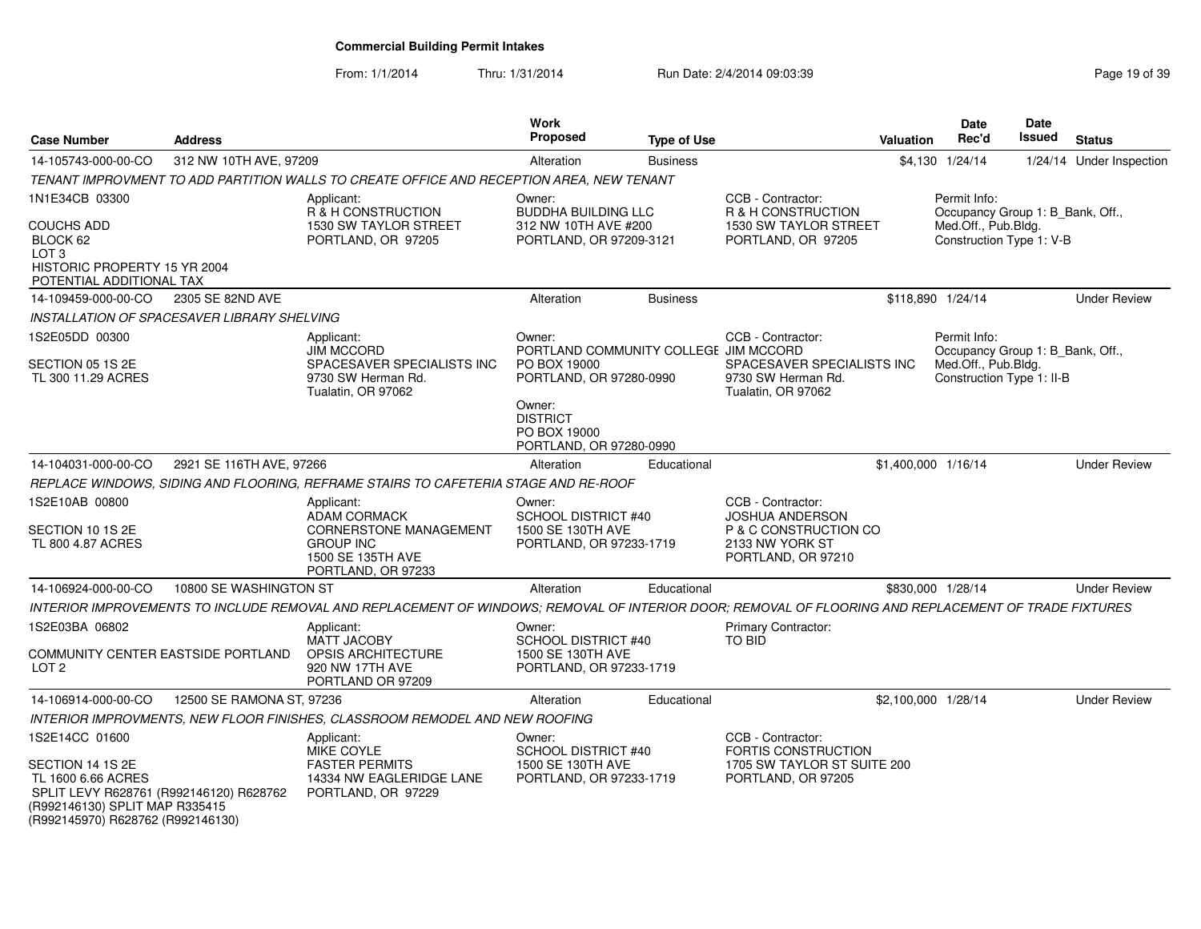| <b>Case Number</b>                                                                                                                                                         | <b>Address</b>            |                                                                                                                                                      | <b>Work</b><br><b>Proposed</b>                                                             | <b>Type of Use</b> |                                                                                                               | <b>Valuation</b> | Date<br>Rec'd                                                                                        | Date<br><b>Issued</b> | <b>Status</b>            |
|----------------------------------------------------------------------------------------------------------------------------------------------------------------------------|---------------------------|------------------------------------------------------------------------------------------------------------------------------------------------------|--------------------------------------------------------------------------------------------|--------------------|---------------------------------------------------------------------------------------------------------------|------------------|------------------------------------------------------------------------------------------------------|-----------------------|--------------------------|
| 14-105743-000-00-CO                                                                                                                                                        | 312 NW 10TH AVE, 97209    |                                                                                                                                                      | Alteration                                                                                 | <b>Business</b>    |                                                                                                               |                  | \$4,130 1/24/14                                                                                      |                       | 1/24/14 Under Inspection |
|                                                                                                                                                                            |                           | TENANT IMPROVMENT TO ADD PARTITION WALLS TO CREATE OFFICE AND RECEPTION AREA, NEW TENANT                                                             |                                                                                            |                    |                                                                                                               |                  |                                                                                                      |                       |                          |
| 1N1E34CB 03300                                                                                                                                                             |                           | Applicant:<br>R & H CONSTRUCTION                                                                                                                     | Owner:<br><b>BUDDHA BUILDING LLC</b>                                                       |                    | CCB - Contractor:<br>R & H CONSTRUCTION                                                                       |                  | Permit Info:<br>Occupancy Group 1: B_Bank, Off.,                                                     |                       |                          |
| <b>COUCHS ADD</b><br>BLOCK 62<br>LOT <sub>3</sub><br>HISTORIC PROPERTY 15 YR 2004<br>POTENTIAL ADDITIONAL TAX                                                              |                           | 1530 SW TAYLOR STREET<br>PORTLAND, OR 97205                                                                                                          | 312 NW 10TH AVE #200<br>PORTLAND, OR 97209-3121                                            |                    | 1530 SW TAYLOR STREET<br>PORTLAND, OR 97205                                                                   |                  | Med.Off., Pub.Bldg.<br>Construction Type 1: V-B                                                      |                       |                          |
| 14-109459-000-00-CO                                                                                                                                                        | 2305 SE 82ND AVE          |                                                                                                                                                      | Alteration                                                                                 | <b>Business</b>    |                                                                                                               |                  | \$118,890 1/24/14                                                                                    |                       | <b>Under Review</b>      |
| INSTALLATION OF SPACESAVER LIBRARY SHELVING                                                                                                                                |                           |                                                                                                                                                      |                                                                                            |                    |                                                                                                               |                  |                                                                                                      |                       |                          |
| 1S2E05DD 00300<br>SECTION 05 1S 2E<br>TL 300 11.29 ACRES                                                                                                                   |                           | Applicant:<br><b>JIM MCCORD</b><br>SPACESAVER SPECIALISTS INC<br>9730 SW Herman Rd.<br>Tualatin, OR 97062                                            | Owner:<br>PORTLAND COMMUNITY COLLEGE JIM MCCORD<br>PO BOX 19000<br>PORTLAND, OR 97280-0990 |                    | CCB - Contractor:<br>SPACESAVER SPECIALISTS INC<br>9730 SW Herman Rd.<br>Tualatin, OR 97062                   |                  | Permit Info:<br>Occupancy Group 1: B Bank, Off.,<br>Med.Off., Pub.Bldg.<br>Construction Type 1: II-B |                       |                          |
|                                                                                                                                                                            |                           |                                                                                                                                                      | Owner:<br><b>DISTRICT</b><br>PO BOX 19000<br>PORTLAND, OR 97280-0990                       |                    |                                                                                                               |                  |                                                                                                      |                       |                          |
| 14-104031-000-00-CO                                                                                                                                                        | 2921 SE 116TH AVE, 97266  |                                                                                                                                                      | Alteration                                                                                 | Educational        |                                                                                                               |                  | \$1,400,000 1/16/14                                                                                  |                       | <b>Under Review</b>      |
|                                                                                                                                                                            |                           | REPLACE WINDOWS, SIDING AND FLOORING, REFRAME STAIRS TO CAFETERIA STAGE AND RE-ROOF                                                                  |                                                                                            |                    |                                                                                                               |                  |                                                                                                      |                       |                          |
| 1S2E10AB 00800<br>SECTION 10 1S 2E<br>TL 800 4.87 ACRES                                                                                                                    |                           | Applicant:<br><b>ADAM CORMACK</b><br>CORNERSTONE MANAGEMENT<br><b>GROUP INC</b><br>1500 SE 135TH AVE<br>PORTLAND, OR 97233                           | Owner:<br>SCHOOL DISTRICT #40<br>1500 SE 130TH AVE<br>PORTLAND, OR 97233-1719              |                    | CCB - Contractor:<br><b>JOSHUA ANDERSON</b><br>P & C CONSTRUCTION CO<br>2133 NW YORK ST<br>PORTLAND, OR 97210 |                  |                                                                                                      |                       |                          |
| 14-106924-000-00-CO                                                                                                                                                        | 10800 SE WASHINGTON ST    |                                                                                                                                                      | Alteration                                                                                 | Educational        |                                                                                                               |                  | \$830,000 1/28/14                                                                                    |                       | <b>Under Review</b>      |
|                                                                                                                                                                            |                           | INTERIOR IMPROVEMENTS TO INCLUDE REMOVAL AND REPLACEMENT OF WINDOWS; REMOVAL OF INTERIOR DOOR; REMOVAL OF FLOORING AND REPLACEMENT OF TRADE FIXTURES |                                                                                            |                    |                                                                                                               |                  |                                                                                                      |                       |                          |
| 1S2E03BA 06802<br>COMMUNITY CENTER EASTSIDE PORTLAND<br>LOT <sub>2</sub>                                                                                                   |                           | Applicant:<br><b>MATT JACOBY</b><br><b>OPSIS ARCHITECTURE</b><br>920 NW 17TH AVE<br>PORTLAND OR 97209                                                | Owner:<br><b>SCHOOL DISTRICT #40</b><br>1500 SE 130TH AVE<br>PORTLAND, OR 97233-1719       |                    | <b>Primary Contractor:</b><br><b>TO BID</b>                                                                   |                  |                                                                                                      |                       |                          |
| 14-106914-000-00-CO                                                                                                                                                        | 12500 SE RAMONA ST, 97236 |                                                                                                                                                      | Alteration                                                                                 | Educational        |                                                                                                               |                  | \$2,100,000 1/28/14                                                                                  |                       | <b>Under Review</b>      |
|                                                                                                                                                                            |                           | INTERIOR IMPROVMENTS, NEW FLOOR FINISHES, CLASSROOM REMODEL AND NEW ROOFING                                                                          |                                                                                            |                    |                                                                                                               |                  |                                                                                                      |                       |                          |
| 1S2E14CC 01600<br>SECTION 14 1S 2E<br>TL 1600 6.66 ACRES<br>SPLIT LEVY R628761 (R992146120) R628762<br>(R992146130) SPLIT MAP R335415<br>(R992145970) R628762 (R992146130) |                           | Applicant:<br>MIKE COYLE<br><b>FASTER PERMITS</b><br>14334 NW EAGLERIDGE LANE<br>PORTLAND, OR 97229                                                  | Owner:<br><b>SCHOOL DISTRICT #40</b><br>1500 SE 130TH AVE<br>PORTLAND, OR 97233-1719       |                    | CCB - Contractor:<br>FORTIS CONSTRUCTION<br>1705 SW TAYLOR ST SUITE 200<br>PORTLAND, OR 97205                 |                  |                                                                                                      |                       |                          |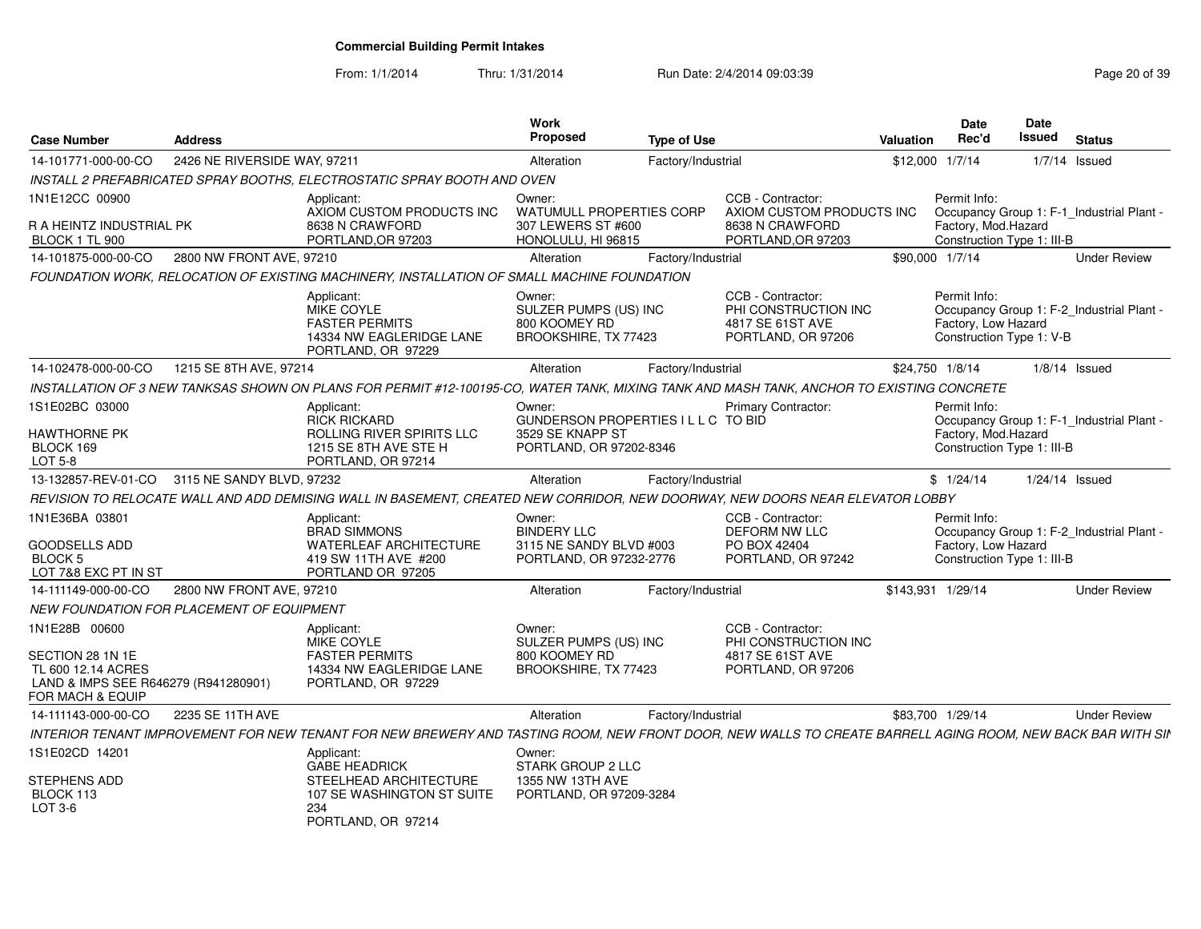| <b>Case Number</b>                                                                                 | <b>Address</b>               |                                                                                                                                                            | Work<br>Proposed                                                                   | <b>Type of Use</b> |                                                                                     | Valuation | Date<br>Rec'd                       | Date<br>Issued             | <b>Status</b>                             |
|----------------------------------------------------------------------------------------------------|------------------------------|------------------------------------------------------------------------------------------------------------------------------------------------------------|------------------------------------------------------------------------------------|--------------------|-------------------------------------------------------------------------------------|-----------|-------------------------------------|----------------------------|-------------------------------------------|
| 14-101771-000-00-CO                                                                                | 2426 NE RIVERSIDE WAY, 97211 |                                                                                                                                                            | Alteration                                                                         | Factory/Industrial |                                                                                     |           | \$12,000 1/7/14                     |                            | $1/7/14$ Issued                           |
|                                                                                                    |                              | INSTALL 2 PREFABRICATED SPRAY BOOTHS, ELECTROSTATIC SPRAY BOOTH AND OVEN                                                                                   |                                                                                    |                    |                                                                                     |           |                                     |                            |                                           |
| 1N1E12CC 00900                                                                                     |                              | Applicant:<br>AXIOM CUSTOM PRODUCTS INC                                                                                                                    | Owner:<br>WATUMULL PROPERTIES CORP                                                 |                    | CCB - Contractor:<br>AXIOM CUSTOM PRODUCTS INC                                      |           | Permit Info:                        |                            | Occupancy Group 1: F-1 Industrial Plant - |
| R A HEINTZ INDUSTRIAL PK<br>BLOCK 1 TL 900                                                         |                              | 8638 N CRAWFORD<br>PORTLAND, OR 97203                                                                                                                      | 307 LEWERS ST #600<br>HONOLULU, HI 96815                                           |                    | 8638 N CRAWFORD<br>PORTLAND, OR 97203                                               |           | Factory, Mod.Hazard                 | Construction Type 1: III-B |                                           |
| 14-101875-000-00-CO                                                                                | 2800 NW FRONT AVE, 97210     |                                                                                                                                                            | Alteration                                                                         | Factory/Industrial |                                                                                     |           | \$90,000 1/7/14                     |                            | <b>Under Review</b>                       |
|                                                                                                    |                              | FOUNDATION WORK, RELOCATION OF EXISTING MACHINERY, INSTALLATION OF SMALL MACHINE FOUNDATION                                                                |                                                                                    |                    |                                                                                     |           |                                     |                            |                                           |
|                                                                                                    |                              | Applicant:<br>MIKE COYLE<br><b>FASTER PERMITS</b><br>14334 NW EAGLERIDGE LANE<br>PORTLAND, OR 97229                                                        | Owner:<br>SULZER PUMPS (US) INC<br>800 KOOMEY RD<br>BROOKSHIRE, TX 77423           |                    | CCB - Contractor:<br>PHI CONSTRUCTION INC<br>4817 SE 61ST AVE<br>PORTLAND, OR 97206 |           | Permit Info:<br>Factory, Low Hazard | Construction Type 1: V-B   | Occupancy Group 1: F-2_Industrial Plant - |
| 14-102478-000-00-CO                                                                                | 1215 SE 8TH AVE, 97214       |                                                                                                                                                            | Alteration                                                                         | Factory/Industrial |                                                                                     |           | \$24,750 1/8/14                     |                            | $1/8/14$ Issued                           |
|                                                                                                    |                              | INSTALLATION OF 3 NEW TANKSAS SHOWN ON PLANS FOR PERMIT #12-100195-CO, WATER TANK, MIXING TANK AND MASH TANK, ANCHOR TO EXISTING CONCRETE                  |                                                                                    |                    |                                                                                     |           |                                     |                            |                                           |
| 1S1E02BC 03000                                                                                     |                              | Applicant:                                                                                                                                                 | Owner:                                                                             |                    | <b>Primary Contractor:</b>                                                          |           | Permit Info:                        |                            |                                           |
| <b>HAWTHORNE PK</b><br>BLOCK 169<br>LOT 5-8                                                        |                              | <b>RICK RICKARD</b><br>ROLLING RIVER SPIRITS LLC<br>1215 SE 8TH AVE STE H<br>PORTLAND, OR 97214                                                            | GUNDERSON PROPERTIES I L L C TO BID<br>3529 SE KNAPP ST<br>PORTLAND, OR 97202-8346 |                    |                                                                                     |           | Factory, Mod.Hazard                 | Construction Type 1: III-B | Occupancy Group 1: F-1_Industrial Plant - |
| 13-132857-REV-01-CO                                                                                | 3115 NE SANDY BLVD, 97232    |                                                                                                                                                            | Alteration                                                                         | Factory/Industrial |                                                                                     |           | \$1/24/14                           |                            | $1/24/14$ Issued                          |
|                                                                                                    |                              | REVISION TO RELOCATE WALL AND ADD DEMISING WALL IN BASEMENT, CREATED NEW CORRIDOR, NEW DOORWAY, NEW DOORS NEAR ELEVATOR LOBBY                              |                                                                                    |                    |                                                                                     |           |                                     |                            |                                           |
| 1N1E36BA 03801<br><b>GOODSELLS ADD</b><br>BLOCK 5<br>LOT 7&8 EXC PT IN ST                          |                              | Applicant:<br><b>BRAD SIMMONS</b><br><b>WATERLEAF ARCHITECTURE</b><br>419 SW 11TH AVE #200<br>PORTLAND OR 97205                                            | Owner:<br><b>BINDERY LLC</b><br>3115 NE SANDY BLVD #003<br>PORTLAND, OR 97232-2776 |                    | CCB - Contractor:<br><b>DEFORM NW LLC</b><br>PO BOX 42404<br>PORTLAND, OR 97242     |           | Permit Info:<br>Factory, Low Hazard | Construction Type 1: III-B | Occupancy Group 1: F-2_Industrial Plant - |
| 14-111149-000-00-CO                                                                                | 2800 NW FRONT AVE, 97210     |                                                                                                                                                            | Alteration                                                                         | Factory/Industrial |                                                                                     |           | \$143,931 1/29/14                   |                            | <b>Under Review</b>                       |
| <b>NEW FOUNDATION FOR PLACEMENT OF EQUIPMENT</b>                                                   |                              |                                                                                                                                                            |                                                                                    |                    |                                                                                     |           |                                     |                            |                                           |
| 1N1E28B 00600                                                                                      |                              | Applicant:<br>MIKE COYLE                                                                                                                                   | Owner:<br>SULZER PUMPS (US) INC                                                    |                    | CCB - Contractor:<br>PHI CONSTRUCTION INC                                           |           |                                     |                            |                                           |
| SECTION 28 1N 1E<br>TL 600 12.14 ACRES<br>LAND & IMPS SEE R646279 (R941280901)<br>FOR MACH & EQUIP |                              | <b>FASTER PERMITS</b><br>14334 NW EAGLERIDGE LANE<br>PORTLAND, OR 97229                                                                                    | 800 KOOMEY RD<br>BROOKSHIRE, TX 77423                                              |                    | 4817 SE 61ST AVE<br>PORTLAND, OR 97206                                              |           |                                     |                            |                                           |
| 14-111143-000-00-CO                                                                                | 2235 SE 11TH AVE             |                                                                                                                                                            | Alteration                                                                         | Factory/Industrial |                                                                                     |           | \$83,700 1/29/14                    |                            | <b>Under Review</b>                       |
|                                                                                                    |                              | INTERIOR TENANT IMPROVEMENT FOR NEW TENANT FOR NEW BREWERY AND TASTING ROOM, NEW FRONT DOOR, NEW WALLS TO CREATE BARRELL AGING ROOM, NEW BACK BAR WITH SII |                                                                                    |                    |                                                                                     |           |                                     |                            |                                           |
| 1S1E02CD 14201                                                                                     |                              | Applicant:<br><b>GABE HEADRICK</b>                                                                                                                         | Owner:<br>STARK GROUP 2 LLC                                                        |                    |                                                                                     |           |                                     |                            |                                           |
| STEPHENS ADD<br>BLOCK 113<br>LOT 3-6                                                               |                              | STEELHEAD ARCHITECTURE<br>107 SE WASHINGTON ST SUITE<br>234<br>PORTLAND, OR 97214                                                                          | 1355 NW 13TH AVE<br>PORTLAND, OR 97209-3284                                        |                    |                                                                                     |           |                                     |                            |                                           |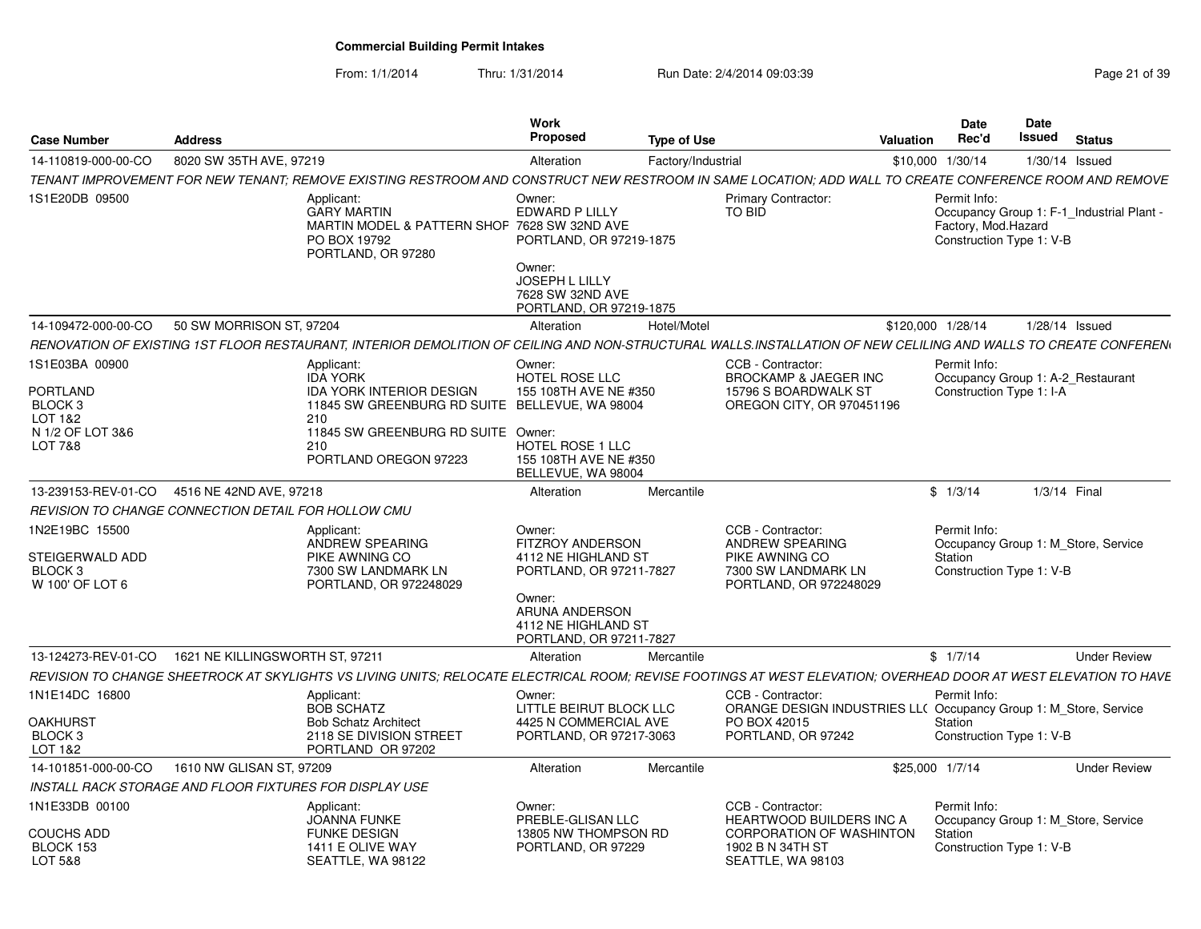| <b>Case Number</b>                                                                     | <b>Address</b>           |                                                                                                                                                                                                 | Work<br>Proposed                                                                                                     | <b>Type of Use</b> |                                                                                                            | Valuation         | Date<br>Rec'd                       | <b>Date</b><br>Issued                                                 | <b>Status</b>       |  |
|----------------------------------------------------------------------------------------|--------------------------|-------------------------------------------------------------------------------------------------------------------------------------------------------------------------------------------------|----------------------------------------------------------------------------------------------------------------------|--------------------|------------------------------------------------------------------------------------------------------------|-------------------|-------------------------------------|-----------------------------------------------------------------------|---------------------|--|
| 14-110819-000-00-CO                                                                    | 8020 SW 35TH AVE, 97219  |                                                                                                                                                                                                 | Alteration                                                                                                           | Factory/Industrial |                                                                                                            | \$10,000 1/30/14  |                                     | 1/30/14 Issued                                                        |                     |  |
|                                                                                        |                          | TENANT IMPROVEMENT FOR NEW TENANT: REMOVE EXISTING RESTROOM AND CONSTRUCT NEW RESTROOM IN SAME LOCATION: ADD WALL TO CREATE CONFERENCE ROOM AND REMOVE                                          |                                                                                                                      |                    |                                                                                                            |                   |                                     |                                                                       |                     |  |
| 1S1E20DB 09500                                                                         |                          | Applicant:<br><b>GARY MARTIN</b><br>MARTIN MODEL & PATTERN SHOP 7628 SW 32ND AVE<br>PO BOX 19792<br>PORTLAND, OR 97280                                                                          | Owner:<br>EDWARD P LILLY<br>PORTLAND, OR 97219-1875<br>Owner:                                                        |                    | <b>Primary Contractor:</b><br><b>TO BID</b>                                                                |                   | Permit Info:<br>Factory, Mod.Hazard | Occupancy Group 1: F-1_Industrial Plant -<br>Construction Type 1: V-B |                     |  |
|                                                                                        |                          |                                                                                                                                                                                                 | JOSEPH L LILLY<br>7628 SW 32ND AVE<br>PORTLAND, OR 97219-1875                                                        |                    |                                                                                                            |                   |                                     |                                                                       |                     |  |
| 14-109472-000-00-CO                                                                    | 50 SW MORRISON ST, 97204 |                                                                                                                                                                                                 | Alteration                                                                                                           | Hotel/Motel        |                                                                                                            | \$120,000 1/28/14 |                                     | 1/28/14 Issued                                                        |                     |  |
|                                                                                        |                          | RENOVATION OF EXISTING 1ST FLOOR RESTAURANT, INTERIOR DEMOLITION OF CEILING AND NON-STRUCTURAL WALLS.INSTALLATION OF NEW CELILING AND WALLS TO CREATE CONFEREN                                  |                                                                                                                      |                    |                                                                                                            |                   |                                     |                                                                       |                     |  |
| 1S1E03BA 00900<br><b>PORTLAND</b><br>BLOCK 3<br>LOT 1&2<br>N 1/2 OF LOT 3&6<br>LOT 7&8 |                          | Applicant:<br><b>IDA YORK</b><br><b>IDA YORK INTERIOR DESIGN</b><br>11845 SW GREENBURG RD SUITE BELLEVUE, WA 98004<br>210<br>11845 SW GREENBURG RD SUITE Owner:<br>210<br>PORTLAND OREGON 97223 | Owner:<br>HOTEL ROSE LLC<br>155 108TH AVE NE #350<br>HOTEL ROSE 1 LLC<br>155 108TH AVE NE #350<br>BELLEVUE, WA 98004 |                    | CCB - Contractor:<br><b>BROCKAMP &amp; JAEGER INC</b><br>15796 S BOARDWALK ST<br>OREGON CITY, OR 970451196 |                   | Permit Info:                        | Occupancy Group 1: A-2 Restaurant<br>Construction Type 1: I-A         |                     |  |
| 13-239153-REV-01-CO 4516 NE 42ND AVE, 97218                                            |                          |                                                                                                                                                                                                 | Alteration                                                                                                           | Mercantile         |                                                                                                            |                   | \$1/3/14                            | 1/3/14 Final                                                          |                     |  |
| REVISION TO CHANGE CONNECTION DETAIL FOR HOLLOW CMU                                    |                          |                                                                                                                                                                                                 |                                                                                                                      |                    |                                                                                                            |                   |                                     |                                                                       |                     |  |
| 1N2E19BC 15500                                                                         |                          | Applicant:<br>ANDREW SPEARING                                                                                                                                                                   | Owner:<br><b>FITZROY ANDERSON</b>                                                                                    |                    | CCB - Contractor:<br>ANDREW SPEARING                                                                       |                   | Permit Info:                        | Occupancy Group 1: M Store, Service                                   |                     |  |
| STEIGERWALD ADD<br>BLOCK 3<br>W 100' OF LOT 6                                          |                          | PIKE AWNING CO<br>7300 SW LANDMARK LN<br>PORTLAND, OR 972248029                                                                                                                                 | 4112 NE HIGHLAND ST<br>PORTLAND, OR 97211-7827                                                                       |                    | PIKE AWNING CO<br>7300 SW LANDMARK LN<br>PORTLAND, OR 972248029                                            |                   | Station                             | Construction Type 1: V-B                                              |                     |  |
|                                                                                        |                          |                                                                                                                                                                                                 | Owner:<br>ARUNA ANDERSON<br>4112 NE HIGHLAND ST<br>PORTLAND, OR 97211-7827                                           |                    |                                                                                                            |                   |                                     |                                                                       |                     |  |
| 13-124273-REV-01-CO  1621 NE KILLINGSWORTH ST, 97211                                   |                          |                                                                                                                                                                                                 | Alteration                                                                                                           | Mercantile         |                                                                                                            |                   | \$1/7/14                            |                                                                       | <b>Under Review</b> |  |
|                                                                                        |                          | REVISION TO CHANGE SHEETROCK AT SKYLIGHTS VS LIVING UNITS: RELOCATE ELECTRICAL ROOM: REVISE FOOTINGS AT WEST ELEVATION: OVERHEAD DOOR AT WEST ELEVATION TO HAVE                                 |                                                                                                                      |                    |                                                                                                            |                   |                                     |                                                                       |                     |  |
| 1N1E14DC 16800                                                                         |                          | Applicant:<br><b>BOB SCHATZ</b>                                                                                                                                                                 | Owner:<br>LITTLE BEIRUT BLOCK LLC                                                                                    |                    | CCB - Contractor:<br>ORANGE DESIGN INDUSTRIES LL( Occupancy Group 1: M Store, Service                      |                   | Permit Info:                        |                                                                       |                     |  |
| OAKHURST<br>BLOCK 3<br>LOT 1&2                                                         |                          | <b>Bob Schatz Architect</b><br>2118 SE DIVISION STREET<br>PORTLAND OR 97202                                                                                                                     | 4425 N COMMERCIAL AVE<br>PORTLAND, OR 97217-3063                                                                     |                    | PO BOX 42015<br>PORTLAND, OR 97242                                                                         |                   | Station                             | Construction Type 1: V-B                                              |                     |  |
| 14-101851-000-00-CO                                                                    | 1610 NW GLISAN ST, 97209 |                                                                                                                                                                                                 | Alteration                                                                                                           | Mercantile         |                                                                                                            | \$25,000 1/7/14   |                                     |                                                                       | <b>Under Review</b> |  |
| INSTALL RACK STORAGE AND FLOOR FIXTURES FOR DISPLAY USE                                |                          |                                                                                                                                                                                                 |                                                                                                                      |                    |                                                                                                            |                   |                                     |                                                                       |                     |  |
| 1N1E33DB 00100                                                                         |                          | Applicant:<br>JOANNA FUNKE                                                                                                                                                                      | Owner:<br>PREBLE-GLISAN LLC                                                                                          |                    | CCB - Contractor:<br>HEARTWOOD BUILDERS INC A                                                              |                   | Permit Info:                        | Occupancy Group 1: M Store, Service                                   |                     |  |
| <b>COUCHS ADD</b><br>BLOCK 153<br>LOT 5&8                                              |                          | <b>FUNKE DESIGN</b><br>1411 E OLIVE WAY<br>SEATTLE, WA 98122                                                                                                                                    | 13805 NW THOMPSON RD<br>PORTLAND, OR 97229                                                                           |                    | <b>CORPORATION OF WASHINTON</b><br>1902 B N 34TH ST<br>SEATTLE, WA 98103                                   |                   | Station                             | Construction Type 1: V-B                                              |                     |  |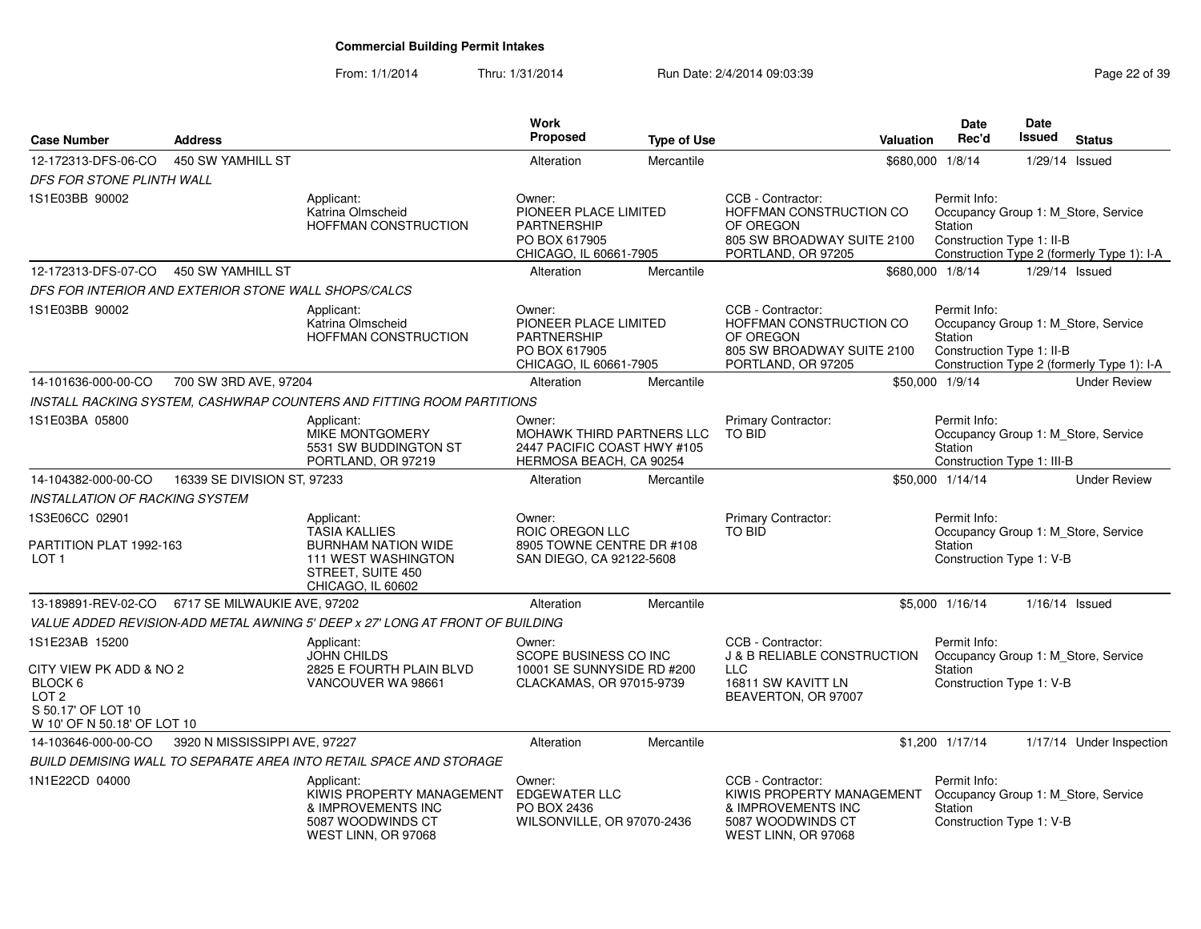#### From: 1/1/2014Thru: 1/31/2014 Run Date: 2/4/2014 09:03:39 Research 2010 12:04 Page 22 of 39

| <b>Case Number</b>                                                                             | <b>Address</b>                                                                                               |                                                                                                                                                                     | Work<br>Proposed                                                                                 | <b>Type of Use</b> | Valuation                                                                                                              | <b>Date</b><br>Rec'd                                                                       | <b>Date</b><br>Issued | <b>Status</b>                                                                     |
|------------------------------------------------------------------------------------------------|--------------------------------------------------------------------------------------------------------------|---------------------------------------------------------------------------------------------------------------------------------------------------------------------|--------------------------------------------------------------------------------------------------|--------------------|------------------------------------------------------------------------------------------------------------------------|--------------------------------------------------------------------------------------------|-----------------------|-----------------------------------------------------------------------------------|
| 12-172313-DFS-06-CO                                                                            | 450 SW YAMHILL ST                                                                                            |                                                                                                                                                                     | Alteration                                                                                       | Mercantile         |                                                                                                                        | \$680,000 1/8/14                                                                           |                       | $1/29/14$ Issued                                                                  |
| DFS FOR STONE PLINTH WALL                                                                      |                                                                                                              |                                                                                                                                                                     |                                                                                                  |                    |                                                                                                                        |                                                                                            |                       |                                                                                   |
| 1S1E03BB 90002                                                                                 |                                                                                                              | Applicant:<br>Katrina Olmscheid<br>HOFFMAN CONSTRUCTION                                                                                                             | Owner:<br>PIONEER PLACE LIMITED<br>PARTNERSHIP<br>PO BOX 617905<br>CHICAGO, IL 60661-7905        |                    | CCB - Contractor:<br>HOFFMAN CONSTRUCTION CO<br>OF OREGON<br>805 SW BROADWAY SUITE 2100<br>PORTLAND, OR 97205          | Permit Info:<br>Station<br>Construction Type 1: II-B                                       |                       | Occupancy Group 1: M_Store, Service<br>Construction Type 2 (formerly Type 1): I-A |
| 12-172313-DFS-07-CO                                                                            | 450 SW YAMHILL ST                                                                                            |                                                                                                                                                                     | Alteration                                                                                       | Mercantile         |                                                                                                                        | \$680,000 1/8/14                                                                           |                       | 1/29/14 Issued                                                                    |
| DFS FOR INTERIOR AND EXTERIOR STONE WALL SHOPS/CALCS                                           |                                                                                                              |                                                                                                                                                                     |                                                                                                  |                    |                                                                                                                        |                                                                                            |                       |                                                                                   |
| 1S1E03BB 90002                                                                                 |                                                                                                              | Applicant:<br>Katrina Olmscheid<br>HOFFMAN CONSTRUCTION                                                                                                             | Owner:<br>PIONEER PLACE LIMITED<br><b>PARTNERSHIP</b><br>PO BOX 617905<br>CHICAGO, IL 60661-7905 |                    | CCB - Contractor:<br>HOFFMAN CONSTRUCTION CO<br>OF OREGON<br>805 SW BROADWAY SUITE 2100<br>PORTLAND, OR 97205          | Permit Info:<br>Station<br>Construction Type 1: II-B                                       |                       | Occupancy Group 1: M_Store, Service<br>Construction Type 2 (formerly Type 1): I-A |
| 14-101636-000-00-CO                                                                            | 700 SW 3RD AVE, 97204                                                                                        |                                                                                                                                                                     | Alteration                                                                                       | Mercantile         |                                                                                                                        | \$50,000 1/9/14                                                                            |                       | <b>Under Review</b>                                                               |
|                                                                                                |                                                                                                              | INSTALL RACKING SYSTEM, CASHWRAP COUNTERS AND FITTING ROOM PARTITIONS                                                                                               |                                                                                                  |                    |                                                                                                                        |                                                                                            |                       |                                                                                   |
| 1S1E03BA 05800                                                                                 |                                                                                                              | Applicant:<br>MIKE MONTGOMERY<br>5531 SW BUDDINGTON ST<br>PORTLAND, OR 97219                                                                                        | Owner:<br>MOHAWK THIRD PARTNERS LLC<br>2447 PACIFIC COAST HWY #105<br>HERMOSA BEACH, CA 90254    |                    | Primary Contractor:<br><b>TO BID</b>                                                                                   | Permit Info:<br>Station<br>Construction Type 1: III-B                                      |                       | Occupancy Group 1: M_Store, Service                                               |
| 14-104382-000-00-CO                                                                            | 16339 SE DIVISION ST, 97233                                                                                  |                                                                                                                                                                     | Alteration                                                                                       | Mercantile         |                                                                                                                        | \$50,000 1/14/14                                                                           |                       | <b>Under Review</b>                                                               |
| INSTALLATION OF RACKING SYSTEM                                                                 |                                                                                                              |                                                                                                                                                                     |                                                                                                  |                    |                                                                                                                        |                                                                                            |                       |                                                                                   |
| 1S3E06CC 02901<br>PARTITION PLAT 1992-163<br>LOT <sub>1</sub>                                  | Applicant:<br><b>TASIA KALLIES</b><br><b>BURNHAM NATION WIDE</b><br>111 WEST WASHINGTON<br>STREET, SUITE 450 |                                                                                                                                                                     | Owner:<br>ROIC OREGON LLC<br>8905 TOWNE CENTRE DR #108<br>SAN DIEGO, CA 92122-5608               |                    | <b>Primary Contractor:</b><br><b>TO BID</b>                                                                            | Permit Info:<br>Occupancy Group 1: M Store, Service<br>Station<br>Construction Type 1: V-B |                       |                                                                                   |
|                                                                                                |                                                                                                              | CHICAGO, IL 60602                                                                                                                                                   |                                                                                                  |                    |                                                                                                                        |                                                                                            |                       |                                                                                   |
| 13-189891-REV-02-CO                                                                            | 6717 SE MILWAUKIE AVE, 97202                                                                                 |                                                                                                                                                                     | Alteration                                                                                       | Mercantile         |                                                                                                                        | \$5,000 1/16/14                                                                            |                       | $1/16/14$ Issued                                                                  |
| 1S1E23AB 15200<br>CITY VIEW PK ADD & NO 2<br>BLOCK 6<br>LOT <sub>2</sub><br>S 50.17' OF LOT 10 |                                                                                                              | VALUE ADDED REVISION-ADD METAL AWNING 5' DEEP x 27' LONG AT FRONT OF BUILDING<br>Applicant:<br><b>JOHN CHILDS</b><br>2825 E FOURTH PLAIN BLVD<br>VANCOUVER WA 98661 | Owner:<br>SCOPE BUSINESS CO INC<br>10001 SE SUNNYSIDE RD #200<br>CLACKAMAS, OR 97015-9739        |                    | CCB - Contractor:<br><b>J &amp; B RELIABLE CONSTRUCTION</b><br><b>LLC</b><br>16811 SW KAVITT LN<br>BEAVERTON, OR 97007 | Permit Info:<br>Station<br>Construction Type 1: V-B                                        |                       | Occupancy Group 1: M_Store, Service                                               |
| W 10' OF N 50.18' OF LOT 10                                                                    |                                                                                                              |                                                                                                                                                                     |                                                                                                  |                    |                                                                                                                        |                                                                                            |                       |                                                                                   |
| 14-103646-000-00-CO                                                                            | 3920 N MISSISSIPPI AVE, 97227                                                                                |                                                                                                                                                                     | Alteration                                                                                       | Mercantile         |                                                                                                                        | \$1,200 1/17/14                                                                            |                       | 1/17/14 Under Inspection                                                          |
|                                                                                                |                                                                                                              | BUILD DEMISING WALL TO SEPARATE AREA INTO RETAIL SPACE AND STORAGE                                                                                                  |                                                                                                  |                    |                                                                                                                        |                                                                                            |                       |                                                                                   |
| 1N1E22CD 04000                                                                                 |                                                                                                              | Applicant:<br>KIWIS PROPERTY MANAGEMENT<br>& IMPROVEMENTS INC<br>5087 WOODWINDS CT<br>WEST LINN, OR 97068                                                           | Owner:<br><b>EDGEWATER LLC</b><br>PO BOX 2436<br>WILSONVILLE, OR 97070-2436                      |                    | CCB - Contractor:<br>KIWIS PROPERTY MANAGEMENT<br>& IMPROVEMENTS INC<br>5087 WOODWINDS CT<br>WEST LINN, OR 97068       | Permit Info:<br>Station<br>Construction Type 1: V-B                                        |                       | Occupancy Group 1: M_Store, Service                                               |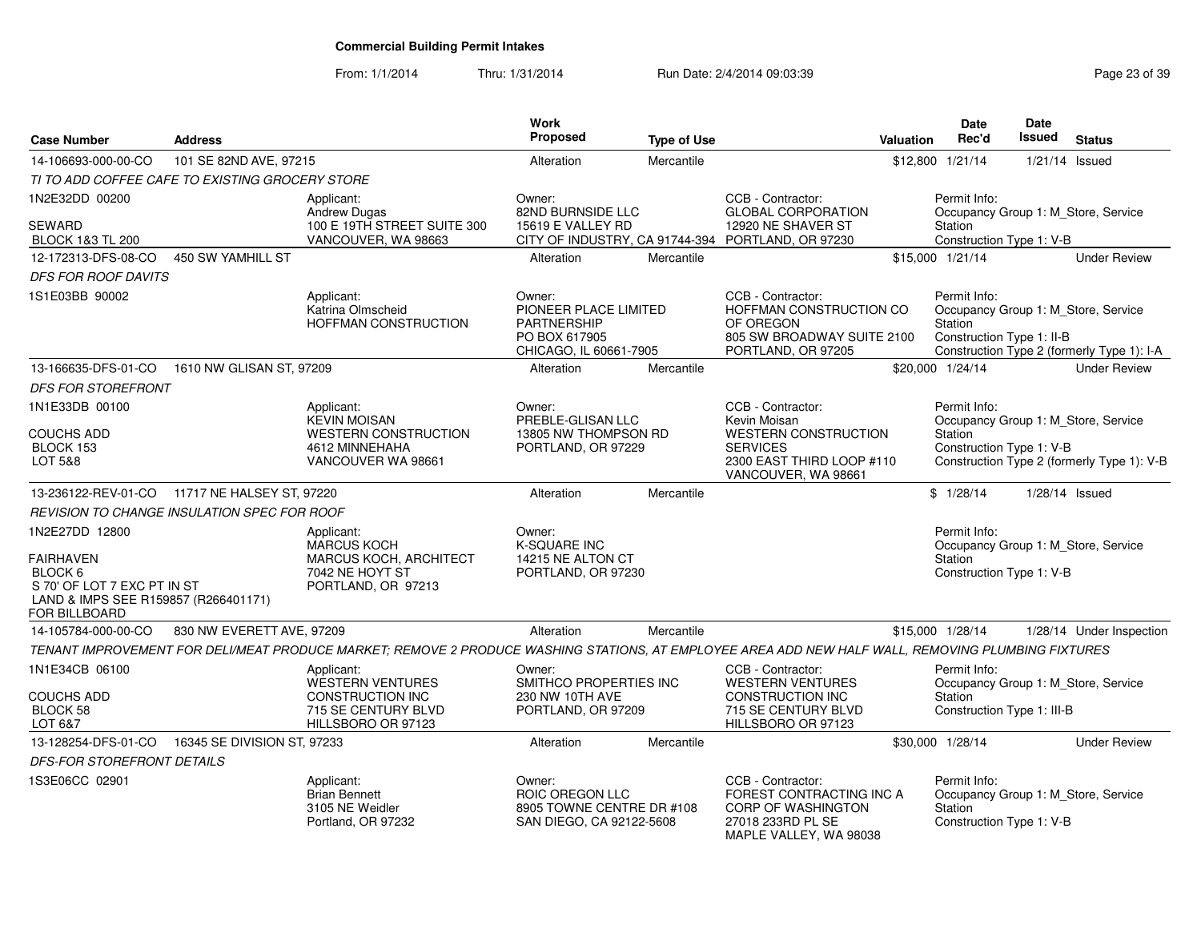| <b>Case Number</b>                                                                                                                    | <b>Address</b>              |                                                                                                                                                    | <b>Work</b><br>Proposed                                                                          | <b>Type of Use</b> |                                                                                                                      | Valuation | <b>Date</b><br>Rec'd                                  | <b>Date</b><br><b>Issued</b> | <b>Status</b>                                                                     |
|---------------------------------------------------------------------------------------------------------------------------------------|-----------------------------|----------------------------------------------------------------------------------------------------------------------------------------------------|--------------------------------------------------------------------------------------------------|--------------------|----------------------------------------------------------------------------------------------------------------------|-----------|-------------------------------------------------------|------------------------------|-----------------------------------------------------------------------------------|
| 14-106693-000-00-CO                                                                                                                   | 101 SE 82ND AVE, 97215      |                                                                                                                                                    | Alteration                                                                                       | Mercantile         |                                                                                                                      |           | \$12,800 1/21/14                                      |                              | $1/21/14$ Issued                                                                  |
| TI TO ADD COFFEE CAFE TO EXISTING GROCERY STORE                                                                                       |                             |                                                                                                                                                    |                                                                                                  |                    |                                                                                                                      |           |                                                       |                              |                                                                                   |
| 1N2E32DD 00200                                                                                                                        |                             | Applicant:                                                                                                                                         | Owner:                                                                                           |                    | CCB - Contractor:                                                                                                    |           | Permit Info:                                          |                              |                                                                                   |
| SEWARD<br><b>BLOCK 1&amp;3 TL 200</b>                                                                                                 |                             | <b>Andrew Dugas</b><br>100 E 19TH STREET SUITE 300<br>VANCOUVER, WA 98663                                                                          | 82ND BURNSIDE LLC<br>15619 E VALLEY RD                                                           |                    | <b>GLOBAL CORPORATION</b><br>12920 NE SHAVER ST<br>CITY OF INDUSTRY, CA 91744-394 PORTLAND, OR 97230                 |           | Station<br>Construction Type 1: V-B                   |                              | Occupancy Group 1: M_Store, Service                                               |
| 12-172313-DFS-08-CO                                                                                                                   | 450 SW YAMHILL ST           |                                                                                                                                                    | Alteration                                                                                       | Mercantile         |                                                                                                                      |           | \$15,000 1/21/14                                      |                              | <b>Under Review</b>                                                               |
| <b>DFS FOR ROOF DAVITS</b>                                                                                                            |                             |                                                                                                                                                    |                                                                                                  |                    |                                                                                                                      |           |                                                       |                              |                                                                                   |
| 1S1E03BB 90002                                                                                                                        |                             | Applicant:<br>Katrina Olmscheid<br><b>HOFFMAN CONSTRUCTION</b>                                                                                     | Owner:<br>PIONEER PLACE LIMITED<br><b>PARTNERSHIP</b><br>PO BOX 617905<br>CHICAGO, IL 60661-7905 |                    | CCB - Contractor:<br>HOFFMAN CONSTRUCTION CO<br>OF OREGON<br>805 SW BROADWAY SUITE 2100<br>PORTLAND, OR 97205        |           | Permit Info:<br>Station<br>Construction Type 1: II-B  |                              | Occupancy Group 1: M_Store, Service<br>Construction Type 2 (formerly Type 1): I-A |
| 13-166635-DFS-01-CO                                                                                                                   | 1610 NW GLISAN ST, 97209    |                                                                                                                                                    | Alteration                                                                                       | Mercantile         |                                                                                                                      |           | \$20,000 1/24/14                                      |                              | <b>Under Review</b>                                                               |
| DFS FOR STOREFRONT                                                                                                                    |                             |                                                                                                                                                    |                                                                                                  |                    |                                                                                                                      |           |                                                       |                              |                                                                                   |
| 1N1E33DB 00100                                                                                                                        |                             | Applicant:                                                                                                                                         | Owner:                                                                                           |                    | CCB - Contractor:                                                                                                    |           | Permit Info:                                          |                              |                                                                                   |
| <b>COUCHS ADD</b><br>BLOCK 153<br>LOT 5&8                                                                                             |                             | <b>KEVIN MOISAN</b><br><b>WESTERN CONSTRUCTION</b><br>4612 MINNEHAHA<br>VANCOUVER WA 98661                                                         | PREBLE-GLISAN LLC<br>13805 NW THOMPSON RD<br>PORTLAND, OR 97229                                  |                    | Kevin Moisan<br><b>WESTERN CONSTRUCTION</b><br><b>SERVICES</b><br>2300 EAST THIRD LOOP #110<br>VANCOUVER, WA 98661   |           | <b>Station</b><br>Construction Type 1: V-B            |                              | Occupancy Group 1: M Store, Service<br>Construction Type 2 (formerly Type 1): V-B |
| 13-236122-REV-01-CO 11717 NE HALSEY ST, 97220                                                                                         |                             |                                                                                                                                                    | Alteration                                                                                       | Mercantile         |                                                                                                                      |           | \$1/28/14                                             |                              | $1/28/14$ Issued                                                                  |
| REVISION TO CHANGE INSULATION SPEC FOR ROOF                                                                                           |                             |                                                                                                                                                    |                                                                                                  |                    |                                                                                                                      |           |                                                       |                              |                                                                                   |
| 1N2E27DD 12800<br><b>FAIRHAVEN</b><br>BLOCK 6<br>S 70' OF LOT 7 EXC PT IN ST<br>LAND & IMPS SEE R159857 (R266401171)<br>FOR BILLBOARD |                             | Applicant:<br><b>MARCUS KOCH</b><br><b>MARCUS KOCH, ARCHITECT</b><br>7042 NE HOYT ST<br>PORTLAND, OR 97213                                         | Owner:<br><b>K-SQUARE INC</b><br>14215 NE ALTON CT<br>PORTLAND, OR 97230                         |                    |                                                                                                                      |           | Permit Info:<br>Station<br>Construction Type 1: V-B   |                              | Occupancy Group 1: M Store, Service                                               |
| 14-105784-000-00-CO                                                                                                                   | 830 NW EVERETT AVE, 97209   |                                                                                                                                                    | Alteration                                                                                       | Mercantile         |                                                                                                                      |           | \$15,000 1/28/14                                      |                              | 1/28/14 Under Inspection                                                          |
|                                                                                                                                       |                             | TENANT IMPROVEMENT FOR DELI/MEAT PRODUCE MARKET; REMOVE 2 PRODUCE WASHING STATIONS, AT EMPLOYEE AREA ADD NEW HALF WALL, REMOVING PLUMBING FIXTURES |                                                                                                  |                    |                                                                                                                      |           |                                                       |                              |                                                                                   |
| 1N1E34CB 06100<br><b>COUCHS ADD</b><br>BLOCK 58<br>LOT 6&7                                                                            |                             | Applicant:<br>WESTERN VENTURES<br><b>CONSTRUCTION INC</b><br>715 SE CENTURY BLVD<br>HILLSBORO OR 97123                                             | Owner:<br>SMITHCO PROPERTIES INC<br>230 NW 10TH AVE<br>PORTLAND, OR 97209                        |                    | CCB - Contractor:<br><b>WESTERN VENTURES</b><br><b>CONSTRUCTION INC</b><br>715 SE CENTURY BLVD<br>HILLSBORO OR 97123 |           | Permit Info:<br>Station<br>Construction Type 1: III-B |                              | Occupancy Group 1: M_Store, Service                                               |
| 13-128254-DFS-01-CO                                                                                                                   | 16345 SE DIVISION ST, 97233 |                                                                                                                                                    | Alteration                                                                                       | Mercantile         |                                                                                                                      |           | \$30,000 1/28/14                                      |                              | <b>Under Review</b>                                                               |
| DFS-FOR STOREFRONT DETAILS                                                                                                            |                             |                                                                                                                                                    |                                                                                                  |                    |                                                                                                                      |           |                                                       |                              |                                                                                   |
| 1S3E06CC 02901                                                                                                                        |                             | Applicant:<br><b>Brian Bennett</b><br>3105 NE Weidler<br>Portland, OR 97232                                                                        | Owner:<br>ROIC OREGON LLC<br>8905 TOWNE CENTRE DR #108<br>SAN DIEGO, CA 92122-5608               |                    | CCB - Contractor:<br>FOREST CONTRACTING INC A<br>CORP OF WASHINGTON<br>27018 233RD PL SE<br>MAPLE VALLEY, WA 98038   |           | Permit Info:<br>Station<br>Construction Type 1: V-B   |                              | Occupancy Group 1: M_Store, Service                                               |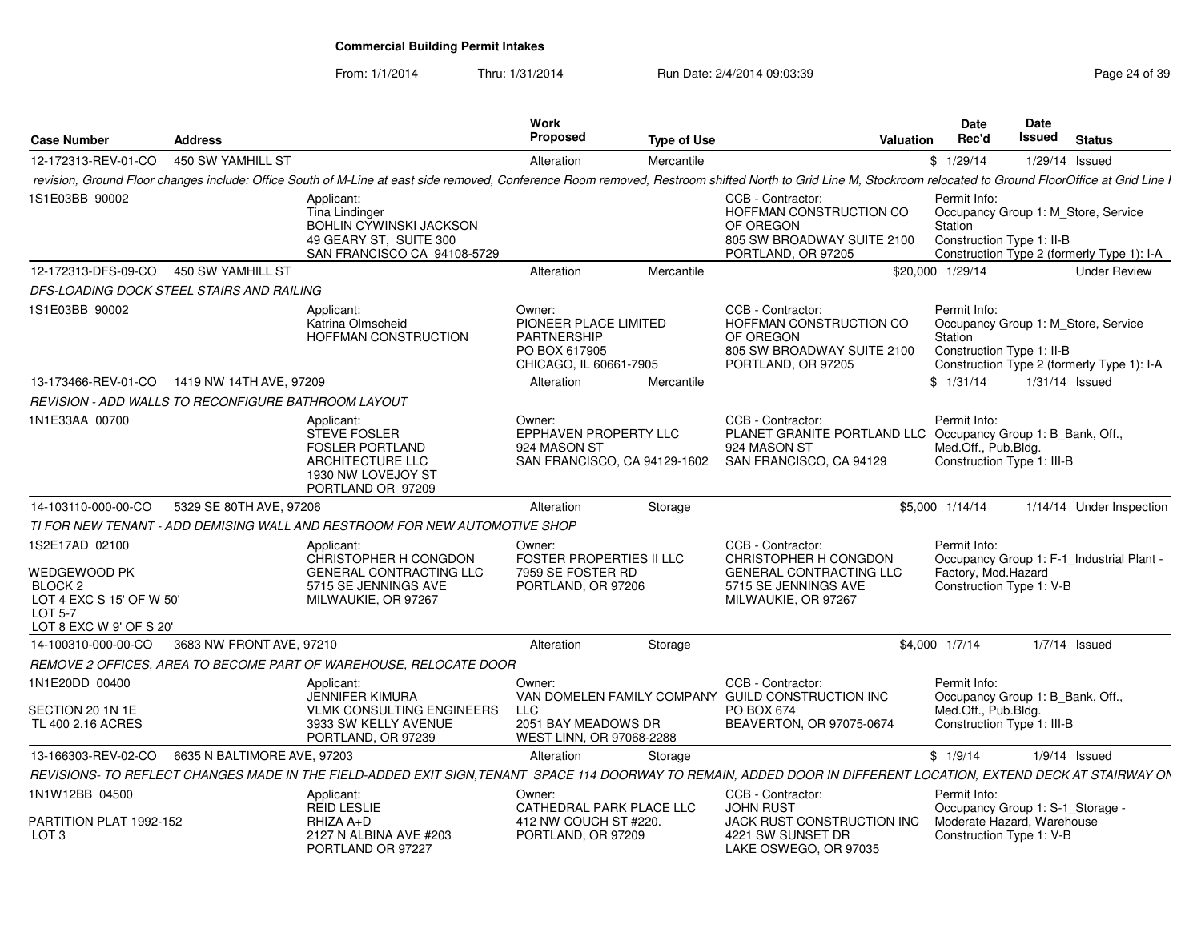From: 1/1/2014

Thru: 1/31/2014 Run Date: 2/4/2014 09:03:39 Research 2010 12:04 Page 24 of 39

| <b>Case Number</b>                                                                                                 | <b>Address</b>                                             |                                                                                                                                                                                                               | Work<br>Proposed                                                                                 | <b>Type of Use</b> | Valuation                                                                                                                    | <b>Date</b><br>Rec'd                                              | Date<br>Issued<br><b>Status</b>                                                   |
|--------------------------------------------------------------------------------------------------------------------|------------------------------------------------------------|---------------------------------------------------------------------------------------------------------------------------------------------------------------------------------------------------------------|--------------------------------------------------------------------------------------------------|--------------------|------------------------------------------------------------------------------------------------------------------------------|-------------------------------------------------------------------|-----------------------------------------------------------------------------------|
| 12-172313-REV-01-CO 450 SW YAMHILL ST                                                                              |                                                            |                                                                                                                                                                                                               | Alteration                                                                                       | Mercantile         |                                                                                                                              | \$1/29/14                                                         | $1/29/14$ Issued                                                                  |
|                                                                                                                    |                                                            | revision, Ground Floor changes include: Office South of M-Line at east side removed, Conference Room removed, Restroom shifted North to Grid Line M, Stockroom relocated to Ground FloorOffice at Grid Line I |                                                                                                  |                    |                                                                                                                              |                                                                   |                                                                                   |
| 1S1E03BB 90002                                                                                                     |                                                            | Applicant:<br>Tina Lindinger<br>BOHLIN CYWINSKI JACKSON<br>49 GEARY ST. SUITE 300<br>SAN FRANCISCO CA 94108-5729                                                                                              |                                                                                                  |                    | CCB - Contractor:<br>HOFFMAN CONSTRUCTION CO<br>OF OREGON<br>805 SW BROADWAY SUITE 2100<br>PORTLAND, OR 97205                | Permit Info:<br>Station<br>Construction Type 1: II-B              | Occupancy Group 1: M_Store, Service<br>Construction Type 2 (formerly Type 1): I-A |
| 12-172313-DFS-09-CO  450 SW YAMHILL ST                                                                             |                                                            |                                                                                                                                                                                                               | Alteration                                                                                       | Mercantile         |                                                                                                                              | \$20,000 1/29/14                                                  | <b>Under Review</b>                                                               |
|                                                                                                                    | DFS-LOADING DOCK STEEL STAIRS AND RAILING                  |                                                                                                                                                                                                               |                                                                                                  |                    |                                                                                                                              |                                                                   |                                                                                   |
| 1S1E03BB 90002                                                                                                     |                                                            | Applicant:<br>Katrina Olmscheid<br>HOFFMAN CONSTRUCTION                                                                                                                                                       | Owner:<br>PIONEER PLACE LIMITED<br><b>PARTNERSHIP</b><br>PO BOX 617905<br>CHICAGO, IL 60661-7905 |                    | CCB - Contractor:<br>HOFFMAN CONSTRUCTION CO<br>OF OREGON<br>805 SW BROADWAY SUITE 2100<br>PORTLAND, OR 97205                | Permit Info:<br>Station<br>Construction Type 1: II-B              | Occupancy Group 1: M Store, Service<br>Construction Type 2 (formerly Type 1): I-A |
|                                                                                                                    | 13-173466-REV-01-CO  1419 NW 14TH AVE, 97209               |                                                                                                                                                                                                               | Alteration                                                                                       | Mercantile         |                                                                                                                              | \$1/31/14                                                         | 1/31/14 Issued                                                                    |
|                                                                                                                    | <b>REVISION - ADD WALLS TO RECONFIGURE BATHROOM LAYOUT</b> |                                                                                                                                                                                                               |                                                                                                  |                    |                                                                                                                              |                                                                   |                                                                                   |
| 1N1E33AA 00700                                                                                                     |                                                            | Applicant:<br>STEVE FOSLER<br><b>FOSLER PORTLAND</b><br>ARCHITECTURE LLC<br>1930 NW LOVEJOY ST<br>PORTLAND OR 97209                                                                                           | Owner:<br>EPPHAVEN PROPERTY LLC<br>924 MASON ST<br>SAN FRANCISCO, CA 94129-1602                  |                    | CCB - Contractor:<br>PLANET GRANITE PORTLAND LLC Occupancy Group 1: B_Bank, Off.,<br>924 MASON ST<br>SAN FRANCISCO, CA 94129 | Permit Info:<br>Med.Off., Pub.Bldg.<br>Construction Type 1: III-B |                                                                                   |
| 14-103110-000-00-CO                                                                                                | 5329 SE 80TH AVE. 97206                                    |                                                                                                                                                                                                               | Alteration                                                                                       | Storage            |                                                                                                                              | \$5,000 1/14/14                                                   | 1/14/14 Under Inspection                                                          |
|                                                                                                                    |                                                            | TI FOR NEW TENANT - ADD DEMISING WALL AND RESTROOM FOR NEW AUTOMOTIVE SHOP                                                                                                                                    |                                                                                                  |                    |                                                                                                                              |                                                                   |                                                                                   |
| 1S2E17AD 02100<br>WEDGEWOOD PK<br><b>BLOCK 2</b><br>LOT 4 EXC S 15' OF W 50'<br>LOT 5-7<br>LOT 8 EXC W 9' OF S 20' |                                                            | Applicant:<br>CHRISTOPHER H CONGDON<br>GENERAL CONTRACTING LLC<br>5715 SE JENNINGS AVE<br>MILWAUKIE, OR 97267                                                                                                 | Owner:<br><b>FOSTER PROPERTIES II LLC</b><br>7959 SE FOSTER RD<br>PORTLAND, OR 97206             |                    | CCB - Contractor:<br>CHRISTOPHER H CONGDON<br>GENERAL CONTRACTING LLC<br>5715 SE JENNINGS AVE<br>MILWAUKIE, OR 97267         | Permit Info:<br>Factory, Mod.Hazard<br>Construction Type 1: V-B   | Occupancy Group 1: F-1_Industrial Plant -                                         |
| 14-100310-000-00-CO                                                                                                | 3683 NW FRONT AVE, 97210                                   |                                                                                                                                                                                                               | Alteration                                                                                       | Storage            |                                                                                                                              | \$4,000 1/7/14                                                    | 1/7/14 Issued                                                                     |
|                                                                                                                    |                                                            | REMOVE 2 OFFICES, AREA TO BECOME PART OF WAREHOUSE, RELOCATE DOOR                                                                                                                                             |                                                                                                  |                    |                                                                                                                              |                                                                   |                                                                                   |
| 1N1E20DD 00400<br>SECTION 20 1N 1E<br>TL 400 2.16 ACRES                                                            |                                                            | Applicant:<br><b>JENNIFER KIMURA</b><br><b>VLMK CONSULTING ENGINEERS</b><br>3933 SW KELLY AVENUE                                                                                                              | Owner:<br><b>LLC</b><br>2051 BAY MEADOWS DR                                                      |                    | CCB - Contractor:<br>VAN DOMELEN FAMILY COMPANY GUILD CONSTRUCTION INC<br><b>PO BOX 674</b><br>BEAVERTON, OR 97075-0674      | Permit Info:<br>Med.Off., Pub.Bldg.<br>Construction Type 1: III-B | Occupancy Group 1: B Bank, Off.,                                                  |
|                                                                                                                    |                                                            | PORTLAND, OR 97239                                                                                                                                                                                            | WEST LINN, OR 97068-2288                                                                         |                    |                                                                                                                              |                                                                   |                                                                                   |
|                                                                                                                    | 13-166303-REV-02-CO   6635 N BALTIMORE AVE, 97203          |                                                                                                                                                                                                               | Alteration                                                                                       | Storage            |                                                                                                                              | \$1/9/14                                                          | $1/9/14$ Issued                                                                   |
|                                                                                                                    |                                                            | REVISIONS- TO REFLECT CHANGES MADE IN THE FIELD-ADDED EXIT SIGN, TENANT SPACE 114 DOORWAY TO REMAIN, ADDED DOOR IN DIFFERENT LOCATION, EXTEND DECK AT STAIRWAY ON                                             |                                                                                                  |                    |                                                                                                                              |                                                                   |                                                                                   |
| 1N1W12BB 04500<br>PARTITION PLAT 1992-152<br>LOT <sub>3</sub>                                                      |                                                            | Applicant:<br>REID LESLIE<br>RHIZA A+D<br>2127 N ALBINA AVE #203<br>PORTLAND OR 97227                                                                                                                         | Owner:<br>CATHEDRAL PARK PLACE LLC<br>412 NW COUCH ST #220.<br>PORTLAND, OR 97209                |                    | CCB - Contractor:<br><b>JOHN RUST</b><br>JACK RUST CONSTRUCTION INC<br>4221 SW SUNSET DR<br>LAKE OSWEGO, OR 97035            | Permit Info:<br>Construction Type 1: V-B                          | Occupancy Group 1: S-1_Storage -<br>Moderate Hazard, Warehouse                    |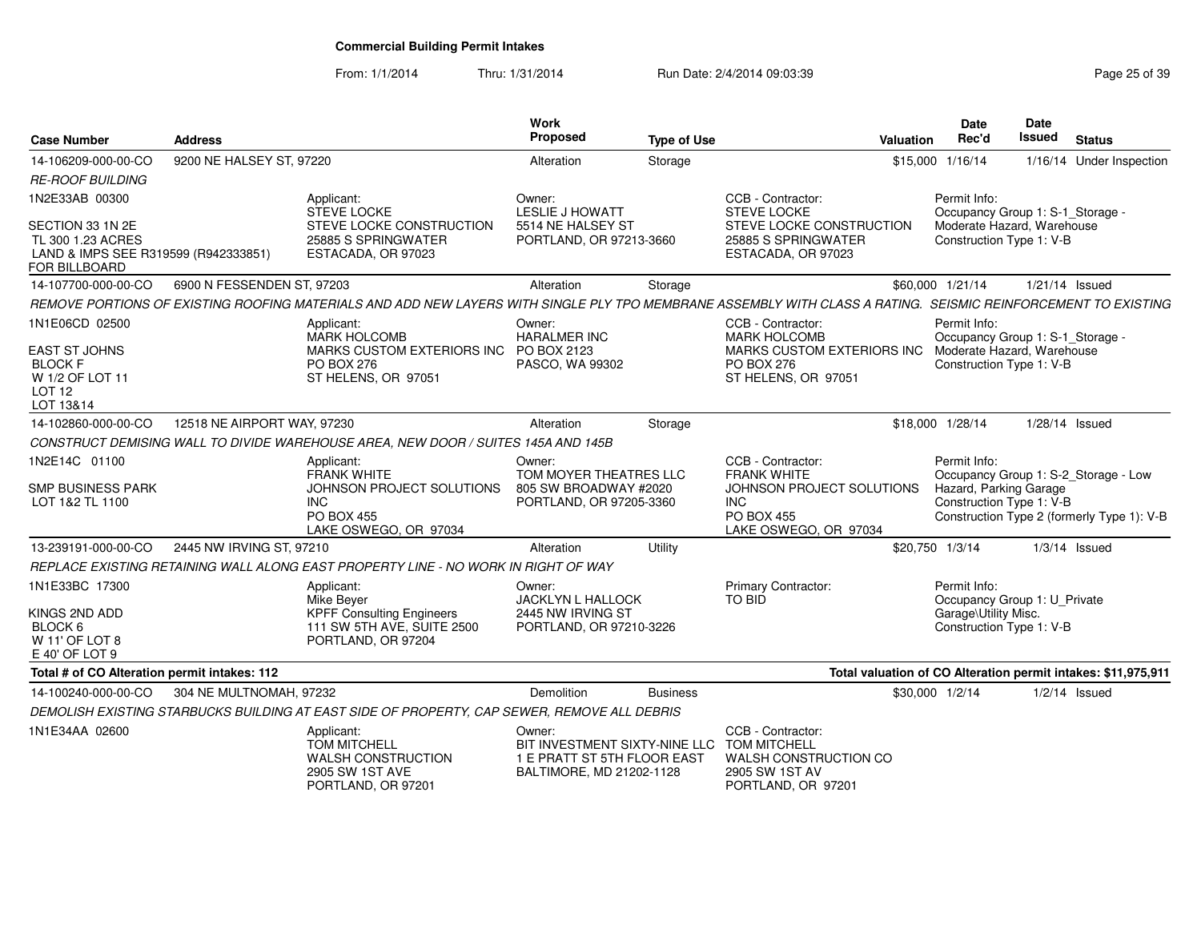From: 1/1/2014Thru: 1/31/2014 Run Date: 2/4/2014 09:03:39 Research 2010 12:04 Page 25 of 39

| <b>Case Number</b>                                                                                            | <b>Address</b>              |                                                                                                                                                               | Work<br>Proposed                                                                                   | <b>Type of Use</b> |                                                                                                                                  | Valuation       | <b>Date</b><br>Rec'd                                                                                       | <b>Date</b><br><b>Issued</b> | <b>Status</b>                                                                      |
|---------------------------------------------------------------------------------------------------------------|-----------------------------|---------------------------------------------------------------------------------------------------------------------------------------------------------------|----------------------------------------------------------------------------------------------------|--------------------|----------------------------------------------------------------------------------------------------------------------------------|-----------------|------------------------------------------------------------------------------------------------------------|------------------------------|------------------------------------------------------------------------------------|
| 14-106209-000-00-CO                                                                                           | 9200 NE HALSEY ST, 97220    |                                                                                                                                                               | Alteration                                                                                         | Storage            |                                                                                                                                  |                 | \$15,000 1/16/14                                                                                           |                              | 1/16/14 Under Inspection                                                           |
| <i><b>RE-ROOF BUILDING</b></i>                                                                                |                             |                                                                                                                                                               |                                                                                                    |                    |                                                                                                                                  |                 |                                                                                                            |                              |                                                                                    |
| 1N2E33AB 00300                                                                                                |                             | Applicant:<br><b>STEVE LOCKE</b>                                                                                                                              | Owner:<br><b>LESLIE J HOWATT</b>                                                                   |                    | CCB - Contractor:<br><b>STEVE LOCKE</b>                                                                                          |                 | Permit Info:<br>Occupancy Group 1: S-1_Storage -                                                           |                              |                                                                                    |
| SECTION 33 1N 2E<br>TL 300 1.23 ACRES<br>LAND & IMPS SEE R319599 (R942333851)<br>FOR BILLBOARD                |                             | STEVE LOCKE CONSTRUCTION<br>25885 S SPRINGWATER<br>ESTACADA, OR 97023                                                                                         | 5514 NE HALSEY ST<br>PORTLAND, OR 97213-3660                                                       |                    | STEVE LOCKE CONSTRUCTION<br>25885 S SPRINGWATER<br>ESTACADA, OR 97023                                                            |                 | Moderate Hazard, Warehouse<br>Construction Type 1: V-B                                                     |                              |                                                                                    |
| 14-107700-000-00-CO                                                                                           | 6900 N FESSENDEN ST, 97203  |                                                                                                                                                               | Alteration                                                                                         | Storage            |                                                                                                                                  |                 | \$60,000 1/21/14                                                                                           | 1/21/14 Issued               |                                                                                    |
|                                                                                                               |                             | REMOVE PORTIONS OF EXISTING ROOFING MATERIALS AND ADD NEW LAYERS WITH SINGLE PLY TPO MEMBRANE ASSEMBLY WITH CLASS A RATING. SEISMIC REINFORCEMENT TO EXISTING |                                                                                                    |                    |                                                                                                                                  |                 |                                                                                                            |                              |                                                                                    |
| 1N1E06CD 02500<br><b>EAST ST JOHNS</b><br><b>BLOCK F</b><br>W 1/2 OF LOT 11<br>LOT <sub>12</sub><br>LOT 13&14 |                             | Applicant:<br><b>MARK HOLCOMB</b><br>MARKS CUSTOM EXTERIORS INC<br><b>PO BOX 276</b><br>ST HELENS, OR 97051                                                   | Owner:<br><b>HARALMER INC</b><br>PO BOX 2123<br>PASCO, WA 99302                                    |                    | CCB - Contractor:<br><b>MARK HOLCOMB</b><br>MARKS CUSTOM EXTERIORS INC<br><b>PO BOX 276</b><br>ST HELENS, OR 97051               |                 | Permit Info:<br>Occupancy Group 1: S-1_Storage -<br>Moderate Hazard, Warehouse<br>Construction Type 1: V-B |                              |                                                                                    |
| 14-102860-000-00-CO                                                                                           | 12518 NE AIRPORT WAY, 97230 |                                                                                                                                                               | Alteration                                                                                         | Storage            |                                                                                                                                  |                 | \$18,000 1/28/14                                                                                           | 1/28/14 Issued               |                                                                                    |
|                                                                                                               |                             | CONSTRUCT DEMISING WALL TO DIVIDE WAREHOUSE AREA, NEW DOOR / SUITES 145A AND 145B                                                                             |                                                                                                    |                    |                                                                                                                                  |                 |                                                                                                            |                              |                                                                                    |
| 1N2E14C 01100<br><b>SMP BUSINESS PARK</b><br>LOT 1&2 TL 1100                                                  |                             | Applicant:<br><b>FRANK WHITE</b><br>JOHNSON PROJECT SOLUTIONS<br><b>INC</b><br><b>PO BOX 455</b><br>LAKE OSWEGO, OR 97034                                     | Owner:<br>TOM MOYER THEATRES LLC<br>805 SW BROADWAY #2020<br>PORTLAND, OR 97205-3360               |                    | CCB - Contractor:<br><b>FRANK WHITE</b><br>JOHNSON PROJECT SOLUTIONS<br><b>INC</b><br><b>PO BOX 455</b><br>LAKE OSWEGO, OR 97034 |                 | Permit Info:<br>Hazard, Parking Garage<br>Construction Type 1: V-B                                         |                              | Occupancy Group 1: S-2_Storage - Low<br>Construction Type 2 (formerly Type 1): V-B |
| 13-239191-000-00-CO                                                                                           | 2445 NW IRVING ST, 97210    |                                                                                                                                                               | Alteration                                                                                         | Utility            |                                                                                                                                  | \$20,750 1/3/14 |                                                                                                            |                              | $1/3/14$ Issued                                                                    |
|                                                                                                               |                             | REPLACE EXISTING RETAINING WALL ALONG EAST PROPERTY LINE - NO WORK IN RIGHT OF WAY                                                                            |                                                                                                    |                    |                                                                                                                                  |                 |                                                                                                            |                              |                                                                                    |
| 1N1E33BC 17300<br>KINGS 2ND ADD<br>BLOCK 6<br>W 11' OF LOT 8<br>E 40' OF LOT 9                                |                             | Applicant:<br>Mike Beyer<br><b>KPFF Consulting Engineers</b><br>111 SW 5TH AVE, SUITE 2500<br>PORTLAND, OR 97204                                              | Owner:<br><b>JACKLYN L HALLOCK</b><br>2445 NW IRVING ST<br>PORTLAND, OR 97210-3226                 |                    | Primary Contractor:<br><b>TO BID</b>                                                                                             |                 | Permit Info:<br>Occupancy Group 1: U Private<br>Garage\Utility Misc.<br>Construction Type 1: V-B           |                              |                                                                                    |
| Total # of CO Alteration permit intakes: 112                                                                  |                             |                                                                                                                                                               |                                                                                                    |                    |                                                                                                                                  |                 |                                                                                                            |                              | Total valuation of CO Alteration permit intakes: \$11,975,911                      |
| 14-100240-000-00-CO                                                                                           | 304 NE MULTNOMAH, 97232     |                                                                                                                                                               | <b>Demolition</b>                                                                                  | <b>Business</b>    |                                                                                                                                  |                 | \$30,000 1/2/14                                                                                            |                              | $1/2/14$ Issued                                                                    |
|                                                                                                               |                             | DEMOLISH EXISTING STARBUCKS BUILDING AT EAST SIDE OF PROPERTY, CAP SEWER, REMOVE ALL DEBRIS                                                                   |                                                                                                    |                    |                                                                                                                                  |                 |                                                                                                            |                              |                                                                                    |
| 1N1E34AA 02600                                                                                                |                             | Applicant:<br><b>TOM MITCHELL</b><br><b>WALSH CONSTRUCTION</b><br>2905 SW 1ST AVE<br>PORTLAND, OR 97201                                                       | Owner:<br>BIT INVESTMENT SIXTY-NINE LLC<br>1 E PRATT ST 5TH FLOOR EAST<br>BALTIMORE, MD 21202-1128 |                    | CCB - Contractor:<br><b>TOM MITCHELL</b><br>WALSH CONSTRUCTION CO<br>2905 SW 1ST AV<br>PORTLAND, OR 97201                        |                 |                                                                                                            |                              |                                                                                    |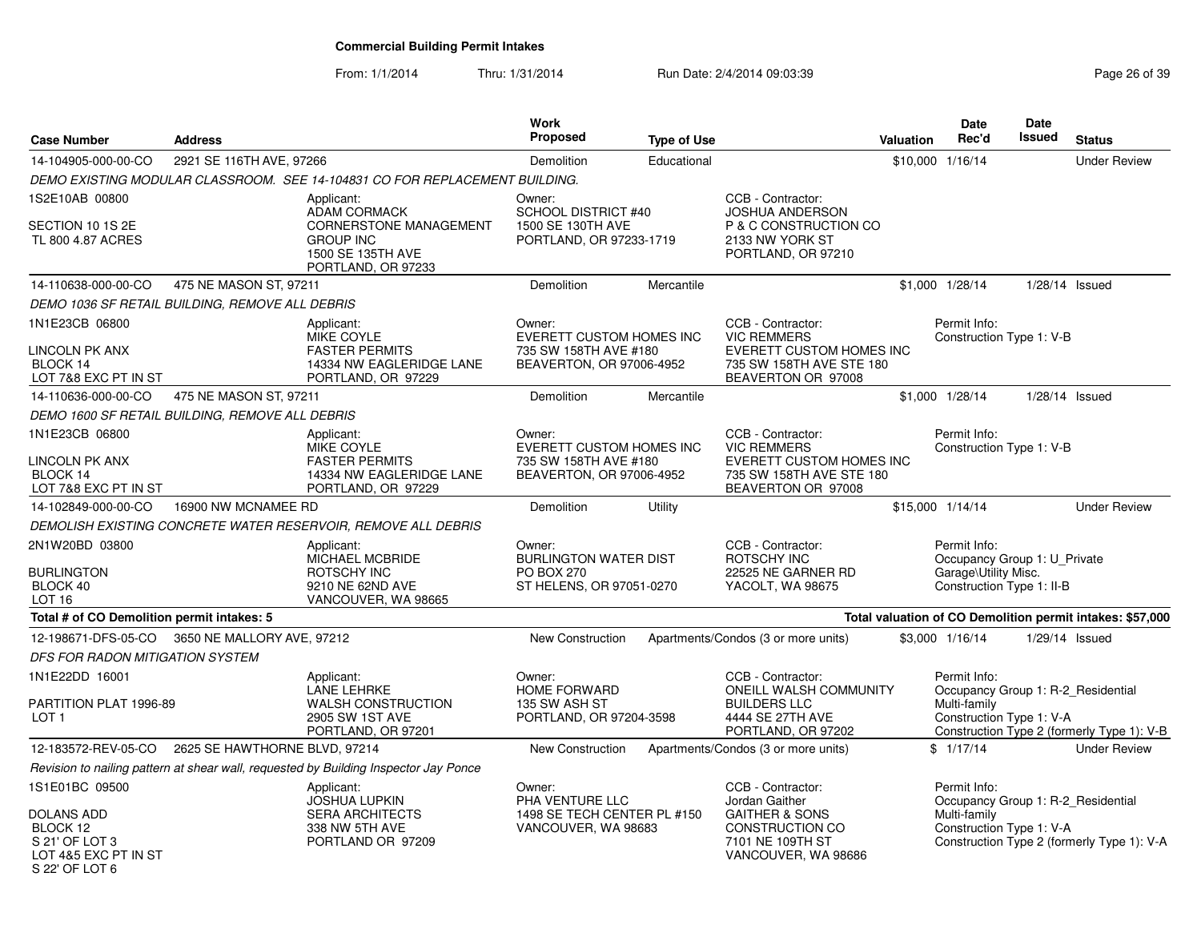| <b>Case Number</b>                                                                        | <b>Address</b>                                  |                                                                                                                                   | <b>Work</b><br><b>Proposed</b>                                                                 | <b>Type of Use</b> |                                                                                                                                | Valuation        | Date<br>Rec'd                                                                                     | <b>Date</b><br><b>Issued</b> | <b>Status</b>                                                                    |
|-------------------------------------------------------------------------------------------|-------------------------------------------------|-----------------------------------------------------------------------------------------------------------------------------------|------------------------------------------------------------------------------------------------|--------------------|--------------------------------------------------------------------------------------------------------------------------------|------------------|---------------------------------------------------------------------------------------------------|------------------------------|----------------------------------------------------------------------------------|
| 14-104905-000-00-CO                                                                       | 2921 SE 116TH AVE, 97266                        |                                                                                                                                   | Demolition                                                                                     | Educational        |                                                                                                                                | \$10,000 1/16/14 |                                                                                                   |                              | <b>Under Review</b>                                                              |
|                                                                                           |                                                 | DEMO EXISTING MODULAR CLASSROOM. SEE 14-104831 CO FOR REPLACEMENT BUILDING.                                                       |                                                                                                |                    |                                                                                                                                |                  |                                                                                                   |                              |                                                                                  |
| 1S2E10AB 00800<br>SECTION 10 1S 2E<br>TL 800 4.87 ACRES                                   |                                                 | Applicant:<br><b>ADAM CORMACK</b><br><b>CORNERSTONE MANAGEMENT</b><br><b>GROUP INC</b><br>1500 SE 135TH AVE<br>PORTLAND, OR 97233 | Owner:<br><b>SCHOOL DISTRICT #40</b><br>1500 SE 130TH AVE<br>PORTLAND, OR 97233-1719           |                    | CCB - Contractor:<br><b>JOSHUA ANDERSON</b><br>P & C CONSTRUCTION CO<br>2133 NW YORK ST<br>PORTLAND, OR 97210                  |                  |                                                                                                   |                              |                                                                                  |
| 14-110638-000-00-CO                                                                       | 475 NE MASON ST, 97211                          |                                                                                                                                   | <b>Demolition</b>                                                                              | Mercantile         |                                                                                                                                | \$1,000 1/28/14  |                                                                                                   |                              | 1/28/14 Issued                                                                   |
|                                                                                           | DEMO 1036 SF RETAIL BUILDING, REMOVE ALL DEBRIS |                                                                                                                                   |                                                                                                |                    |                                                                                                                                |                  |                                                                                                   |                              |                                                                                  |
| 1N1E23CB 06800<br>LINCOLN PK ANX<br>BLOCK 14<br>LOT 7&8 EXC PT IN ST                      |                                                 | Applicant:<br>MIKE COYLE<br><b>FASTER PERMITS</b><br>14334 NW EAGLERIDGE LANE<br>PORTLAND, OR 97229                               | Owner:<br><b>EVERETT CUSTOM HOMES INC</b><br>735 SW 158TH AVE #180<br>BEAVERTON, OR 97006-4952 |                    | CCB - Contractor:<br><b>VIC REMMERS</b><br>EVERETT CUSTOM HOMES INC<br>735 SW 158TH AVE STE 180<br>BEAVERTON OR 97008          |                  | Permit Info:<br>Construction Type 1: V-B                                                          |                              |                                                                                  |
| 14-110636-000-00-CO                                                                       | 475 NE MASON ST, 97211                          |                                                                                                                                   | Demolition                                                                                     | Mercantile         |                                                                                                                                | \$1,000 1/28/14  |                                                                                                   |                              | $1/28/14$ Issued                                                                 |
|                                                                                           | DEMO 1600 SF RETAIL BUILDING, REMOVE ALL DEBRIS |                                                                                                                                   |                                                                                                |                    |                                                                                                                                |                  |                                                                                                   |                              |                                                                                  |
| 1N1E23CB 06800<br><b>LINCOLN PK ANX</b><br>BLOCK 14<br>LOT 7&8 EXC PT IN ST               |                                                 | Applicant:<br>MIKE COYLE<br><b>FASTER PERMITS</b><br>14334 NW EAGLERIDGE LANE<br>PORTLAND, OR 97229                               | Owner:<br><b>EVERETT CUSTOM HOMES INC</b><br>735 SW 158TH AVE #180<br>BEAVERTON, OR 97006-4952 |                    | CCB - Contractor:<br><b>VIC REMMERS</b><br><b>EVERETT CUSTOM HOMES INC</b><br>735 SW 158TH AVE STE 180<br>BEAVERTON OR 97008   |                  | Permit Info:<br>Construction Type 1: V-B                                                          |                              |                                                                                  |
| 14-102849-000-00-CO                                                                       | 16900 NW MCNAMEE RD                             |                                                                                                                                   | Demolition                                                                                     | Utility            |                                                                                                                                | \$15,000 1/14/14 |                                                                                                   |                              | <b>Under Review</b>                                                              |
|                                                                                           |                                                 | DEMOLISH EXISTING CONCRETE WATER RESERVOIR, REMOVE ALL DEBRIS                                                                     |                                                                                                |                    |                                                                                                                                |                  |                                                                                                   |                              |                                                                                  |
| 2N1W20BD 03800<br><b>BURLINGTON</b><br>BLOCK 40<br>LOT <sub>16</sub>                      |                                                 | Applicant:<br>MICHAEL MCBRIDE<br>ROTSCHY INC<br>9210 NE 62ND AVE<br>VANCOUVER, WA 98665                                           | Owner:<br><b>BURLINGTON WATER DIST</b><br><b>PO BOX 270</b><br>ST HELENS, OR 97051-0270        |                    | CCB - Contractor:<br>ROTSCHY INC<br>22525 NE GARNER RD<br>YACOLT, WA 98675                                                     |                  | Permit Info:<br>Occupancy Group 1: U_Private<br>Garage\Utility Misc.<br>Construction Type 1: II-B |                              |                                                                                  |
| Total # of CO Demolition permit intakes: 5                                                |                                                 |                                                                                                                                   |                                                                                                |                    |                                                                                                                                |                  |                                                                                                   |                              | Total valuation of CO Demolition permit intakes: \$57,000                        |
| 12-198671-DFS-05-CO                                                                       | 3650 NE MALLORY AVE, 97212                      |                                                                                                                                   | New Construction                                                                               |                    | Apartments/Condos (3 or more units)                                                                                            | \$3,000 1/16/14  |                                                                                                   |                              | 1/29/14 Issued                                                                   |
| <b>DFS FOR RADON MITIGATION SYSTEM</b>                                                    |                                                 |                                                                                                                                   |                                                                                                |                    |                                                                                                                                |                  |                                                                                                   |                              |                                                                                  |
| 1N1E22DD 16001<br>PARTITION PLAT 1996-89<br>LOT <sub>1</sub>                              |                                                 | Applicant:<br><b>LANE LEHRKE</b><br><b>WALSH CONSTRUCTION</b><br>2905 SW 1ST AVE<br>PORTLAND, OR 97201                            | Owner:<br><b>HOME FORWARD</b><br>135 SW ASH ST<br>PORTLAND, OR 97204-3598                      |                    | CCB - Contractor:<br>ONEILL WALSH COMMUNITY<br><b>BUILDERS LLC</b><br>4444 SE 27TH AVE<br>PORTLAND, OR 97202                   |                  | Permit Info:<br>Multi-family<br>Construction Type 1: V-A                                          |                              | Occupancy Group 1: R-2_Residential<br>Construction Type 2 (formerly Type 1): V-B |
| 12-183572-REV-05-CO                                                                       | 2625 SE HAWTHORNE BLVD, 97214                   |                                                                                                                                   | <b>New Construction</b>                                                                        |                    | Apartments/Condos (3 or more units)                                                                                            | \$1/17/14        |                                                                                                   |                              | <b>Under Review</b>                                                              |
|                                                                                           |                                                 | Revision to nailing pattern at shear wall, requested by Building Inspector Jay Ponce                                              |                                                                                                |                    |                                                                                                                                |                  |                                                                                                   |                              |                                                                                  |
| 1S1E01BC 09500<br><b>DOLANS ADD</b><br>BLOCK 12<br>S 21' OF LOT 3<br>LOT 4&5 EXC PT IN ST |                                                 | Applicant:<br><b>JOSHUA LUPKIN</b><br><b>SERA ARCHITECTS</b><br>338 NW 5TH AVE<br>PORTLAND OR 97209                               | Owner:<br>PHA VENTURE LLC<br>1498 SE TECH CENTER PL #150<br>VANCOUVER, WA 98683                |                    | CCB - Contractor:<br>Jordan Gaither<br><b>GAITHER &amp; SONS</b><br>CONSTRUCTION CO<br>7101 NE 109TH ST<br>VANCOUVER, WA 98686 |                  | Permit Info:<br>Multi-family<br>Construction Type 1: V-A                                          |                              | Occupancy Group 1: R-2_Residential<br>Construction Type 2 (formerly Type 1): V-A |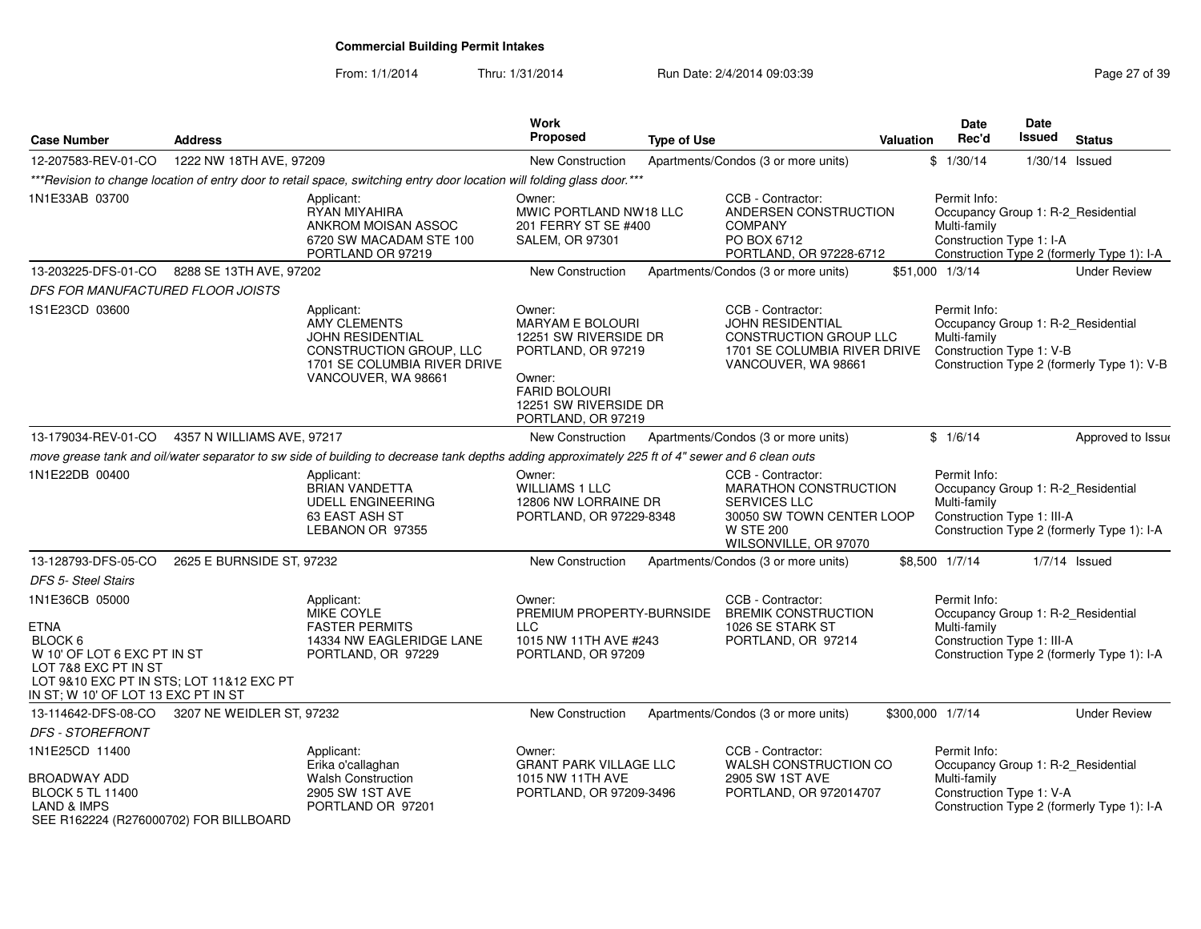From: 1/1/2014

Thru: 1/31/2014 Run Date: 2/4/2014 09:03:39 Research 2010 12:04 Page 27 of 39

| <b>Case Number</b>                                                                                                                                                                            | <b>Address</b>             |                                                                                                                                                  | Work<br><b>Proposed</b>                                                                                                                                           | <b>Type of Use</b> |                                                                                                                                                    | Valuation        | Date<br>Rec'd                                                                                    | Date<br>Issued   | <b>Status</b>                              |
|-----------------------------------------------------------------------------------------------------------------------------------------------------------------------------------------------|----------------------------|--------------------------------------------------------------------------------------------------------------------------------------------------|-------------------------------------------------------------------------------------------------------------------------------------------------------------------|--------------------|----------------------------------------------------------------------------------------------------------------------------------------------------|------------------|--------------------------------------------------------------------------------------------------|------------------|--------------------------------------------|
| 12-207583-REV-01-CO                                                                                                                                                                           | 1222 NW 18TH AVE, 97209    |                                                                                                                                                  | New Construction                                                                                                                                                  |                    | Apartments/Condos (3 or more units)                                                                                                                |                  | \$1/30/14                                                                                        | $1/30/14$ Issued |                                            |
|                                                                                                                                                                                               |                            | *** Revision to change location of entry door to retail space, switching entry door location will folding glass door. ***                        |                                                                                                                                                                   |                    |                                                                                                                                                    |                  |                                                                                                  |                  |                                            |
| 1N1E33AB 03700                                                                                                                                                                                |                            | Applicant:<br>RYAN MIYAHIRA<br>ANKROM MOISAN ASSOC<br>6720 SW MACADAM STE 100<br>PORTLAND OR 97219                                               | Owner:<br>MWIC PORTLAND NW18 LLC<br>201 FERRY ST SE #400<br><b>SALEM, OR 97301</b>                                                                                |                    | CCB - Contractor:<br>ANDERSEN CONSTRUCTION<br><b>COMPANY</b><br>PO BOX 6712<br>PORTLAND, OR 97228-6712                                             |                  | Permit Info:<br>Occupancy Group 1: R-2_Residential<br>Multi-family<br>Construction Type 1: I-A   |                  | Construction Type 2 (formerly Type 1): I-A |
| 13-203225-DFS-01-CO                                                                                                                                                                           | 8288 SE 13TH AVE, 97202    |                                                                                                                                                  | <b>New Construction</b>                                                                                                                                           |                    | Apartments/Condos (3 or more units)                                                                                                                |                  | \$51,000 1/3/14                                                                                  |                  | <b>Under Review</b>                        |
| DFS FOR MANUFACTURED FLOOR JOISTS                                                                                                                                                             |                            |                                                                                                                                                  |                                                                                                                                                                   |                    |                                                                                                                                                    |                  |                                                                                                  |                  |                                            |
| 1S1E23CD 03600                                                                                                                                                                                |                            | Applicant:<br><b>AMY CLEMENTS</b><br>JOHN RESIDENTIAL<br>CONSTRUCTION GROUP, LLC<br>1701 SE COLUMBIA RIVER DRIVE<br>VANCOUVER, WA 98661          | Owner:<br><b>MARYAM E BOLOURI</b><br>12251 SW RIVERSIDE DR<br>PORTLAND, OR 97219<br>Owner:<br><b>FARID BOLOURI</b><br>12251 SW RIVERSIDE DR<br>PORTLAND, OR 97219 |                    | CCB - Contractor:<br><b>JOHN RESIDENTIAL</b><br>CONSTRUCTION GROUP LLC<br>1701 SE COLUMBIA RIVER DRIVE<br>VANCOUVER, WA 98661                      |                  | Permit Info:<br>Occupancy Group 1: R-2_Residential<br>Multi-family<br>Construction Type 1: V-B   |                  | Construction Type 2 (formerly Type 1): V-B |
| 13-179034-REV-01-CO                                                                                                                                                                           | 4357 N WILLIAMS AVE, 97217 |                                                                                                                                                  | <b>New Construction</b>                                                                                                                                           |                    | Apartments/Condos (3 or more units)                                                                                                                |                  | \$1/6/14                                                                                         |                  | Approved to Issue                          |
|                                                                                                                                                                                               |                            | move grease tank and oil/water separator to sw side of building to decrease tank depths adding approximately 225 ft of 4" sewer and 6 clean outs |                                                                                                                                                                   |                    |                                                                                                                                                    |                  |                                                                                                  |                  |                                            |
| 1N1E22DB 00400                                                                                                                                                                                |                            | Applicant:<br><b>BRIAN VANDETTA</b><br><b>UDELL ENGINEERING</b><br>63 EAST ASH ST<br>LEBANON OR 97355                                            | Owner:<br><b>WILLIAMS 1 LLC</b><br>12806 NW LORRAINE DR<br>PORTLAND, OR 97229-8348                                                                                |                    | CCB - Contractor:<br><b>MARATHON CONSTRUCTION</b><br><b>SERVICES LLC</b><br>30050 SW TOWN CENTER LOOP<br><b>W STE 200</b><br>WILSONVILLE, OR 97070 |                  | Permit Info:<br>Occupancy Group 1: R-2_Residential<br>Multi-family<br>Construction Type 1: III-A |                  | Construction Type 2 (formerly Type 1): I-A |
| 13-128793-DFS-05-CO                                                                                                                                                                           | 2625 E BURNSIDE ST, 97232  |                                                                                                                                                  | <b>New Construction</b>                                                                                                                                           |                    | Apartments/Condos (3 or more units)                                                                                                                |                  | \$8,500 1/7/14                                                                                   |                  | $1/7/14$ Issued                            |
| <b>DFS 5- Steel Stairs</b>                                                                                                                                                                    |                            |                                                                                                                                                  |                                                                                                                                                                   |                    |                                                                                                                                                    |                  |                                                                                                  |                  |                                            |
| 1N1E36CB 05000<br><b>ETNA</b><br>BLOCK <sub>6</sub><br>W 10' OF LOT 6 EXC PT IN ST<br>LOT 7&8 EXC PT IN ST<br>LOT 9&10 EXC PT IN STS; LOT 11&12 EXC PT<br>IN ST; W 10' OF LOT 13 EXC PT IN ST |                            | Applicant:<br><b>MIKE COYLE</b><br><b>FASTER PERMITS</b><br>14334 NW EAGLERIDGE LANE<br>PORTLAND, OR 97229                                       | Owner:<br>PREMIUM PROPERTY-BURNSIDE<br><b>LLC</b><br>1015 NW 11TH AVE #243<br>PORTLAND, OR 97209                                                                  |                    | CCB - Contractor:<br><b>BREMIK CONSTRUCTION</b><br>1026 SE STARK ST<br>PORTLAND, OR 97214                                                          |                  | Permit Info:<br>Occupancy Group 1: R-2_Residential<br>Multi-family<br>Construction Type 1: III-A |                  | Construction Type 2 (formerly Type 1): I-A |
| 13-114642-DFS-08-CO                                                                                                                                                                           | 3207 NE WEIDLER ST, 97232  |                                                                                                                                                  | New Construction                                                                                                                                                  |                    | Apartments/Condos (3 or more units)                                                                                                                | \$300,000 1/7/14 |                                                                                                  |                  | <b>Under Review</b>                        |
| <b>DFS - STOREFRONT</b>                                                                                                                                                                       |                            |                                                                                                                                                  |                                                                                                                                                                   |                    |                                                                                                                                                    |                  |                                                                                                  |                  |                                            |
| 1N1E25CD 11400<br><b>BROADWAY ADD</b><br><b>BLOCK 5 TL 11400</b><br>LAND & IMPS<br>SEE R162224 (R276000702) FOR BILLBOARD                                                                     |                            | Applicant:<br>Erika o'callaghan<br><b>Walsh Construction</b><br>2905 SW 1ST AVE<br>PORTLAND OR 97201                                             | Owner:<br><b>GRANT PARK VILLAGE LLC</b><br>1015 NW 11TH AVE<br>PORTLAND, OR 97209-3496                                                                            |                    | CCB - Contractor:<br>WALSH CONSTRUCTION CO<br>2905 SW 1ST AVE<br>PORTLAND, OR 972014707                                                            |                  | Permit Info:<br>Occupancy Group 1: R-2_Residential<br>Multi-family<br>Construction Type 1: V-A   |                  | Construction Type 2 (formerly Type 1): I-A |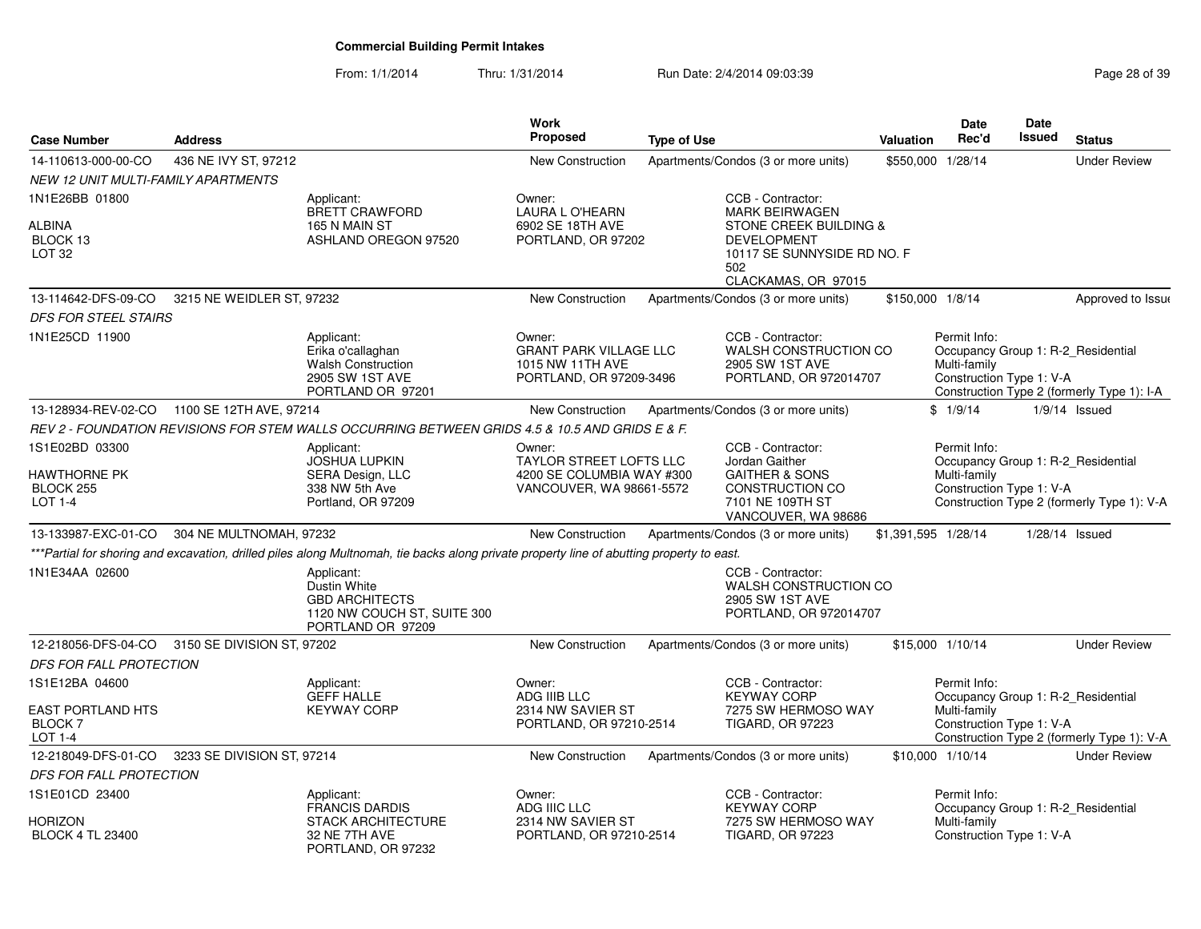| <b>Case Number</b>                                                     | <b>Address</b>                              |                                                                                                                                           | Work<br>Proposed                                                                                  | <b>Type of Use</b> |                                                                                                                                                         | Valuation           | <b>Date</b><br>Rec'd                                     | <b>Date</b><br><b>Issued</b> | <b>Status</b>                                                                    |
|------------------------------------------------------------------------|---------------------------------------------|-------------------------------------------------------------------------------------------------------------------------------------------|---------------------------------------------------------------------------------------------------|--------------------|---------------------------------------------------------------------------------------------------------------------------------------------------------|---------------------|----------------------------------------------------------|------------------------------|----------------------------------------------------------------------------------|
| 14-110613-000-00-CO                                                    | 436 NE IVY ST, 97212                        |                                                                                                                                           | New Construction                                                                                  |                    | Apartments/Condos (3 or more units)                                                                                                                     | \$550,000 1/28/14   |                                                          |                              | <b>Under Review</b>                                                              |
| NEW 12 UNIT MULTI-FAMILY APARTMENTS                                    |                                             |                                                                                                                                           |                                                                                                   |                    |                                                                                                                                                         |                     |                                                          |                              |                                                                                  |
| 1N1E26BB 01800<br><b>ALBINA</b><br>BLOCK 13<br>LOT <sub>32</sub>       |                                             | Applicant:<br><b>BRETT CRAWFORD</b><br>165 N MAIN ST<br>ASHLAND OREGON 97520                                                              | Owner:<br><b>LAURA L O'HEARN</b><br>6902 SE 18TH AVE<br>PORTLAND, OR 97202                        |                    | CCB - Contractor:<br><b>MARK BEIRWAGEN</b><br>STONE CREEK BUILDING &<br><b>DEVELOPMENT</b><br>10117 SE SUNNYSIDE RD NO. F<br>502<br>CLACKAMAS, OR 97015 |                     |                                                          |                              |                                                                                  |
| 13-114642-DFS-09-CO                                                    | 3215 NE WEIDLER ST, 97232                   |                                                                                                                                           | New Construction                                                                                  |                    | Apartments/Condos (3 or more units)                                                                                                                     | \$150,000 1/8/14    |                                                          |                              | Approved to Issue                                                                |
| <i>DFS FOR STEEL STAIRS</i>                                            |                                             |                                                                                                                                           |                                                                                                   |                    |                                                                                                                                                         |                     |                                                          |                              |                                                                                  |
| 1N1E25CD 11900                                                         |                                             | Applicant:<br>Erika o'callaghan<br><b>Walsh Construction</b><br>2905 SW 1ST AVE<br>PORTLAND OR 97201                                      | Owner:<br><b>GRANT PARK VILLAGE LLC</b><br>1015 NW 11TH AVE<br>PORTLAND, OR 97209-3496            |                    | CCB - Contractor:<br>WALSH CONSTRUCTION CO<br>2905 SW 1ST AVE<br>PORTLAND, OR 972014707                                                                 |                     | Permit Info:<br>Multi-family<br>Construction Type 1: V-A |                              | Occupancy Group 1: R-2 Residential<br>Construction Type 2 (formerly Type 1): I-A |
| 13-128934-REV-02-CO                                                    | 1100 SE 12TH AVE, 97214                     |                                                                                                                                           | New Construction                                                                                  |                    | Apartments/Condos (3 or more units)                                                                                                                     |                     | \$1/9/14                                                 |                              | $1/9/14$ Issued                                                                  |
|                                                                        |                                             | REV 2 - FOUNDATION REVISIONS FOR STEM WALLS OCCURRING BETWEEN GRIDS 4.5 & 10.5 AND GRIDS E & F.                                           |                                                                                                   |                    |                                                                                                                                                         |                     |                                                          |                              |                                                                                  |
| 1S1E02BD 03300<br>HAWTHORNE PK<br>BLOCK 255<br>LOT 1-4                 |                                             | Applicant:<br>JOSHUA LUPKIN<br>SERA Design, LLC<br>338 NW 5th Ave<br>Portland, OR 97209                                                   | Owner:<br><b>TAYLOR STREET LOFTS LLC</b><br>4200 SE COLUMBIA WAY #300<br>VANCOUVER, WA 98661-5572 |                    | CCB - Contractor:<br>Jordan Gaither<br><b>GAITHER &amp; SONS</b><br>CONSTRUCTION CO<br>7101 NE 109TH ST<br>VANCOUVER, WA 98686                          |                     | Permit Info:<br>Multi-family<br>Construction Type 1: V-A |                              | Occupancy Group 1: R-2_Residential<br>Construction Type 2 (formerly Type 1): V-A |
|                                                                        | 13-133987-EXC-01-CO 304 NE MULTNOMAH, 97232 |                                                                                                                                           | New Construction                                                                                  |                    | Apartments/Condos (3 or more units)                                                                                                                     | \$1,391,595 1/28/14 |                                                          |                              | 1/28/14 Issued                                                                   |
|                                                                        |                                             | ***Partial for shoring and excavation, drilled piles along Multnomah, tie backs along private property line of abutting property to east. |                                                                                                   |                    |                                                                                                                                                         |                     |                                                          |                              |                                                                                  |
| 1N1E34AA 02600                                                         |                                             | Applicant:<br>Dustin White<br><b>GBD ARCHITECTS</b><br>1120 NW COUCH ST, SUITE 300<br>PORTLAND OR 97209                                   |                                                                                                   |                    | CCB - Contractor:<br>WALSH CONSTRUCTION CO<br>2905 SW 1ST AVE<br>PORTLAND, OR 972014707                                                                 |                     |                                                          |                              |                                                                                  |
| 12-218056-DFS-04-CO                                                    | 3150 SE DIVISION ST, 97202                  |                                                                                                                                           | <b>New Construction</b>                                                                           |                    | Apartments/Condos (3 or more units)                                                                                                                     |                     | \$15,000 1/10/14                                         |                              | <b>Under Review</b>                                                              |
| DFS FOR FALL PROTECTION                                                |                                             |                                                                                                                                           |                                                                                                   |                    |                                                                                                                                                         |                     |                                                          |                              |                                                                                  |
| 1S1E12BA 04600<br><b>EAST PORTLAND HTS</b><br><b>BLOCK7</b><br>LOT 1-4 |                                             | Applicant:<br><b>GEFF HALLE</b><br><b>KEYWAY CORP</b>                                                                                     | Owner:<br>ADG IIIB LLC<br>2314 NW SAVIER ST<br>PORTLAND, OR 97210-2514                            |                    | CCB - Contractor:<br><b>KEYWAY CORP</b><br>7275 SW HERMOSO WAY<br><b>TIGARD, OR 97223</b>                                                               |                     | Permit Info:<br>Multi-family<br>Construction Type 1: V-A |                              | Occupancy Group 1: R-2_Residential<br>Construction Type 2 (formerly Type 1): V-A |
| 12-218049-DFS-01-CO                                                    | 3233 SE DIVISION ST, 97214                  |                                                                                                                                           | New Construction                                                                                  |                    | Apartments/Condos (3 or more units)                                                                                                                     |                     | \$10,000 1/10/14                                         |                              | <b>Under Review</b>                                                              |
| DFS FOR FALL PROTECTION                                                |                                             |                                                                                                                                           |                                                                                                   |                    |                                                                                                                                                         |                     |                                                          |                              |                                                                                  |
| 1S1E01CD 23400<br>Horizon                                              |                                             | Applicant:<br><b>FRANCIS DARDIS</b><br><b>STACK ARCHITECTURE</b>                                                                          | Owner:<br>ADG IIIC LLC<br>2314 NW SAVIER ST                                                       |                    | CCB - Contractor:<br><b>KEYWAY CORP</b><br>7275 SW HERMOSO WAY                                                                                          |                     | Permit Info:<br>Multi-family                             |                              | Occupancy Group 1: R-2 Residential                                               |
| <b>BLOCK 4 TL 23400</b>                                                |                                             | 32 NE 7TH AVE<br>PORTLAND, OR 97232                                                                                                       | PORTLAND, OR 97210-2514                                                                           |                    | <b>TIGARD, OR 97223</b>                                                                                                                                 |                     | Construction Type 1: V-A                                 |                              |                                                                                  |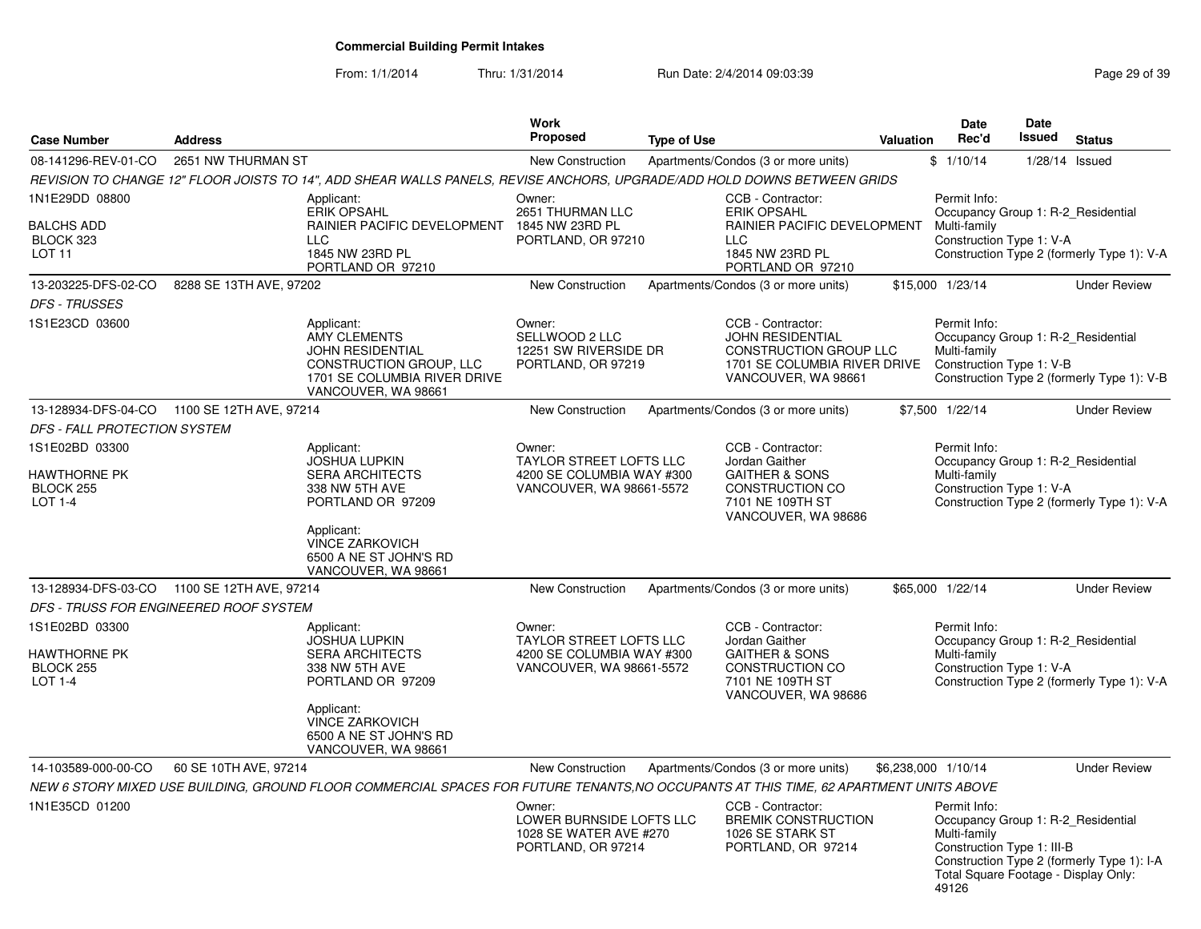| <b>Case Number</b>                                                    | <b>Address</b>                         |                                                                                                                                         | Work<br><b>Proposed</b>                                                                    | <b>Type of Use</b> |                                                                                                                                | Valuation           | <b>Date</b><br>Rec'd                                                                                        | <b>Date</b><br><b>Issued</b> | <b>Status</b>                                                                    |
|-----------------------------------------------------------------------|----------------------------------------|-----------------------------------------------------------------------------------------------------------------------------------------|--------------------------------------------------------------------------------------------|--------------------|--------------------------------------------------------------------------------------------------------------------------------|---------------------|-------------------------------------------------------------------------------------------------------------|------------------------------|----------------------------------------------------------------------------------|
| 08-141296-REV-01-CO                                                   | 2651 NW THURMAN ST                     |                                                                                                                                         | New Construction                                                                           |                    | Apartments/Condos (3 or more units)                                                                                            |                     | \$1/10/14                                                                                                   |                              | $1/28/14$ Issued                                                                 |
|                                                                       |                                        | REVISION TO CHANGE 12" FLOOR JOISTS TO 14", ADD SHEAR WALLS PANELS, REVISE ANCHORS, UPGRADE/ADD HOLD DOWNS BETWEEN GRIDS                |                                                                                            |                    |                                                                                                                                |                     |                                                                                                             |                              |                                                                                  |
| 1N1E29DD 08800<br><b>BALCHS ADD</b><br>BLOCK 323<br>LOT <sub>11</sub> |                                        | Applicant:<br><b>ERIK OPSAHL</b><br>RAINIER PACIFIC DEVELOPMENT<br><b>LLC</b><br>1845 NW 23RD PL<br>PORTLAND OR 97210                   | Owner:<br>2651 THURMAN LLC<br>1845 NW 23RD PL<br>PORTLAND, OR 97210                        |                    | CCB - Contractor:<br><b>ERIK OPSAHL</b><br>RAINIER PACIFIC DEVELOPMENT<br><b>LLC</b><br>1845 NW 23RD PL<br>PORTLAND OR 97210   |                     | Permit Info:<br>Multi-family<br>Construction Type 1: V-A                                                    |                              | Occupancy Group 1: R-2 Residential<br>Construction Type 2 (formerly Type 1): V-A |
| 13-203225-DFS-02-CO                                                   | 8288 SE 13TH AVE, 97202                |                                                                                                                                         | New Construction                                                                           |                    | Apartments/Condos (3 or more units)                                                                                            |                     | \$15,000 1/23/14                                                                                            |                              | <b>Under Review</b>                                                              |
| <b>DFS - TRUSSES</b>                                                  |                                        |                                                                                                                                         |                                                                                            |                    |                                                                                                                                |                     |                                                                                                             |                              |                                                                                  |
| 1S1E23CD 03600                                                        |                                        | Applicant:<br>AMY CLEMENTS<br><b>JOHN RESIDENTIAL</b><br>CONSTRUCTION GROUP, LLC<br>1701 SE COLUMBIA RIVER DRIVE<br>VANCOUVER, WA 98661 | Owner:<br>SELLWOOD 2 LLC<br>12251 SW RIVERSIDE DR<br>PORTLAND, OR 97219                    |                    | CCB - Contractor:<br>JOHN RESIDENTIAL<br>CONSTRUCTION GROUP LLC<br>1701 SE COLUMBIA RIVER DRIVE<br>VANCOUVER, WA 98661         |                     | Permit Info:<br>Multi-family<br>Construction Type 1: V-B                                                    |                              | Occupancy Group 1: R-2_Residential<br>Construction Type 2 (formerly Type 1): V-B |
| 13-128934-DFS-04-CO                                                   | 1100 SE 12TH AVE, 97214                |                                                                                                                                         | New Construction                                                                           |                    | Apartments/Condos (3 or more units)                                                                                            |                     | \$7,500 1/22/14                                                                                             |                              | <b>Under Review</b>                                                              |
| DFS - FALL PROTECTION SYSTEM                                          |                                        |                                                                                                                                         |                                                                                            |                    |                                                                                                                                |                     |                                                                                                             |                              |                                                                                  |
| 1S1E02BD 03300<br>HAWTHORNE PK                                        |                                        | Applicant:<br>JOSHUA LUPKIN<br><b>SERA ARCHITECTS</b>                                                                                   | Owner:<br><b>TAYLOR STREET LOFTS LLC</b><br>4200 SE COLUMBIA WAY #300                      |                    | CCB - Contractor:<br>Jordan Gaither<br><b>GAITHER &amp; SONS</b>                                                               |                     | Permit Info:<br>Multi-family                                                                                |                              | Occupancy Group 1: R-2_Residential                                               |
| BLOCK 255<br><b>LOT 1-4</b>                                           |                                        | 338 NW 5TH AVE<br>PORTLAND OR 97209<br>Applicant:<br><b>VINCE ZARKOVICH</b><br>6500 A NE ST JOHN'S RD<br>VANCOUVER, WA 98661            | VANCOUVER, WA 98661-5572                                                                   |                    | <b>CONSTRUCTION CO</b><br>7101 NE 109TH ST<br>VANCOUVER, WA 98686                                                              |                     | Construction Type 1: V-A                                                                                    |                              | Construction Type 2 (formerly Type 1): V-A                                       |
| 13-128934-DFS-03-CO                                                   | 1100 SE 12TH AVE, 97214                |                                                                                                                                         | New Construction                                                                           |                    | Apartments/Condos (3 or more units)                                                                                            |                     | \$65,000 1/22/14                                                                                            |                              | <b>Under Review</b>                                                              |
|                                                                       | DFS - TRUSS FOR ENGINEERED ROOF SYSTEM |                                                                                                                                         |                                                                                            |                    |                                                                                                                                |                     |                                                                                                             |                              |                                                                                  |
| 1S1E02BD 03300<br><b>HAWTHORNE PK</b><br>BLOCK 255<br><b>LOT 1-4</b>  |                                        | Applicant:<br><b>JOSHUA LUPKIN</b><br><b>SERA ARCHITECTS</b><br>338 NW 5TH AVE<br>PORTLAND OR 97209<br>Applicant:                       | Owner:<br>TAYLOR STREET LOFTS LLC<br>4200 SE COLUMBIA WAY #300<br>VANCOUVER, WA 98661-5572 |                    | CCB - Contractor:<br>Jordan Gaither<br><b>GAITHER &amp; SONS</b><br>CONSTRUCTION CO<br>7101 NE 109TH ST<br>VANCOUVER, WA 98686 |                     | Permit Info:<br>Multi-family<br>Construction Type 1: V-A                                                    |                              | Occupancy Group 1: R-2 Residential<br>Construction Type 2 (formerly Type 1): V-A |
|                                                                       |                                        | VINCE ZARKOVICH<br>6500 A NE ST JOHN'S RD<br>VANCOUVER, WA 98661                                                                        |                                                                                            |                    |                                                                                                                                |                     |                                                                                                             |                              |                                                                                  |
| 14-103589-000-00-CO                                                   | 60 SE 10TH AVE, 97214                  |                                                                                                                                         | New Construction                                                                           |                    | Apartments/Condos (3 or more units)                                                                                            | \$6,238,000 1/10/14 |                                                                                                             |                              | <b>Under Review</b>                                                              |
|                                                                       |                                        | NEW 6 STORY MIXED USE BUILDING, GROUND FLOOR COMMERCIAL SPACES FOR FUTURE TENANTS, NO OCCUPANTS AT THIS TIME, 62 APARTMENT UNITS ABOVE  |                                                                                            |                    |                                                                                                                                |                     |                                                                                                             |                              |                                                                                  |
| 1N1E35CD 01200                                                        |                                        |                                                                                                                                         | Owner:<br>LOWER BURNSIDE LOFTS LLC<br>1028 SE WATER AVE #270<br>PORTLAND, OR 97214         |                    | CCB - Contractor:<br><b>BREMIK CONSTRUCTION</b><br>1026 SE STARK ST<br>PORTLAND, OR 97214                                      |                     | Permit Info:<br>Multi-family<br>Construction Type 1: III-B<br>Total Square Footage - Display Only:<br>49126 |                              | Occupancy Group 1: R-2 Residential<br>Construction Type 2 (formerly Type 1): I-A |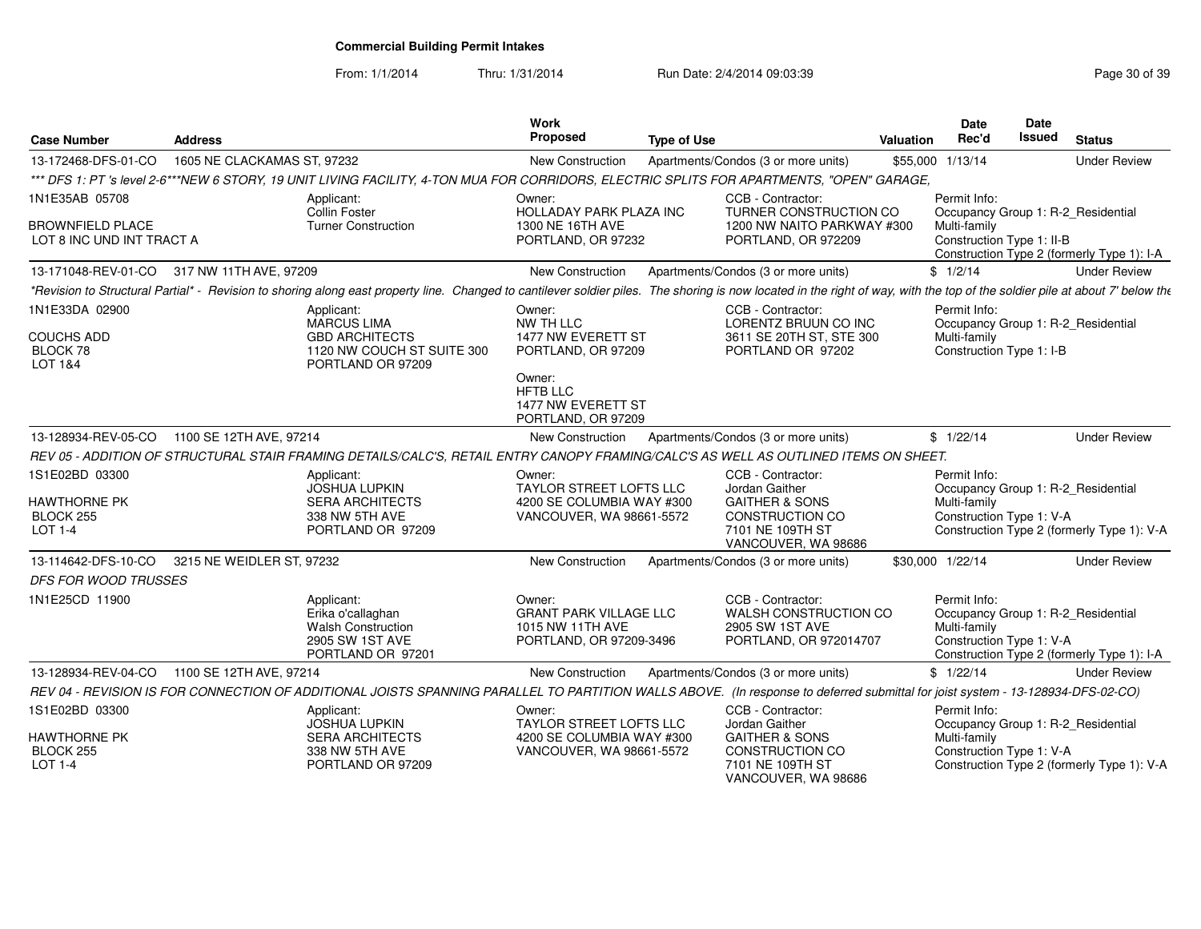From: 1/1/2014

Thru: 1/31/2014 Run Date: 2/4/2014 09:03:39 Research 2010 139

| <b>Case Number</b>                                   | <b>Address</b>              |                                                                                                                                                                                                                              | <b>Work</b><br>Proposed                                                                           | <b>Type of Use</b> |                                                                                         | <b>Valuation</b> | Date<br>Rec'd                                                                                  | Date<br>Issued | <b>Status</b>                              |
|------------------------------------------------------|-----------------------------|------------------------------------------------------------------------------------------------------------------------------------------------------------------------------------------------------------------------------|---------------------------------------------------------------------------------------------------|--------------------|-----------------------------------------------------------------------------------------|------------------|------------------------------------------------------------------------------------------------|----------------|--------------------------------------------|
| 13-172468-DFS-01-CO                                  | 1605 NE CLACKAMAS ST, 97232 |                                                                                                                                                                                                                              | New Construction                                                                                  |                    | Apartments/Condos (3 or more units)                                                     |                  | \$55,000 1/13/14                                                                               |                | <b>Under Review</b>                        |
|                                                      |                             | *** DFS 1: PT 's level 2-6***NEW 6 STORY, 19 UNIT LIVING FACILITY, 4-TON MUA FOR CORRIDORS, ELECTRIC SPLITS FOR APARTMENTS, "OPEN" GARAGE,                                                                                   |                                                                                                   |                    |                                                                                         |                  |                                                                                                |                |                                            |
| 1N1E35AB 05708                                       |                             | Applicant:<br>Collin Foster                                                                                                                                                                                                  | Owner:<br><b>HOLLADAY PARK PLAZA INC</b>                                                          |                    | CCB - Contractor:<br>TURNER CONSTRUCTION CO                                             |                  | Permit Info:<br>Occupancy Group 1: R-2_Residential                                             |                |                                            |
| <b>BROWNFIELD PLACE</b><br>LOT 8 INC UND INT TRACT A |                             | <b>Turner Construction</b>                                                                                                                                                                                                   | 1300 NE 16TH AVE<br>PORTLAND, OR 97232                                                            |                    | 1200 NW NAITO PARKWAY #300<br>PORTLAND, OR 972209                                       |                  | Multi-family<br>Construction Type 1: II-B                                                      |                | Construction Type 2 (formerly Type 1): I-A |
| 13-171048-REV-01-CO 317 NW 11TH AVE, 97209           |                             |                                                                                                                                                                                                                              | New Construction                                                                                  |                    | Apartments/Condos (3 or more units)                                                     |                  | \$1/2/14                                                                                       |                | <b>Under Review</b>                        |
|                                                      |                             | *Revision to Structural Partial* - Revision to shoring along east property line. Changed to cantilever soldier piles. The shoring is now located in the right of way, with the top of the soldier pile at about 7' below the |                                                                                                   |                    |                                                                                         |                  |                                                                                                |                |                                            |
| 1N1E33DA 02900                                       |                             | Applicant:<br><b>MARCUS LIMA</b>                                                                                                                                                                                             | Owner:<br>NW TH LLC                                                                               |                    | CCB - Contractor:<br>LORENTZ BRUUN CO INC                                               |                  | Permit Info:<br>Occupancy Group 1: R-2_Residential                                             |                |                                            |
| <b>COUCHS ADD</b><br>BLOCK 78<br><b>LOT 1&amp;4</b>  |                             | <b>GBD ARCHITECTS</b><br>1120 NW COUCH ST SUITE 300<br>PORTLAND OR 97209                                                                                                                                                     | 1477 NW EVERETT ST<br>PORTLAND, OR 97209                                                          |                    | 3611 SE 20TH ST, STE 300<br>PORTLAND OR 97202                                           |                  | Multi-family<br>Construction Type 1: I-B                                                       |                |                                            |
|                                                      |                             |                                                                                                                                                                                                                              | Owner:<br><b>HFTB LLC</b><br>1477 NW EVERETT ST<br>PORTLAND, OR 97209                             |                    |                                                                                         |                  |                                                                                                |                |                                            |
| 13-128934-REV-05-CO                                  | 1100 SE 12TH AVE, 97214     |                                                                                                                                                                                                                              | New Construction                                                                                  |                    | Apartments/Condos (3 or more units)                                                     |                  | \$1/22/14                                                                                      |                | <b>Under Review</b>                        |
|                                                      |                             | REV 05 - ADDITION OF STRUCTURAL STAIR FRAMING DETAILS/CALC'S, RETAIL ENTRY CANOPY FRAMING/CALC'S AS WELL AS OUTLINED ITEMS ON SHEET.                                                                                         |                                                                                                   |                    |                                                                                         |                  |                                                                                                |                |                                            |
| 1S1E02BD 03300<br><b>HAWTHORNE PK</b><br>BLOCK 255   |                             | Applicant:<br><b>JOSHUA LUPKIN</b><br><b>SERA ARCHITECTS</b><br>338 NW 5TH AVE                                                                                                                                               | Owner:<br><b>TAYLOR STREET LOFTS LLC</b><br>4200 SE COLUMBIA WAY #300<br>VANCOUVER, WA 98661-5572 |                    | CCB - Contractor:<br>Jordan Gaither<br><b>GAITHER &amp; SONS</b><br>CONSTRUCTION CO     |                  | Permit Info:<br>Occupancy Group 1: R-2_Residential<br>Multi-family<br>Construction Type 1: V-A |                |                                            |
| <b>LOT 1-4</b>                                       |                             | PORTLAND OR 97209                                                                                                                                                                                                            |                                                                                                   |                    | 7101 NE 109TH ST<br>VANCOUVER, WA 98686                                                 |                  |                                                                                                |                | Construction Type 2 (formerly Type 1): V-A |
| 13-114642-DFS-10-CO                                  | 3215 NE WEIDLER ST, 97232   |                                                                                                                                                                                                                              | <b>New Construction</b>                                                                           |                    | Apartments/Condos (3 or more units)                                                     |                  | \$30,000 1/22/14                                                                               |                | <b>Under Review</b>                        |
| DFS FOR WOOD TRUSSES                                 |                             |                                                                                                                                                                                                                              |                                                                                                   |                    |                                                                                         |                  |                                                                                                |                |                                            |
| 1N1E25CD 11900                                       |                             | Applicant:<br>Erika o'callaghan<br><b>Walsh Construction</b><br>2905 SW 1ST AVE<br>PORTLAND OR 97201                                                                                                                         | Owner:<br><b>GRANT PARK VILLAGE LLC</b><br>1015 NW 11TH AVE<br>PORTLAND, OR 97209-3496            |                    | CCB - Contractor:<br>WALSH CONSTRUCTION CO<br>2905 SW 1ST AVE<br>PORTLAND, OR 972014707 |                  | Permit Info:<br>Occupancy Group 1: R-2_Residential<br>Multi-family<br>Construction Type 1: V-A |                | Construction Type 2 (formerly Type 1): I-A |
| 13-128934-REV-04-CO                                  | 1100 SE 12TH AVE, 97214     |                                                                                                                                                                                                                              | New Construction                                                                                  |                    | Apartments/Condos (3 or more units)                                                     |                  | \$1/22/14                                                                                      |                | <b>Under Review</b>                        |
|                                                      |                             | REV 04 - REVISION IS FOR CONNECTION OF ADDITIONAL JOISTS SPANNING PARALLEL TO PARTITION WALLS ABOVE. (In response to deferred submittal for joist system - 13-128934-DFS-02-CO)                                              |                                                                                                   |                    |                                                                                         |                  |                                                                                                |                |                                            |
| 1S1E02BD 03300                                       |                             | Applicant:<br><b>JOSHUA LUPKIN</b>                                                                                                                                                                                           | Owner:<br>TAYLOR STREET LOFTS LLC                                                                 |                    | CCB - Contractor:<br>Jordan Gaither                                                     |                  | Permit Info:<br>Occupancy Group 1: R-2_Residential                                             |                |                                            |
| <b>HAWTHORNE PK</b>                                  |                             | <b>SERA ARCHITECTS</b>                                                                                                                                                                                                       | 4200 SE COLUMBIA WAY #300                                                                         |                    | <b>GAITHER &amp; SONS</b>                                                               |                  | Multi-family                                                                                   |                |                                            |
| BLOCK 255<br><b>LOT 1-4</b>                          |                             | 338 NW 5TH AVE<br>PORTLAND OR 97209                                                                                                                                                                                          | VANCOUVER, WA 98661-5572                                                                          |                    | CONSTRUCTION CO<br>7101 NE 109TH ST<br>VANCOUVER, WA 98686                              |                  | Construction Type 1: V-A                                                                       |                | Construction Type 2 (formerly Type 1): V-A |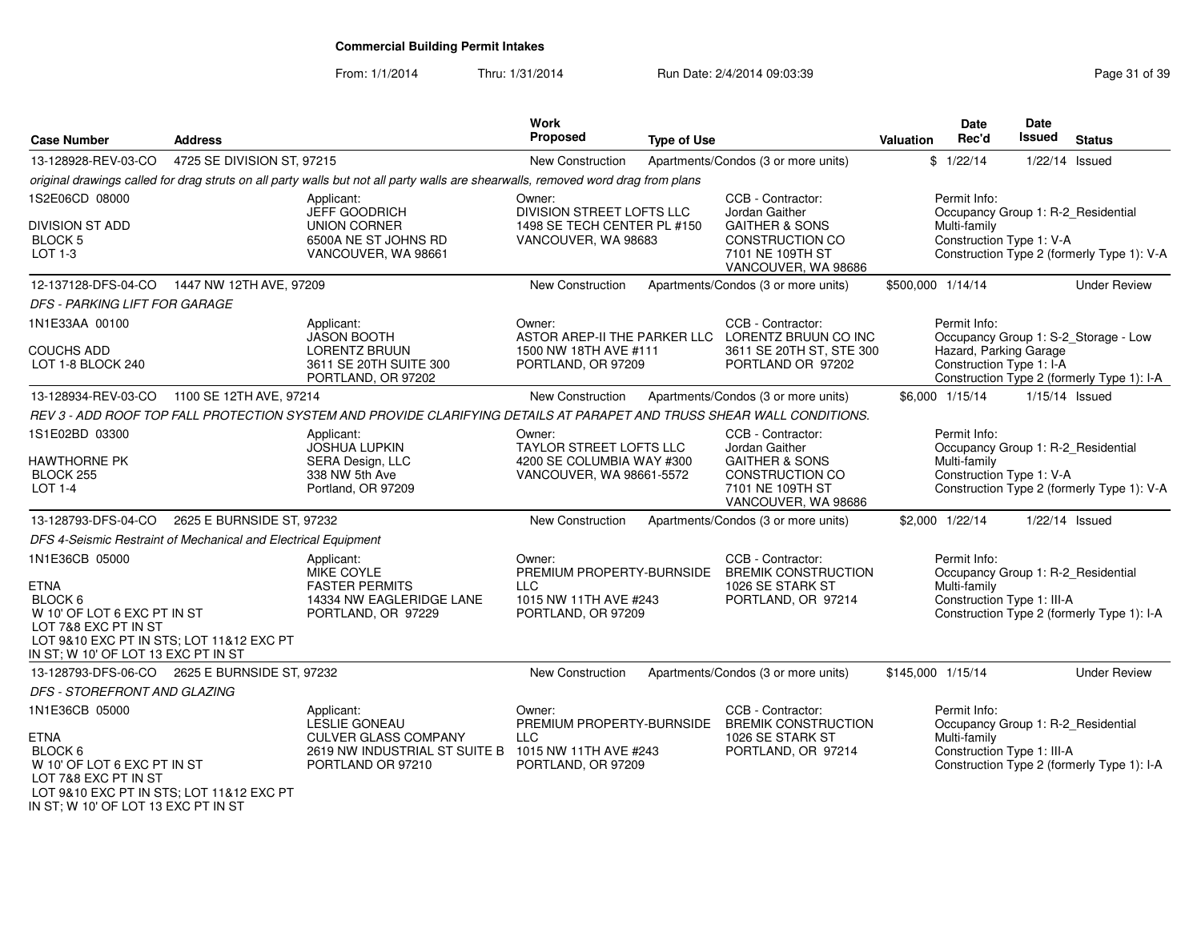From: 1/1/2014

Thru: 1/31/2014 Run Date: 2/4/2014 09:03:39 Research 2010 139

| <b>Case Number</b>                                                                                                                     | <b>Address</b>             |                                                                                                                                  | Work<br>Proposed                                         | <b>Type of Use</b> |                                                 | Valuation         | <b>Date</b><br>Rec'd                               | Date<br><b>Issued</b> | <b>Status</b>                              |
|----------------------------------------------------------------------------------------------------------------------------------------|----------------------------|----------------------------------------------------------------------------------------------------------------------------------|----------------------------------------------------------|--------------------|-------------------------------------------------|-------------------|----------------------------------------------------|-----------------------|--------------------------------------------|
| 13-128928-REV-03-CO                                                                                                                    | 4725 SE DIVISION ST, 97215 |                                                                                                                                  | <b>New Construction</b>                                  |                    | Apartments/Condos (3 or more units)             |                   | \$1/22/14                                          | $1/22/14$ Issued      |                                            |
|                                                                                                                                        |                            | original drawings called for drag struts on all party walls but not all party walls are shearwalls, removed word drag from plans |                                                          |                    |                                                 |                   |                                                    |                       |                                            |
| 1S2E06CD 08000                                                                                                                         |                            | Applicant:                                                                                                                       | Owner:                                                   |                    | CCB - Contractor:                               |                   | Permit Info:                                       |                       |                                            |
| <b>DIVISION ST ADD</b>                                                                                                                 |                            | JEFF GOODRICH<br><b>UNION CORNER</b>                                                                                             | DIVISION STREET LOFTS LLC<br>1498 SE TECH CENTER PL #150 |                    | Jordan Gaither<br><b>GAITHER &amp; SONS</b>     |                   | Occupancy Group 1: R-2_Residential<br>Multi-family |                       |                                            |
| BLOCK 5                                                                                                                                |                            | 6500A NE ST JOHNS RD                                                                                                             | VANCOUVER, WA 98683                                      |                    | CONSTRUCTION CO                                 |                   | Construction Type 1: V-A                           |                       |                                            |
| $LOT 1-3$                                                                                                                              |                            | VANCOUVER, WA 98661                                                                                                              |                                                          |                    | 7101 NE 109TH ST<br>VANCOUVER, WA 98686         |                   |                                                    |                       | Construction Type 2 (formerly Type 1): V-A |
| 12-137128-DFS-04-CO                                                                                                                    | 1447 NW 12TH AVE, 97209    |                                                                                                                                  | New Construction                                         |                    | Apartments/Condos (3 or more units)             | \$500,000 1/14/14 |                                                    |                       | <b>Under Review</b>                        |
| DFS - PARKING LIFT FOR GARAGE                                                                                                          |                            |                                                                                                                                  |                                                          |                    |                                                 |                   |                                                    |                       |                                            |
| 1N1E33AA 00100                                                                                                                         |                            | Applicant:<br><b>JASON BOOTH</b>                                                                                                 | Owner:<br>ASTOR AREP-II THE PARKER LLC                   |                    | CCB - Contractor:<br>LORENTZ BRUUN CO INC       |                   | Permit Info:                                       |                       |                                            |
| <b>COUCHS ADD</b>                                                                                                                      |                            | <b>LORENTZ BRUUN</b>                                                                                                             | 1500 NW 18TH AVE #111                                    |                    | 3611 SE 20TH ST, STE 300                        |                   | Hazard, Parking Garage                             |                       | Occupancy Group 1: S-2_Storage - Low       |
| LOT 1-8 BLOCK 240                                                                                                                      |                            | 3611 SE 20TH SUITE 300                                                                                                           | PORTLAND, OR 97209                                       |                    | PORTLAND OR 97202                               |                   | Construction Type 1: I-A                           |                       |                                            |
|                                                                                                                                        |                            | PORTLAND, OR 97202                                                                                                               |                                                          |                    |                                                 |                   |                                                    |                       | Construction Type 2 (formerly Type 1): I-A |
| 13-128934-REV-03-CO                                                                                                                    | 1100 SE 12TH AVE, 97214    |                                                                                                                                  | New Construction                                         |                    | Apartments/Condos (3 or more units)             |                   | \$6,000 1/15/14                                    | 1/15/14 Issued        |                                            |
|                                                                                                                                        |                            | REV 3 - ADD ROOF TOP FALL PROTECTION SYSTEM AND PROVIDE CLARIFYING DETAILS AT PARAPET AND TRUSS SHEAR WALL CONDITIONS.           |                                                          |                    |                                                 |                   |                                                    |                       |                                            |
| 1S1E02BD 03300                                                                                                                         |                            | Applicant:<br><b>JOSHUA LUPKIN</b>                                                                                               | Owner:<br><b>TAYLOR STREET LOFTS LLC</b>                 |                    | CCB - Contractor:<br>Jordan Gaither             |                   | Permit Info:<br>Occupancy Group 1: R-2_Residential |                       |                                            |
| <b>HAWTHORNE PK</b>                                                                                                                    |                            | SERA Design, LLC                                                                                                                 | 4200 SE COLUMBIA WAY #300                                |                    | <b>GAITHER &amp; SONS</b>                       |                   | Multi-family                                       |                       |                                            |
| BLOCK 255<br>LOT 1-4                                                                                                                   |                            | 338 NW 5th Ave<br>Portland, OR 97209                                                                                             | VANCOUVER, WA 98661-5572                                 |                    | CONSTRUCTION CO<br>7101 NE 109TH ST             |                   | Construction Type 1: V-A                           |                       | Construction Type 2 (formerly Type 1): V-A |
|                                                                                                                                        |                            |                                                                                                                                  |                                                          |                    | VANCOUVER, WA 98686                             |                   |                                                    |                       |                                            |
| 13-128793-DFS-04-CO   2625 E BURNSIDE ST, 97232                                                                                        |                            |                                                                                                                                  | New Construction                                         |                    | Apartments/Condos (3 or more units)             |                   | \$2,000 1/22/14                                    | 1/22/14 Issued        |                                            |
| DFS 4-Seismic Restraint of Mechanical and Electrical Equipment                                                                         |                            |                                                                                                                                  |                                                          |                    |                                                 |                   |                                                    |                       |                                            |
| 1N1E36CB 05000                                                                                                                         |                            | Applicant:                                                                                                                       | Owner:                                                   |                    | CCB - Contractor:                               |                   | Permit Info:                                       |                       |                                            |
| <b>ETNA</b>                                                                                                                            |                            | <b>MIKE COYLE</b><br><b>FASTER PERMITS</b>                                                                                       | PREMIUM PROPERTY-BURNSIDE<br><b>LLC</b>                  |                    | <b>BREMIK CONSTRUCTION</b><br>1026 SE STARK ST  |                   | Occupancy Group 1: R-2_Residential<br>Multi-family |                       |                                            |
| BLOCK 6                                                                                                                                |                            | 14334 NW EAGLERIDGE LANE                                                                                                         | 1015 NW 11TH AVE #243                                    |                    | PORTLAND, OR 97214                              |                   | Construction Type 1: III-A                         |                       |                                            |
| W 10' OF LOT 6 EXC PT IN ST                                                                                                            |                            | PORTLAND, OR 97229                                                                                                               | PORTLAND, OR 97209                                       |                    |                                                 |                   |                                                    |                       | Construction Type 2 (formerly Type 1): I-A |
| LOT 7&8 EXC PT IN ST<br>LOT 9&10 EXC PT IN STS; LOT 11&12 EXC PT                                                                       |                            |                                                                                                                                  |                                                          |                    |                                                 |                   |                                                    |                       |                                            |
| IN ST; W 10' OF LOT 13 EXC PT IN ST                                                                                                    |                            |                                                                                                                                  |                                                          |                    |                                                 |                   |                                                    |                       |                                            |
| 13-128793-DFS-06-CO   2625 E BURNSIDE ST, 97232                                                                                        |                            |                                                                                                                                  | New Construction                                         |                    | Apartments/Condos (3 or more units)             | \$145,000 1/15/14 |                                                    |                       | <b>Under Review</b>                        |
| DFS - STOREFRONT AND GLAZING                                                                                                           |                            |                                                                                                                                  |                                                          |                    |                                                 |                   |                                                    |                       |                                            |
| 1N1E36CB 05000                                                                                                                         |                            | Applicant:<br>LESLIE GONEAU                                                                                                      | Owner:<br>PREMIUM PROPERTY-BURNSIDE                      |                    | CCB - Contractor:<br><b>BREMIK CONSTRUCTION</b> |                   | Permit Info:<br>Occupancy Group 1: R-2_Residential |                       |                                            |
| <b>ETNA</b>                                                                                                                            |                            | <b>CULVER GLASS COMPANY</b>                                                                                                      | <b>LLC</b>                                               |                    | 1026 SE STARK ST                                |                   | Multi-family                                       |                       |                                            |
| BLOCK <sub>6</sub>                                                                                                                     |                            | 2619 NW INDUSTRIAL ST SUITE B                                                                                                    | 1015 NW 11TH AVE #243                                    |                    | PORTLAND, OR 97214                              |                   | Construction Type 1: III-A                         |                       |                                            |
| W 10' OF LOT 6 EXC PT IN ST<br>LOT 7&8 EXC PT IN ST<br>LOT 9&10 EXC PT IN STS; LOT 11&12 EXC PT<br>IN ST: W 10' OF LOT 13 EXC PT IN ST |                            | PORTLAND OR 97210                                                                                                                | PORTLAND, OR 97209                                       |                    |                                                 |                   |                                                    |                       | Construction Type 2 (formerly Type 1): I-A |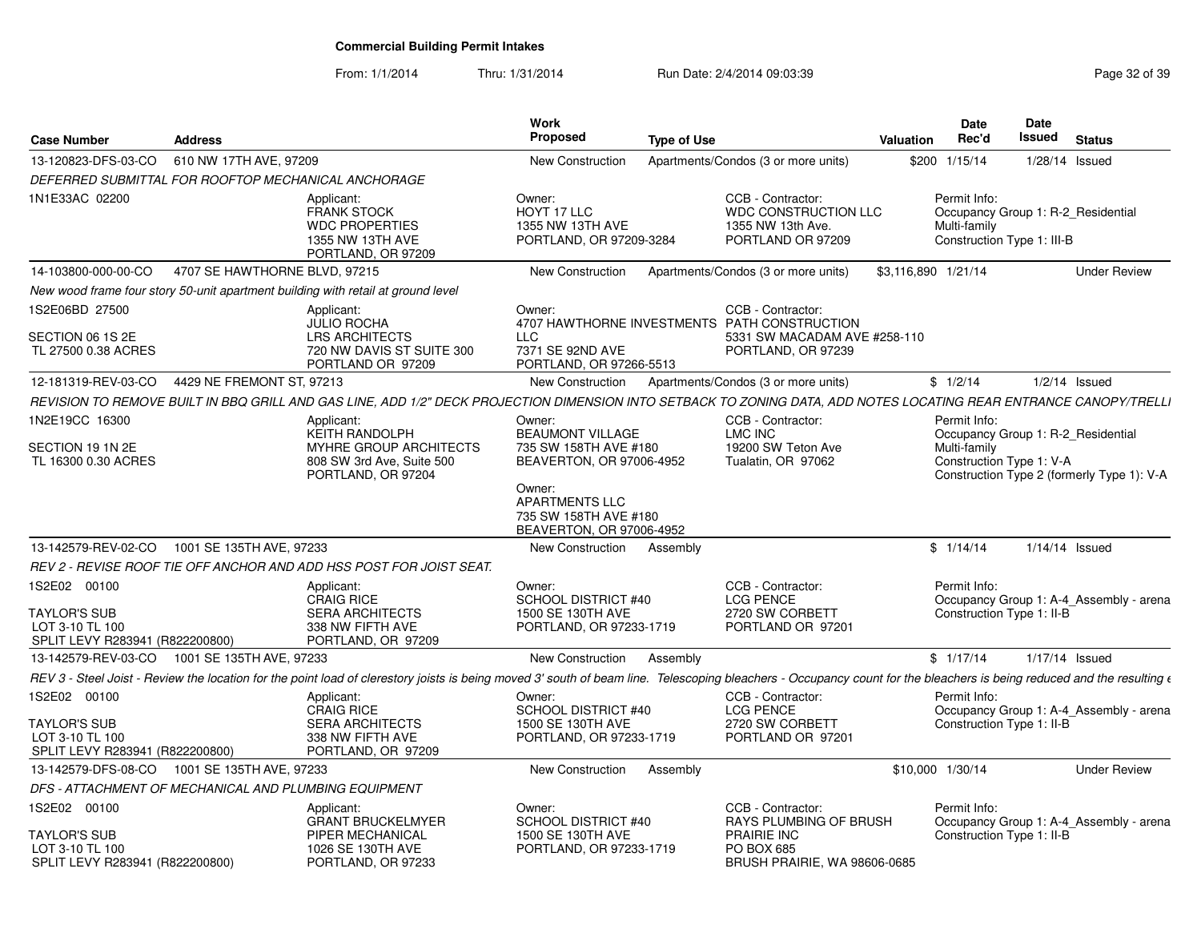| <b>Case Number</b>                                                                        | <b>Address</b>                                                                                                                                                                                                                  | Work<br><b>Proposed</b>                                                                                                                                                        | <b>Type of Use</b>                                                                                                      | Valuation           | Date<br>Rec'd                                                                                    | Date<br>Issued | <b>Status</b>                              |
|-------------------------------------------------------------------------------------------|---------------------------------------------------------------------------------------------------------------------------------------------------------------------------------------------------------------------------------|--------------------------------------------------------------------------------------------------------------------------------------------------------------------------------|-------------------------------------------------------------------------------------------------------------------------|---------------------|--------------------------------------------------------------------------------------------------|----------------|--------------------------------------------|
| 13-120823-DFS-03-CO                                                                       | 610 NW 17TH AVE, 97209                                                                                                                                                                                                          | <b>New Construction</b>                                                                                                                                                        | Apartments/Condos (3 or more units)                                                                                     |                     | \$200 1/15/14                                                                                    | 1/28/14 Issued |                                            |
|                                                                                           | DEFERRED SUBMITTAL FOR ROOFTOP MECHANICAL ANCHORAGE                                                                                                                                                                             |                                                                                                                                                                                |                                                                                                                         |                     |                                                                                                  |                |                                            |
| 1N1E33AC 02200                                                                            | Applicant:<br><b>FRANK STOCK</b><br><b>WDC PROPERTIES</b><br>1355 NW 13TH AVE<br>PORTLAND, OR 97209                                                                                                                             | Owner:<br>HOYT 17 LLC<br>1355 NW 13TH AVE<br>PORTLAND, OR 97209-3284                                                                                                           | CCB - Contractor:<br><b>WDC CONSTRUCTION LLC</b><br>1355 NW 13th Ave.<br>PORTLAND OR 97209                              |                     | Permit Info:<br>Occupancy Group 1: R-2 Residential<br>Multi-family<br>Construction Type 1: III-B |                |                                            |
| 14-103800-000-00-CO                                                                       | 4707 SE HAWTHORNE BLVD, 97215                                                                                                                                                                                                   | <b>New Construction</b>                                                                                                                                                        | Apartments/Condos (3 or more units)                                                                                     | \$3,116,890 1/21/14 |                                                                                                  |                | <b>Under Review</b>                        |
|                                                                                           | New wood frame four story 50-unit apartment building with retail at ground level                                                                                                                                                |                                                                                                                                                                                |                                                                                                                         |                     |                                                                                                  |                |                                            |
| 1S2E06BD 27500<br>SECTION 06 1S 2E<br>TL 27500 0.38 ACRES                                 | Applicant:<br><b>JULIO ROCHA</b><br><b>LRS ARCHITECTS</b><br>720 NW DAVIS ST SUITE 300<br>PORTLAND OR 97209                                                                                                                     | Owner:<br>LLC<br>7371 SE 92ND AVE<br>PORTLAND, OR 97266-5513                                                                                                                   | CCB - Contractor:<br>4707 HAWTHORNE INVESTMENTS PATH CONSTRUCTION<br>5331 SW MACADAM AVE #258-110<br>PORTLAND, OR 97239 |                     |                                                                                                  |                |                                            |
| 12-181319-REV-03-CO                                                                       | 4429 NE FREMONT ST, 97213                                                                                                                                                                                                       | New Construction                                                                                                                                                               | Apartments/Condos (3 or more units)                                                                                     |                     | \$1/2/14                                                                                         |                | $1/2/14$ Issued                            |
|                                                                                           | REVISION TO REMOVE BUILT IN BBQ GRILL AND GAS LINE, ADD 1/2" DECK PROJECTION DIMENSION INTO SETBACK TO ZONING DATA, ADD NOTES LOCATING REAR ENTRANCE CANOPY/TRELLI                                                              |                                                                                                                                                                                |                                                                                                                         |                     |                                                                                                  |                |                                            |
| 1N2E19CC 16300<br>SECTION 19 1N 2E<br>TL 16300 0.30 ACRES                                 | Applicant:<br>KEITH RANDOLPH<br><b>MYHRE GROUP ARCHITECTS</b><br>808 SW 3rd Ave, Suite 500<br>PORTLAND, OR 97204                                                                                                                | Owner:<br><b>BEAUMONT VILLAGE</b><br>735 SW 158TH AVE #180<br>BEAVERTON, OR 97006-4952<br>Owner:<br><b>APARTMENTS LLC</b><br>735 SW 158TH AVE #180<br>BEAVERTON, OR 97006-4952 | CCB - Contractor:<br><b>LMC INC</b><br>19200 SW Teton Ave<br>Tualatin, OR 97062                                         |                     | Permit Info:<br>Occupancy Group 1: R-2 Residential<br>Multi-family<br>Construction Type 1: V-A   |                | Construction Type 2 (formerly Type 1): V-A |
| 13-142579-REV-02-CO                                                                       | 1001 SE 135TH AVE, 97233                                                                                                                                                                                                        | New Construction                                                                                                                                                               | Assembly                                                                                                                |                     | \$1/14/14                                                                                        | 1/14/14 Issued |                                            |
|                                                                                           | REV 2 - REVISE ROOF TIE OFF ANCHOR AND ADD HSS POST FOR JOIST SEAT.                                                                                                                                                             |                                                                                                                                                                                |                                                                                                                         |                     |                                                                                                  |                |                                            |
| 1S2E02 00100<br><b>TAYLOR'S SUB</b><br>LOT 3-10 TL 100<br>SPLIT LEVY R283941 (R822200800) | Applicant:<br><b>CRAIG RICE</b><br><b>SERA ARCHITECTS</b><br>338 NW FIFTH AVE<br>PORTLAND, OR 97209                                                                                                                             | Owner:<br><b>SCHOOL DISTRICT #40</b><br>1500 SE 130TH AVE<br>PORTLAND, OR 97233-1719                                                                                           | CCB - Contractor:<br><b>LCG PENCE</b><br>2720 SW CORBETT<br>PORTLAND OR 97201                                           |                     | Permit Info:<br>Construction Type 1: II-B                                                        |                | Occupancy Group 1: A-4 Assembly - arena    |
| 13-142579-REV-03-CO                                                                       | 1001 SE 135TH AVE, 97233                                                                                                                                                                                                        | <b>New Construction</b>                                                                                                                                                        | Assembly                                                                                                                |                     | \$1/17/14                                                                                        | 1/17/14 Issued |                                            |
|                                                                                           | REV 3 - Steel Joist - Review the location for the point load of clerestory joists is being moved 3' south of beam line. Telescoping bleachers - Occupancy count for the bleachers is being reduced and the resulting $\epsilon$ |                                                                                                                                                                                |                                                                                                                         |                     |                                                                                                  |                |                                            |
| 1S2E02 00100<br><b>TAYLOR'S SUB</b><br>LOT 3-10 TL 100<br>SPLIT LEVY R283941 (R822200800) | Applicant:<br><b>CRAIG RICE</b><br><b>SERA ARCHITECTS</b><br>338 NW FIFTH AVE<br>PORTLAND, OR 97209                                                                                                                             | Owner:<br>SCHOOL DISTRICT #40<br>1500 SE 130TH AVE<br>PORTLAND, OR 97233-1719                                                                                                  | CCB - Contractor:<br><b>LCG PENCE</b><br>2720 SW CORBETT<br>PORTLAND OR 97201                                           |                     | Permit Info:<br>Construction Type 1: II-B                                                        |                | Occupancy Group 1: A-4_Assembly - arena    |
| 13-142579-DFS-08-CO 1001 SE 135TH AVE, 97233                                              |                                                                                                                                                                                                                                 | New Construction                                                                                                                                                               | Assembly                                                                                                                |                     | \$10,000 1/30/14                                                                                 |                | <b>Under Review</b>                        |
|                                                                                           | DFS - ATTACHMENT OF MECHANICAL AND PLUMBING EQUIPMENT                                                                                                                                                                           |                                                                                                                                                                                |                                                                                                                         |                     |                                                                                                  |                |                                            |
| 1S2E02 00100<br>TAYLOR'S SUB<br>LOT 3-10 TL 100<br>SPLIT LEVY R283941 (R822200800)        | Applicant:<br><b>GRANT BRUCKELMYER</b><br>PIPER MECHANICAL<br>1026 SE 130TH AVE<br>PORTLAND, OR 97233                                                                                                                           | Owner:<br><b>SCHOOL DISTRICT #40</b><br>1500 SE 130TH AVE<br>PORTLAND, OR 97233-1719                                                                                           | CCB - Contractor:<br>RAYS PLUMBING OF BRUSH<br><b>PRAIRIE INC</b><br><b>PO BOX 685</b><br>BRUSH PRAIRIE, WA 98606-0685  |                     | Permit Info:<br>Construction Type 1: II-B                                                        |                | Occupancy Group 1: A-4_Assembly - arena    |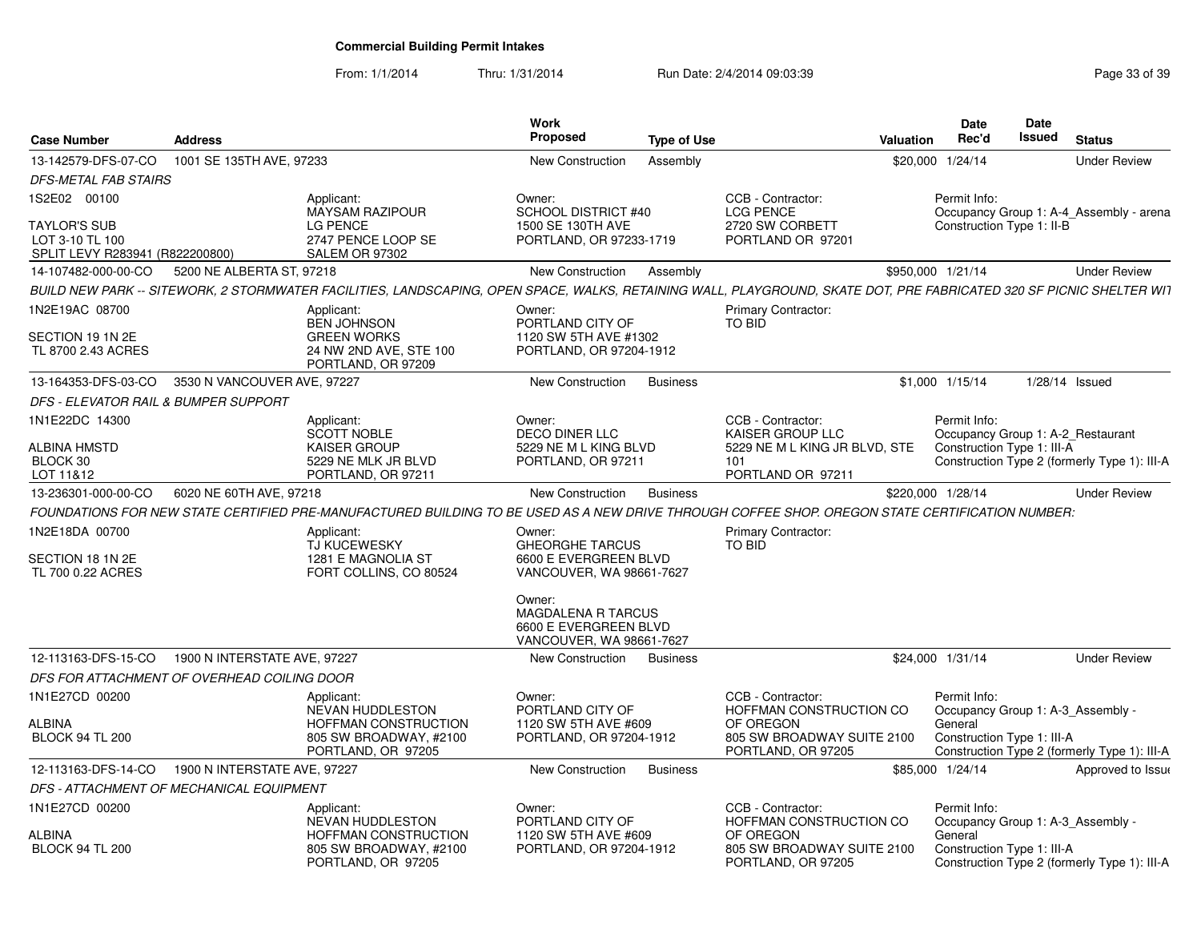| <b>Case Number</b>                                                        | <b>Address</b>               |                                                                                                                                                                      | Work<br>Proposed                                                                  | <b>Type of Use</b> |                                                               | Valuation         | <b>Date</b><br>Rec'd                  | <b>Date</b><br><b>Issued</b> | <b>Status</b>                                |
|---------------------------------------------------------------------------|------------------------------|----------------------------------------------------------------------------------------------------------------------------------------------------------------------|-----------------------------------------------------------------------------------|--------------------|---------------------------------------------------------------|-------------------|---------------------------------------|------------------------------|----------------------------------------------|
| 13-142579-DFS-07-CO                                                       | 1001 SE 135TH AVE, 97233     |                                                                                                                                                                      | New Construction                                                                  | Assembly           |                                                               | \$20,000 1/24/14  |                                       |                              | <b>Under Review</b>                          |
| <b>DFS-METAL FAB STAIRS</b>                                               |                              |                                                                                                                                                                      |                                                                                   |                    |                                                               |                   |                                       |                              |                                              |
| 1S2E02 00100                                                              |                              | Applicant:<br><b>MAYSAM RAZIPOUR</b>                                                                                                                                 | Owner:<br><b>SCHOOL DISTRICT #40</b>                                              |                    | CCB - Contractor:<br><b>LCG PENCE</b>                         |                   | Permit Info:                          |                              | Occupancy Group 1: A-4 Assembly - arena      |
| <b>TAYLOR'S SUB</b><br>LOT 3-10 TL 100<br>SPLIT LEVY R283941 (R822200800) |                              | LG PENCE<br>2747 PENCE LOOP SE<br>SALEM OR 97302                                                                                                                     | 1500 SE 130TH AVE<br>PORTLAND, OR 97233-1719                                      |                    | 2720 SW CORBETT<br>PORTLAND OR 97201                          |                   | Construction Type 1: II-B             |                              |                                              |
| 14-107482-000-00-CO                                                       | 5200 NE ALBERTA ST, 97218    |                                                                                                                                                                      | New Construction                                                                  | Assembly           |                                                               | \$950,000 1/21/14 |                                       |                              | <b>Under Review</b>                          |
|                                                                           |                              | BUILD NEW PARK -- SITEWORK, 2 STORMWATER FACILITIES, LANDSCAPING, OPEN SPACE, WALKS, RETAINING WALL, PLAYGROUND, SKATE DOT, PRE FABRICATED 320 SF PICNIC SHELTER WIT |                                                                                   |                    |                                                               |                   |                                       |                              |                                              |
| 1N2E19AC 08700                                                            |                              | Applicant:<br><b>BEN JOHNSON</b>                                                                                                                                     | Owner:<br>PORTLAND CITY OF                                                        |                    | <b>Primary Contractor:</b><br>TO BID                          |                   |                                       |                              |                                              |
| SECTION 19 1N 2E<br>TL 8700 2.43 ACRES                                    |                              | <b>GREEN WORKS</b><br>24 NW 2ND AVE, STE 100<br>PORTLAND, OR 97209                                                                                                   | 1120 SW 5TH AVE #1302<br>PORTLAND, OR 97204-1912                                  |                    |                                                               |                   |                                       |                              |                                              |
| 13-164353-DFS-03-CO                                                       | 3530 N VANCOUVER AVE, 97227  |                                                                                                                                                                      | New Construction                                                                  | <b>Business</b>    |                                                               | \$1,000 1/15/14   |                                       |                              | $1/28/14$ Issued                             |
| <b>DFS - ELEVATOR RAIL &amp; BUMPER SUPPORT</b>                           |                              |                                                                                                                                                                      |                                                                                   |                    |                                                               |                   |                                       |                              |                                              |
| 1N1E22DC 14300                                                            |                              | Applicant:<br><b>SCOTT NOBLE</b>                                                                                                                                     | Owner:<br><b>DECO DINER LLC</b>                                                   |                    | CCB - Contractor:<br><b>KAISER GROUP LLC</b>                  |                   | Permit Info:                          |                              | Occupancy Group 1: A-2 Restaurant            |
| <b>ALBINA HMSTD</b>                                                       |                              | <b>KAISER GROUP</b>                                                                                                                                                  | 5229 NE M L KING BLVD                                                             |                    | 5229 NE M L KING JR BLVD. STE                                 |                   | Construction Type 1: III-A            |                              |                                              |
| BLOCK 30<br>LOT 11&12                                                     |                              | 5229 NE MLK JR BLVD<br>PORTLAND, OR 97211                                                                                                                            | PORTLAND, OR 97211                                                                |                    | 101<br>PORTLAND OR 97211                                      |                   |                                       |                              | Construction Type 2 (formerly Type 1): III-A |
| 13-236301-000-00-CO                                                       | 6020 NE 60TH AVE, 97218      |                                                                                                                                                                      | New Construction                                                                  | <b>Business</b>    |                                                               | \$220,000 1/28/14 |                                       |                              | <b>Under Review</b>                          |
|                                                                           |                              | FOUNDATIONS FOR NEW STATE CERTIFIED PRE-MANUFACTURED BUILDING TO BE USED AS A NEW DRIVE THROUGH COFFEE SHOP. OREGON STATE CERTIFICATION NUMBER:                      |                                                                                   |                    |                                                               |                   |                                       |                              |                                              |
| 1N2E18DA 00700                                                            |                              | Applicant:                                                                                                                                                           | Owner:                                                                            |                    | <b>Primary Contractor:</b>                                    |                   |                                       |                              |                                              |
| SECTION 18 1N 2E<br>TL 700 0.22 ACRES                                     |                              | TJ KUCEWESKY<br>1281 E MAGNOLIA ST<br>FORT COLLINS, CO 80524                                                                                                         | <b>GHEORGHE TARCUS</b><br>6600 E EVERGREEN BLVD<br>VANCOUVER, WA 98661-7627       |                    | <b>TO BID</b>                                                 |                   |                                       |                              |                                              |
|                                                                           |                              |                                                                                                                                                                      | Owner:<br>MAGDALENA R TARCUS<br>6600 E EVERGREEN BLVD<br>VANCOUVER, WA 98661-7627 |                    |                                                               |                   |                                       |                              |                                              |
| 12-113163-DFS-15-CO                                                       | 1900 N INTERSTATE AVE, 97227 |                                                                                                                                                                      | New Construction                                                                  | <b>Business</b>    |                                                               | \$24.000 1/31/14  |                                       |                              | <b>Under Review</b>                          |
| DFS FOR ATTACHMENT OF OVERHEAD COILING DOOR                               |                              |                                                                                                                                                                      |                                                                                   |                    |                                                               |                   |                                       |                              |                                              |
| 1N1E27CD 00200                                                            |                              | Applicant:<br>NEVAN HUDDLESTON                                                                                                                                       | Owner:<br>PORTLAND CITY OF                                                        |                    | CCB - Contractor:<br>HOFFMAN CONSTRUCTION CO                  |                   | Permit Info:                          |                              | Occupancy Group 1: A-3_Assembly -            |
| ALBINA<br><b>BLOCK 94 TL 200</b>                                          |                              | HOFFMAN CONSTRUCTION<br>805 SW BROADWAY, #2100<br>PORTLAND, OR 97205                                                                                                 | 1120 SW 5TH AVE #609<br>PORTLAND, OR 97204-1912                                   |                    | OF OREGON<br>805 SW BROADWAY SUITE 2100<br>PORTLAND, OR 97205 |                   | General<br>Construction Type 1: III-A |                              | Construction Type 2 (formerly Type 1): III-A |
| 12-113163-DFS-14-CO                                                       | 1900 N INTERSTATE AVE, 97227 |                                                                                                                                                                      | New Construction                                                                  | <b>Business</b>    |                                                               | \$85,000 1/24/14  |                                       |                              | Approved to Issue                            |
| DFS - ATTACHMENT OF MECHANICAL EQUIPMENT                                  |                              |                                                                                                                                                                      |                                                                                   |                    |                                                               |                   |                                       |                              |                                              |
| 1N1E27CD 00200                                                            |                              | Applicant:<br>NEVAN HUDDLESTON                                                                                                                                       | Owner:<br>PORTLAND CITY OF                                                        |                    | CCB - Contractor:<br>HOFFMAN CONSTRUCTION CO                  |                   | Permit Info:                          |                              | Occupancy Group 1: A-3 Assembly -            |
| ALBINA<br><b>BLOCK 94 TL 200</b>                                          |                              | HOFFMAN CONSTRUCTION<br>805 SW BROADWAY, #2100<br>PORTLAND, OR 97205                                                                                                 | 1120 SW 5TH AVE #609<br>PORTLAND, OR 97204-1912                                   |                    | OF OREGON<br>805 SW BROADWAY SUITE 2100<br>PORTLAND, OR 97205 |                   | General<br>Construction Type 1: III-A |                              | Construction Type 2 (formerly Type 1): III-A |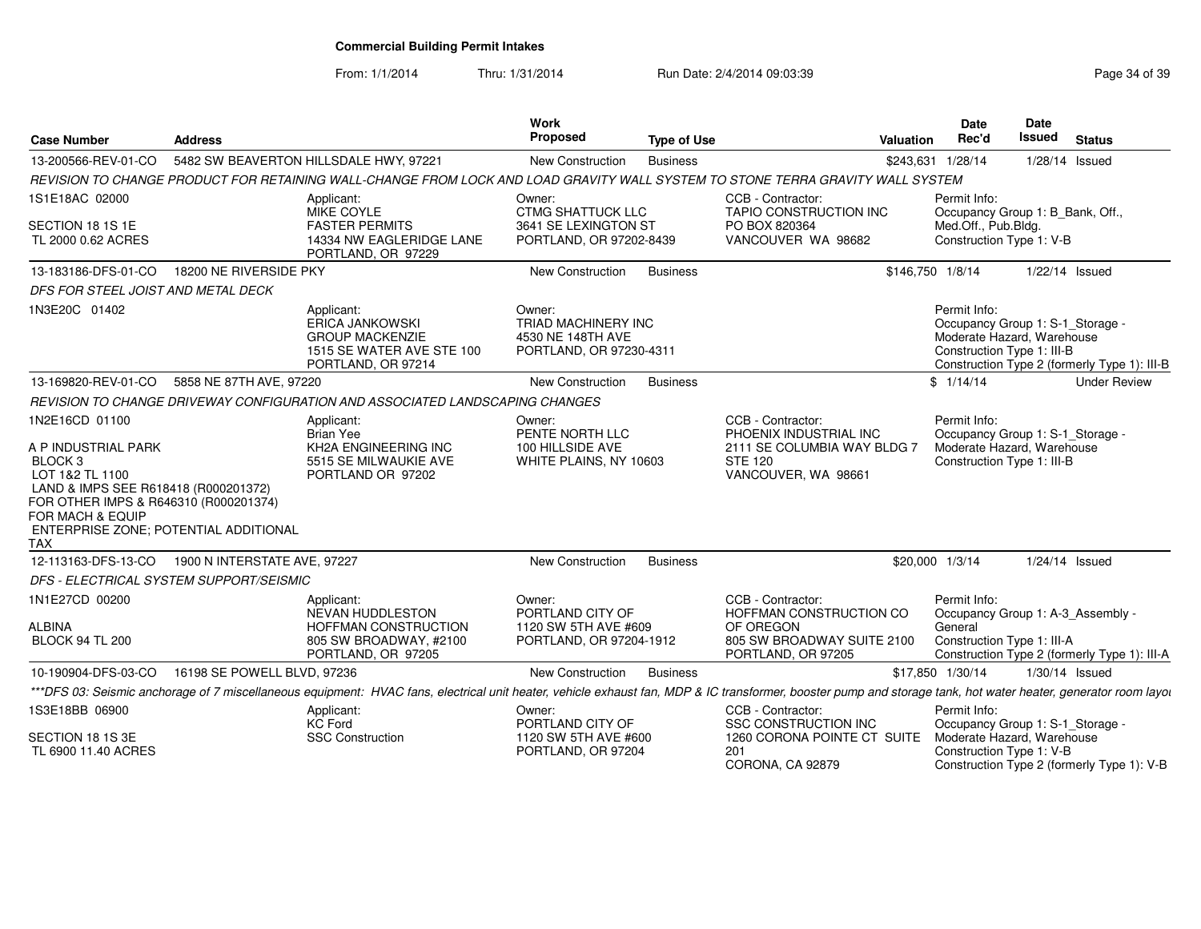From: 1/1/2014Thru: 1/31/2014 Run Date: 2/4/2014 09:03:39 Research 2010 139

| <b>Case Number</b>                                                                                                                                                                                                                         | <b>Address</b>               |                                                                                                                                                                                                                | Work<br>Proposed                                                                      | <b>Type of Use</b> |                                                                                                                     | Valuation         | Date<br>Rec'd                                                                                                | Date<br>Issued | <b>Status</b>                                |
|--------------------------------------------------------------------------------------------------------------------------------------------------------------------------------------------------------------------------------------------|------------------------------|----------------------------------------------------------------------------------------------------------------------------------------------------------------------------------------------------------------|---------------------------------------------------------------------------------------|--------------------|---------------------------------------------------------------------------------------------------------------------|-------------------|--------------------------------------------------------------------------------------------------------------|----------------|----------------------------------------------|
| 13-200566-REV-01-CO                                                                                                                                                                                                                        |                              | 5482 SW BEAVERTON HILLSDALE HWY, 97221                                                                                                                                                                         | New Construction                                                                      | <b>Business</b>    |                                                                                                                     | \$243,631 1/28/14 |                                                                                                              | 1/28/14 Issued |                                              |
|                                                                                                                                                                                                                                            |                              | REVISION TO CHANGE PRODUCT FOR RETAINING WALL-CHANGE FROM LOCK AND LOAD GRAVITY WALL SYSTEM TO STONE TERRA GRAVITY WALL SYSTEM                                                                                 |                                                                                       |                    |                                                                                                                     |                   |                                                                                                              |                |                                              |
| 1S1E18AC 02000<br>SECTION 18 1S 1E<br>TL 2000 0.62 ACRES                                                                                                                                                                                   |                              | Applicant:<br>MIKE COYLE<br><b>FASTER PERMITS</b><br>14334 NW EAGLERIDGE LANE                                                                                                                                  | Owner:<br><b>CTMG SHATTUCK LLC</b><br>3641 SE LEXINGTON ST<br>PORTLAND, OR 97202-8439 |                    | CCB - Contractor:<br>TAPIO CONSTRUCTION INC<br>PO BOX 820364<br>VANCOUVER WA 98682                                  |                   | Permit Info:<br>Occupancy Group 1: B_Bank, Off.,<br>Med.Off., Pub.Bldg.<br>Construction Type 1: V-B          |                |                                              |
|                                                                                                                                                                                                                                            |                              | PORTLAND, OR 97229                                                                                                                                                                                             |                                                                                       |                    |                                                                                                                     |                   |                                                                                                              |                |                                              |
| 13-183186-DFS-01-CO                                                                                                                                                                                                                        | 18200 NE RIVERSIDE PKY       |                                                                                                                                                                                                                | <b>New Construction</b>                                                               | <b>Business</b>    |                                                                                                                     | \$146,750 1/8/14  |                                                                                                              | 1/22/14 Issued |                                              |
| DFS FOR STEEL JOIST AND METAL DECK                                                                                                                                                                                                         |                              |                                                                                                                                                                                                                |                                                                                       |                    |                                                                                                                     |                   |                                                                                                              |                |                                              |
| 1N3E20C 01402                                                                                                                                                                                                                              |                              | Applicant:<br><b>ERICA JANKOWSKI</b><br><b>GROUP MACKENZIE</b><br>1515 SE WATER AVE STE 100<br>PORTLAND, OR 97214                                                                                              | Owner:<br>TRIAD MACHINERY INC<br>4530 NE 148TH AVE<br>PORTLAND, OR 97230-4311         |                    |                                                                                                                     |                   | Permit Info:<br>Occupancy Group 1: S-1_Storage -<br>Moderate Hazard, Warehouse<br>Construction Type 1: III-B |                | Construction Type 2 (formerly Type 1): III-B |
| 13-169820-REV-01-CO                                                                                                                                                                                                                        | 5858 NE 87TH AVE, 97220      |                                                                                                                                                                                                                | <b>New Construction</b>                                                               | <b>Business</b>    |                                                                                                                     |                   | \$1/14/14                                                                                                    |                | <b>Under Review</b>                          |
|                                                                                                                                                                                                                                            |                              | REVISION TO CHANGE DRIVEWAY CONFIGURATION AND ASSOCIATED LANDSCAPING CHANGES                                                                                                                                   |                                                                                       |                    |                                                                                                                     |                   |                                                                                                              |                |                                              |
| 1N2E16CD 01100<br>A P INDUSTRIAL PARK<br>BLOCK <sub>3</sub><br>LOT 1&2 TL 1100<br>LAND & IMPS SEE R618418 (R000201372)<br>FOR OTHER IMPS & R646310 (R000201374)<br>FOR MACH & EQUIP<br>ENTERPRISE ZONE; POTENTIAL ADDITIONAL<br><b>TAX</b> |                              | Applicant:<br><b>Brian Yee</b><br>KH2A ENGINEERING INC<br>5515 SE MILWAUKIE AVE<br>PORTLAND OR 97202                                                                                                           | Owner:<br>PENTE NORTH LLC<br>100 HILLSIDE AVE<br>WHITE PLAINS, NY 10603               |                    | CCB - Contractor:<br>PHOENIX INDUSTRIAL INC<br>2111 SE COLUMBIA WAY BLDG 7<br><b>STE 120</b><br>VANCOUVER, WA 98661 |                   | Permit Info:<br>Occupancy Group 1: S-1_Storage -<br>Moderate Hazard, Warehouse<br>Construction Type 1: III-B |                |                                              |
| 12-113163-DFS-13-CO                                                                                                                                                                                                                        | 1900 N INTERSTATE AVE, 97227 |                                                                                                                                                                                                                | <b>New Construction</b>                                                               | <b>Business</b>    |                                                                                                                     | \$20,000 1/3/14   |                                                                                                              | 1/24/14 Issued |                                              |
| DFS - ELECTRICAL SYSTEM SUPPORT/SEISMIC                                                                                                                                                                                                    |                              |                                                                                                                                                                                                                |                                                                                       |                    |                                                                                                                     |                   |                                                                                                              |                |                                              |
| 1N1E27CD 00200<br><b>ALBINA</b><br><b>BLOCK 94 TL 200</b>                                                                                                                                                                                  |                              | Applicant:<br>NEVAN HUDDLESTON<br>HOFFMAN CONSTRUCTION<br>805 SW BROADWAY, #2100<br>PORTLAND, OR 97205                                                                                                         | Owner:<br>PORTLAND CITY OF<br>1120 SW 5TH AVE #609<br>PORTLAND, OR 97204-1912         |                    | CCB - Contractor:<br>HOFFMAN CONSTRUCTION CO<br>OF OREGON<br>805 SW BROADWAY SUITE 2100<br>PORTLAND, OR 97205       |                   | Permit Info:<br>Occupancy Group 1: A-3 Assembly -<br>General<br>Construction Type 1: III-A                   |                | Construction Type 2 (formerly Type 1): III-A |
| 10-190904-DFS-03-CO                                                                                                                                                                                                                        | 16198 SE POWELL BLVD, 97236  |                                                                                                                                                                                                                | <b>New Construction</b>                                                               | <b>Business</b>    |                                                                                                                     |                   | \$17.850 1/30/14                                                                                             | 1/30/14 Issued |                                              |
|                                                                                                                                                                                                                                            |                              | ***DFS 03: Seismic anchorage of 7 miscellaneous equipment: HVAC fans, electrical unit heater, vehicle exhaust fan, MDP & IC transformer, booster pump and storage tank, hot water heater, generator room layou |                                                                                       |                    |                                                                                                                     |                   |                                                                                                              |                |                                              |
| 1S3E18BB 06900                                                                                                                                                                                                                             |                              | Applicant:<br><b>KC</b> Ford                                                                                                                                                                                   | Owner:<br>PORTLAND CITY OF                                                            |                    | CCB - Contractor:<br><b>SSC CONSTRUCTION INC</b>                                                                    |                   | Permit Info:<br>Occupancy Group 1: S-1_Storage -                                                             |                |                                              |
| SECTION 18 1S 3E<br>TL 6900 11.40 ACRES                                                                                                                                                                                                    |                              | <b>SSC Construction</b>                                                                                                                                                                                        | 1120 SW 5TH AVE #600<br>PORTLAND, OR 97204                                            |                    | 1260 CORONA POINTE CT SUITE<br>201<br>CORONA, CA 92879                                                              |                   | Moderate Hazard, Warehouse<br>Construction Type 1: V-B                                                       |                | Construction Type 2 (formerly Type 1): V-B   |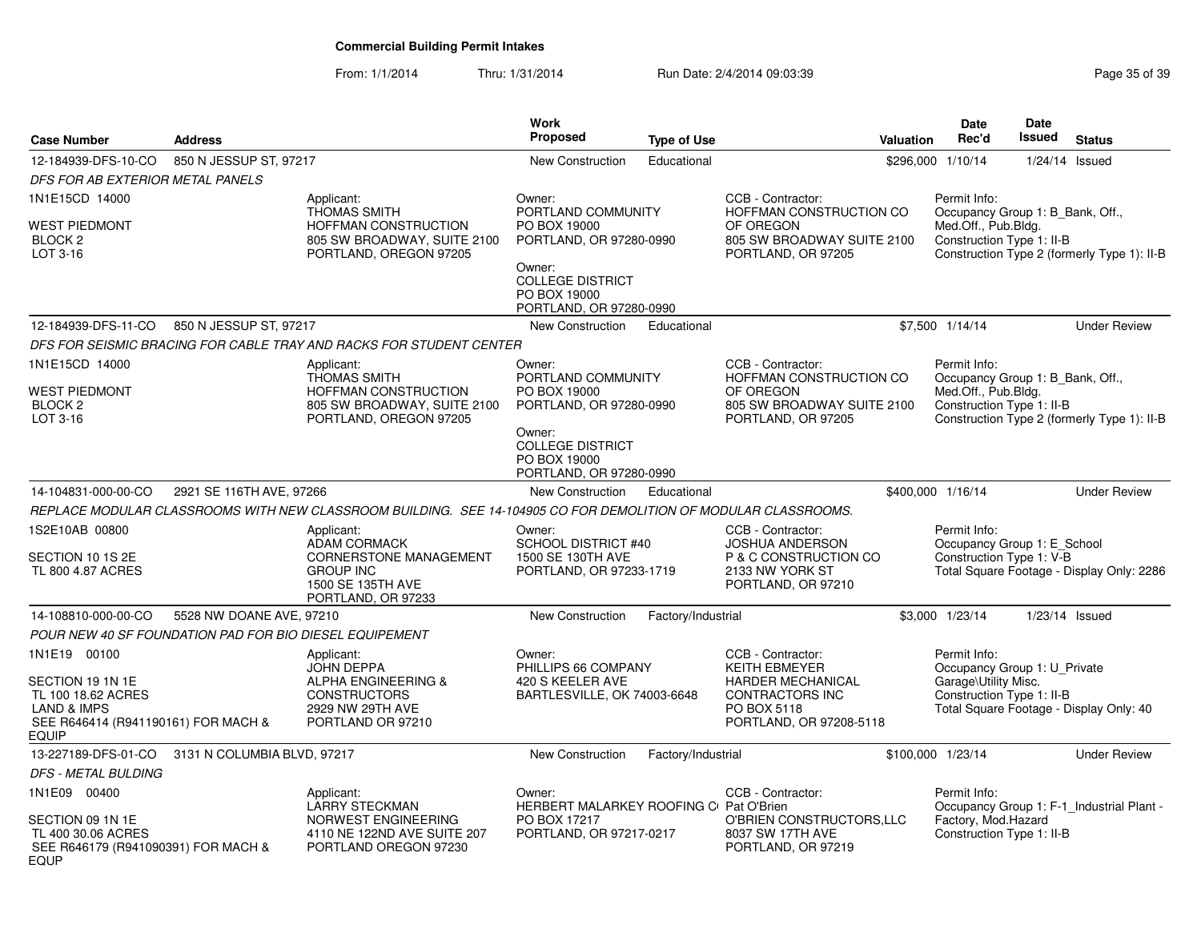| <b>Case Number</b>                                                                                                                      | <b>Address</b>              |                                                                                                                                   | Work<br>Proposed                                                                                                                                        | <b>Type of Use</b> |                                                                                                                             | Valuation         | <b>Date</b><br>Rec'd                 | <b>Date</b><br>Issued                                         | <b>Status</b>                               |
|-----------------------------------------------------------------------------------------------------------------------------------------|-----------------------------|-----------------------------------------------------------------------------------------------------------------------------------|---------------------------------------------------------------------------------------------------------------------------------------------------------|--------------------|-----------------------------------------------------------------------------------------------------------------------------|-------------------|--------------------------------------|---------------------------------------------------------------|---------------------------------------------|
| 12-184939-DFS-10-CO                                                                                                                     | 850 N JESSUP ST, 97217      |                                                                                                                                   | <b>New Construction</b>                                                                                                                                 | Educational        |                                                                                                                             | \$296.000 1/10/14 |                                      |                                                               | $1/24/14$ Issued                            |
| DFS FOR AB EXTERIOR METAL PANELS                                                                                                        |                             |                                                                                                                                   |                                                                                                                                                         |                    |                                                                                                                             |                   |                                      |                                                               |                                             |
| 1N1E15CD 14000<br><b>WEST PIEDMONT</b><br>BLOCK <sub>2</sub><br>LOT 3-16                                                                |                             | Applicant:<br><b>THOMAS SMITH</b><br><b>HOFFMAN CONSTRUCTION</b><br>805 SW BROADWAY, SUITE 2100<br>PORTLAND, OREGON 97205         | Owner:<br>PORTLAND COMMUNITY<br>PO BOX 19000<br>PORTLAND, OR 97280-0990<br>Owner:<br><b>COLLEGE DISTRICT</b><br>PO BOX 19000<br>PORTLAND, OR 97280-0990 |                    | CCB - Contractor:<br>HOFFMAN CONSTRUCTION CO<br>OF OREGON<br>805 SW BROADWAY SUITE 2100<br>PORTLAND, OR 97205               |                   | Permit Info:<br>Med.Off., Pub.Blda.  | Occupancy Group 1: B_Bank, Off.,<br>Construction Type 1: II-B | Construction Type 2 (formerly Type 1): II-B |
| 12-184939-DFS-11-CO                                                                                                                     | 850 N JESSUP ST, 97217      |                                                                                                                                   | New Construction                                                                                                                                        | Educational        |                                                                                                                             | \$7,500 1/14/14   |                                      |                                                               | <b>Under Review</b>                         |
|                                                                                                                                         |                             | DFS FOR SEISMIC BRACING FOR CABLE TRAY AND RACKS FOR STUDENT CENTER                                                               |                                                                                                                                                         |                    |                                                                                                                             |                   |                                      |                                                               |                                             |
| 1N1E15CD 14000<br><b>WEST PIEDMONT</b><br><b>BLOCK 2</b><br>LOT 3-16                                                                    |                             | Applicant:<br><b>THOMAS SMITH</b><br>HOFFMAN CONSTRUCTION<br>805 SW BROADWAY, SUITE 2100<br>PORTLAND, OREGON 97205                | Owner:<br>PORTLAND COMMUNITY<br>PO BOX 19000<br>PORTLAND, OR 97280-0990<br>Owner:<br><b>COLLEGE DISTRICT</b><br>PO BOX 19000<br>PORTLAND, OR 97280-0990 |                    | CCB - Contractor:<br>HOFFMAN CONSTRUCTION CO<br>OF OREGON<br>805 SW BROADWAY SUITE 2100<br>PORTLAND, OR 97205               |                   | Permit Info:<br>Med.Off., Pub.Bldg.  | Occupancy Group 1: B_Bank, Off.,<br>Construction Type 1: II-B | Construction Type 2 (formerly Type 1): II-B |
| 14-104831-000-00-CO                                                                                                                     | 2921 SE 116TH AVE, 97266    |                                                                                                                                   | New Construction                                                                                                                                        | Educational        |                                                                                                                             | \$400,000 1/16/14 |                                      |                                                               | <b>Under Review</b>                         |
|                                                                                                                                         |                             | REPLACE MODULAR CLASSROOMS WITH NEW CLASSROOM BUILDING.  SEE 14-104905 CO FOR DEMOLITION OF MODULAR CLASSROOMS.                   |                                                                                                                                                         |                    |                                                                                                                             |                   |                                      |                                                               |                                             |
| 1S2E10AB 00800<br>SECTION 10 1S 2E<br>TL 800 4.87 ACRES                                                                                 |                             | Applicant:<br><b>ADAM CORMACK</b><br><b>CORNERSTONE MANAGEMENT</b><br><b>GROUP INC</b><br>1500 SE 135TH AVE<br>PORTLAND, OR 97233 | Owner:<br>SCHOOL DISTRICT #40<br>1500 SE 130TH AVE<br>PORTLAND, OR 97233-1719                                                                           |                    | CCB - Contractor:<br><b>JOSHUA ANDERSON</b><br>P & C CONSTRUCTION CO<br>2133 NW YORK ST<br>PORTLAND, OR 97210               |                   | Permit Info:                         | Occupancy Group 1: E_School<br>Construction Type 1: V-B       | Total Square Footage - Display Only: 2286   |
| 14-108810-000-00-CO                                                                                                                     | 5528 NW DOANE AVE, 97210    |                                                                                                                                   | <b>New Construction</b>                                                                                                                                 | Factory/Industrial |                                                                                                                             | \$3,000 1/23/14   |                                      |                                                               | 1/23/14 Issued                              |
| POUR NEW 40 SF FOUNDATION PAD FOR BIO DIESEL EQUIPEMENT                                                                                 |                             |                                                                                                                                   |                                                                                                                                                         |                    |                                                                                                                             |                   |                                      |                                                               |                                             |
| 1N1E19 00100<br>SECTION 19 1N 1E<br>TL 100 18.62 ACRES<br><b>LAND &amp; IMPS</b><br>SEE R646414 (R941190161) FOR MACH &<br><b>EQUIP</b> |                             | Applicant:<br><b>JOHN DEPPA</b><br><b>ALPHA ENGINEERING &amp;</b><br><b>CONSTRUCTORS</b><br>2929 NW 29TH AVE<br>PORTLAND OR 97210 | Owner:<br>PHILLIPS 66 COMPANY<br>420 S KEELER AVE<br>BARTLESVILLE, OK 74003-6648                                                                        |                    | CCB - Contractor:<br><b>KEITH EBMEYER</b><br>HARDER MECHANICAL<br>CONTRACTORS INC<br>PO BOX 5118<br>PORTLAND, OR 97208-5118 |                   | Permit Info:<br>Garage\Utility Misc. | Occupancy Group 1: U Private<br>Construction Type 1: II-B     | Total Square Footage - Display Only: 40     |
| 13-227189-DFS-01-CO                                                                                                                     | 3131 N COLUMBIA BLVD, 97217 |                                                                                                                                   | New Construction                                                                                                                                        | Factory/Industrial |                                                                                                                             | \$100,000 1/23/14 |                                      |                                                               | <b>Under Review</b>                         |
| DFS - METAL BULDING                                                                                                                     |                             |                                                                                                                                   |                                                                                                                                                         |                    |                                                                                                                             |                   |                                      |                                                               |                                             |
| 1N1E09 00400<br>SECTION 09 1N 1E<br>TL 400 30.06 ACRES<br>SEE R646179 (R941090391) FOR MACH &<br><b>EQUP</b>                            |                             | Applicant:<br><b>LARRY STECKMAN</b><br>NORWEST ENGINEERING<br>4110 NE 122ND AVE SUITE 207<br>PORTLAND OREGON 97230                | Owner:<br>HERBERT MALARKEY ROOFING C Pat O'Brien<br>PO BOX 17217<br>PORTLAND, OR 97217-0217                                                             |                    | CCB - Contractor:<br>O'BRIEN CONSTRUCTORS, LLC<br>8037 SW 17TH AVE<br>PORTLAND, OR 97219                                    |                   | Permit Info:<br>Factory, Mod.Hazard  | Construction Type 1: II-B                                     | Occupancy Group 1: F-1_Industrial Plant -   |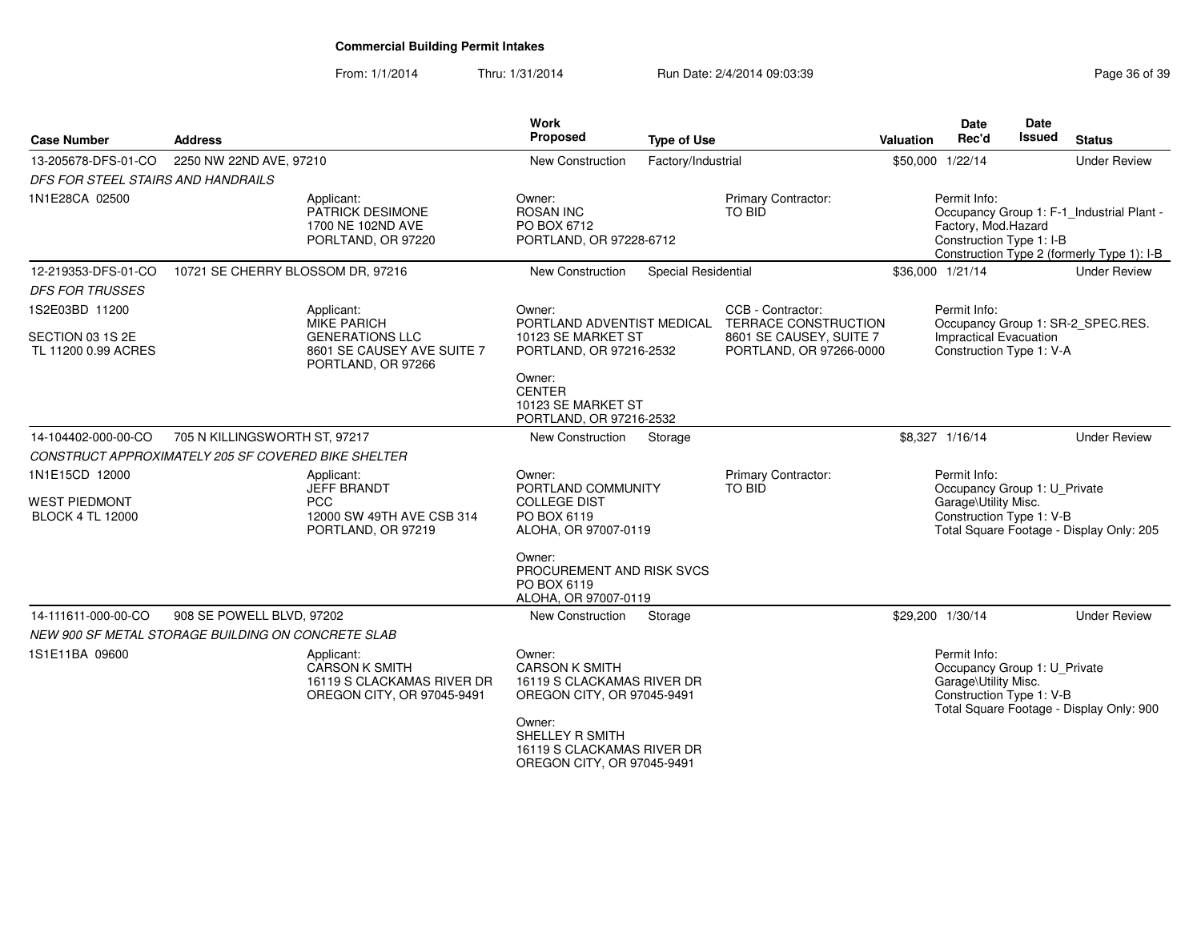| <b>Case Number</b>                                                   | <b>Address</b>                    |                                                                                                  | <b>Work</b><br>Proposed                                                                     | <b>Type of Use</b>         |                                                                            | Valuation | <b>Date</b><br>Rec'd                                                             | Date<br><b>Issued</b> | <b>Status</b>                                                                           |
|----------------------------------------------------------------------|-----------------------------------|--------------------------------------------------------------------------------------------------|---------------------------------------------------------------------------------------------|----------------------------|----------------------------------------------------------------------------|-----------|----------------------------------------------------------------------------------|-----------------------|-----------------------------------------------------------------------------------------|
| 13-205678-DFS-01-CO                                                  | 2250 NW 22ND AVE, 97210           |                                                                                                  | New Construction                                                                            | Factory/Industrial         |                                                                            |           | \$50,000 1/22/14                                                                 |                       | <b>Under Review</b>                                                                     |
| DFS FOR STEEL STAIRS AND HANDRAILS                                   |                                   |                                                                                                  |                                                                                             |                            |                                                                            |           |                                                                                  |                       |                                                                                         |
| 1N1E28CA 02500                                                       |                                   | Applicant:<br>PATRICK DESIMONE<br>1700 NE 102ND AVE<br>PORLTAND, OR 97220                        | Owner:<br><b>ROSAN INC</b><br>PO BOX 6712<br>PORTLAND, OR 97228-6712                        |                            | Primary Contractor:<br><b>TO BID</b>                                       |           | Permit Info:<br>Factory, Mod.Hazard<br>Construction Type 1: I-B                  |                       | Occupancy Group 1: F-1_Industrial Plant -<br>Construction Type 2 (formerly Type 1): I-B |
| 12-219353-DFS-01-CO                                                  | 10721 SE CHERRY BLOSSOM DR, 97216 |                                                                                                  | New Construction                                                                            | <b>Special Residential</b> |                                                                            |           | \$36,000 1/21/14                                                                 |                       | <b>Under Review</b>                                                                     |
| <b>DFS FOR TRUSSES</b>                                               |                                   |                                                                                                  |                                                                                             |                            |                                                                            |           |                                                                                  |                       |                                                                                         |
| 1S2E03BD 11200                                                       |                                   | Applicant:                                                                                       | Owner:                                                                                      |                            | CCB - Contractor:                                                          |           | Permit Info:                                                                     |                       |                                                                                         |
| SECTION 03 1S 2E<br>TL 11200 0.99 ACRES                              |                                   | <b>MIKE PARICH</b><br><b>GENERATIONS LLC</b><br>8601 SE CAUSEY AVE SUITE 7<br>PORTLAND, OR 97266 | PORTLAND ADVENTIST MEDICAL<br>10123 SE MARKET ST<br>PORTLAND, OR 97216-2532                 |                            | TERRACE CONSTRUCTION<br>8601 SE CAUSEY, SUITE 7<br>PORTLAND, OR 97266-0000 |           | Impractical Evacuation<br>Construction Type 1: V-A                               |                       | Occupancy Group 1: SR-2_SPEC.RES.                                                       |
|                                                                      |                                   |                                                                                                  | Owner:<br><b>CENTER</b><br>10123 SE MARKET ST<br>PORTLAND, OR 97216-2532                    |                            |                                                                            |           |                                                                                  |                       |                                                                                         |
| 14-104402-000-00-CO                                                  | 705 N KILLINGSWORTH ST, 97217     |                                                                                                  | New Construction                                                                            | Storage                    |                                                                            |           | \$8,327 1/16/14                                                                  |                       | <b>Under Review</b>                                                                     |
| CONSTRUCT APPROXIMATELY 205 SF COVERED BIKE SHELTER                  |                                   |                                                                                                  |                                                                                             |                            |                                                                            |           |                                                                                  |                       |                                                                                         |
| 1N1E15CD 12000                                                       |                                   | Applicant:<br><b>JEFF BRANDT</b>                                                                 | Owner:<br>PORTLAND COMMUNITY                                                                |                            | Primary Contractor:<br>TO BID                                              |           | Permit Info:<br>Occupancy Group 1: U Private                                     |                       |                                                                                         |
| <b>WEST PIEDMONT</b><br><b>BLOCK 4 TL 12000</b>                      |                                   | <b>PCC</b><br>12000 SW 49TH AVE CSB 314<br>PORTLAND, OR 97219                                    | <b>COLLEGE DIST</b><br>PO BOX 6119<br>ALOHA, OR 97007-0119                                  |                            |                                                                            |           | Garage\Utility Misc.<br>Construction Type 1: V-B                                 |                       | Total Square Footage - Display Only: 205                                                |
|                                                                      |                                   |                                                                                                  | Owner:<br>PROCUREMENT AND RISK SVCS<br>PO BOX 6119<br>ALOHA, OR 97007-0119                  |                            |                                                                            |           |                                                                                  |                       |                                                                                         |
| 14-111611-000-00-CO                                                  | 908 SE POWELL BLVD, 97202         |                                                                                                  | <b>New Construction</b>                                                                     | Storage                    |                                                                            |           | \$29,200 1/30/14                                                                 |                       | <b>Under Review</b>                                                                     |
|                                                                      |                                   |                                                                                                  |                                                                                             |                            |                                                                            |           | Permit Info:                                                                     |                       |                                                                                         |
| NEW 900 SF METAL STORAGE BUILDING ON CONCRETE SLAB<br>1S1E11BA 09600 |                                   | Applicant:<br><b>CARSON K SMITH</b><br>16119 S CLACKAMAS RIVER DR<br>OREGON CITY, OR 97045-9491  | Owner:<br><b>CARSON K SMITH</b><br>16119 S CLACKAMAS RIVER DR<br>OREGON CITY, OR 97045-9491 |                            |                                                                            |           | Occupancy Group 1: U_Private<br>Garage\Utility Misc.<br>Construction Type 1: V-B |                       | Total Square Footage - Display Only: 900                                                |
|                                                                      |                                   |                                                                                                  | Owner:<br>SHELLEY R SMITH<br>16119 S CLACKAMAS RIVER DR<br>OREGON CITY, OR 97045-9491       |                            |                                                                            |           |                                                                                  |                       |                                                                                         |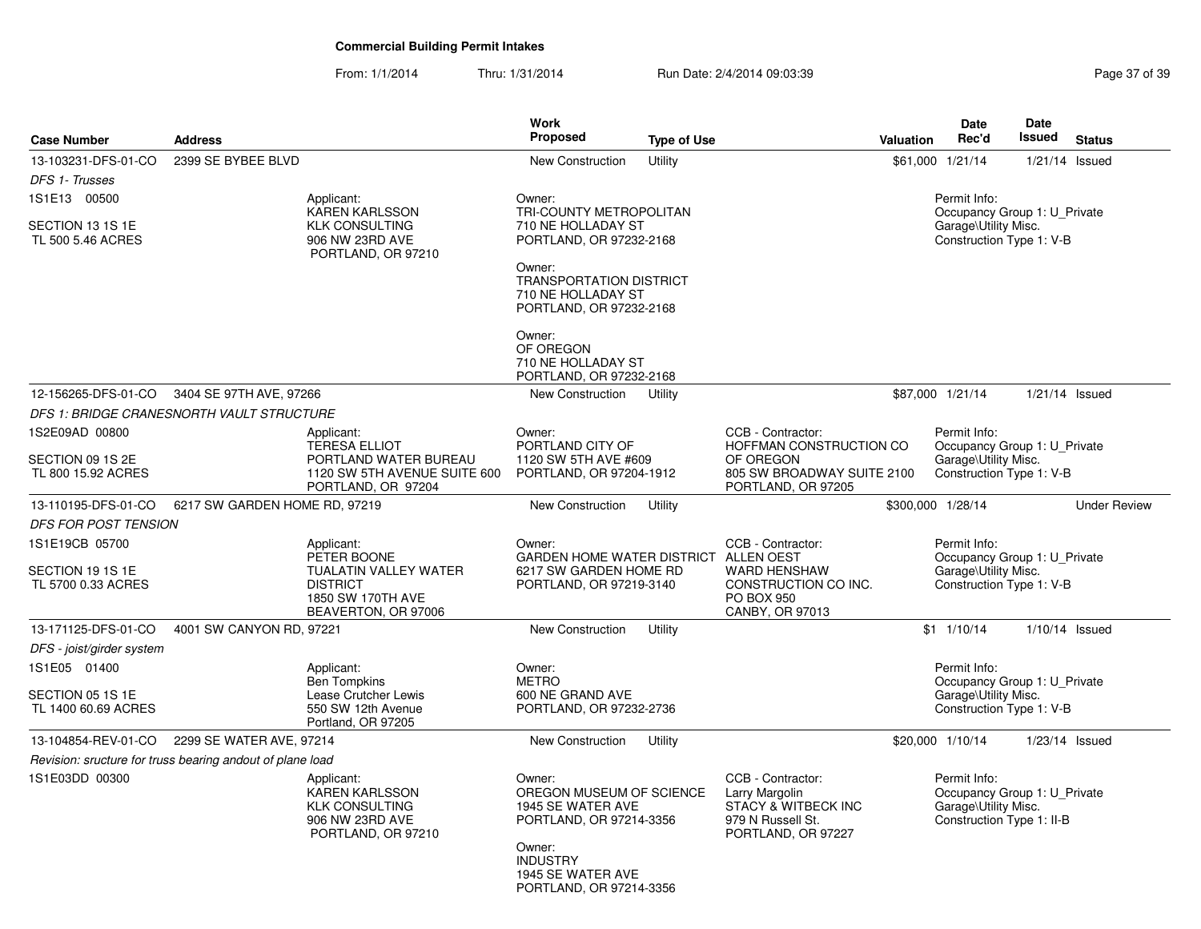| <b>Case Number</b>                      | <b>Address</b>                                            |                                                                                                            | Work<br><b>Proposed</b>                                                                                                              | <b>Type of Use</b> |                                                                                                       | <b>Valuation</b> | <b>Date</b><br>Rec'd                                                                              | <b>Date</b><br><b>Issued</b> | <b>Status</b>       |
|-----------------------------------------|-----------------------------------------------------------|------------------------------------------------------------------------------------------------------------|--------------------------------------------------------------------------------------------------------------------------------------|--------------------|-------------------------------------------------------------------------------------------------------|------------------|---------------------------------------------------------------------------------------------------|------------------------------|---------------------|
| 13-103231-DFS-01-CO                     | 2399 SE BYBEE BLVD                                        |                                                                                                            | <b>New Construction</b>                                                                                                              | Utility            |                                                                                                       |                  | \$61,000 1/21/14                                                                                  |                              | $1/21/14$ Issued    |
| DFS 1- Trusses                          |                                                           |                                                                                                            |                                                                                                                                      |                    |                                                                                                       |                  |                                                                                                   |                              |                     |
| 1S1E13 00500                            |                                                           | Applicant:<br>KAREN KARLSSON                                                                               | Owner:<br>TRI-COUNTY METROPOLITAN                                                                                                    |                    |                                                                                                       |                  | Permit Info:<br>Occupancy Group 1: U_Private                                                      |                              |                     |
| SECTION 13 1S 1E<br>TL 500 5.46 ACRES   |                                                           | <b>KLK CONSULTING</b><br>906 NW 23RD AVE<br>PORTLAND, OR 97210                                             | 710 NE HOLLADAY ST<br>PORTLAND, OR 97232-2168                                                                                        |                    |                                                                                                       |                  | Garage\Utility Misc.<br>Construction Type 1: V-B                                                  |                              |                     |
|                                         |                                                           |                                                                                                            | Owner:<br><b>TRANSPORTATION DISTRICT</b><br>710 NE HOLLADAY ST<br>PORTLAND, OR 97232-2168                                            |                    |                                                                                                       |                  |                                                                                                   |                              |                     |
|                                         |                                                           |                                                                                                            | Owner:<br>OF OREGON<br>710 NE HOLLADAY ST<br>PORTLAND, OR 97232-2168                                                                 |                    |                                                                                                       |                  |                                                                                                   |                              |                     |
|                                         | 12-156265-DFS-01-CO 3404 SE 97TH AVE, 97266               |                                                                                                            | New Construction                                                                                                                     | Utility            |                                                                                                       |                  | \$87,000 1/21/14                                                                                  |                              | 1/21/14 Issued      |
|                                         | DFS 1: BRIDGE CRANESNORTH VAULT STRUCTURE                 |                                                                                                            |                                                                                                                                      |                    |                                                                                                       |                  |                                                                                                   |                              |                     |
| 1S2E09AD 00800                          |                                                           | Applicant:<br><b>TERESA ELLIOT</b>                                                                         | Owner:<br>PORTLAND CITY OF                                                                                                           |                    | CCB - Contractor:<br>HOFFMAN CONSTRUCTION CO                                                          |                  | Permit Info:<br>Occupancy Group 1: U_Private                                                      |                              |                     |
| SECTION 09 1S 2E<br>TL 800 15.92 ACRES  |                                                           | PORTLAND WATER BUREAU<br>1120 SW 5TH AVENUE SUITE 600<br>PORTLAND, OR 97204                                | 1120 SW 5TH AVE #609<br>PORTLAND, OR 97204-1912                                                                                      |                    | OF OREGON<br>805 SW BROADWAY SUITE 2100<br>PORTLAND, OR 97205                                         |                  | Garage\Utility Misc.<br>Construction Type 1: V-B                                                  |                              |                     |
| 13-110195-DFS-01-CO                     | 6217 SW GARDEN HOME RD, 97219                             |                                                                                                            | New Construction                                                                                                                     | Utility            |                                                                                                       |                  | \$300,000 1/28/14                                                                                 |                              | <b>Under Review</b> |
| <b>DFS FOR POST TENSION</b>             |                                                           |                                                                                                            |                                                                                                                                      |                    |                                                                                                       |                  |                                                                                                   |                              |                     |
| 1S1E19CB 05700                          |                                                           | Applicant:                                                                                                 | Owner:                                                                                                                               |                    | CCB - Contractor:                                                                                     |                  | Permit Info:                                                                                      |                              |                     |
| SECTION 19 1S 1E<br>TL 5700 0.33 ACRES  |                                                           | PETER BOONE<br><b>TUALATIN VALLEY WATER</b><br><b>DISTRICT</b><br>1850 SW 170TH AVE<br>BEAVERTON, OR 97006 | GARDEN HOME WATER DISTRICT ALLEN OEST<br>6217 SW GARDEN HOME RD<br>PORTLAND, OR 97219-3140                                           |                    | <b>WARD HENSHAW</b><br>CONSTRUCTION CO INC.<br>PO BOX 950<br>CANBY, OR 97013                          |                  | Occupancy Group 1: U_Private<br>Garage\Utility Misc.<br>Construction Type 1: V-B                  |                              |                     |
| 13-171125-DFS-01-CO                     | 4001 SW CANYON RD, 97221                                  |                                                                                                            | New Construction                                                                                                                     | Utility            |                                                                                                       |                  | \$1 1/10/14                                                                                       |                              | $1/10/14$ Issued    |
| DFS - joist/girder system               |                                                           |                                                                                                            |                                                                                                                                      |                    |                                                                                                       |                  |                                                                                                   |                              |                     |
| 1S1E05 01400                            |                                                           | Applicant:<br><b>Ben Tompkins</b>                                                                          | Owner:<br><b>METRO</b>                                                                                                               |                    |                                                                                                       |                  | Permit Info:<br>Occupancy Group 1: U_Private                                                      |                              |                     |
| SECTION 05 1S 1E<br>TL 1400 60.69 ACRES |                                                           | Lease Crutcher Lewis<br>550 SW 12th Avenue<br>Portland, OR 97205                                           | 600 NE GRAND AVE<br>PORTLAND, OR 97232-2736                                                                                          |                    |                                                                                                       |                  | Garage\Utility Misc.<br>Construction Type 1: V-B                                                  |                              |                     |
| 13-104854-REV-01-CO                     | 2299 SE WATER AVE, 97214                                  |                                                                                                            | New Construction                                                                                                                     | Utility            |                                                                                                       |                  | \$20,000 1/10/14                                                                                  |                              | $1/23/14$ Issued    |
|                                         | Revision: sructure for truss bearing andout of plane load |                                                                                                            |                                                                                                                                      |                    |                                                                                                       |                  |                                                                                                   |                              |                     |
| 1S1E03DD 00300                          |                                                           | Applicant:<br><b>KAREN KARLSSON</b><br><b>KLK CONSULTING</b><br>906 NW 23RD AVE<br>PORTLAND, OR 97210      | Owner:<br>OREGON MUSEUM OF SCIENCE<br>1945 SE WATER AVE<br>PORTLAND, OR 97214-3356<br>Owner:<br><b>INDUSTRY</b><br>1945 SE WATER AVE |                    | CCB - Contractor:<br>Larry Margolin<br>STACY & WITBECK INC<br>979 N Russell St.<br>PORTLAND, OR 97227 |                  | Permit Info:<br>Occupancy Group 1: U Private<br>Garage\Utility Misc.<br>Construction Type 1: II-B |                              |                     |
|                                         |                                                           |                                                                                                            | PORTLAND, OR 97214-3356                                                                                                              |                    |                                                                                                       |                  |                                                                                                   |                              |                     |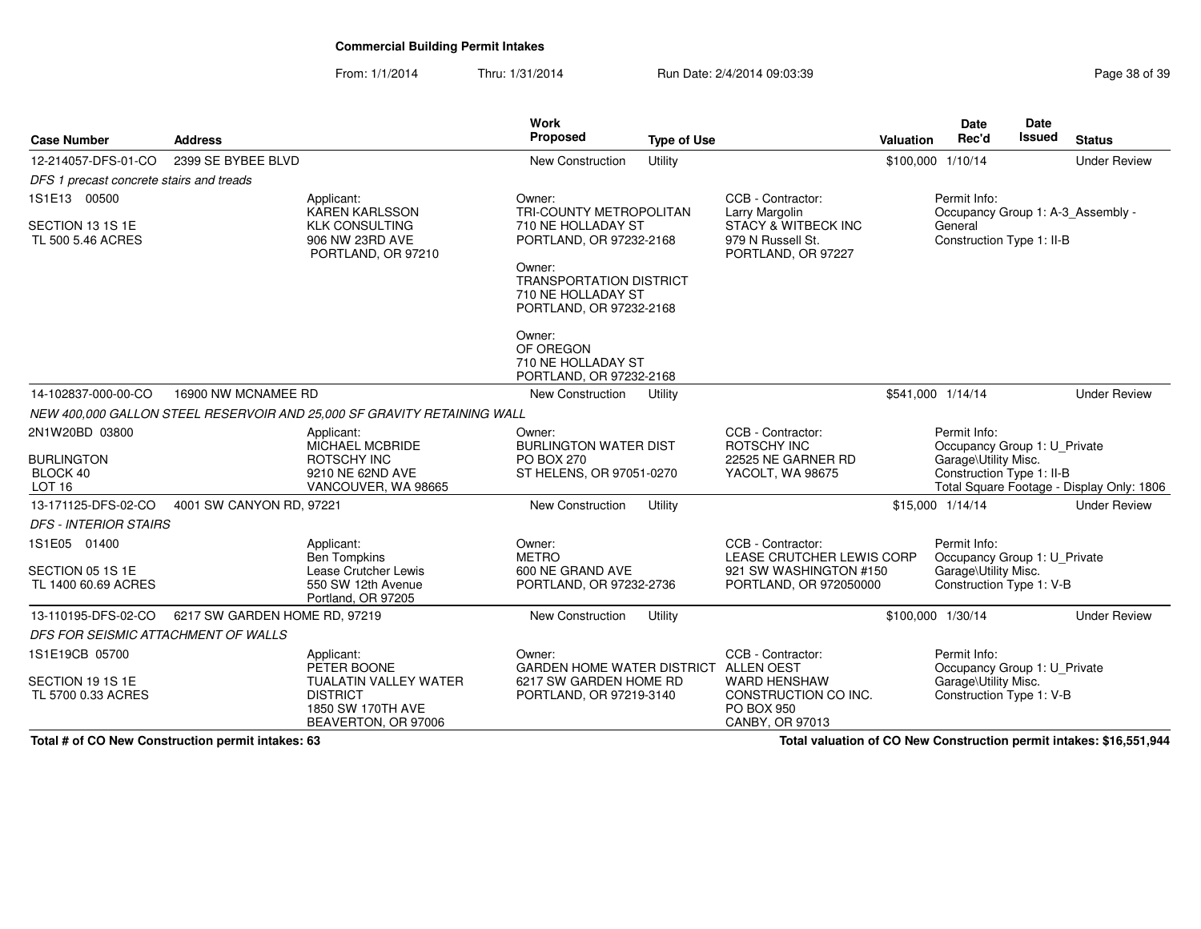From: 1/1/2014Thru: 1/31/2014 Run Date: 2/4/2014 09:03:39 Research 2010 13:39

| <b>Case Number</b>                                               | <b>Address</b>                |                                                                                                | Work<br>Proposed                                                                                                                                                                        | <b>Type of Use</b> |                                                                                                    | Valuation | <b>Date</b><br>Rec'd                                                                              | Date<br><b>Issued</b> | <b>Status</b>                             |
|------------------------------------------------------------------|-------------------------------|------------------------------------------------------------------------------------------------|-----------------------------------------------------------------------------------------------------------------------------------------------------------------------------------------|--------------------|----------------------------------------------------------------------------------------------------|-----------|---------------------------------------------------------------------------------------------------|-----------------------|-------------------------------------------|
| 12-214057-DFS-01-CO                                              | 2399 SE BYBEE BLVD            |                                                                                                | <b>New Construction</b>                                                                                                                                                                 | Utility            |                                                                                                    |           | \$100,000 1/10/14                                                                                 |                       | <b>Under Review</b>                       |
| DFS 1 precast concrete stairs and treads                         |                               |                                                                                                |                                                                                                                                                                                         |                    |                                                                                                    |           |                                                                                                   |                       |                                           |
| 1S1E13 00500                                                     |                               | Applicant:<br><b>KAREN KARLSSON</b>                                                            | Owner:<br>TRI-COUNTY METROPOLITAN                                                                                                                                                       |                    | CCB - Contractor:<br>Larry Margolin                                                                |           | Permit Info:<br>Occupancy Group 1: A-3_Assembly -                                                 |                       |                                           |
| SECTION 13 1S 1E<br>TL 500 5.46 ACRES                            |                               | <b>KLK CONSULTING</b><br>906 NW 23RD AVE<br>PORTLAND, OR 97210                                 | 710 NE HOLLADAY ST<br>PORTLAND, OR 97232-2168<br>Owner:<br><b>TRANSPORTATION DISTRICT</b><br>710 NE HOLLADAY ST<br>PORTLAND, OR 97232-2168<br>Owner:<br>OF OREGON<br>710 NE HOLLADAY ST |                    | <b>STACY &amp; WITBECK INC</b><br>979 N Russell St.<br>PORTLAND, OR 97227                          |           | General<br>Construction Type 1: II-B                                                              |                       |                                           |
|                                                                  |                               |                                                                                                | PORTLAND, OR 97232-2168                                                                                                                                                                 |                    |                                                                                                    |           |                                                                                                   |                       |                                           |
| 14-102837-000-00-CO                                              | 16900 NW MCNAMEE RD           |                                                                                                | <b>New Construction</b>                                                                                                                                                                 | Utility            |                                                                                                    |           | \$541,000 1/14/14                                                                                 |                       | <b>Under Review</b>                       |
|                                                                  |                               | NEW 400,000 GALLON STEEL RESERVOIR AND 25,000 SF GRAVITY RETAINING WALL                        |                                                                                                                                                                                         |                    |                                                                                                    |           |                                                                                                   |                       |                                           |
| 2N1W20BD 03800<br><b>BURLINGTON</b><br>BLOCK 40<br><b>LOT 16</b> |                               | Applicant:<br><b>MICHAEL MCBRIDE</b><br>ROTSCHY INC<br>9210 NE 62ND AVE<br>VANCOUVER, WA 98665 | Owner:<br><b>BURLINGTON WATER DIST</b><br><b>PO BOX 270</b><br>ST HELENS, OR 97051-0270                                                                                                 |                    | CCB - Contractor:<br>ROTSCHY INC<br>22525 NE GARNER RD<br>YACOLT, WA 98675                         |           | Permit Info:<br>Occupancy Group 1: U_Private<br>Garage\Utility Misc.<br>Construction Type 1: II-B |                       | Total Square Footage - Display Only: 1806 |
| 13-171125-DFS-02-CO                                              | 4001 SW CANYON RD, 97221      |                                                                                                | New Construction                                                                                                                                                                        | Utility            |                                                                                                    |           | \$15,000 1/14/14                                                                                  |                       | <b>Under Review</b>                       |
| <b>DFS - INTERIOR STAIRS</b>                                     |                               |                                                                                                |                                                                                                                                                                                         |                    |                                                                                                    |           |                                                                                                   |                       |                                           |
| 1S1E05 01400<br>SECTION 05 1S 1E<br>TL 1400 60.69 ACRES          |                               | Applicant:<br>Ben Tompkins<br>Lease Crutcher Lewis<br>550 SW 12th Avenue<br>Portland, OR 97205 | Owner:<br><b>METRO</b><br>600 NE GRAND AVE<br>PORTLAND, OR 97232-2736                                                                                                                   |                    | CCB - Contractor:<br>LEASE CRUTCHER LEWIS CORP<br>921 SW WASHINGTON #150<br>PORTLAND, OR 972050000 |           | Permit Info:<br>Occupancy Group 1: U_Private<br>Garage\Utility Misc.<br>Construction Type 1: V-B  |                       |                                           |
| 13-110195-DFS-02-CO                                              | 6217 SW GARDEN HOME RD, 97219 |                                                                                                | <b>New Construction</b>                                                                                                                                                                 | Utility            |                                                                                                    |           | \$100,000 1/30/14                                                                                 |                       | <b>Under Review</b>                       |
| DFS FOR SEISMIC ATTACHMENT OF WALLS                              |                               |                                                                                                |                                                                                                                                                                                         |                    |                                                                                                    |           |                                                                                                   |                       |                                           |
| 1S1E19CB 05700<br>SECTION 19 1S 1E<br>TL 5700 0.33 ACRES         |                               | Applicant:<br>PETER BOONE<br><b>TUALATIN VALLEY WATER</b><br><b>DISTRICT</b>                   | Owner:<br>GARDEN HOME WATER DISTRICT ALLEN OEST<br>6217 SW GARDEN HOME RD<br>PORTLAND, OR 97219-3140                                                                                    |                    | CCB - Contractor:<br><b>WARD HENSHAW</b><br>CONSTRUCTION CO INC.                                   |           | Permit Info:<br>Occupancy Group 1: U Private<br>Garage\Utility Misc.<br>Construction Type 1: V-B  |                       |                                           |
|                                                                  |                               | 1850 SW 170TH AVE<br>BEAVERTON, OR 97006                                                       |                                                                                                                                                                                         |                    | <b>PO BOX 950</b><br>CANBY, OR 97013                                                               |           |                                                                                                   |                       |                                           |

**Total # of CO New Construction permit intakes: 63**

**Total valuation of CO New Construction permit intakes: \$16,551,944**